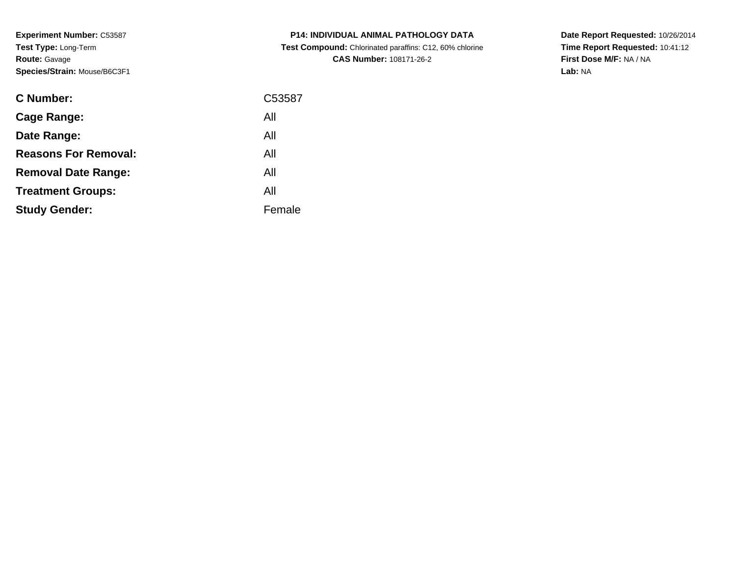**Experiment Number:** C53587**Test Type:** Long-Term**Route:** Gavage**Species/Strain:** Mouse/B6C3F1

| <b>C Number:</b>            | C53587 |
|-----------------------------|--------|
| <b>Cage Range:</b>          | All    |
| Date Range:                 | All    |
| <b>Reasons For Removal:</b> | All    |
| <b>Removal Date Range:</b>  | All    |
| <b>Treatment Groups:</b>    | All    |
| <b>Study Gender:</b>        | Female |
|                             |        |

# **P14: INDIVIDUAL ANIMAL PATHOLOGY DATA Test Compound:** Chlorinated paraffins: C12, 60% chlorine**CAS Number:** 108171-26-2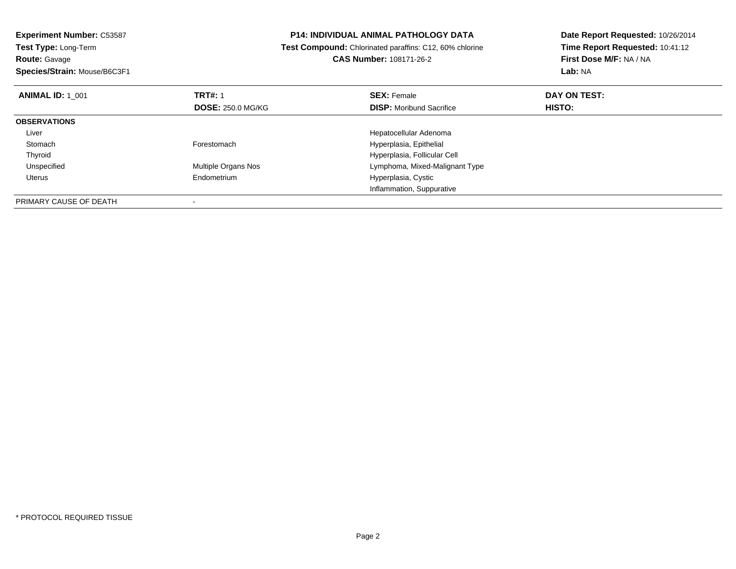**Experiment Number:** C53587**Test Type:** Long-Term**Route:** Gavage **Species/Strain:** Mouse/B6C3F1**P14: INDIVIDUAL ANIMAL PATHOLOGY DATA Test Compound:** Chlorinated paraffins: C12, 60% chlorine**CAS Number:** 108171-26-2**Date Report Requested:** 10/26/2014**Time Report Requested:** 10:41:12**First Dose M/F:** NA / NA**Lab:** NA**ANIMAL ID:** 1\_001**TRT#:** 1 **SEX:** Female **DAY ON TEST: DOSE:** 250.0 MG/KG**DISP:** Moribund Sacrifice **HISTO: OBSERVATIONS** Liver Hepatocellular Adenoma**Stomach** Forestomach **Hyperplasia**, Epithelial Thyroid Hyperplasia, Follicular Cell UnspecifiedLymphoma, Mixed-Malignant Type Uterus Endometrium Hyperplasia, Cystic Inflammation, SuppurativePRIMARY CAUSE OF DEATH-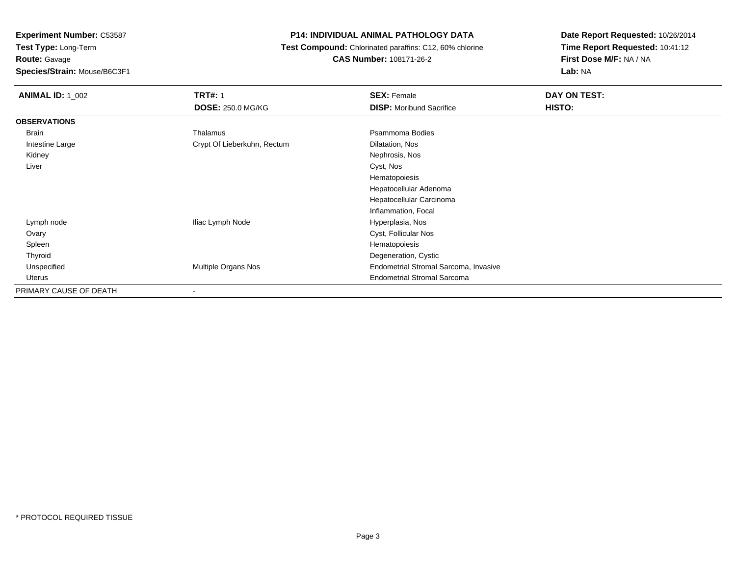**Route:** Gavage

**Species/Strain:** Mouse/B6C3F1

# **P14: INDIVIDUAL ANIMAL PATHOLOGY DATA**

 **Test Compound:** Chlorinated paraffins: C12, 60% chlorine**CAS Number:** 108171-26-2

| <b>ANIMAL ID: 1_002</b> | <b>TRT#: 1</b>              | <b>SEX: Female</b>                    | DAY ON TEST: |  |
|-------------------------|-----------------------------|---------------------------------------|--------------|--|
|                         | <b>DOSE: 250.0 MG/KG</b>    | <b>DISP:</b> Moribund Sacrifice       | HISTO:       |  |
| <b>OBSERVATIONS</b>     |                             |                                       |              |  |
| Brain                   | Thalamus                    | Psammoma Bodies                       |              |  |
| Intestine Large         | Crypt Of Lieberkuhn, Rectum | Dilatation, Nos                       |              |  |
| Kidney                  |                             | Nephrosis, Nos                        |              |  |
| Liver                   |                             | Cyst, Nos                             |              |  |
|                         |                             | Hematopoiesis                         |              |  |
|                         |                             | Hepatocellular Adenoma                |              |  |
|                         |                             | Hepatocellular Carcinoma              |              |  |
|                         |                             | Inflammation, Focal                   |              |  |
| Lymph node              | Iliac Lymph Node            | Hyperplasia, Nos                      |              |  |
| Ovary                   |                             | Cyst, Follicular Nos                  |              |  |
| Spleen                  |                             | Hematopoiesis                         |              |  |
| Thyroid                 |                             | Degeneration, Cystic                  |              |  |
| Unspecified             | Multiple Organs Nos         | Endometrial Stromal Sarcoma, Invasive |              |  |
| Uterus                  |                             | <b>Endometrial Stromal Sarcoma</b>    |              |  |
| PRIMARY CAUSE OF DEATH  |                             |                                       |              |  |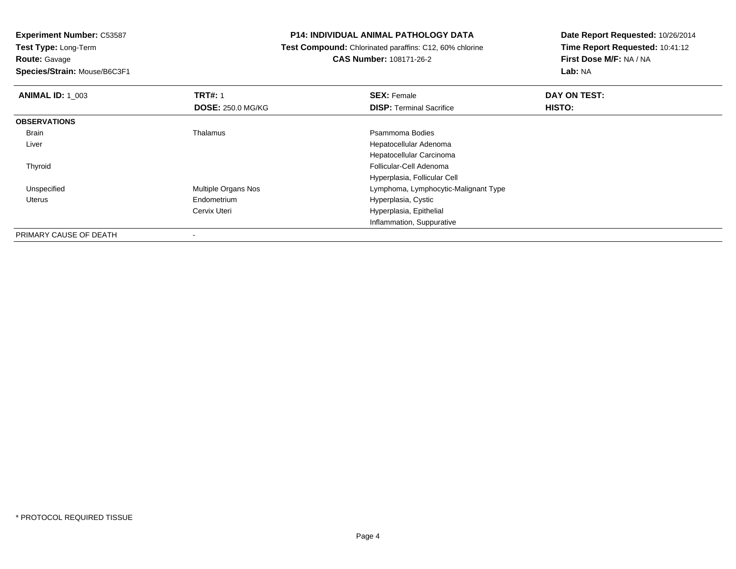**Route:** Gavage

**Species/Strain:** Mouse/B6C3F1

#### **P14: INDIVIDUAL ANIMAL PATHOLOGY DATA**

 **Test Compound:** Chlorinated paraffins: C12, 60% chlorine**CAS Number:** 108171-26-2

| <b>ANIMAL ID: 1 003</b> | <b>TRT#: 1</b>           | <b>SEX: Female</b>                   | DAY ON TEST: |  |
|-------------------------|--------------------------|--------------------------------------|--------------|--|
|                         | <b>DOSE: 250.0 MG/KG</b> | <b>DISP: Terminal Sacrifice</b>      | HISTO:       |  |
| <b>OBSERVATIONS</b>     |                          |                                      |              |  |
| Brain                   | Thalamus                 | Psammoma Bodies                      |              |  |
| Liver                   |                          | Hepatocellular Adenoma               |              |  |
|                         |                          | Hepatocellular Carcinoma             |              |  |
| Thyroid                 |                          | Follicular-Cell Adenoma              |              |  |
|                         |                          | Hyperplasia, Follicular Cell         |              |  |
| Unspecified             | Multiple Organs Nos      | Lymphoma, Lymphocytic-Malignant Type |              |  |
| <b>Uterus</b>           | Endometrium              | Hyperplasia, Cystic                  |              |  |
|                         | Cervix Uteri             | Hyperplasia, Epithelial              |              |  |
|                         |                          | Inflammation, Suppurative            |              |  |
| PRIMARY CAUSE OF DEATH  | $\overline{\phantom{a}}$ |                                      |              |  |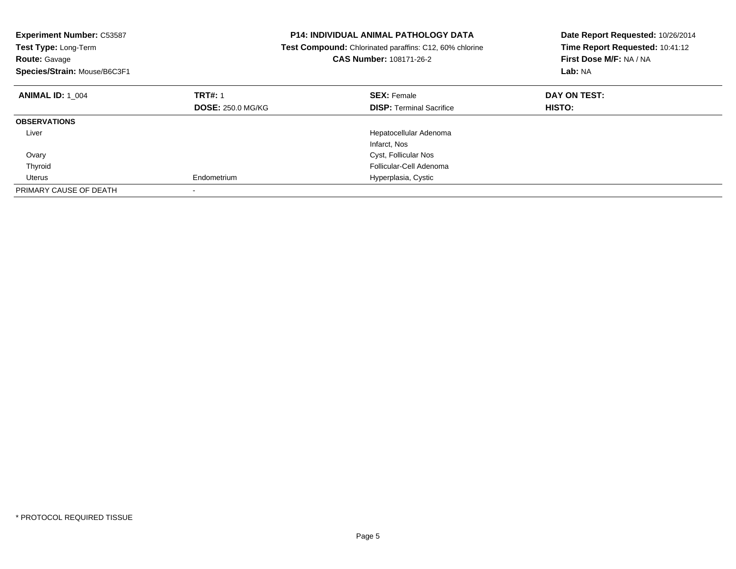| <b>Experiment Number: C53587</b><br>Test Type: Long-Term<br><b>Route: Gavage</b><br>Species/Strain: Mouse/B6C3F1 |                          | <b>P14: INDIVIDUAL ANIMAL PATHOLOGY DATA</b><br>Test Compound: Chlorinated paraffins: C12, 60% chlorine<br><b>CAS Number: 108171-26-2</b> | Date Report Requested: 10/26/2014<br>Time Report Requested: 10:41:12<br>First Dose M/F: NA / NA<br>Lab: NA |
|------------------------------------------------------------------------------------------------------------------|--------------------------|-------------------------------------------------------------------------------------------------------------------------------------------|------------------------------------------------------------------------------------------------------------|
| <b>ANIMAL ID: 1 004</b>                                                                                          | <b>TRT#: 1</b>           | <b>SEX: Female</b>                                                                                                                        | DAY ON TEST:                                                                                               |
|                                                                                                                  | <b>DOSE: 250.0 MG/KG</b> | <b>DISP:</b> Terminal Sacrifice                                                                                                           | HISTO:                                                                                                     |
| <b>OBSERVATIONS</b>                                                                                              |                          |                                                                                                                                           |                                                                                                            |
| Liver                                                                                                            |                          | Hepatocellular Adenoma                                                                                                                    |                                                                                                            |
|                                                                                                                  |                          | Infarct, Nos                                                                                                                              |                                                                                                            |
| Ovary                                                                                                            |                          | Cyst, Follicular Nos                                                                                                                      |                                                                                                            |
| Thyroid                                                                                                          |                          | Follicular-Cell Adenoma                                                                                                                   |                                                                                                            |
| Uterus                                                                                                           | Endometrium              | Hyperplasia, Cystic                                                                                                                       |                                                                                                            |
| PRIMARY CAUSE OF DEATH                                                                                           |                          |                                                                                                                                           |                                                                                                            |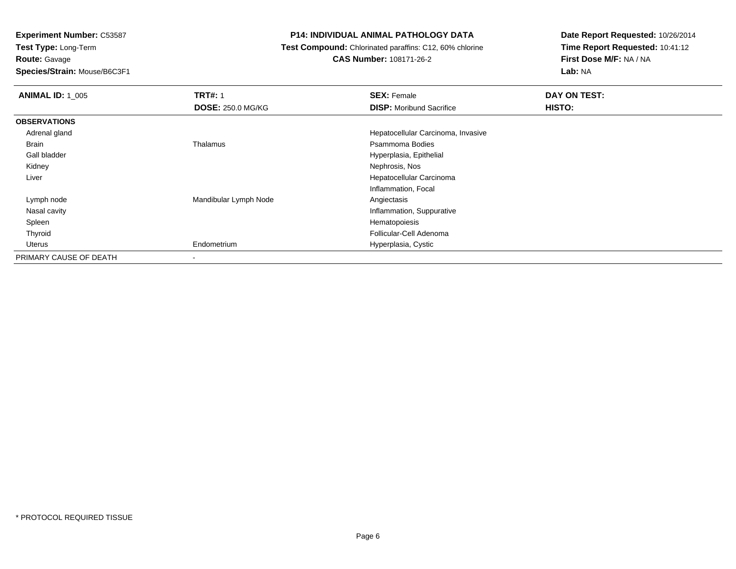**Route:** Gavage

**Species/Strain:** Mouse/B6C3F1

## **P14: INDIVIDUAL ANIMAL PATHOLOGY DATA**

**Test Compound:** Chlorinated paraffins: C12, 60% chlorine

**CAS Number:** 108171-26-2

| <b>ANIMAL ID: 1_005</b> | <b>TRT#: 1</b>           | <b>SEX: Female</b>                 | DAY ON TEST: |  |
|-------------------------|--------------------------|------------------------------------|--------------|--|
|                         | <b>DOSE: 250.0 MG/KG</b> | <b>DISP:</b> Moribund Sacrifice    | HISTO:       |  |
| <b>OBSERVATIONS</b>     |                          |                                    |              |  |
| Adrenal gland           |                          | Hepatocellular Carcinoma, Invasive |              |  |
| Brain                   | Thalamus                 | Psammoma Bodies                    |              |  |
| Gall bladder            |                          | Hyperplasia, Epithelial            |              |  |
| Kidney                  |                          | Nephrosis, Nos                     |              |  |
| Liver                   |                          | Hepatocellular Carcinoma           |              |  |
|                         |                          | Inflammation, Focal                |              |  |
| Lymph node              | Mandibular Lymph Node    | Angiectasis                        |              |  |
| Nasal cavity            |                          | Inflammation, Suppurative          |              |  |
| Spleen                  |                          | Hematopoiesis                      |              |  |
| Thyroid                 |                          | Follicular-Cell Adenoma            |              |  |
| Uterus                  | Endometrium              | Hyperplasia, Cystic                |              |  |
| PRIMARY CAUSE OF DEATH  | $\blacksquare$           |                                    |              |  |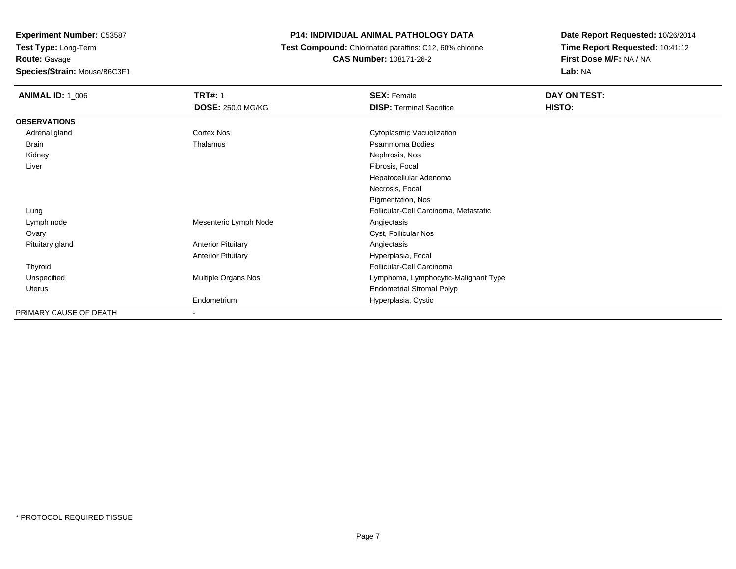**Experiment Number:** C53587**Test Type:** Long-Term**Route:** Gavage**Species/Strain:** Mouse/B6C3F1

#### **P14: INDIVIDUAL ANIMAL PATHOLOGY DATA**

 **Test Compound:** Chlorinated paraffins: C12, 60% chlorine**CAS Number:** 108171-26-2

| <b>ANIMAL ID: 1_006</b> | <b>TRT#: 1</b><br><b>DOSE: 250.0 MG/KG</b> | <b>SEX: Female</b><br><b>DISP: Terminal Sacrifice</b> | DAY ON TEST:<br>HISTO: |
|-------------------------|--------------------------------------------|-------------------------------------------------------|------------------------|
| <b>OBSERVATIONS</b>     |                                            |                                                       |                        |
| Adrenal gland           | Cortex Nos                                 | Cytoplasmic Vacuolization                             |                        |
| <b>Brain</b>            | Thalamus                                   | Psammoma Bodies                                       |                        |
| Kidney                  |                                            | Nephrosis, Nos                                        |                        |
| Liver                   |                                            | Fibrosis, Focal                                       |                        |
|                         |                                            | Hepatocellular Adenoma                                |                        |
|                         |                                            | Necrosis, Focal                                       |                        |
|                         |                                            | Pigmentation, Nos                                     |                        |
| Lung                    |                                            | Follicular-Cell Carcinoma, Metastatic                 |                        |
| Lymph node              | Mesenteric Lymph Node                      | Angiectasis                                           |                        |
| Ovary                   |                                            | Cyst, Follicular Nos                                  |                        |
| Pituitary gland         | <b>Anterior Pituitary</b>                  | Angiectasis                                           |                        |
|                         | <b>Anterior Pituitary</b>                  | Hyperplasia, Focal                                    |                        |
| Thyroid                 |                                            | Follicular-Cell Carcinoma                             |                        |
| Unspecified             | Multiple Organs Nos                        | Lymphoma, Lymphocytic-Malignant Type                  |                        |
| Uterus                  |                                            | <b>Endometrial Stromal Polyp</b>                      |                        |
|                         | Endometrium                                | Hyperplasia, Cystic                                   |                        |
| PRIMARY CAUSE OF DEATH  |                                            |                                                       |                        |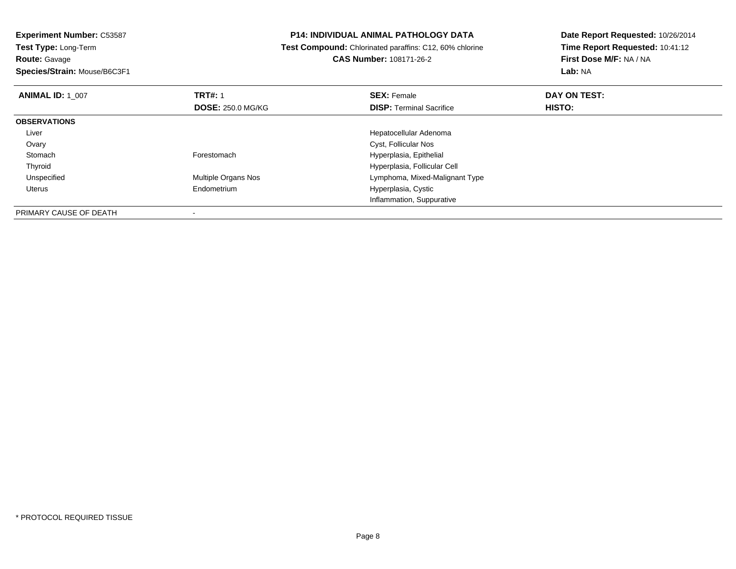# **P14: INDIVIDUAL ANIMAL PATHOLOGY DATA**

**Test Compound:** Chlorinated paraffins: C12, 60% chlorine

**Date Report Requested:** 10/26/2014**Time Report Requested:** 10:41:12**First Dose M/F:** NA / NA**Lab:** NA

|  | Species/Strain: Mouse/B6C3F1 |
|--|------------------------------|
|  |                              |

**CAS Number:** 108171-26-2

| <b>ANIMAL ID: 1 007</b>       | <b>TRT#: 1</b>           | <b>SEX: Female</b>              | DAY ON TEST:  |  |
|-------------------------------|--------------------------|---------------------------------|---------------|--|
|                               | <b>DOSE: 250.0 MG/KG</b> | <b>DISP: Terminal Sacrifice</b> | <b>HISTO:</b> |  |
| <b>OBSERVATIONS</b>           |                          |                                 |               |  |
| Liver                         |                          | Hepatocellular Adenoma          |               |  |
| Ovary                         |                          | Cyst, Follicular Nos            |               |  |
| Stomach                       | Forestomach              | Hyperplasia, Epithelial         |               |  |
| Thyroid                       |                          | Hyperplasia, Follicular Cell    |               |  |
| Unspecified                   | Multiple Organs Nos      | Lymphoma, Mixed-Malignant Type  |               |  |
| Uterus                        | Endometrium              | Hyperplasia, Cystic             |               |  |
|                               |                          | Inflammation, Suppurative       |               |  |
| <b>DOIMADY CAUCE OF DEATH</b> |                          |                                 |               |  |

PRIMARY CAUSE OF DEATH-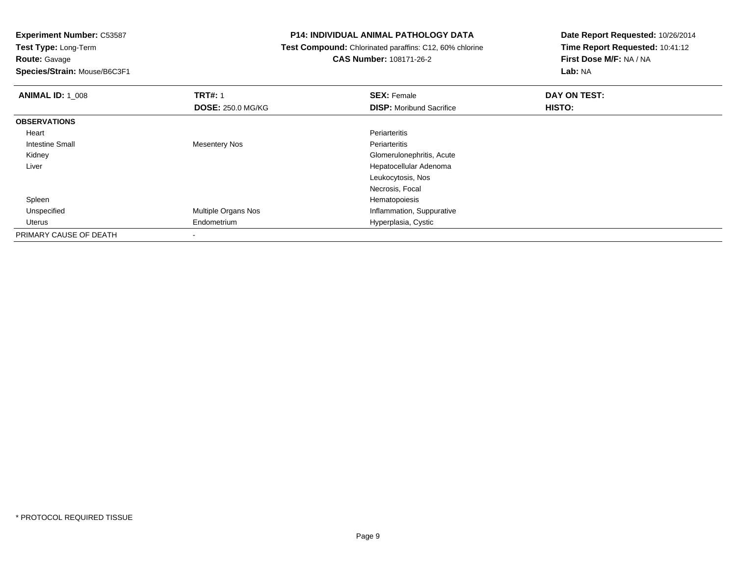**Experiment Number:** C53587

**Test Type:** Long-Term**Route:** Gavage

**Species/Strain:** Mouse/B6C3F1

## **P14: INDIVIDUAL ANIMAL PATHOLOGY DATA**

 **Test Compound:** Chlorinated paraffins: C12, 60% chlorine**CAS Number:** 108171-26-2

| <b>ANIMAL ID: 1 008</b> | <b>TRT#: 1</b>             | <b>SEX: Female</b>              | DAY ON TEST: |  |
|-------------------------|----------------------------|---------------------------------|--------------|--|
|                         | <b>DOSE: 250.0 MG/KG</b>   | <b>DISP:</b> Moribund Sacrifice | HISTO:       |  |
| <b>OBSERVATIONS</b>     |                            |                                 |              |  |
| Heart                   |                            | Periarteritis                   |              |  |
| <b>Intestine Small</b>  | Mesentery Nos              | Periarteritis                   |              |  |
| Kidney                  |                            | Glomerulonephritis, Acute       |              |  |
| Liver                   |                            | Hepatocellular Adenoma          |              |  |
|                         |                            | Leukocytosis, Nos               |              |  |
|                         |                            | Necrosis, Focal                 |              |  |
| Spleen                  |                            | Hematopoiesis                   |              |  |
| Unspecified             | <b>Multiple Organs Nos</b> | Inflammation, Suppurative       |              |  |
| Uterus                  | Endometrium                | Hyperplasia, Cystic             |              |  |
| PRIMARY CAUSE OF DEATH  |                            |                                 |              |  |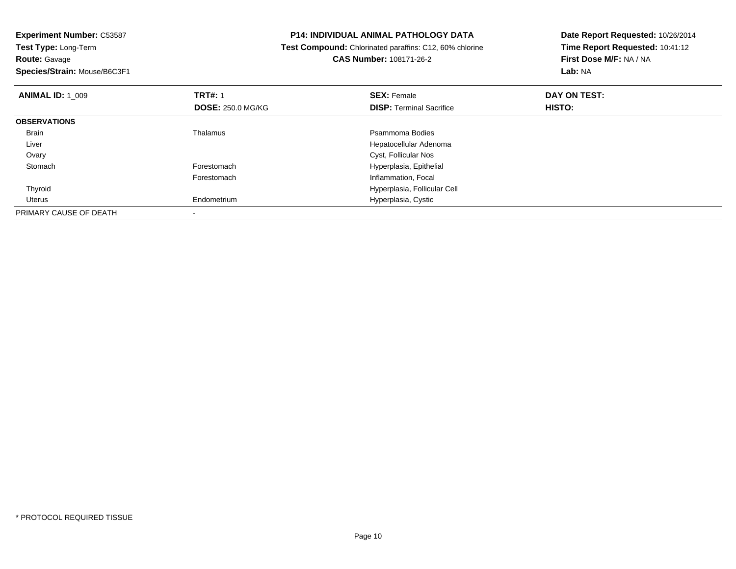**Experiment Number:** C53587**Test Type:** Long-Term**Route:** Gavage **Species/Strain:** Mouse/B6C3F1**P14: INDIVIDUAL ANIMAL PATHOLOGY DATA Test Compound:** Chlorinated paraffins: C12, 60% chlorine**CAS Number:** 108171-26-2**Date Report Requested:** 10/26/2014**Time Report Requested:** 10:41:12**First Dose M/F:** NA / NA**Lab:** NA**ANIMAL ID:** 1\_009**TRT#:** 1 **SEX:** Female **DAY ON TEST: DOSE:** 250.0 MG/KG**DISP:** Terminal Sacrifice **HISTO: OBSERVATIONS** Brainn and the control of the Thalamus and the control of the Psammoma Bodies and the Psammoma Bodies of the Psammoma Bodies and the Psammoma Bodies of the Psammoma Bodies of the Psammoma Bodies of the Psammoma Bodies of the Ps Liver Hepatocellular Adenoma Ovary Cyst, Follicular Nos StomachForestomach **Hyperplasia**, Epithelial Forestomach Inflammation, Focal Thyroid Hyperplasia, Follicular Cell Uterus Endometrium Hyperplasia, Cystic PRIMARY CAUSE OF DEATH-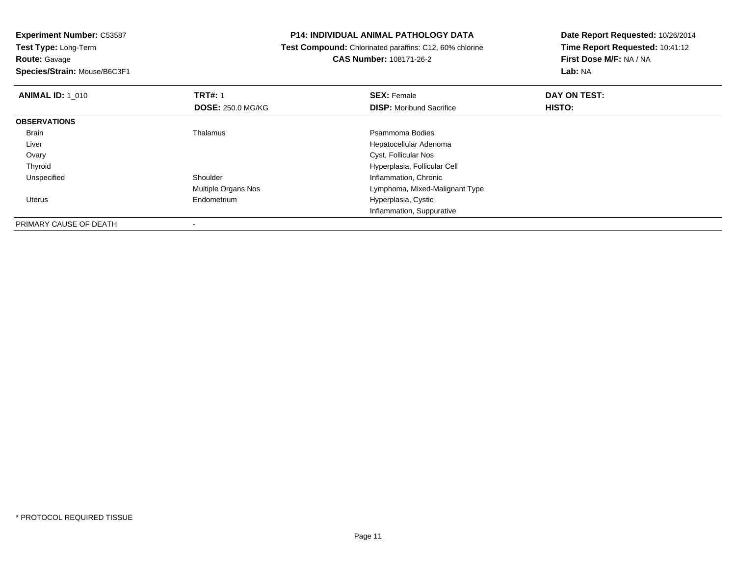# **Species/Strain:** Mouse/B6C3F1

-

#### **P14: INDIVIDUAL ANIMAL PATHOLOGY DATA**

 **Test Compound:** Chlorinated paraffins: C12, 60% chlorine**CAS Number:** 108171-26-2

| <b>ANIMAL ID: 1 010</b> | <b>TRT#: 1</b>           | <b>SEX: Female</b>              | DAY ON TEST:  |  |
|-------------------------|--------------------------|---------------------------------|---------------|--|
|                         | <b>DOSE: 250.0 MG/KG</b> | <b>DISP:</b> Moribund Sacrifice | <b>HISTO:</b> |  |
| <b>OBSERVATIONS</b>     |                          |                                 |               |  |
| Brain                   | Thalamus                 | Psammoma Bodies                 |               |  |
| Liver                   |                          | Hepatocellular Adenoma          |               |  |
| Ovary                   |                          | Cyst, Follicular Nos            |               |  |
| Thyroid                 |                          | Hyperplasia, Follicular Cell    |               |  |
| Unspecified             | Shoulder                 | Inflammation, Chronic           |               |  |
|                         | Multiple Organs Nos      | Lymphoma, Mixed-Malignant Type  |               |  |
| Uterus                  | Endometrium              | Hyperplasia, Cystic             |               |  |
|                         |                          | Inflammation, Suppurative       |               |  |
| PRIMARY CAUSE OF DEATH  | $\overline{\phantom{a}}$ |                                 |               |  |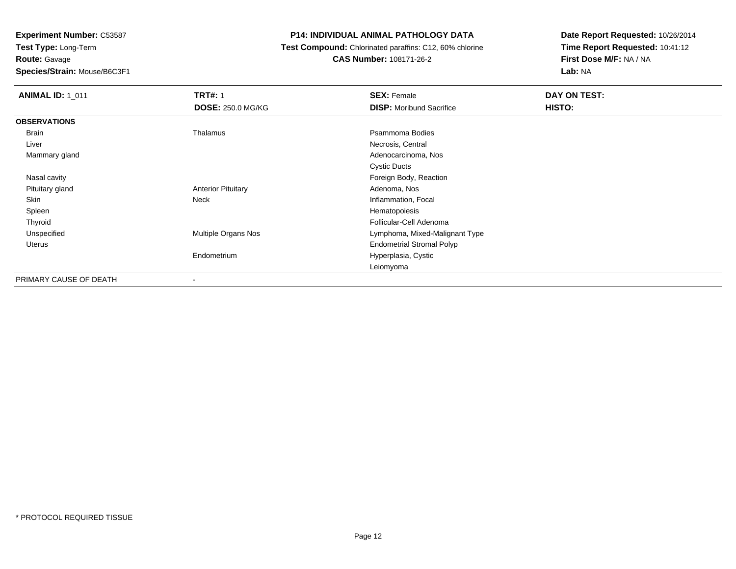**Route:** Gavage

**Species/Strain:** Mouse/B6C3F1

# **P14: INDIVIDUAL ANIMAL PATHOLOGY DATA**

 **Test Compound:** Chlorinated paraffins: C12, 60% chlorine**CAS Number:** 108171-26-2

| <b>ANIMAL ID: 1_011</b> | <b>TRT#: 1</b>            | <b>SEX: Female</b>               | DAY ON TEST: |
|-------------------------|---------------------------|----------------------------------|--------------|
|                         | <b>DOSE: 250.0 MG/KG</b>  | <b>DISP:</b> Moribund Sacrifice  | HISTO:       |
| <b>OBSERVATIONS</b>     |                           |                                  |              |
| Brain                   | Thalamus                  | Psammoma Bodies                  |              |
| Liver                   |                           | Necrosis, Central                |              |
| Mammary gland           |                           | Adenocarcinoma, Nos              |              |
|                         |                           | <b>Cystic Ducts</b>              |              |
| Nasal cavity            |                           | Foreign Body, Reaction           |              |
| Pituitary gland         | <b>Anterior Pituitary</b> | Adenoma, Nos                     |              |
| Skin                    | Neck                      | Inflammation, Focal              |              |
| Spleen                  |                           | Hematopoiesis                    |              |
| Thyroid                 |                           | Follicular-Cell Adenoma          |              |
| Unspecified             | Multiple Organs Nos       | Lymphoma, Mixed-Malignant Type   |              |
| Uterus                  |                           | <b>Endometrial Stromal Polyp</b> |              |
|                         | Endometrium               | Hyperplasia, Cystic              |              |
|                         |                           | Leiomyoma                        |              |
| PRIMARY CAUSE OF DEATH  | $\overline{\phantom{a}}$  |                                  |              |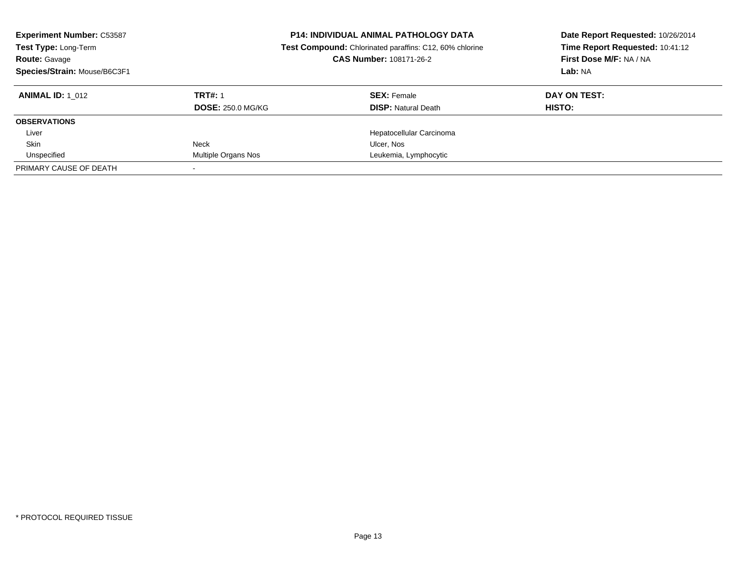| <b>Experiment Number: C53587</b><br>Test Type: Long-Term<br><b>Route: Gavage</b><br>Species/Strain: Mouse/B6C3F1 |                          | <b>P14: INDIVIDUAL ANIMAL PATHOLOGY DATA</b><br>Test Compound: Chlorinated paraffins: C12, 60% chlorine<br>CAS Number: 108171-26-2 | Date Report Requested: 10/26/2014<br>Time Report Requested: 10:41:12<br>First Dose M/F: NA / NA<br>Lab: NA |  |
|------------------------------------------------------------------------------------------------------------------|--------------------------|------------------------------------------------------------------------------------------------------------------------------------|------------------------------------------------------------------------------------------------------------|--|
| <b>ANIMAL ID:</b> 1 012                                                                                          | <b>TRT#: 1</b>           | <b>SEX: Female</b>                                                                                                                 | DAY ON TEST:                                                                                               |  |
|                                                                                                                  | <b>DOSE: 250.0 MG/KG</b> | <b>DISP:</b> Natural Death                                                                                                         | HISTO:                                                                                                     |  |
| <b>OBSERVATIONS</b>                                                                                              |                          |                                                                                                                                    |                                                                                                            |  |
| Liver                                                                                                            |                          | Hepatocellular Carcinoma                                                                                                           |                                                                                                            |  |
| Skin                                                                                                             | Neck                     | Ulcer, Nos                                                                                                                         |                                                                                                            |  |
| Unspecified                                                                                                      | Multiple Organs Nos      | Leukemia, Lymphocytic                                                                                                              |                                                                                                            |  |
| PRIMARY CAUSE OF DEATH                                                                                           |                          |                                                                                                                                    |                                                                                                            |  |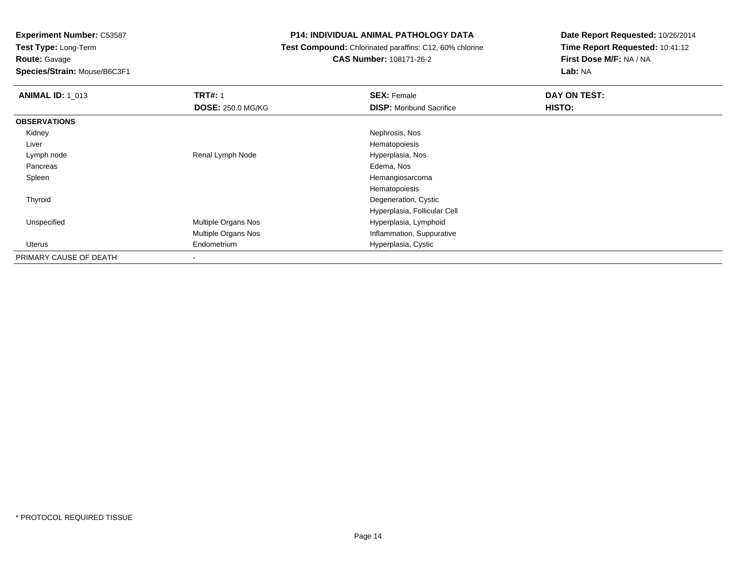# **Route:** Gavage

**Species/Strain:** Mouse/B6C3F1

# **P14: INDIVIDUAL ANIMAL PATHOLOGY DATA**

#### **Test Compound:** Chlorinated paraffins: C12, 60% chlorine**CAS Number:** 108171-26-2

| <b>ANIMAL ID: 1_013</b> | <b>TRT#: 1</b>             | <b>SEX: Female</b>              | DAY ON TEST: |  |
|-------------------------|----------------------------|---------------------------------|--------------|--|
|                         | <b>DOSE: 250.0 MG/KG</b>   | <b>DISP:</b> Moribund Sacrifice | HISTO:       |  |
| <b>OBSERVATIONS</b>     |                            |                                 |              |  |
| Kidney                  |                            | Nephrosis, Nos                  |              |  |
| Liver                   |                            | Hematopoiesis                   |              |  |
| Lymph node              | Renal Lymph Node           | Hyperplasia, Nos                |              |  |
| Pancreas                |                            | Edema, Nos                      |              |  |
| Spleen                  |                            | Hemangiosarcoma                 |              |  |
|                         |                            | Hematopoiesis                   |              |  |
| Thyroid                 |                            | Degeneration, Cystic            |              |  |
|                         |                            | Hyperplasia, Follicular Cell    |              |  |
| Unspecified             | Multiple Organs Nos        | Hyperplasia, Lymphoid           |              |  |
|                         | <b>Multiple Organs Nos</b> | Inflammation, Suppurative       |              |  |
| Uterus                  | Endometrium                | Hyperplasia, Cystic             |              |  |
| PRIMARY CAUSE OF DEATH  |                            |                                 |              |  |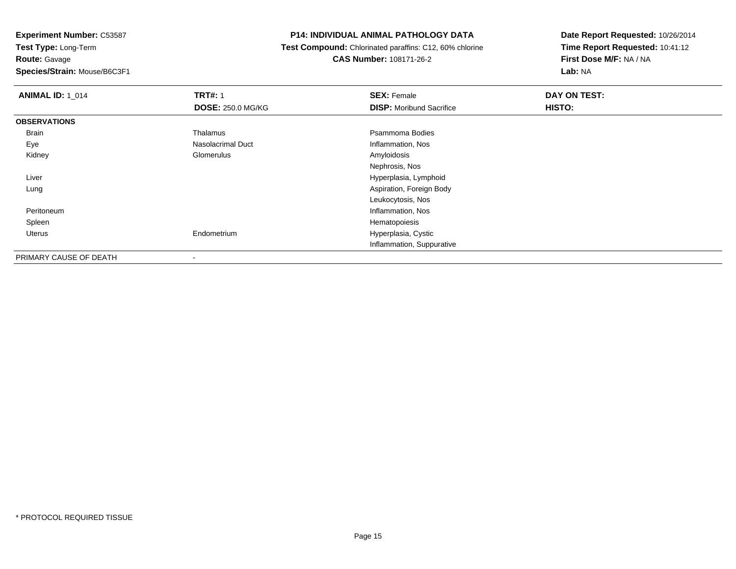**Species/Strain:** Mouse/B6C3F1

### **P14: INDIVIDUAL ANIMAL PATHOLOGY DATA**

 **Test Compound:** Chlorinated paraffins: C12, 60% chlorine**CAS Number:** 108171-26-2

| <b>ANIMAL ID: 1 014</b> | <b>TRT#: 1</b>           | <b>SEX: Female</b>              | DAY ON TEST: |  |
|-------------------------|--------------------------|---------------------------------|--------------|--|
|                         | <b>DOSE: 250.0 MG/KG</b> | <b>DISP:</b> Moribund Sacrifice | HISTO:       |  |
| <b>OBSERVATIONS</b>     |                          |                                 |              |  |
| Brain                   | Thalamus                 | Psammoma Bodies                 |              |  |
| Eye                     | Nasolacrimal Duct        | Inflammation, Nos               |              |  |
| Kidney                  | Glomerulus               | Amyloidosis                     |              |  |
|                         |                          | Nephrosis, Nos                  |              |  |
| Liver                   |                          | Hyperplasia, Lymphoid           |              |  |
| Lung                    |                          | Aspiration, Foreign Body        |              |  |
|                         |                          | Leukocytosis, Nos               |              |  |
| Peritoneum              |                          | Inflammation, Nos               |              |  |
| Spleen                  |                          | Hematopoiesis                   |              |  |
| Uterus                  | Endometrium              | Hyperplasia, Cystic             |              |  |
|                         |                          | Inflammation, Suppurative       |              |  |
| PRIMARY CAUSE OF DEATH  | $\,$                     |                                 |              |  |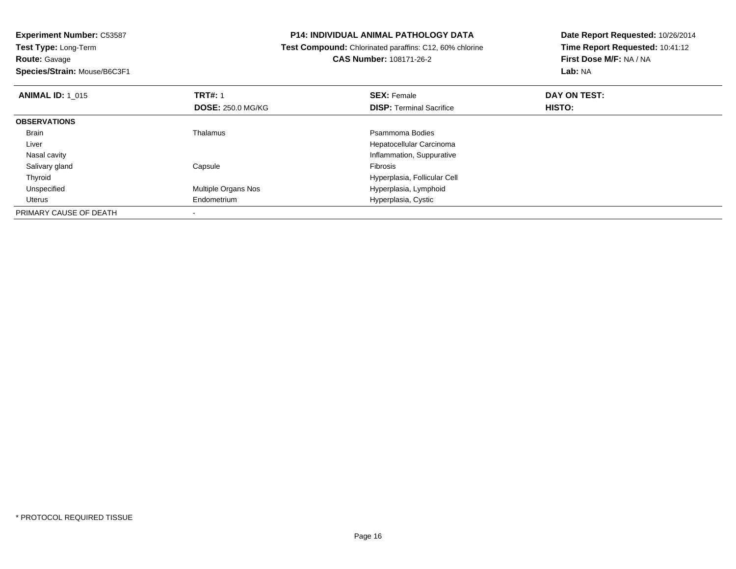**Experiment Number:** C53587**Test Type:** Long-Term**Route:** Gavage **Species/Strain:** Mouse/B6C3F1**P14: INDIVIDUAL ANIMAL PATHOLOGY DATA Test Compound:** Chlorinated paraffins: C12, 60% chlorine**CAS Number:** 108171-26-2**Date Report Requested:** 10/26/2014**Time Report Requested:** 10:41:12**First Dose M/F:** NA / NA**Lab:** NA**ANIMAL ID: 1\_015 TRT#:** 1 **SEX:** Female **DAY ON TEST: DOSE:** 250.0 MG/KG**DISP:** Terminal Sacrifice **HISTO: OBSERVATIONS** Brainn and the control of the Thalamus and the control of the Psammoma Bodies and the Psammoma Bodies of the Psammoma Bodies and the Psammoma Bodies of the Psammoma Bodies of the Psammoma Bodies of the Psammoma Bodies of the Ps Liver Hepatocellular Carcinoma**Inflammation, Suppurative**  Nasal cavity Salivary glandd Capsule Capsule **Capsule** Capsule **Fibrosis**  ThyroidHyperplasia, Follicular Cell<br>Multiple Organs Nos extension of the Hyperplasia, Lymphoid UnspecifiedHyperplasia, Lymphoid Uterus Endometrium Hyperplasia, Cystic PRIMARY CAUSE OF DEATH-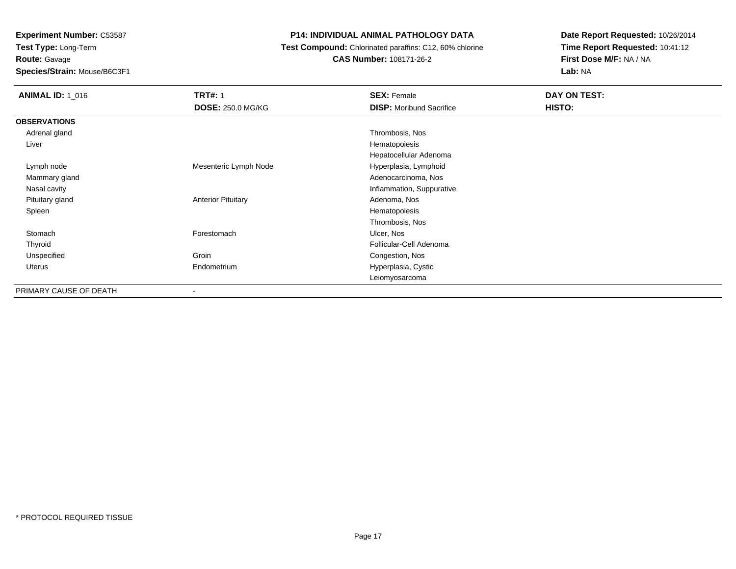**Route:** Gavage

**Species/Strain:** Mouse/B6C3F1

# **P14: INDIVIDUAL ANIMAL PATHOLOGY DATA**

**Test Compound:** Chlorinated paraffins: C12, 60% chlorine

**CAS Number:** 108171-26-2

| <b>ANIMAL ID: 1_016</b> | <b>TRT#: 1</b>            | <b>SEX: Female</b>              | DAY ON TEST: |  |
|-------------------------|---------------------------|---------------------------------|--------------|--|
|                         | <b>DOSE: 250.0 MG/KG</b>  | <b>DISP:</b> Moribund Sacrifice | HISTO:       |  |
| <b>OBSERVATIONS</b>     |                           |                                 |              |  |
| Adrenal gland           |                           | Thrombosis, Nos                 |              |  |
| Liver                   |                           | Hematopoiesis                   |              |  |
|                         |                           | Hepatocellular Adenoma          |              |  |
| Lymph node              | Mesenteric Lymph Node     | Hyperplasia, Lymphoid           |              |  |
| Mammary gland           |                           | Adenocarcinoma, Nos             |              |  |
| Nasal cavity            |                           | Inflammation, Suppurative       |              |  |
| Pituitary gland         | <b>Anterior Pituitary</b> | Adenoma, Nos                    |              |  |
| Spleen                  |                           | Hematopoiesis                   |              |  |
|                         |                           | Thrombosis, Nos                 |              |  |
| Stomach                 | Forestomach               | Ulcer, Nos                      |              |  |
| Thyroid                 |                           | Follicular-Cell Adenoma         |              |  |
| Unspecified             | Groin                     | Congestion, Nos                 |              |  |
| Uterus                  | Endometrium               | Hyperplasia, Cystic             |              |  |
|                         |                           | Leiomyosarcoma                  |              |  |
| PRIMARY CAUSE OF DEATH  | $\overline{\phantom{a}}$  |                                 |              |  |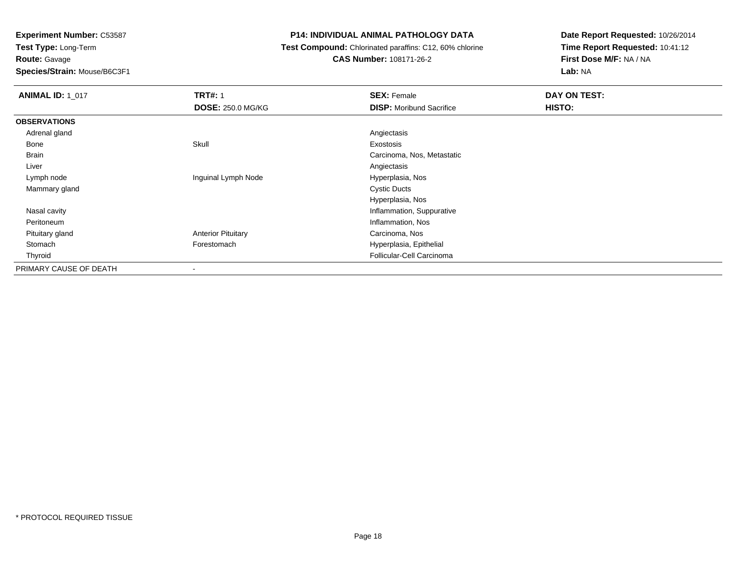#### **Species/Strain:** Mouse/B6C3F1

#### **P14: INDIVIDUAL ANIMAL PATHOLOGY DATA**

**Test Compound:** Chlorinated paraffins: C12, 60% chlorine

**CAS Number:** 108171-26-2

| <b>ANIMAL ID: 1 017</b> | <b>TRT#: 1</b>            | <b>SEX: Female</b>              | DAY ON TEST: |  |
|-------------------------|---------------------------|---------------------------------|--------------|--|
|                         | <b>DOSE: 250.0 MG/KG</b>  | <b>DISP:</b> Moribund Sacrifice | HISTO:       |  |
| <b>OBSERVATIONS</b>     |                           |                                 |              |  |
| Adrenal gland           |                           | Angiectasis                     |              |  |
| Bone                    | Skull                     | Exostosis                       |              |  |
| Brain                   |                           | Carcinoma, Nos, Metastatic      |              |  |
| Liver                   |                           | Angiectasis                     |              |  |
| Lymph node              | Inguinal Lymph Node       | Hyperplasia, Nos                |              |  |
| Mammary gland           |                           | <b>Cystic Ducts</b>             |              |  |
|                         |                           | Hyperplasia, Nos                |              |  |
| Nasal cavity            |                           | Inflammation, Suppurative       |              |  |
| Peritoneum              |                           | Inflammation, Nos               |              |  |
| Pituitary gland         | <b>Anterior Pituitary</b> | Carcinoma, Nos                  |              |  |
| Stomach                 | Forestomach               | Hyperplasia, Epithelial         |              |  |
| Thyroid                 |                           | Follicular-Cell Carcinoma       |              |  |
| PRIMARY CAUSE OF DEATH  |                           |                                 |              |  |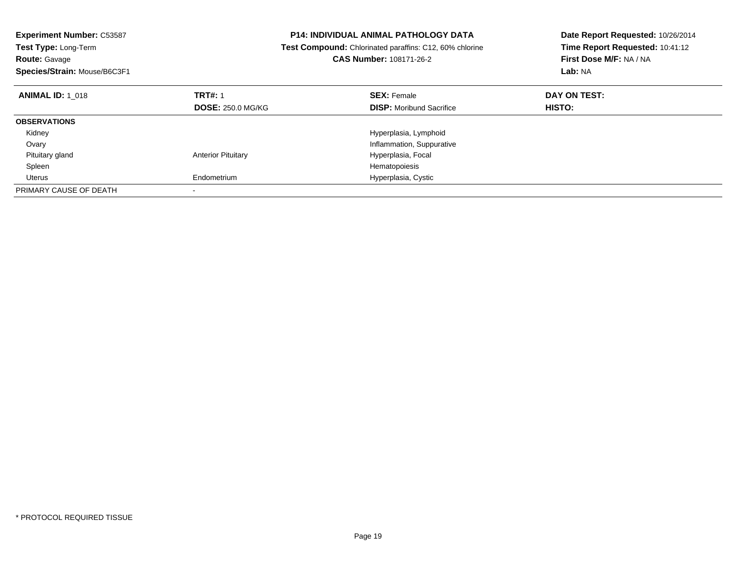| <b>Experiment Number: C53587</b><br><b>P14: INDIVIDUAL ANIMAL PATHOLOGY DATA</b><br>Test Compound: Chlorinated paraffins: C12, 60% chlorine<br>Test Type: Long-Term<br><b>CAS Number: 108171-26-2</b><br><b>Route: Gavage</b><br>Species/Strain: Mouse/B6C3F1 |                           |                                 | Date Report Requested: 10/26/2014<br>Time Report Requested: 10:41:12<br>First Dose M/F: NA / NA<br>Lab: NA |
|---------------------------------------------------------------------------------------------------------------------------------------------------------------------------------------------------------------------------------------------------------------|---------------------------|---------------------------------|------------------------------------------------------------------------------------------------------------|
| <b>ANIMAL ID: 1 018</b>                                                                                                                                                                                                                                       | <b>TRT#: 1</b>            | <b>SEX: Female</b>              | DAY ON TEST:                                                                                               |
|                                                                                                                                                                                                                                                               | <b>DOSE: 250.0 MG/KG</b>  | <b>DISP:</b> Moribund Sacrifice | <b>HISTO:</b>                                                                                              |
| <b>OBSERVATIONS</b>                                                                                                                                                                                                                                           |                           |                                 |                                                                                                            |
| Kidney                                                                                                                                                                                                                                                        |                           | Hyperplasia, Lymphoid           |                                                                                                            |
| Ovary                                                                                                                                                                                                                                                         |                           | Inflammation, Suppurative       |                                                                                                            |
| Pituitary gland                                                                                                                                                                                                                                               | <b>Anterior Pituitary</b> | Hyperplasia, Focal              |                                                                                                            |
| Spleen                                                                                                                                                                                                                                                        |                           | Hematopoiesis                   |                                                                                                            |
| Uterus                                                                                                                                                                                                                                                        | Endometrium               | Hyperplasia, Cystic             |                                                                                                            |
| PRIMARY CAUSE OF DEATH                                                                                                                                                                                                                                        |                           |                                 |                                                                                                            |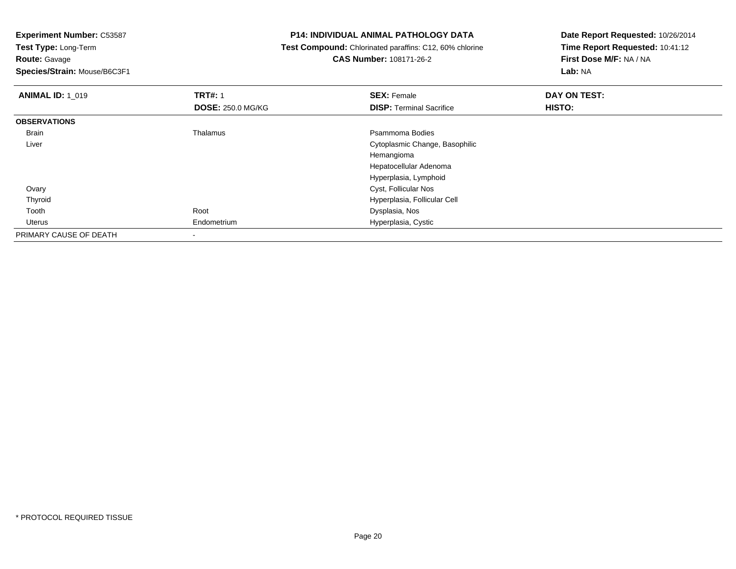**Experiment Number:** C53587

**Test Type:** Long-Term**Route:** Gavage

**Species/Strain:** Mouse/B6C3F1

## **P14: INDIVIDUAL ANIMAL PATHOLOGY DATA**

 **Test Compound:** Chlorinated paraffins: C12, 60% chlorine**CAS Number:** 108171-26-2

| <b>ANIMAL ID: 1 019</b> | <b>TRT#: 1</b>           | <b>SEX: Female</b>              | DAY ON TEST: |  |
|-------------------------|--------------------------|---------------------------------|--------------|--|
|                         | <b>DOSE: 250.0 MG/KG</b> | <b>DISP: Terminal Sacrifice</b> | HISTO:       |  |
| <b>OBSERVATIONS</b>     |                          |                                 |              |  |
| Brain                   | Thalamus                 | Psammoma Bodies                 |              |  |
| Liver                   |                          | Cytoplasmic Change, Basophilic  |              |  |
|                         |                          | Hemangioma                      |              |  |
|                         |                          | Hepatocellular Adenoma          |              |  |
|                         |                          | Hyperplasia, Lymphoid           |              |  |
| Ovary                   |                          | Cyst, Follicular Nos            |              |  |
| Thyroid                 |                          | Hyperplasia, Follicular Cell    |              |  |
| Tooth                   | Root                     | Dysplasia, Nos                  |              |  |
| Uterus                  | Endometrium              | Hyperplasia, Cystic             |              |  |
| PRIMARY CAUSE OF DEATH  |                          |                                 |              |  |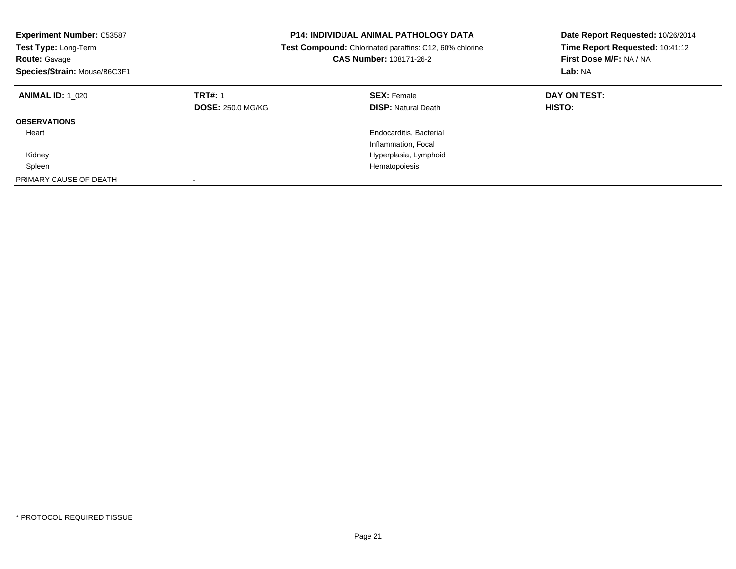| <b>Experiment Number: C53587</b><br><b>Test Type: Long-Term</b><br><b>Route: Gavage</b><br>Species/Strain: Mouse/B6C3F1 |                                            | <b>P14: INDIVIDUAL ANIMAL PATHOLOGY DATA</b><br><b>Test Compound:</b> Chlorinated paraffins: C12, 60% chlorine<br><b>CAS Number: 108171-26-2</b> | Date Report Requested: 10/26/2014<br>Time Report Requested: 10:41:12<br>First Dose M/F: NA / NA<br>Lab: NA |  |
|-------------------------------------------------------------------------------------------------------------------------|--------------------------------------------|--------------------------------------------------------------------------------------------------------------------------------------------------|------------------------------------------------------------------------------------------------------------|--|
| <b>ANIMAL ID: 1 020</b>                                                                                                 | <b>TRT#: 1</b><br><b>DOSE: 250.0 MG/KG</b> | <b>SEX: Female</b><br><b>DISP: Natural Death</b>                                                                                                 | DAY ON TEST:<br><b>HISTO:</b>                                                                              |  |
| <b>OBSERVATIONS</b>                                                                                                     |                                            |                                                                                                                                                  |                                                                                                            |  |
| Heart                                                                                                                   |                                            | Endocarditis, Bacterial<br>Inflammation, Focal                                                                                                   |                                                                                                            |  |
| Kidney                                                                                                                  |                                            | Hyperplasia, Lymphoid                                                                                                                            |                                                                                                            |  |
| Spleen                                                                                                                  |                                            | Hematopoiesis                                                                                                                                    |                                                                                                            |  |
| PRIMARY CAUSE OF DEATH                                                                                                  |                                            |                                                                                                                                                  |                                                                                                            |  |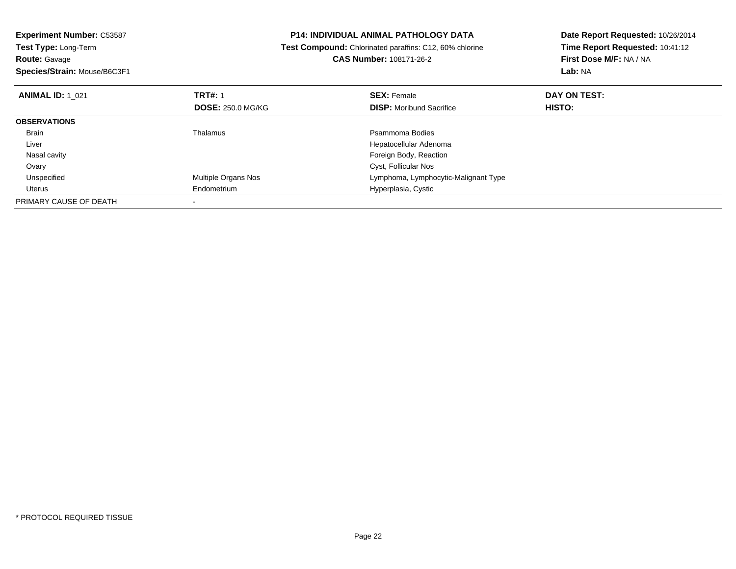| <b>Experiment Number: C53587</b>          | <b>P14: INDIVIDUAL ANIMAL PATHOLOGY DATA</b>                   | Date Report Requested: 10/26/2014 |
|-------------------------------------------|----------------------------------------------------------------|-----------------------------------|
| Test Type: Long-Term                      | <b>Test Compound:</b> Chlorinated paraffins: C12, 60% chlorine | Time Report Requested: 10:41:12   |
| <b>Route: Gavage</b>                      | <b>CAS Number: 108171-26-2</b>                                 | First Dose M/F: NA / NA           |
| Species/Strain: Mouse/B6C3F1              |                                                                | Lab: NA                           |
| <b>TRT#: 1</b><br><b>ANIMAL ID: 1 021</b> | <b>SEX: Female</b>                                             | DAY ON TEST:                      |
| <b>DOSE: 250.0 MG/KG</b>                  | <b>DISP:</b> Moribund Sacrifice                                | HISTO:                            |
| <b>OBSERVATIONS</b>                       |                                                                |                                   |
| Thalamus<br>Brain                         | Psammoma Bodies                                                |                                   |
| Liver                                     | Hepatocellular Adenoma                                         |                                   |
| Nasal cavity                              | Foreign Body, Reaction                                         |                                   |
| Ovary                                     | Cyst, Follicular Nos                                           |                                   |
| Unspecified<br>Multiple Organs Nos        | Lymphoma, Lymphocytic-Malignant Type                           |                                   |
| Endometrium<br>Uterus                     | Hyperplasia, Cystic                                            |                                   |
| PRIMARY CAUSE OF DEATH                    |                                                                |                                   |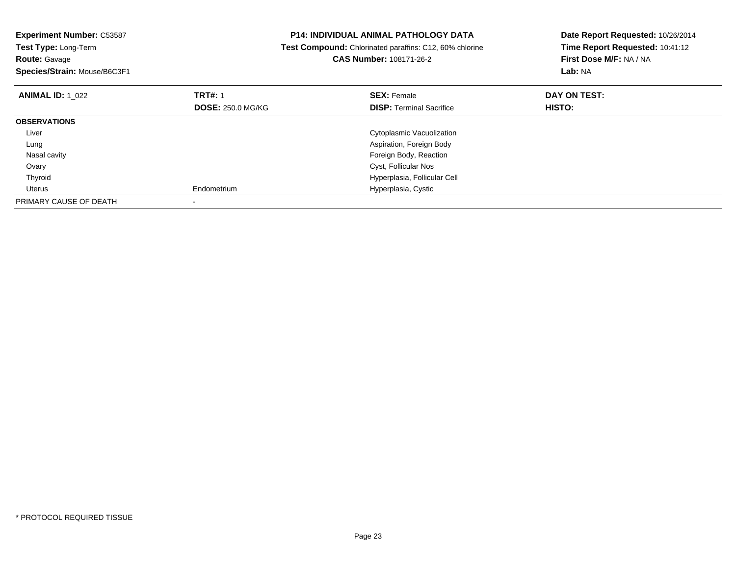| <b>Experiment Number: C53587</b><br>Test Type: Long-Term<br><b>Route: Gavage</b><br>Species/Strain: Mouse/B6C3F1 |                                            | P14: INDIVIDUAL ANIMAL PATHOLOGY DATA<br>Test Compound: Chlorinated paraffins: C12, 60% chlorine<br><b>CAS Number: 108171-26-2</b> | Date Report Requested: 10/26/2014<br>Time Report Requested: 10:41:12<br>First Dose M/F: NA / NA<br>Lab: NA |
|------------------------------------------------------------------------------------------------------------------|--------------------------------------------|------------------------------------------------------------------------------------------------------------------------------------|------------------------------------------------------------------------------------------------------------|
| <b>ANIMAL ID: 1 022</b>                                                                                          | <b>TRT#: 1</b><br><b>DOSE: 250.0 MG/KG</b> | <b>SEX: Female</b><br><b>DISP:</b> Terminal Sacrifice                                                                              | DAY ON TEST:<br>HISTO:                                                                                     |
| <b>OBSERVATIONS</b>                                                                                              |                                            |                                                                                                                                    |                                                                                                            |
| Liver                                                                                                            |                                            | Cytoplasmic Vacuolization                                                                                                          |                                                                                                            |
| Lung                                                                                                             |                                            | Aspiration, Foreign Body                                                                                                           |                                                                                                            |
| Nasal cavity                                                                                                     |                                            | Foreign Body, Reaction                                                                                                             |                                                                                                            |
| Ovary                                                                                                            |                                            | Cyst, Follicular Nos                                                                                                               |                                                                                                            |
| Thyroid                                                                                                          |                                            | Hyperplasia, Follicular Cell                                                                                                       |                                                                                                            |
| Uterus                                                                                                           | Endometrium                                | Hyperplasia, Cystic                                                                                                                |                                                                                                            |
| PRIMARY CAUSE OF DEATH                                                                                           |                                            |                                                                                                                                    |                                                                                                            |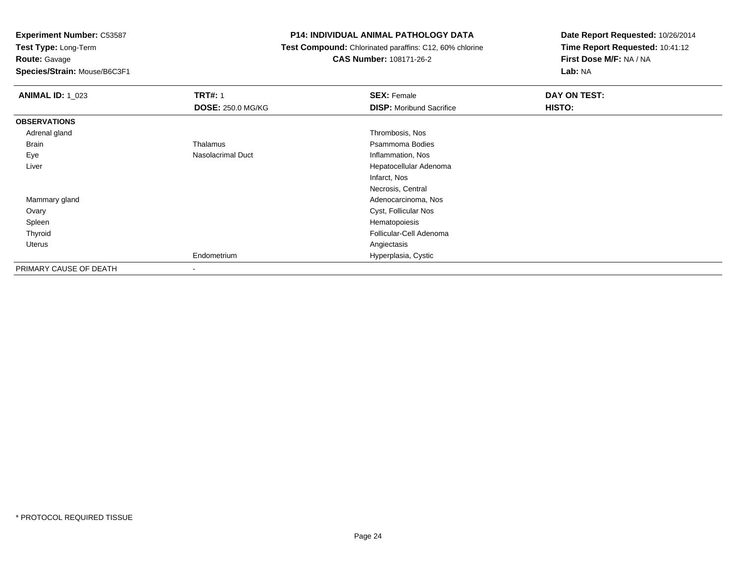**Route:** Gavage

**Species/Strain:** Mouse/B6C3F1

# **P14: INDIVIDUAL ANIMAL PATHOLOGY DATA**

 **Test Compound:** Chlorinated paraffins: C12, 60% chlorine**CAS Number:** 108171-26-2

| <b>ANIMAL ID: 1_023</b> | <b>TRT#: 1</b>           | <b>SEX: Female</b>              | DAY ON TEST: |  |
|-------------------------|--------------------------|---------------------------------|--------------|--|
|                         | <b>DOSE: 250.0 MG/KG</b> | <b>DISP:</b> Moribund Sacrifice | HISTO:       |  |
| <b>OBSERVATIONS</b>     |                          |                                 |              |  |
| Adrenal gland           |                          | Thrombosis, Nos                 |              |  |
| <b>Brain</b>            | Thalamus                 | Psammoma Bodies                 |              |  |
| Eye                     | Nasolacrimal Duct        | Inflammation, Nos               |              |  |
| Liver                   |                          | Hepatocellular Adenoma          |              |  |
|                         |                          | Infarct, Nos                    |              |  |
|                         |                          | Necrosis, Central               |              |  |
| Mammary gland           |                          | Adenocarcinoma, Nos             |              |  |
| Ovary                   |                          | Cyst, Follicular Nos            |              |  |
| Spleen                  |                          | Hematopoiesis                   |              |  |
| Thyroid                 |                          | Follicular-Cell Adenoma         |              |  |
| Uterus                  |                          | Angiectasis                     |              |  |
|                         | Endometrium              | Hyperplasia, Cystic             |              |  |
| PRIMARY CAUSE OF DEATH  | ۰                        |                                 |              |  |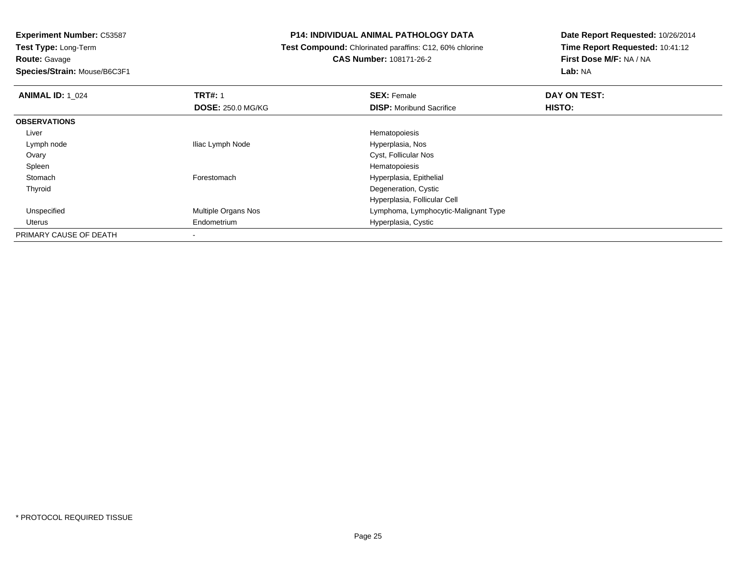**Species/Strain:** Mouse/B6C3F1

# **P14: INDIVIDUAL ANIMAL PATHOLOGY DATA**

 **Test Compound:** Chlorinated paraffins: C12, 60% chlorine**CAS Number:** 108171-26-2

| <b>ANIMAL ID: 1 024</b> | <b>TRT#: 1</b>           | <b>SEX: Female</b>                   | DAY ON TEST: |  |
|-------------------------|--------------------------|--------------------------------------|--------------|--|
|                         | <b>DOSE: 250.0 MG/KG</b> | <b>DISP:</b> Moribund Sacrifice      | HISTO:       |  |
| <b>OBSERVATIONS</b>     |                          |                                      |              |  |
| Liver                   |                          | Hematopoiesis                        |              |  |
| Lymph node              | Iliac Lymph Node         | Hyperplasia, Nos                     |              |  |
| Ovary                   |                          | Cyst, Follicular Nos                 |              |  |
| Spleen                  |                          | Hematopoiesis                        |              |  |
| Stomach                 | Forestomach              | Hyperplasia, Epithelial              |              |  |
| Thyroid                 |                          | Degeneration, Cystic                 |              |  |
|                         |                          | Hyperplasia, Follicular Cell         |              |  |
| Unspecified             | Multiple Organs Nos      | Lymphoma, Lymphocytic-Malignant Type |              |  |
| Uterus                  | Endometrium              | Hyperplasia, Cystic                  |              |  |
| PRIMARY CAUSE OF DEATH  | $\overline{\phantom{a}}$ |                                      |              |  |
|                         |                          |                                      |              |  |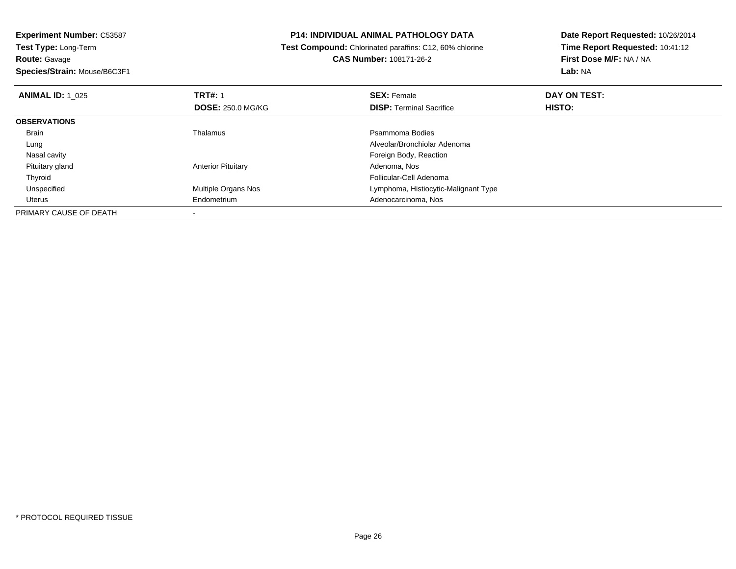**Experiment Number:** C53587**Test Type:** Long-Term**Route:** Gavage**Species/Strain:** Mouse/B6C3F1

#### **P14: INDIVIDUAL ANIMAL PATHOLOGY DATA**

#### **Test Compound:** Chlorinated paraffins: C12, 60% chlorine**CAS Number:** 108171-26-2

| <b>ANIMAL ID: 1 025</b> | <b>TRT#: 1</b>            | <b>SEX: Female</b>                   | DAY ON TEST:  |  |
|-------------------------|---------------------------|--------------------------------------|---------------|--|
|                         | <b>DOSE: 250.0 MG/KG</b>  | <b>DISP:</b> Terminal Sacrifice      | <b>HISTO:</b> |  |
| <b>OBSERVATIONS</b>     |                           |                                      |               |  |
| Brain                   | Thalamus                  | Psammoma Bodies                      |               |  |
| Lung                    |                           | Alveolar/Bronchiolar Adenoma         |               |  |
| Nasal cavity            |                           | Foreign Body, Reaction               |               |  |
| Pituitary gland         | <b>Anterior Pituitary</b> | Adenoma, Nos                         |               |  |
| Thyroid                 |                           | Follicular-Cell Adenoma              |               |  |
| Unspecified             | Multiple Organs Nos       | Lymphoma, Histiocytic-Malignant Type |               |  |
| Uterus                  | Endometrium               | Adenocarcinoma, Nos                  |               |  |
| PRIMARY CAUSE OF DEATH  |                           |                                      |               |  |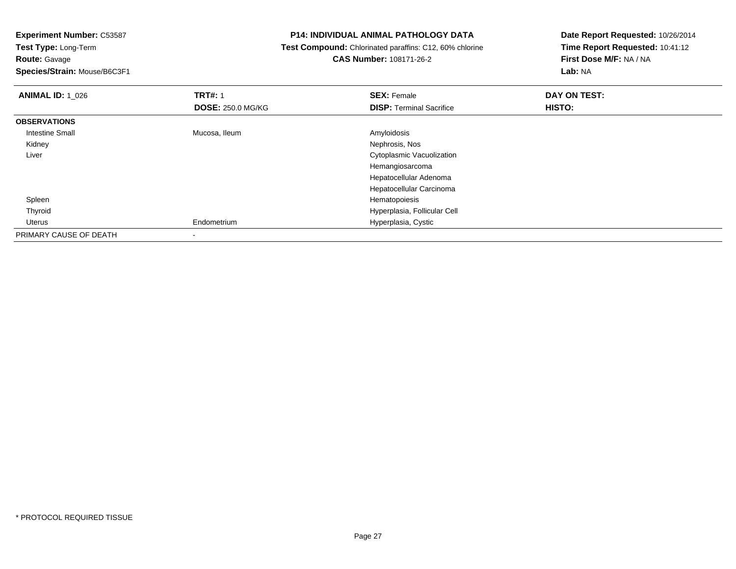**Route:** Gavage

**Species/Strain:** Mouse/B6C3F1

## **P14: INDIVIDUAL ANIMAL PATHOLOGY DATA**

 **Test Compound:** Chlorinated paraffins: C12, 60% chlorine**CAS Number:** 108171-26-2

| <b>ANIMAL ID: 1 026</b> | <b>TRT#: 1</b>           | <b>SEX: Female</b>              | DAY ON TEST: |  |
|-------------------------|--------------------------|---------------------------------|--------------|--|
|                         | <b>DOSE: 250.0 MG/KG</b> | <b>DISP: Terminal Sacrifice</b> | HISTO:       |  |
| <b>OBSERVATIONS</b>     |                          |                                 |              |  |
| <b>Intestine Small</b>  | Mucosa, Ileum            | Amyloidosis                     |              |  |
| Kidney                  |                          | Nephrosis, Nos                  |              |  |
| Liver                   |                          | Cytoplasmic Vacuolization       |              |  |
|                         |                          | Hemangiosarcoma                 |              |  |
|                         |                          | Hepatocellular Adenoma          |              |  |
|                         |                          | Hepatocellular Carcinoma        |              |  |
| Spleen                  |                          | Hematopoiesis                   |              |  |
| Thyroid                 |                          | Hyperplasia, Follicular Cell    |              |  |
| Uterus                  | Endometrium              | Hyperplasia, Cystic             |              |  |
| PRIMARY CAUSE OF DEATH  |                          |                                 |              |  |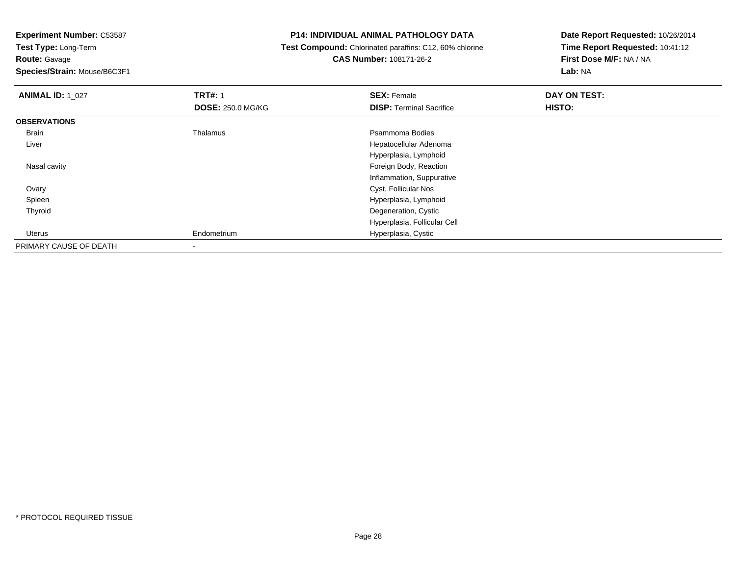**Experiment Number:** C53587

**Test Type:** Long-Term**Route:** Gavage

**Species/Strain:** Mouse/B6C3F1

#### **P14: INDIVIDUAL ANIMAL PATHOLOGY DATA**

## **Test Compound:** Chlorinated paraffins: C12, 60% chlorine**CAS Number:** 108171-26-2

| <b>ANIMAL ID: 1_027</b> | <b>TRT#: 1</b>           | <b>SEX: Female</b>              | DAY ON TEST: |  |
|-------------------------|--------------------------|---------------------------------|--------------|--|
|                         | <b>DOSE: 250.0 MG/KG</b> | <b>DISP: Terminal Sacrifice</b> | HISTO:       |  |
| <b>OBSERVATIONS</b>     |                          |                                 |              |  |
| Brain                   | Thalamus                 | Psammoma Bodies                 |              |  |
| Liver                   |                          | Hepatocellular Adenoma          |              |  |
|                         |                          | Hyperplasia, Lymphoid           |              |  |
| Nasal cavity            |                          | Foreign Body, Reaction          |              |  |
|                         |                          | Inflammation, Suppurative       |              |  |
| Ovary                   |                          | Cyst, Follicular Nos            |              |  |
| Spleen                  |                          | Hyperplasia, Lymphoid           |              |  |
| Thyroid                 |                          | Degeneration, Cystic            |              |  |
|                         |                          | Hyperplasia, Follicular Cell    |              |  |
| Uterus                  | Endometrium              | Hyperplasia, Cystic             |              |  |
| PRIMARY CAUSE OF DEATH  |                          |                                 |              |  |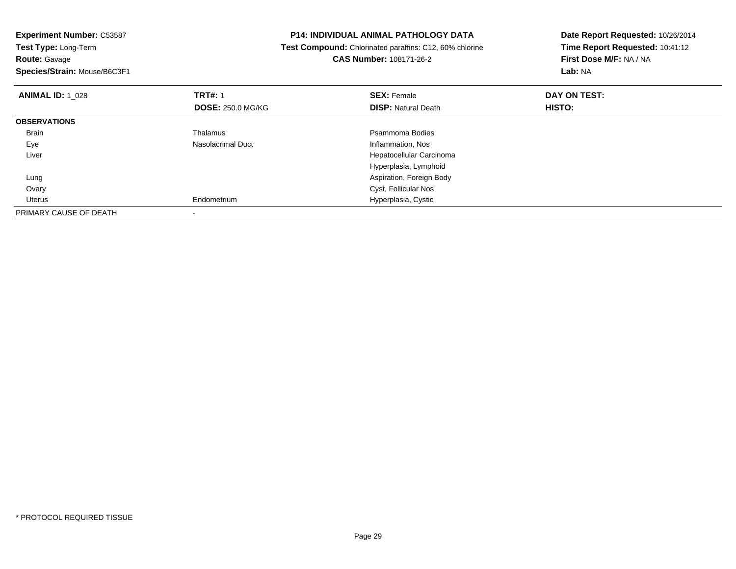| <b>P14: INDIVIDUAL ANIMAL PATHOLOGY DATA</b>            | Date Report Requested: 10/26/2014                                     |  |
|---------------------------------------------------------|-----------------------------------------------------------------------|--|
| Test Compound: Chlorinated paraffins: C12, 60% chlorine | Time Report Requested: 10:41:12<br>First Dose M/F: NA / NA<br>Lab: NA |  |
| CAS Number: 108171-26-2                                 |                                                                       |  |
|                                                         |                                                                       |  |
| <b>SEX: Female</b>                                      | DAY ON TEST:                                                          |  |
| <b>DISP: Natural Death</b>                              | <b>HISTO:</b>                                                         |  |
|                                                         |                                                                       |  |
| Psammoma Bodies                                         |                                                                       |  |
| Inflammation, Nos                                       |                                                                       |  |
| Hepatocellular Carcinoma                                |                                                                       |  |
| Hyperplasia, Lymphoid                                   |                                                                       |  |
| Aspiration, Foreign Body                                |                                                                       |  |
| Cyst, Follicular Nos                                    |                                                                       |  |
| Hyperplasia, Cystic                                     |                                                                       |  |
|                                                         |                                                                       |  |
|                                                         | <b>DOSE: 250.0 MG/KG</b>                                              |  |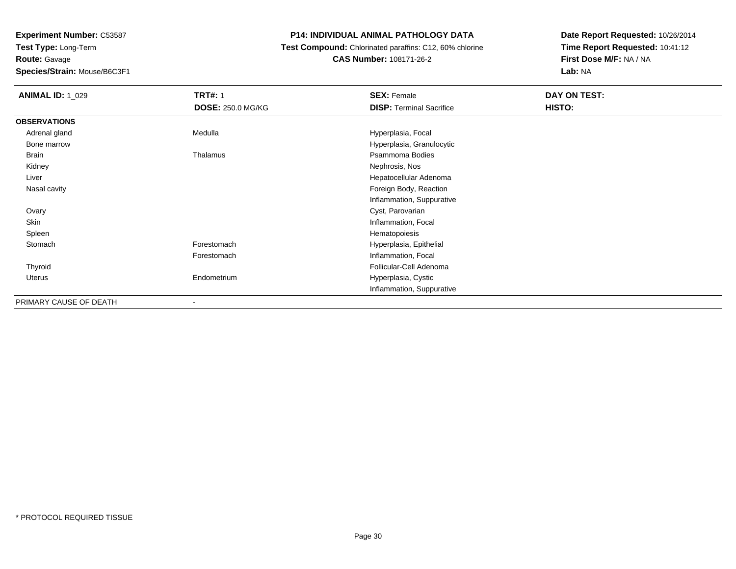# **Species/Strain:** Mouse/B6C3F1

# **P14: INDIVIDUAL ANIMAL PATHOLOGY DATA**

 **Test Compound:** Chlorinated paraffins: C12, 60% chlorine**CAS Number:** 108171-26-2

| <b>ANIMAL ID: 1_029</b> | <b>TRT#: 1</b>           | <b>SEX: Female</b>              | DAY ON TEST: |  |
|-------------------------|--------------------------|---------------------------------|--------------|--|
|                         | <b>DOSE: 250.0 MG/KG</b> | <b>DISP: Terminal Sacrifice</b> | HISTO:       |  |
| <b>OBSERVATIONS</b>     |                          |                                 |              |  |
| Adrenal gland           | Medulla                  | Hyperplasia, Focal              |              |  |
| Bone marrow             |                          | Hyperplasia, Granulocytic       |              |  |
| Brain                   | Thalamus                 | Psammoma Bodies                 |              |  |
| Kidney                  |                          | Nephrosis, Nos                  |              |  |
| Liver                   |                          | Hepatocellular Adenoma          |              |  |
| Nasal cavity            |                          | Foreign Body, Reaction          |              |  |
|                         |                          | Inflammation, Suppurative       |              |  |
| Ovary                   |                          | Cyst, Parovarian                |              |  |
| Skin                    |                          | Inflammation, Focal             |              |  |
| Spleen                  |                          | Hematopoiesis                   |              |  |
| Stomach                 | Forestomach              | Hyperplasia, Epithelial         |              |  |
|                         | Forestomach              | Inflammation, Focal             |              |  |
| Thyroid                 |                          | Follicular-Cell Adenoma         |              |  |
| Uterus                  | Endometrium              | Hyperplasia, Cystic             |              |  |
|                         |                          | Inflammation, Suppurative       |              |  |
| PRIMARY CAUSE OF DEATH  |                          |                                 |              |  |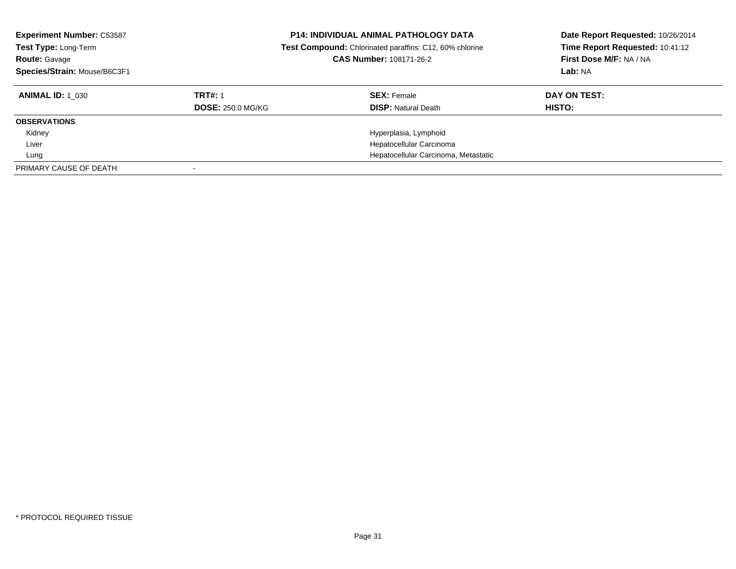| <b>Experiment Number: C53587</b><br>Test Type: Long-Term<br><b>Route: Gavage</b><br>Species/Strain: Mouse/B6C3F1 |                          | <b>P14: INDIVIDUAL ANIMAL PATHOLOGY DATA</b><br>Test Compound: Chlorinated paraffins: C12, 60% chlorine<br>CAS Number: 108171-26-2 | Date Report Requested: 10/26/2014<br>Time Report Requested: 10:41:12<br>First Dose M/F: NA / NA<br>Lab: NA |
|------------------------------------------------------------------------------------------------------------------|--------------------------|------------------------------------------------------------------------------------------------------------------------------------|------------------------------------------------------------------------------------------------------------|
| <b>ANIMAL ID: 1 030</b>                                                                                          | <b>TRT#: 1</b>           | <b>SEX: Female</b>                                                                                                                 | DAY ON TEST:                                                                                               |
|                                                                                                                  | <b>DOSE: 250.0 MG/KG</b> | <b>DISP:</b> Natural Death                                                                                                         | HISTO:                                                                                                     |
| <b>OBSERVATIONS</b>                                                                                              |                          |                                                                                                                                    |                                                                                                            |
| Kidney                                                                                                           |                          | Hyperplasia, Lymphoid                                                                                                              |                                                                                                            |
| Liver                                                                                                            |                          | Hepatocellular Carcinoma                                                                                                           |                                                                                                            |
| Lung                                                                                                             |                          | Hepatocellular Carcinoma, Metastatic                                                                                               |                                                                                                            |
| PRIMARY CAUSE OF DEATH                                                                                           |                          |                                                                                                                                    |                                                                                                            |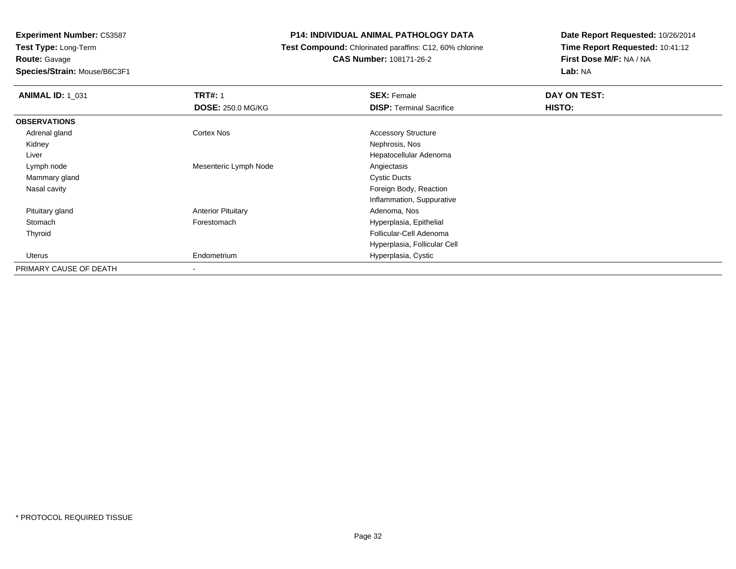**Experiment Number:** C53587**Test Type:** Long-Term**Route:** Gavage**Species/Strain:** Mouse/B6C3F1

#### **P14: INDIVIDUAL ANIMAL PATHOLOGY DATA**

#### **Test Compound:** Chlorinated paraffins: C12, 60% chlorine**CAS Number:** 108171-26-2

| <b>ANIMAL ID: 1 031</b> | <b>TRT#: 1</b>            | <b>SEX: Female</b>              | DAY ON TEST: |
|-------------------------|---------------------------|---------------------------------|--------------|
|                         | <b>DOSE: 250.0 MG/KG</b>  | <b>DISP: Terminal Sacrifice</b> | HISTO:       |
| <b>OBSERVATIONS</b>     |                           |                                 |              |
| Adrenal gland           | Cortex Nos                | <b>Accessory Structure</b>      |              |
| Kidney                  |                           | Nephrosis, Nos                  |              |
| Liver                   |                           | Hepatocellular Adenoma          |              |
| Lymph node              | Mesenteric Lymph Node     | Angiectasis                     |              |
| Mammary gland           |                           | <b>Cystic Ducts</b>             |              |
| Nasal cavity            |                           | Foreign Body, Reaction          |              |
|                         |                           | Inflammation, Suppurative       |              |
| Pituitary gland         | <b>Anterior Pituitary</b> | Adenoma, Nos                    |              |
| Stomach                 | Forestomach               | Hyperplasia, Epithelial         |              |
| Thyroid                 |                           | Follicular-Cell Adenoma         |              |
|                         |                           | Hyperplasia, Follicular Cell    |              |
| Uterus                  | Endometrium               | Hyperplasia, Cystic             |              |
| PRIMARY CAUSE OF DEATH  | $\overline{\phantom{a}}$  |                                 |              |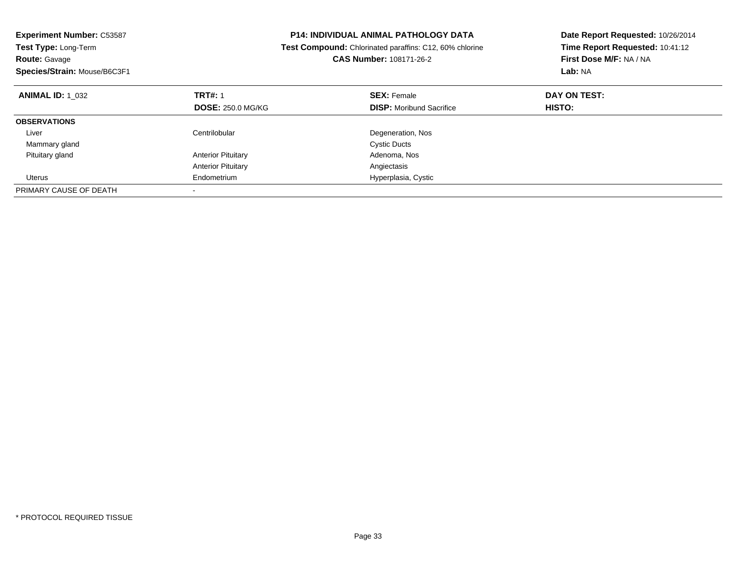| <b>Experiment Number: C53587</b><br><b>Test Type: Long-Term</b><br>CAS Number: 108171-26-2<br><b>Route: Gavage</b><br>Species/Strain: Mouse/B6C3F1 |                           | <b>P14: INDIVIDUAL ANIMAL PATHOLOGY DATA</b><br>Test Compound: Chlorinated paraffins: C12, 60% chlorine | Date Report Requested: 10/26/2014<br>Time Report Requested: 10:41:12<br>First Dose M/F: NA / NA<br>Lab: NA |
|----------------------------------------------------------------------------------------------------------------------------------------------------|---------------------------|---------------------------------------------------------------------------------------------------------|------------------------------------------------------------------------------------------------------------|
| <b>ANIMAL ID: 1 032</b>                                                                                                                            | <b>TRT#: 1</b>            | <b>SEX: Female</b>                                                                                      | DAY ON TEST:                                                                                               |
|                                                                                                                                                    | <b>DOSE: 250.0 MG/KG</b>  | <b>DISP:</b> Moribund Sacrifice                                                                         | HISTO:                                                                                                     |
| <b>OBSERVATIONS</b>                                                                                                                                |                           |                                                                                                         |                                                                                                            |
| Liver                                                                                                                                              | Centrilobular             | Degeneration, Nos                                                                                       |                                                                                                            |
| Mammary gland                                                                                                                                      |                           | <b>Cystic Ducts</b>                                                                                     |                                                                                                            |
| Pituitary gland                                                                                                                                    | <b>Anterior Pituitary</b> | Adenoma, Nos                                                                                            |                                                                                                            |
|                                                                                                                                                    | <b>Anterior Pituitary</b> | Angiectasis                                                                                             |                                                                                                            |
| Uterus                                                                                                                                             | Endometrium               | Hyperplasia, Cystic                                                                                     |                                                                                                            |
| PRIMARY CAUSE OF DEATH                                                                                                                             |                           |                                                                                                         |                                                                                                            |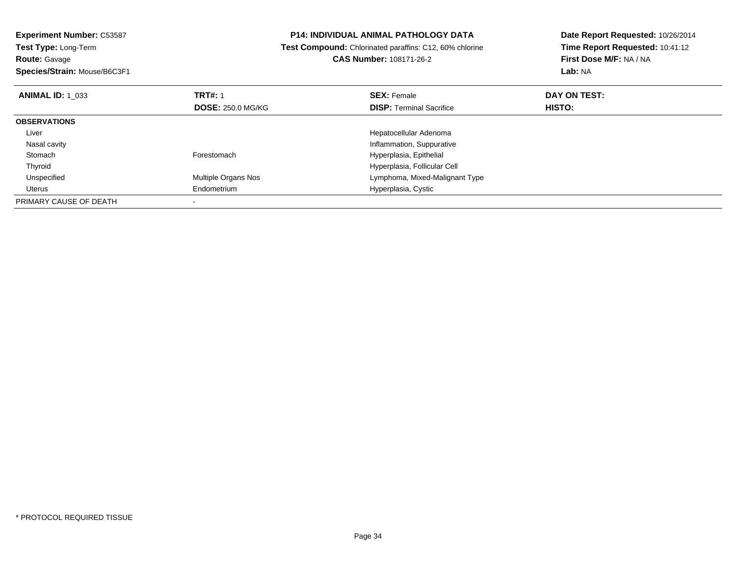| <b>Experiment Number: C53587</b><br>Test Type: Long-Term<br><b>Route: Gavage</b><br>Species/Strain: Mouse/B6C3F1 |                          | <b>P14: INDIVIDUAL ANIMAL PATHOLOGY DATA</b>                   | Date Report Requested: 10/26/2014<br>Time Report Requested: 10:41:12 |  |
|------------------------------------------------------------------------------------------------------------------|--------------------------|----------------------------------------------------------------|----------------------------------------------------------------------|--|
|                                                                                                                  |                          | <b>Test Compound:</b> Chlorinated paraffins: C12, 60% chlorine |                                                                      |  |
|                                                                                                                  |                          | <b>CAS Number: 108171-26-2</b>                                 | First Dose M/F: NA / NA                                              |  |
|                                                                                                                  |                          |                                                                | <b>Lab: NA</b>                                                       |  |
| <b>ANIMAL ID: 1 033</b>                                                                                          | <b>TRT#: 1</b>           | <b>SEX: Female</b>                                             | DAY ON TEST:                                                         |  |
|                                                                                                                  | <b>DOSE: 250.0 MG/KG</b> | <b>DISP:</b> Terminal Sacrifice                                | HISTO:                                                               |  |
| <b>OBSERVATIONS</b>                                                                                              |                          |                                                                |                                                                      |  |
| Liver                                                                                                            |                          | Hepatocellular Adenoma                                         |                                                                      |  |
| Nasal cavity                                                                                                     |                          | Inflammation, Suppurative                                      |                                                                      |  |
| Stomach                                                                                                          | Forestomach              | Hyperplasia, Epithelial                                        |                                                                      |  |
| Thyroid                                                                                                          |                          | Hyperplasia, Follicular Cell                                   |                                                                      |  |
| Unspecified                                                                                                      | Multiple Organs Nos      | Lymphoma, Mixed-Malignant Type                                 |                                                                      |  |
| Uterus                                                                                                           | Endometrium              | Hyperplasia, Cystic                                            |                                                                      |  |
| PRIMARY CAUSE OF DEATH                                                                                           |                          |                                                                |                                                                      |  |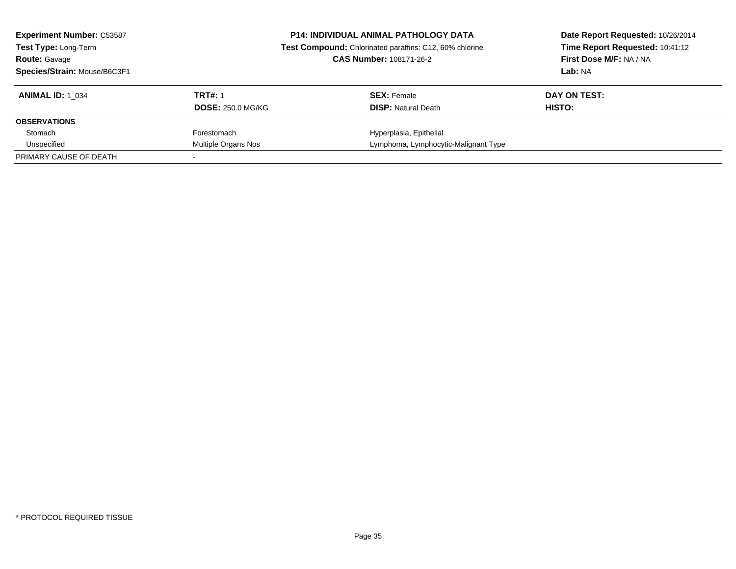| <b>Experiment Number: C53587</b><br><b>Test Type: Long-Term</b><br><b>Route: Gavage</b><br>Species/Strain: Mouse/B6C3F1 |                                            | <b>P14: INDIVIDUAL ANIMAL PATHOLOGY DATA</b><br>Test Compound: Chlorinated paraffins: C12, 60% chlorine<br><b>CAS Number: 108171-26-2</b> | Date Report Requested: 10/26/2014<br>Time Report Requested: 10:41:12<br>First Dose M/F: NA / NA<br>Lab: NA |
|-------------------------------------------------------------------------------------------------------------------------|--------------------------------------------|-------------------------------------------------------------------------------------------------------------------------------------------|------------------------------------------------------------------------------------------------------------|
| <b>ANIMAL ID: 1 034</b>                                                                                                 | <b>TRT#: 1</b><br><b>DOSE: 250.0 MG/KG</b> | <b>SEX:</b> Female<br><b>DISP:</b> Natural Death                                                                                          | DAY ON TEST:<br>HISTO:                                                                                     |
| <b>OBSERVATIONS</b>                                                                                                     |                                            |                                                                                                                                           |                                                                                                            |
| Stomach                                                                                                                 | Forestomach                                | Hyperplasia, Epithelial                                                                                                                   |                                                                                                            |
| Unspecified                                                                                                             | Multiple Organs Nos                        | Lymphoma, Lymphocytic-Malignant Type                                                                                                      |                                                                                                            |
| PRIMARY CAUSE OF DEATH                                                                                                  |                                            |                                                                                                                                           |                                                                                                            |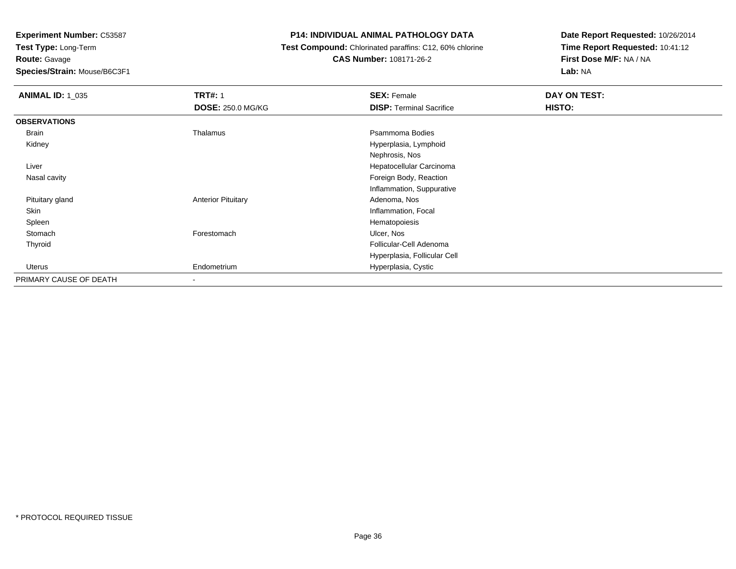**Experiment Number:** C53587

**Test Type:** Long-Term**Route:** Gavage

**Species/Strain:** Mouse/B6C3F1

## **P14: INDIVIDUAL ANIMAL PATHOLOGY DATA**

 **Test Compound:** Chlorinated paraffins: C12, 60% chlorine**CAS Number:** 108171-26-2

| <b>ANIMAL ID: 1_035</b> | <b>TRT#: 1</b>            | <b>SEX: Female</b>              | DAY ON TEST: |
|-------------------------|---------------------------|---------------------------------|--------------|
|                         | <b>DOSE: 250.0 MG/KG</b>  | <b>DISP: Terminal Sacrifice</b> | HISTO:       |
| <b>OBSERVATIONS</b>     |                           |                                 |              |
| Brain                   | Thalamus                  | Psammoma Bodies                 |              |
| Kidney                  |                           | Hyperplasia, Lymphoid           |              |
|                         |                           | Nephrosis, Nos                  |              |
| Liver                   |                           | Hepatocellular Carcinoma        |              |
| Nasal cavity            |                           | Foreign Body, Reaction          |              |
|                         |                           | Inflammation, Suppurative       |              |
| Pituitary gland         | <b>Anterior Pituitary</b> | Adenoma, Nos                    |              |
| Skin                    |                           | Inflammation, Focal             |              |
| Spleen                  |                           | Hematopoiesis                   |              |
| Stomach                 | Forestomach               | Ulcer, Nos                      |              |
| Thyroid                 |                           | Follicular-Cell Adenoma         |              |
|                         |                           | Hyperplasia, Follicular Cell    |              |
| Uterus                  | Endometrium               | Hyperplasia, Cystic             |              |
| PRIMARY CAUSE OF DEATH  | ۰                         |                                 |              |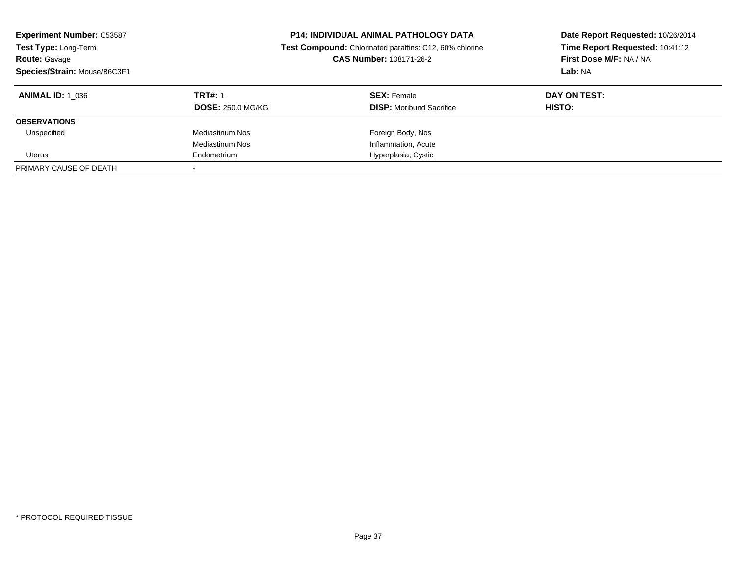| <b>Experiment Number: C53587</b><br>Test Type: Long-Term<br><b>Route: Gavage</b><br>Species/Strain: Mouse/B6C3F1 | <b>P14: INDIVIDUAL ANIMAL PATHOLOGY DATA</b><br>Test Compound: Chlorinated paraffins: C12, 60% chlorine<br>CAS Number: 108171-26-2 |                                                       |                               |  | Date Report Requested: 10/26/2014<br>Time Report Requested: 10:41:12<br>First Dose M/F: NA / NA<br>Lab: NA |
|------------------------------------------------------------------------------------------------------------------|------------------------------------------------------------------------------------------------------------------------------------|-------------------------------------------------------|-------------------------------|--|------------------------------------------------------------------------------------------------------------|
| <b>ANIMAL ID: 1 036</b>                                                                                          | <b>TRT#: 1</b><br><b>DOSE: 250.0 MG/KG</b>                                                                                         | <b>SEX: Female</b><br><b>DISP:</b> Moribund Sacrifice | DAY ON TEST:<br><b>HISTO:</b> |  |                                                                                                            |
| <b>OBSERVATIONS</b>                                                                                              |                                                                                                                                    |                                                       |                               |  |                                                                                                            |
| Unspecified                                                                                                      | <b>Mediastinum Nos</b>                                                                                                             | Foreign Body, Nos                                     |                               |  |                                                                                                            |
|                                                                                                                  | <b>Mediastinum Nos</b>                                                                                                             | Inflammation, Acute                                   |                               |  |                                                                                                            |
| Uterus                                                                                                           | Endometrium                                                                                                                        | Hyperplasia, Cystic                                   |                               |  |                                                                                                            |
| PRIMARY CAUSE OF DEATH                                                                                           |                                                                                                                                    |                                                       |                               |  |                                                                                                            |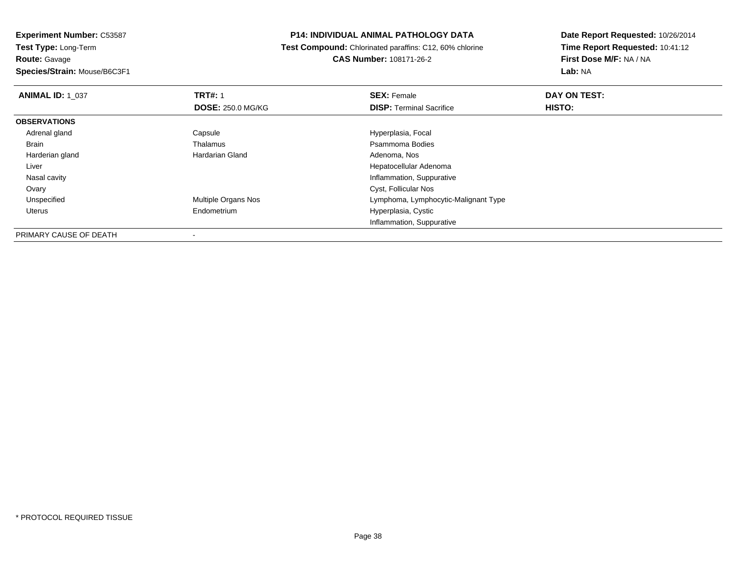#### **P14: INDIVIDUAL ANIMAL PATHOLOGY DATA**

 **Test Compound:** Chlorinated paraffins: C12, 60% chlorine**CAS Number:** 108171-26-2

| <b>ANIMAL ID: 1 037</b> | <b>TRT#: 1</b>             | <b>SEX: Female</b>                   | DAY ON TEST: |  |
|-------------------------|----------------------------|--------------------------------------|--------------|--|
|                         | <b>DOSE: 250.0 MG/KG</b>   | <b>DISP: Terminal Sacrifice</b>      | HISTO:       |  |
| <b>OBSERVATIONS</b>     |                            |                                      |              |  |
| Adrenal gland           | Capsule                    | Hyperplasia, Focal                   |              |  |
| Brain                   | Thalamus                   | Psammoma Bodies                      |              |  |
| Harderian gland         | Hardarian Gland            | Adenoma, Nos                         |              |  |
| Liver                   |                            | Hepatocellular Adenoma               |              |  |
| Nasal cavity            |                            | Inflammation, Suppurative            |              |  |
| Ovary                   |                            | Cyst, Follicular Nos                 |              |  |
| Unspecified             | <b>Multiple Organs Nos</b> | Lymphoma, Lymphocytic-Malignant Type |              |  |
| Uterus                  | Endometrium                | Hyperplasia, Cystic                  |              |  |
|                         |                            | Inflammation, Suppurative            |              |  |
| PRIMARY CAUSE OF DEATH  |                            |                                      |              |  |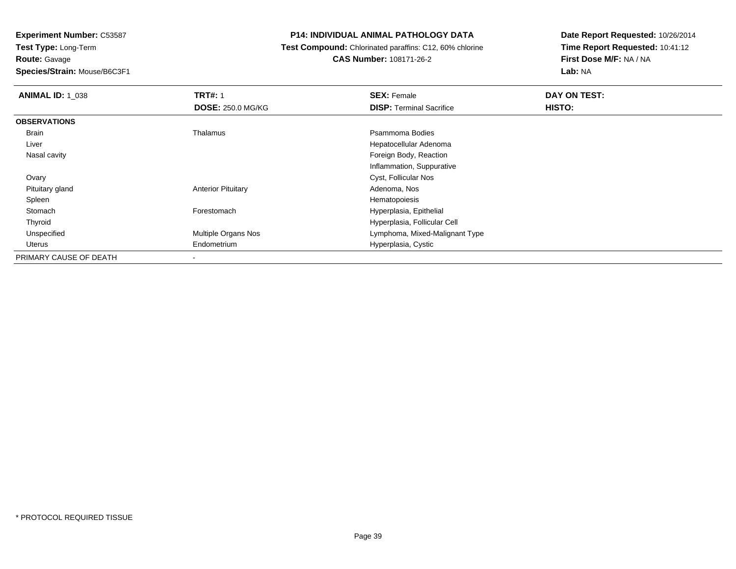**Route:** Gavage

**Species/Strain:** Mouse/B6C3F1

#### **P14: INDIVIDUAL ANIMAL PATHOLOGY DATA**

#### **Test Compound:** Chlorinated paraffins: C12, 60% chlorine**CAS Number:** 108171-26-2

| <b>ANIMAL ID: 1 038</b> | <b>TRT#: 1</b>            | <b>SEX: Female</b>              | DAY ON TEST: |
|-------------------------|---------------------------|---------------------------------|--------------|
|                         | <b>DOSE: 250.0 MG/KG</b>  | <b>DISP: Terminal Sacrifice</b> | HISTO:       |
| <b>OBSERVATIONS</b>     |                           |                                 |              |
| Brain                   | Thalamus                  | Psammoma Bodies                 |              |
| Liver                   |                           | Hepatocellular Adenoma          |              |
| Nasal cavity            |                           | Foreign Body, Reaction          |              |
|                         |                           | Inflammation, Suppurative       |              |
| Ovary                   |                           | Cyst, Follicular Nos            |              |
| Pituitary gland         | <b>Anterior Pituitary</b> | Adenoma, Nos                    |              |
| Spleen                  |                           | Hematopoiesis                   |              |
| Stomach                 | Forestomach               | Hyperplasia, Epithelial         |              |
| Thyroid                 |                           | Hyperplasia, Follicular Cell    |              |
| Unspecified             | Multiple Organs Nos       | Lymphoma, Mixed-Malignant Type  |              |
| Uterus                  | Endometrium               | Hyperplasia, Cystic             |              |
| PRIMARY CAUSE OF DEATH  | ۰                         |                                 |              |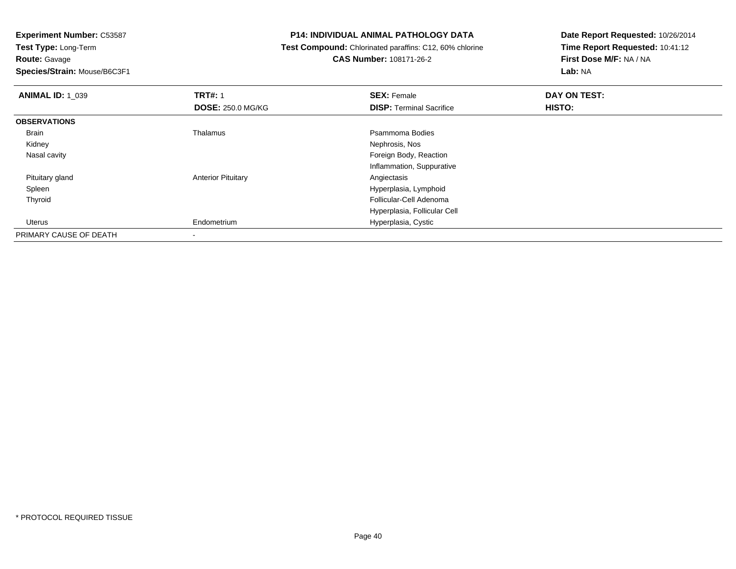**Route:** Gavage

**Species/Strain:** Mouse/B6C3F1

#### **P14: INDIVIDUAL ANIMAL PATHOLOGY DATA**

 **Test Compound:** Chlorinated paraffins: C12, 60% chlorine**CAS Number:** 108171-26-2

| <b>ANIMAL ID: 1_039</b> | <b>TRT#: 1</b>            | <b>SEX: Female</b>              | DAY ON TEST: |  |
|-------------------------|---------------------------|---------------------------------|--------------|--|
|                         | <b>DOSE: 250.0 MG/KG</b>  | <b>DISP: Terminal Sacrifice</b> | HISTO:       |  |
| <b>OBSERVATIONS</b>     |                           |                                 |              |  |
| Brain                   | Thalamus                  | Psammoma Bodies                 |              |  |
| Kidney                  |                           | Nephrosis, Nos                  |              |  |
| Nasal cavity            |                           | Foreign Body, Reaction          |              |  |
|                         |                           | Inflammation, Suppurative       |              |  |
| Pituitary gland         | <b>Anterior Pituitary</b> | Angiectasis                     |              |  |
| Spleen                  |                           | Hyperplasia, Lymphoid           |              |  |
| Thyroid                 |                           | Follicular-Cell Adenoma         |              |  |
|                         |                           | Hyperplasia, Follicular Cell    |              |  |
| Uterus                  | Endometrium               | Hyperplasia, Cystic             |              |  |
| PRIMARY CAUSE OF DEATH  |                           |                                 |              |  |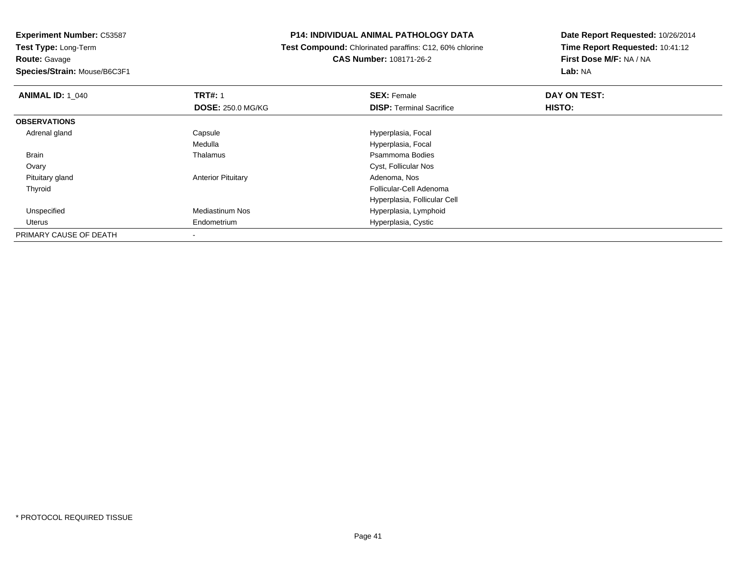**Experiment Number:** C53587**Test Type:** Long-Term**Route:** Gavage

**Species/Strain:** Mouse/B6C3F1

#### **P14: INDIVIDUAL ANIMAL PATHOLOGY DATA**

 **Test Compound:** Chlorinated paraffins: C12, 60% chlorine**CAS Number:** 108171-26-2

| <b>ANIMAL ID: 1 040</b> | <b>TRT#: 1</b>            | <b>SEX: Female</b>              | DAY ON TEST: |  |
|-------------------------|---------------------------|---------------------------------|--------------|--|
|                         | <b>DOSE: 250.0 MG/KG</b>  | <b>DISP: Terminal Sacrifice</b> | HISTO:       |  |
| <b>OBSERVATIONS</b>     |                           |                                 |              |  |
| Adrenal gland           | Capsule                   | Hyperplasia, Focal              |              |  |
|                         | Medulla                   | Hyperplasia, Focal              |              |  |
| <b>Brain</b>            | Thalamus                  | Psammoma Bodies                 |              |  |
| Ovary                   |                           | Cyst, Follicular Nos            |              |  |
| Pituitary gland         | <b>Anterior Pituitary</b> | Adenoma, Nos                    |              |  |
| Thyroid                 |                           | Follicular-Cell Adenoma         |              |  |
|                         |                           | Hyperplasia, Follicular Cell    |              |  |
| Unspecified             | <b>Mediastinum Nos</b>    | Hyperplasia, Lymphoid           |              |  |
| Uterus                  | Endometrium               | Hyperplasia, Cystic             |              |  |
| PRIMARY CAUSE OF DEATH  |                           |                                 |              |  |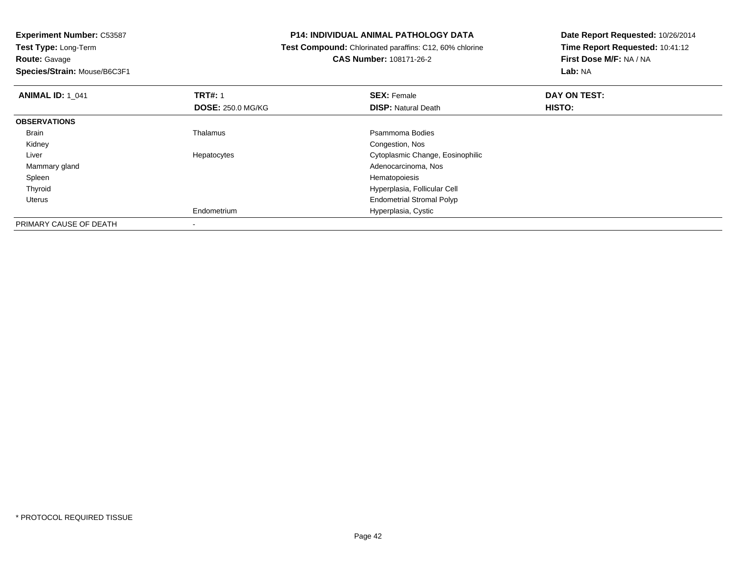#### **P14: INDIVIDUAL ANIMAL PATHOLOGY DATA**

 **Test Compound:** Chlorinated paraffins: C12, 60% chlorine**CAS Number:** 108171-26-2

| <b>ANIMAL ID: 1 041</b> | <b>TRT#: 1</b><br><b>DOSE: 250.0 MG/KG</b> | <b>SEX: Female</b><br><b>DISP: Natural Death</b> | DAY ON TEST:<br><b>HISTO:</b> |  |
|-------------------------|--------------------------------------------|--------------------------------------------------|-------------------------------|--|
|                         |                                            |                                                  |                               |  |
| <b>OBSERVATIONS</b>     |                                            |                                                  |                               |  |
| Brain                   | Thalamus                                   | Psammoma Bodies                                  |                               |  |
| Kidney                  |                                            | Congestion, Nos                                  |                               |  |
| Liver                   | Hepatocytes                                | Cytoplasmic Change, Eosinophilic                 |                               |  |
| Mammary gland           |                                            | Adenocarcinoma, Nos                              |                               |  |
| Spleen                  |                                            | Hematopoiesis                                    |                               |  |
| Thyroid                 |                                            | Hyperplasia, Follicular Cell                     |                               |  |
| Uterus                  |                                            | <b>Endometrial Stromal Polyp</b>                 |                               |  |
|                         | Endometrium                                | Hyperplasia, Cystic                              |                               |  |
| PRIMARY CAUSE OF DEATH  |                                            |                                                  |                               |  |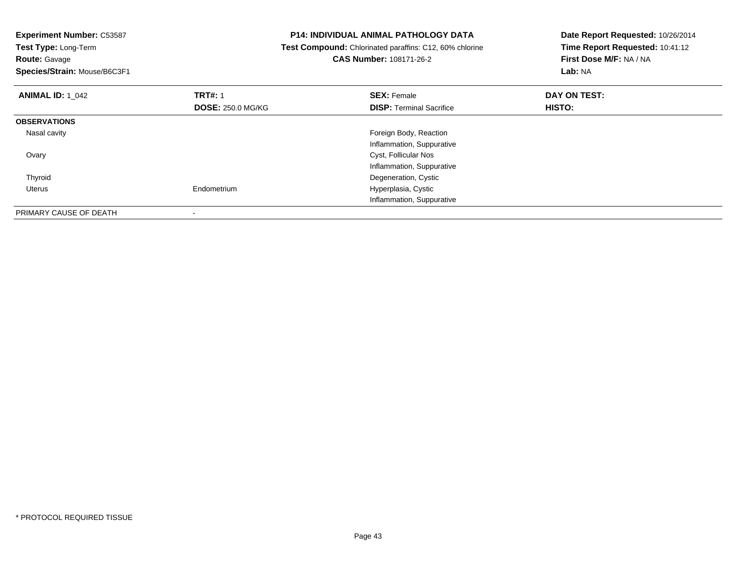| <b>Experiment Number: C53587</b><br>Test Type: Long-Term<br><b>Route: Gavage</b><br>Species/Strain: Mouse/B6C3F1 |                          | <b>P14: INDIVIDUAL ANIMAL PATHOLOGY DATA</b><br>Test Compound: Chlorinated paraffins: C12, 60% chlorine<br>CAS Number: 108171-26-2 | Date Report Requested: 10/26/2014<br>Time Report Requested: 10:41:12<br>First Dose M/F: NA / NA<br>Lab: NA |
|------------------------------------------------------------------------------------------------------------------|--------------------------|------------------------------------------------------------------------------------------------------------------------------------|------------------------------------------------------------------------------------------------------------|
| <b>ANIMAL ID: 1_042</b>                                                                                          | <b>TRT#: 1</b>           | <b>SEX: Female</b>                                                                                                                 | DAY ON TEST:                                                                                               |
|                                                                                                                  | <b>DOSE: 250.0 MG/KG</b> | <b>DISP:</b> Terminal Sacrifice                                                                                                    | HISTO:                                                                                                     |
| <b>OBSERVATIONS</b>                                                                                              |                          |                                                                                                                                    |                                                                                                            |
| Nasal cavity                                                                                                     |                          | Foreign Body, Reaction                                                                                                             |                                                                                                            |
|                                                                                                                  |                          | Inflammation, Suppurative                                                                                                          |                                                                                                            |
| Ovary                                                                                                            |                          | Cyst, Follicular Nos                                                                                                               |                                                                                                            |
|                                                                                                                  |                          | Inflammation, Suppurative                                                                                                          |                                                                                                            |
| Thyroid                                                                                                          |                          | Degeneration, Cystic                                                                                                               |                                                                                                            |
| Uterus                                                                                                           | Endometrium              | Hyperplasia, Cystic                                                                                                                |                                                                                                            |
|                                                                                                                  |                          | Inflammation, Suppurative                                                                                                          |                                                                                                            |
| PRIMARY CAUSE OF DEATH                                                                                           |                          |                                                                                                                                    |                                                                                                            |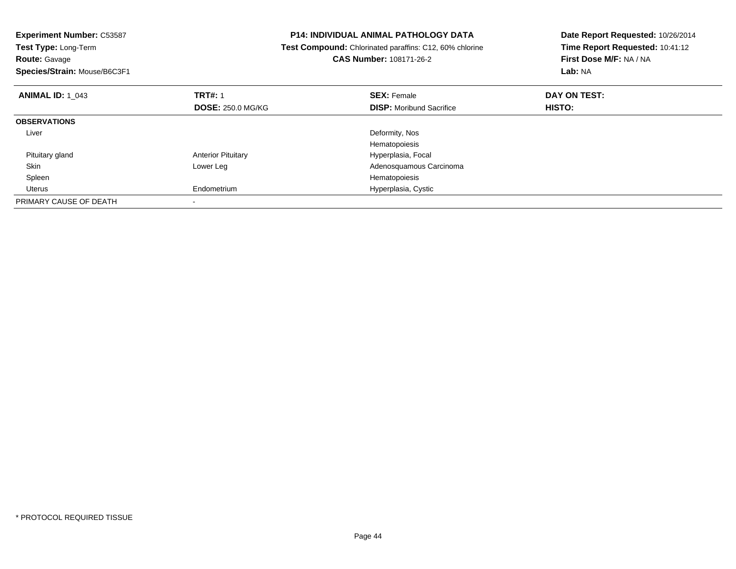| <b>Experiment Number: C53587</b><br>Test Type: Long-Term<br><b>Route: Gavage</b><br>Species/Strain: Mouse/B6C3F1 |                           | <b>P14: INDIVIDUAL ANIMAL PATHOLOGY DATA</b><br>Test Compound: Chlorinated paraffins: C12, 60% chlorine<br>CAS Number: 108171-26-2 | Date Report Requested: 10/26/2014<br>Time Report Requested: 10:41:12<br>First Dose M/F: NA / NA<br>Lab: NA |
|------------------------------------------------------------------------------------------------------------------|---------------------------|------------------------------------------------------------------------------------------------------------------------------------|------------------------------------------------------------------------------------------------------------|
| <b>ANIMAL ID: 1 043</b>                                                                                          | <b>TRT#: 1</b>            | <b>SEX: Female</b>                                                                                                                 | DAY ON TEST:                                                                                               |
|                                                                                                                  | <b>DOSE: 250.0 MG/KG</b>  | <b>DISP:</b> Moribund Sacrifice                                                                                                    | HISTO:                                                                                                     |
| <b>OBSERVATIONS</b>                                                                                              |                           |                                                                                                                                    |                                                                                                            |
| Liver                                                                                                            |                           | Deformity, Nos                                                                                                                     |                                                                                                            |
|                                                                                                                  |                           | Hematopoiesis                                                                                                                      |                                                                                                            |
| Pituitary gland                                                                                                  | <b>Anterior Pituitary</b> | Hyperplasia, Focal                                                                                                                 |                                                                                                            |
| Skin                                                                                                             | Lower Leg                 | Adenosquamous Carcinoma                                                                                                            |                                                                                                            |
| Spleen                                                                                                           |                           | Hematopoiesis                                                                                                                      |                                                                                                            |
| Uterus                                                                                                           | Endometrium               | Hyperplasia, Cystic                                                                                                                |                                                                                                            |
| PRIMARY CAUSE OF DEATH                                                                                           |                           |                                                                                                                                    |                                                                                                            |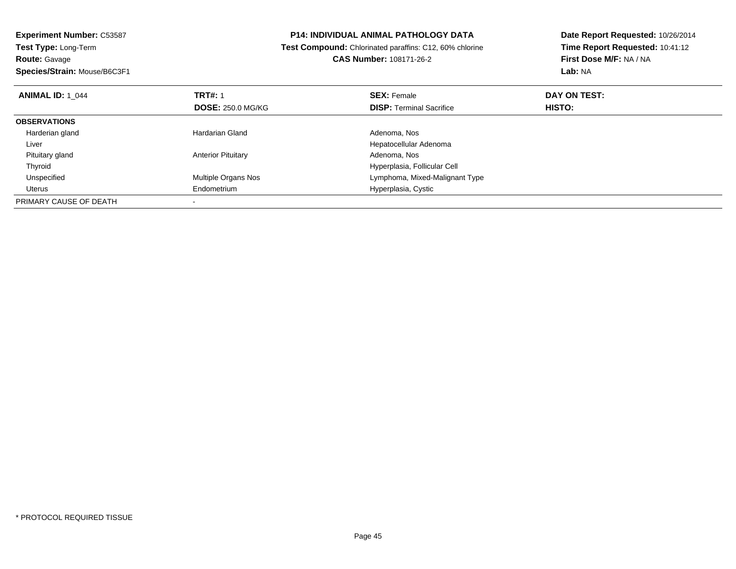| <b>Experiment Number: C53587</b><br>Test Type: Long-Term |                           | <b>P14: INDIVIDUAL ANIMAL PATHOLOGY DATA</b>            | Date Report Requested: 10/26/2014 |
|----------------------------------------------------------|---------------------------|---------------------------------------------------------|-----------------------------------|
|                                                          |                           | Test Compound: Chlorinated paraffins: C12, 60% chlorine | Time Report Requested: 10:41:12   |
| <b>Route: Gavage</b>                                     |                           | CAS Number: 108171-26-2                                 | First Dose M/F: NA / NA           |
| Species/Strain: Mouse/B6C3F1                             |                           |                                                         | Lab: NA                           |
| <b>ANIMAL ID: 1 044</b>                                  | <b>TRT#: 1</b>            | <b>SEX: Female</b>                                      | DAY ON TEST:                      |
|                                                          | <b>DOSE: 250.0 MG/KG</b>  | <b>DISP: Terminal Sacrifice</b>                         | HISTO:                            |
| <b>OBSERVATIONS</b>                                      |                           |                                                         |                                   |
| Harderian gland                                          | <b>Hardarian Gland</b>    | Adenoma, Nos                                            |                                   |
| Liver                                                    |                           | Hepatocellular Adenoma                                  |                                   |
| Pituitary gland                                          | <b>Anterior Pituitary</b> | Adenoma, Nos                                            |                                   |
| Thyroid                                                  |                           | Hyperplasia, Follicular Cell                            |                                   |
| Unspecified                                              | Multiple Organs Nos       | Lymphoma, Mixed-Malignant Type                          |                                   |
| Uterus                                                   | Endometrium               | Hyperplasia, Cystic                                     |                                   |
| PRIMARY CAUSE OF DEATH                                   |                           |                                                         |                                   |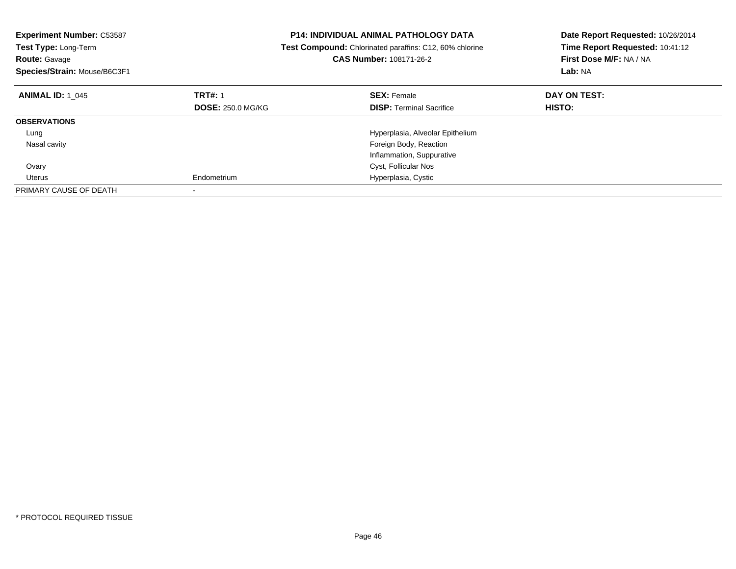| <b>Experiment Number: C53587</b><br>Test Type: Long-Term<br><b>Route: Gavage</b><br>Species/Strain: Mouse/B6C3F1 |                          | <b>P14: INDIVIDUAL ANIMAL PATHOLOGY DATA</b><br>Test Compound: Chlorinated paraffins: C12, 60% chlorine<br><b>CAS Number: 108171-26-2</b> | Date Report Requested: 10/26/2014<br>Time Report Requested: 10:41:12<br>First Dose M/F: NA / NA<br>Lab: NA |
|------------------------------------------------------------------------------------------------------------------|--------------------------|-------------------------------------------------------------------------------------------------------------------------------------------|------------------------------------------------------------------------------------------------------------|
| <b>ANIMAL ID: 1 045</b>                                                                                          | <b>TRT#: 1</b>           | <b>SEX: Female</b>                                                                                                                        | DAY ON TEST:                                                                                               |
|                                                                                                                  | <b>DOSE: 250.0 MG/KG</b> | <b>DISP:</b> Terminal Sacrifice                                                                                                           | HISTO:                                                                                                     |
| <b>OBSERVATIONS</b>                                                                                              |                          |                                                                                                                                           |                                                                                                            |
| Lung                                                                                                             |                          | Hyperplasia, Alveolar Epithelium                                                                                                          |                                                                                                            |
| Nasal cavity                                                                                                     |                          | Foreign Body, Reaction                                                                                                                    |                                                                                                            |
|                                                                                                                  |                          | Inflammation, Suppurative                                                                                                                 |                                                                                                            |
| Ovary                                                                                                            |                          | Cyst, Follicular Nos                                                                                                                      |                                                                                                            |
| Uterus                                                                                                           | Endometrium              | Hyperplasia, Cystic                                                                                                                       |                                                                                                            |
| PRIMARY CAUSE OF DEATH                                                                                           |                          |                                                                                                                                           |                                                                                                            |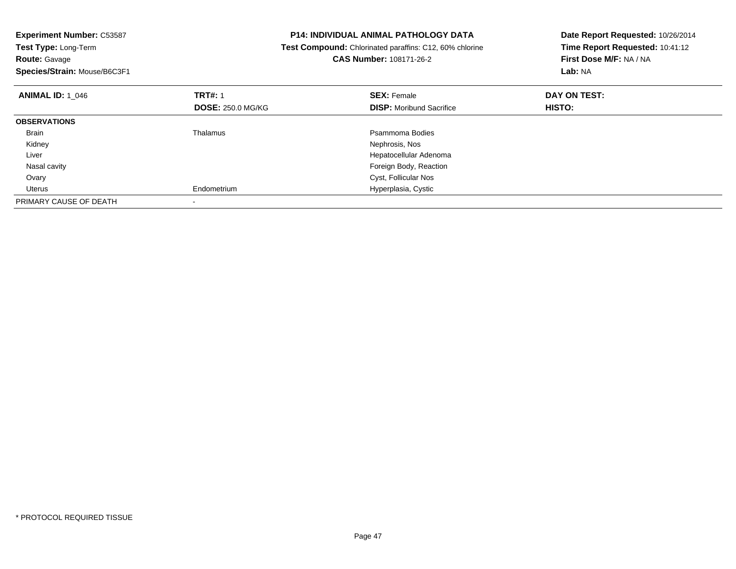| <b>Experiment Number: C53587</b> | <b>P14: INDIVIDUAL ANIMAL PATHOLOGY DATA</b> |                                                                | Date Report Requested: 10/26/2014 |
|----------------------------------|----------------------------------------------|----------------------------------------------------------------|-----------------------------------|
| Test Type: Long-Term             |                                              | <b>Test Compound:</b> Chlorinated paraffins: C12, 60% chlorine | Time Report Requested: 10:41:12   |
| <b>Route: Gavage</b>             |                                              | <b>CAS Number: 108171-26-2</b>                                 | First Dose M/F: NA / NA           |
| Species/Strain: Mouse/B6C3F1     |                                              |                                                                | Lab: NA                           |
| <b>ANIMAL ID: 1 046</b>          | <b>TRT#: 1</b>                               | <b>SEX: Female</b>                                             | DAY ON TEST:                      |
|                                  | <b>DOSE: 250.0 MG/KG</b>                     | <b>DISP:</b> Moribund Sacrifice                                | HISTO:                            |
| <b>OBSERVATIONS</b>              |                                              |                                                                |                                   |
| Brain                            | Thalamus                                     | Psammoma Bodies                                                |                                   |
| Kidney                           |                                              | Nephrosis, Nos                                                 |                                   |
| Liver                            |                                              | Hepatocellular Adenoma                                         |                                   |
| Nasal cavity                     |                                              | Foreign Body, Reaction                                         |                                   |
| Ovary                            |                                              | Cyst, Follicular Nos                                           |                                   |
| Uterus                           | Endometrium                                  | Hyperplasia, Cystic                                            |                                   |
| PRIMARY CAUSE OF DEATH           |                                              |                                                                |                                   |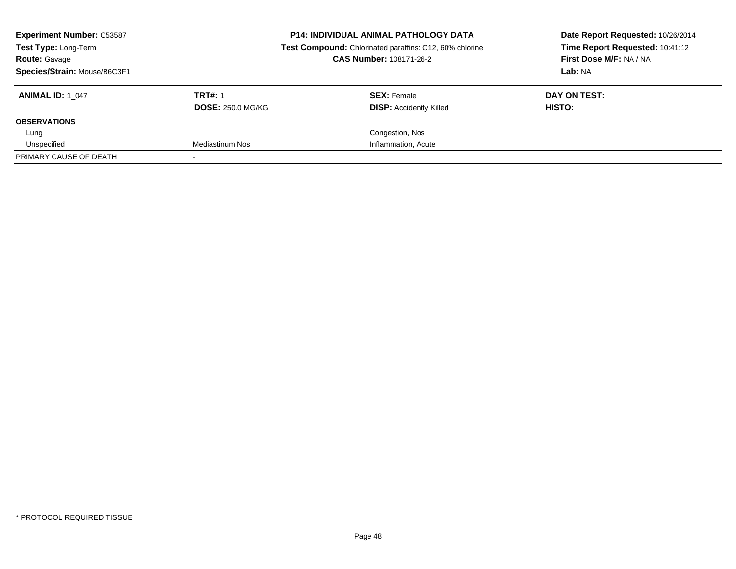| <b>Experiment Number: C53587</b><br>Test Type: Long-Term<br><b>Route: Gavage</b><br>Species/Strain: Mouse/B6C3F1 |                                            | <b>P14: INDIVIDUAL ANIMAL PATHOLOGY DATA</b><br>Test Compound: Chlorinated paraffins: C12, 60% chlorine<br><b>CAS Number: 108171-26-2</b> | Date Report Requested: 10/26/2014<br>Time Report Requested: 10:41:12<br>First Dose M/F: NA / NA<br>Lab: NA |  |
|------------------------------------------------------------------------------------------------------------------|--------------------------------------------|-------------------------------------------------------------------------------------------------------------------------------------------|------------------------------------------------------------------------------------------------------------|--|
| <b>ANIMAL ID: 1 047</b>                                                                                          | <b>TRT#: 1</b><br><b>DOSE: 250.0 MG/KG</b> | <b>SEX: Female</b><br><b>DISP: Accidently Killed</b>                                                                                      | DAY ON TEST:<br>HISTO:                                                                                     |  |
| <b>OBSERVATIONS</b>                                                                                              |                                            |                                                                                                                                           |                                                                                                            |  |
| Lung                                                                                                             |                                            | Congestion, Nos                                                                                                                           |                                                                                                            |  |
| Unspecified                                                                                                      | Mediastinum Nos                            | Inflammation, Acute                                                                                                                       |                                                                                                            |  |
| PRIMARY CAUSE OF DEATH                                                                                           |                                            |                                                                                                                                           |                                                                                                            |  |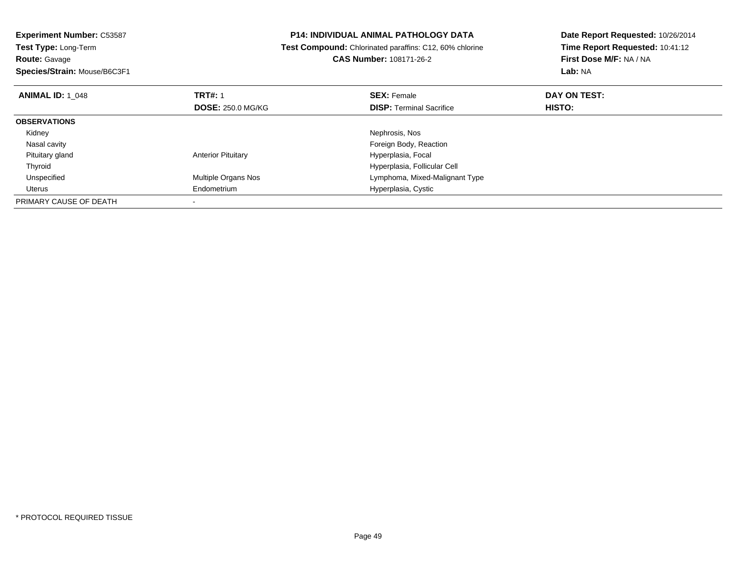| <b>Experiment Number: C53587</b>             | <b>P14: INDIVIDUAL ANIMAL PATHOLOGY DATA</b> |                                                                | Date Report Requested: 10/26/2014 |  |
|----------------------------------------------|----------------------------------------------|----------------------------------------------------------------|-----------------------------------|--|
| Test Type: Long-Term                         |                                              | <b>Test Compound:</b> Chlorinated paraffins: C12, 60% chlorine | Time Report Requested: 10:41:12   |  |
| <b>Route: Gavage</b>                         |                                              | CAS Number: 108171-26-2                                        | First Dose M/F: NA / NA           |  |
| Species/Strain: Mouse/B6C3F1                 |                                              |                                                                | Lab: NA                           |  |
| <b>TRT#: 1</b><br><b>ANIMAL ID: 1 048</b>    |                                              | <b>SEX: Female</b>                                             | DAY ON TEST:                      |  |
|                                              | <b>DOSE: 250.0 MG/KG</b>                     | <b>DISP: Terminal Sacrifice</b>                                | HISTO:                            |  |
| <b>OBSERVATIONS</b>                          |                                              |                                                                |                                   |  |
| Kidney                                       |                                              | Nephrosis, Nos                                                 |                                   |  |
| Nasal cavity                                 |                                              | Foreign Body, Reaction                                         |                                   |  |
| Pituitary gland<br><b>Anterior Pituitary</b> |                                              | Hyperplasia, Focal                                             |                                   |  |
| Thyroid                                      |                                              | Hyperplasia, Follicular Cell                                   |                                   |  |
| Unspecified                                  | Multiple Organs Nos                          | Lymphoma, Mixed-Malignant Type                                 |                                   |  |
| Endometrium<br>Uterus                        |                                              | Hyperplasia, Cystic                                            |                                   |  |
| PRIMARY CAUSE OF DEATH                       |                                              |                                                                |                                   |  |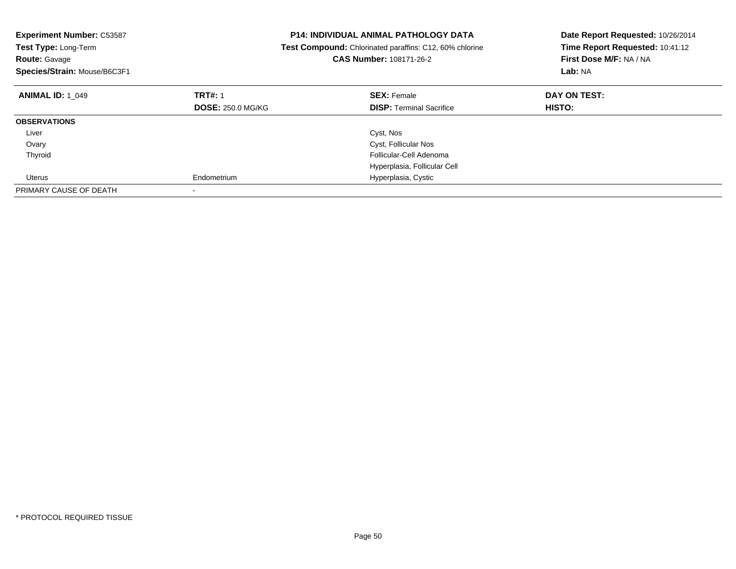| <b>Experiment Number: C53587</b><br>Test Type: Long-Term<br><b>Route: Gavage</b><br>Species/Strain: Mouse/B6C3F1 |                          | <b>P14: INDIVIDUAL ANIMAL PATHOLOGY DATA</b><br>Test Compound: Chlorinated paraffins: C12, 60% chlorine<br><b>CAS Number: 108171-26-2</b> | Date Report Requested: 10/26/2014<br>Time Report Requested: 10:41:12<br>First Dose M/F: NA / NA<br>Lab: NA |
|------------------------------------------------------------------------------------------------------------------|--------------------------|-------------------------------------------------------------------------------------------------------------------------------------------|------------------------------------------------------------------------------------------------------------|
| <b>ANIMAL ID: 1 049</b>                                                                                          | <b>TRT#: 1</b>           | <b>SEX: Female</b>                                                                                                                        | DAY ON TEST:                                                                                               |
|                                                                                                                  | <b>DOSE: 250.0 MG/KG</b> | <b>DISP:</b> Terminal Sacrifice                                                                                                           | <b>HISTO:</b>                                                                                              |
| <b>OBSERVATIONS</b>                                                                                              |                          |                                                                                                                                           |                                                                                                            |
| Liver                                                                                                            |                          | Cyst, Nos                                                                                                                                 |                                                                                                            |
| Ovary                                                                                                            |                          | Cyst, Follicular Nos                                                                                                                      |                                                                                                            |
| Thyroid                                                                                                          |                          | Follicular-Cell Adenoma                                                                                                                   |                                                                                                            |
|                                                                                                                  |                          | Hyperplasia, Follicular Cell                                                                                                              |                                                                                                            |
| Uterus                                                                                                           | Endometrium              | Hyperplasia, Cystic                                                                                                                       |                                                                                                            |
| PRIMARY CAUSE OF DEATH                                                                                           |                          |                                                                                                                                           |                                                                                                            |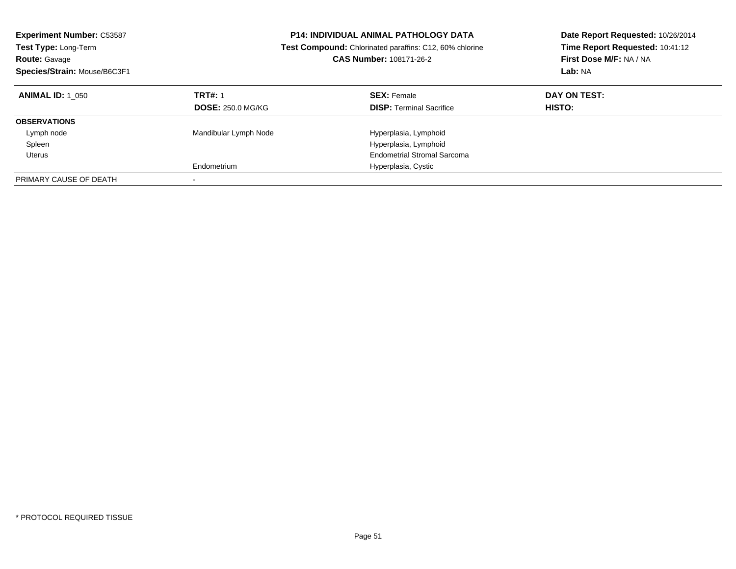|                                         | <b>CAS Number: 108171-26-2</b>                 | Date Report Requested: 10/26/2014<br>Time Report Requested: 10:41:12<br>First Dose M/F: NA / NA<br>Lab: NA                                                                              |
|-----------------------------------------|------------------------------------------------|-----------------------------------------------------------------------------------------------------------------------------------------------------------------------------------------|
| <b>TRT#: 1</b>                          | <b>SEX: Female</b>                             | DAY ON TEST:<br><b>HISTO:</b>                                                                                                                                                           |
|                                         |                                                |                                                                                                                                                                                         |
| Mandibular Lymph Node                   | Hyperplasia, Lymphoid<br>Hyperplasia, Lymphoid |                                                                                                                                                                                         |
| Endometrium<br>$\overline{\phantom{a}}$ | Hyperplasia, Cystic                            |                                                                                                                                                                                         |
|                                         | <b>DOSE: 250.0 MG/KG</b>                       | <b>P14: INDIVIDUAL ANIMAL PATHOLOGY DATA</b><br><b>Test Compound:</b> Chlorinated paraffins: C12, 60% chlorine<br><b>DISP:</b> Terminal Sacrifice<br><b>Endometrial Stromal Sarcoma</b> |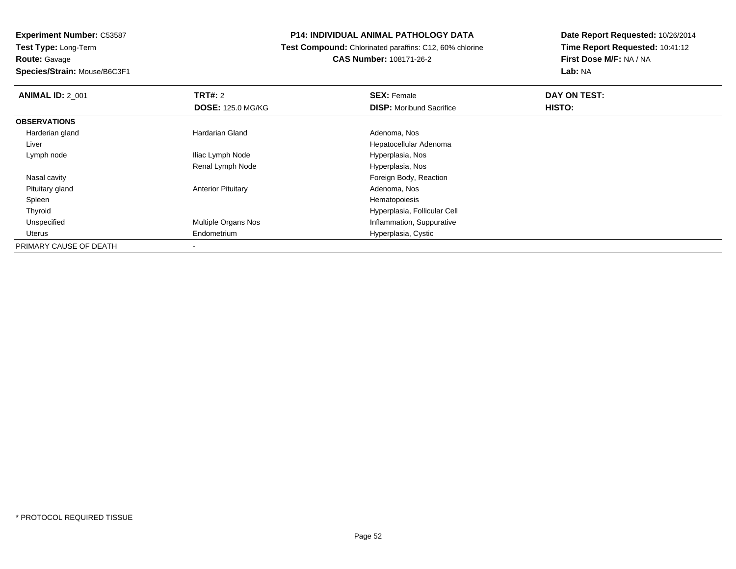#### **P14: INDIVIDUAL ANIMAL PATHOLOGY DATA**

 **Test Compound:** Chlorinated paraffins: C12, 60% chlorine**CAS Number:** 108171-26-2

| <b>ANIMAL ID: 2_001</b> | TRT#: 2                   | <b>SEX: Female</b>              | DAY ON TEST: |  |
|-------------------------|---------------------------|---------------------------------|--------------|--|
|                         | <b>DOSE: 125.0 MG/KG</b>  | <b>DISP:</b> Moribund Sacrifice | HISTO:       |  |
| <b>OBSERVATIONS</b>     |                           |                                 |              |  |
| Harderian gland         | <b>Hardarian Gland</b>    | Adenoma, Nos                    |              |  |
| Liver                   |                           | Hepatocellular Adenoma          |              |  |
| Lymph node              | Iliac Lymph Node          | Hyperplasia, Nos                |              |  |
|                         | Renal Lymph Node          | Hyperplasia, Nos                |              |  |
| Nasal cavity            |                           | Foreign Body, Reaction          |              |  |
| Pituitary gland         | <b>Anterior Pituitary</b> | Adenoma, Nos                    |              |  |
| Spleen                  |                           | Hematopoiesis                   |              |  |
| Thyroid                 |                           | Hyperplasia, Follicular Cell    |              |  |
| Unspecified             | Multiple Organs Nos       | Inflammation, Suppurative       |              |  |
| Uterus                  | Endometrium               | Hyperplasia, Cystic             |              |  |
| PRIMARY CAUSE OF DEATH  | $\overline{\phantom{a}}$  |                                 |              |  |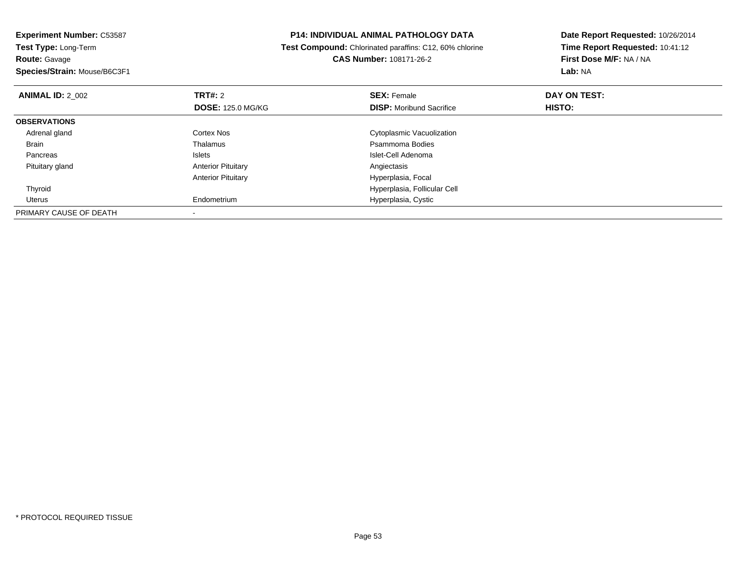**Experiment Number:** C53587**Test Type:** Long-Term**Route:** Gavage **Species/Strain:** Mouse/B6C3F1**P14: INDIVIDUAL ANIMAL PATHOLOGY DATA Test Compound:** Chlorinated paraffins: C12, 60% chlorine**CAS Number:** 108171-26-2**Date Report Requested:** 10/26/2014**Time Report Requested:** 10:41:12**First Dose M/F:** NA / NA**Lab:** NA**ANIMAL ID: 2 002 TRT#:** 2 **SEX:** Female **DAY ON TEST: DOSE:** 125.0 MG/KG**DISP:** Moribund Sacrifice **HISTO: OBSERVATIONS** Adrenal glandCortex Nos **Cortex Inc.**<br>
Cytoplasmic Vacuolization<br>
Psammoma Bodies BrainThalamus **Participality Control of Control Presenting Pressure Pressure Pressure Pressure Pressure Pressure Pressure Pressure Pressure Pressure Pressure Pressure Pressure Pressure Pressure Pressure Pressure Pressure Pressu**  PancreasIslet-Cell Adenoma<br>Angiectasis Pituitary glandAnterior Pituitary Anterior Pituitary Hyperplasia, Focal Thyroid Hyperplasia, Follicular Cell Uterus Endometrium Hyperplasia, Cystic PRIMARY CAUSE OF DEATH-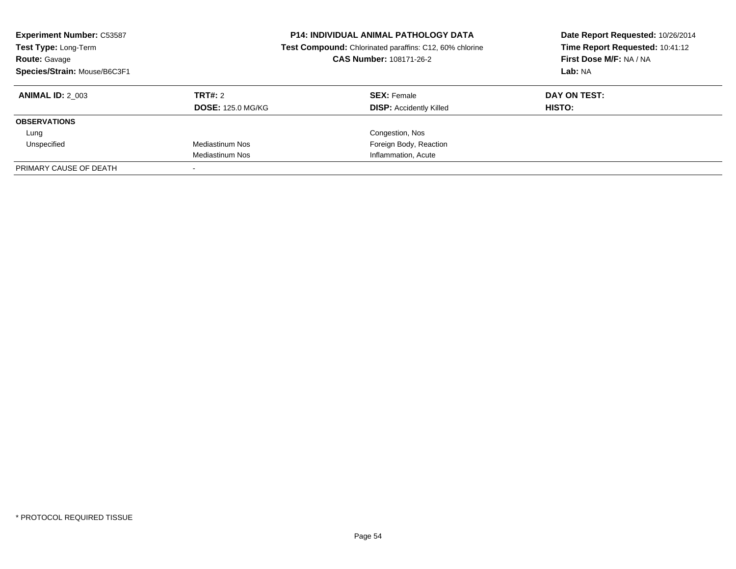| <b>Experiment Number: C53587</b><br>Test Type: Long-Term<br><b>Route: Gavage</b><br>Species/Strain: Mouse/B6C3F1 |                          | <b>P14: INDIVIDUAL ANIMAL PATHOLOGY DATA</b><br>Test Compound: Chlorinated paraffins: C12, 60% chlorine<br>CAS Number: 108171-26-2 | Date Report Requested: 10/26/2014<br>Time Report Requested: 10:41:12<br>First Dose M/F: NA / NA<br>Lab: NA |
|------------------------------------------------------------------------------------------------------------------|--------------------------|------------------------------------------------------------------------------------------------------------------------------------|------------------------------------------------------------------------------------------------------------|
| <b>ANIMAL ID: 2 003</b>                                                                                          | TRT#: 2                  | <b>SEX: Female</b>                                                                                                                 | DAY ON TEST:                                                                                               |
|                                                                                                                  | <b>DOSE: 125.0 MG/KG</b> | <b>DISP:</b> Accidently Killed                                                                                                     | HISTO:                                                                                                     |
| <b>OBSERVATIONS</b>                                                                                              |                          |                                                                                                                                    |                                                                                                            |
| Lung                                                                                                             |                          | Congestion, Nos                                                                                                                    |                                                                                                            |
| Unspecified                                                                                                      | Mediastinum Nos          | Foreign Body, Reaction                                                                                                             |                                                                                                            |
|                                                                                                                  | Mediastinum Nos          | Inflammation, Acute                                                                                                                |                                                                                                            |
| PRIMARY CAUSE OF DEATH                                                                                           |                          |                                                                                                                                    |                                                                                                            |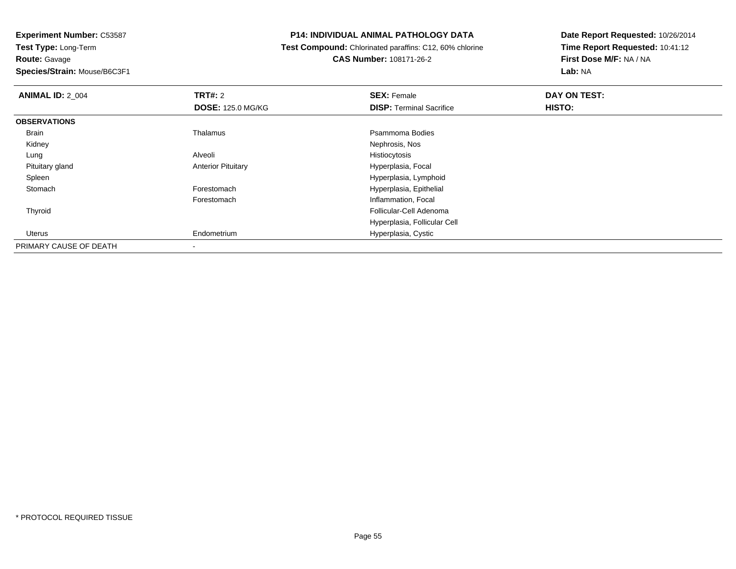#### **P14: INDIVIDUAL ANIMAL PATHOLOGY DATA**

 **Test Compound:** Chlorinated paraffins: C12, 60% chlorine**CAS Number:** 108171-26-2

| <b>ANIMAL ID: 2_004</b> | <b>TRT#: 2</b>            | <b>SEX: Female</b>              | DAY ON TEST: |  |
|-------------------------|---------------------------|---------------------------------|--------------|--|
|                         | <b>DOSE: 125.0 MG/KG</b>  | <b>DISP: Terminal Sacrifice</b> | HISTO:       |  |
| <b>OBSERVATIONS</b>     |                           |                                 |              |  |
| Brain                   | Thalamus                  | Psammoma Bodies                 |              |  |
| Kidney                  |                           | Nephrosis, Nos                  |              |  |
| Lung                    | Alveoli                   | Histiocytosis                   |              |  |
| Pituitary gland         | <b>Anterior Pituitary</b> | Hyperplasia, Focal              |              |  |
| Spleen                  |                           | Hyperplasia, Lymphoid           |              |  |
| Stomach                 | Forestomach               | Hyperplasia, Epithelial         |              |  |
|                         | Forestomach               | Inflammation, Focal             |              |  |
| Thyroid                 |                           | Follicular-Cell Adenoma         |              |  |
|                         |                           | Hyperplasia, Follicular Cell    |              |  |
| Uterus                  | Endometrium               | Hyperplasia, Cystic             |              |  |
| PRIMARY CAUSE OF DEATH  |                           |                                 |              |  |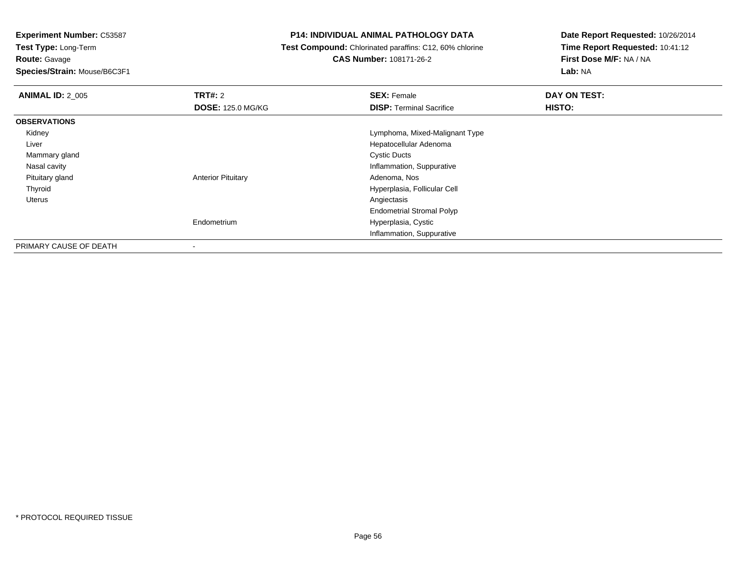**Route:** Gavage

**Species/Strain:** Mouse/B6C3F1

#### **P14: INDIVIDUAL ANIMAL PATHOLOGY DATA**

**Test Compound:** Chlorinated paraffins: C12, 60% chlorine

**CAS Number:** 108171-26-2

| <b>ANIMAL ID: 2 005</b> | <b>TRT#: 2</b>            | <b>SEX: Female</b>               | DAY ON TEST: |
|-------------------------|---------------------------|----------------------------------|--------------|
|                         | <b>DOSE: 125.0 MG/KG</b>  | <b>DISP: Terminal Sacrifice</b>  | HISTO:       |
| <b>OBSERVATIONS</b>     |                           |                                  |              |
| Kidney                  |                           | Lymphoma, Mixed-Malignant Type   |              |
| Liver                   |                           | Hepatocellular Adenoma           |              |
| Mammary gland           |                           | <b>Cystic Ducts</b>              |              |
| Nasal cavity            |                           | Inflammation, Suppurative        |              |
| Pituitary gland         | <b>Anterior Pituitary</b> | Adenoma, Nos                     |              |
| Thyroid                 |                           | Hyperplasia, Follicular Cell     |              |
| Uterus                  |                           | Angiectasis                      |              |
|                         |                           | <b>Endometrial Stromal Polyp</b> |              |
|                         | Endometrium               | Hyperplasia, Cystic              |              |
|                         |                           | Inflammation, Suppurative        |              |
| PRIMARY CAUSE OF DEATH  |                           |                                  |              |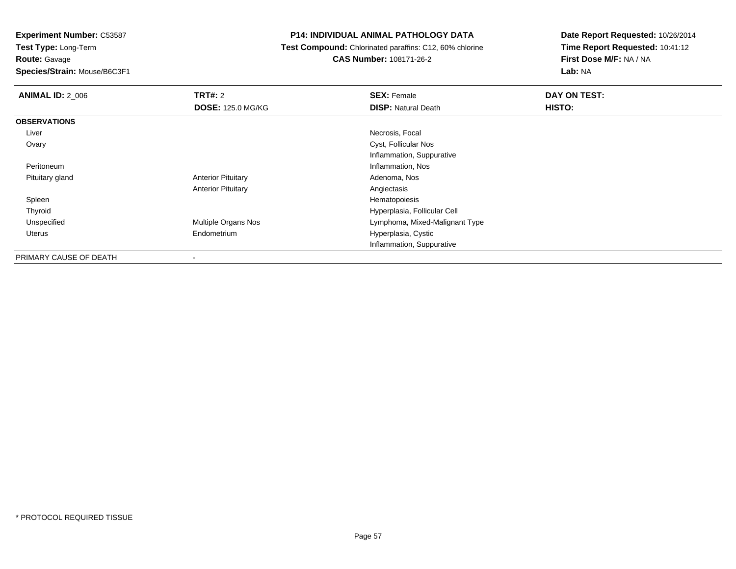**Experiment Number:** C53587

**Test Type:** Long-Term**Route:** Gavage

**Species/Strain:** Mouse/B6C3F1

#### **P14: INDIVIDUAL ANIMAL PATHOLOGY DATA**

 **Test Compound:** Chlorinated paraffins: C12, 60% chlorine**CAS Number:** 108171-26-2

| <b>ANIMAL ID: 2_006</b> | TRT#: 2                   | <b>SEX: Female</b>             | DAY ON TEST: |
|-------------------------|---------------------------|--------------------------------|--------------|
|                         | <b>DOSE: 125.0 MG/KG</b>  | <b>DISP: Natural Death</b>     | HISTO:       |
| <b>OBSERVATIONS</b>     |                           |                                |              |
| Liver                   |                           | Necrosis, Focal                |              |
| Ovary                   |                           | Cyst, Follicular Nos           |              |
|                         |                           | Inflammation, Suppurative      |              |
| Peritoneum              |                           | Inflammation, Nos              |              |
| Pituitary gland         | <b>Anterior Pituitary</b> | Adenoma, Nos                   |              |
|                         | <b>Anterior Pituitary</b> | Angiectasis                    |              |
| Spleen                  |                           | Hematopoiesis                  |              |
| Thyroid                 |                           | Hyperplasia, Follicular Cell   |              |
| Unspecified             | Multiple Organs Nos       | Lymphoma, Mixed-Malignant Type |              |
| Uterus                  | Endometrium               | Hyperplasia, Cystic            |              |
|                         |                           | Inflammation, Suppurative      |              |
| PRIMARY CAUSE OF DEATH  | ۰                         |                                |              |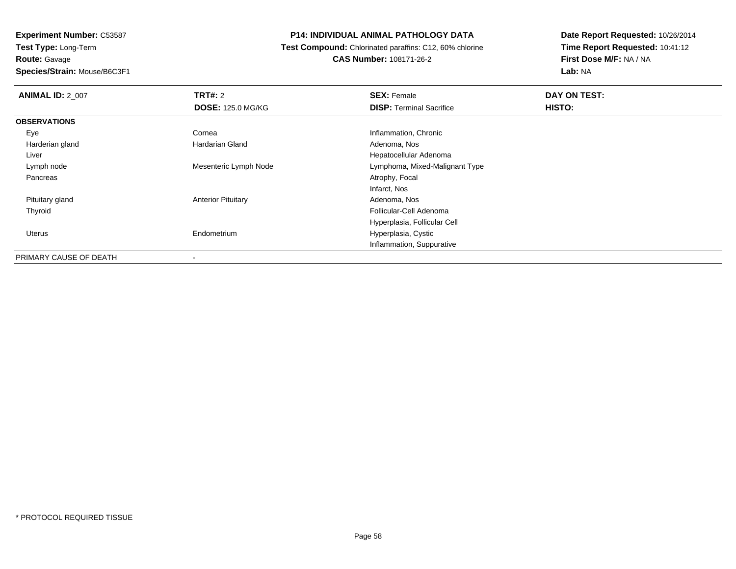# **Route:** Gavage

**Species/Strain:** Mouse/B6C3F1

#### **P14: INDIVIDUAL ANIMAL PATHOLOGY DATA**

 **Test Compound:** Chlorinated paraffins: C12, 60% chlorine**CAS Number:** 108171-26-2

| <b>ANIMAL ID: 2_007</b> | TRT#: 2                   | <b>SEX: Female</b>              | DAY ON TEST: |
|-------------------------|---------------------------|---------------------------------|--------------|
|                         | <b>DOSE: 125.0 MG/KG</b>  | <b>DISP: Terminal Sacrifice</b> | HISTO:       |
| <b>OBSERVATIONS</b>     |                           |                                 |              |
| Eye                     | Cornea                    | Inflammation, Chronic           |              |
| Harderian gland         | Hardarian Gland           | Adenoma, Nos                    |              |
| Liver                   |                           | Hepatocellular Adenoma          |              |
| Lymph node              | Mesenteric Lymph Node     | Lymphoma, Mixed-Malignant Type  |              |
| Pancreas                |                           | Atrophy, Focal                  |              |
|                         |                           | Infarct, Nos                    |              |
| Pituitary gland         | <b>Anterior Pituitary</b> | Adenoma, Nos                    |              |
| Thyroid                 |                           | Follicular-Cell Adenoma         |              |
|                         |                           | Hyperplasia, Follicular Cell    |              |
| Uterus                  | Endometrium               | Hyperplasia, Cystic             |              |
|                         |                           | Inflammation, Suppurative       |              |
| PRIMARY CAUSE OF DEATH  | ۰                         |                                 |              |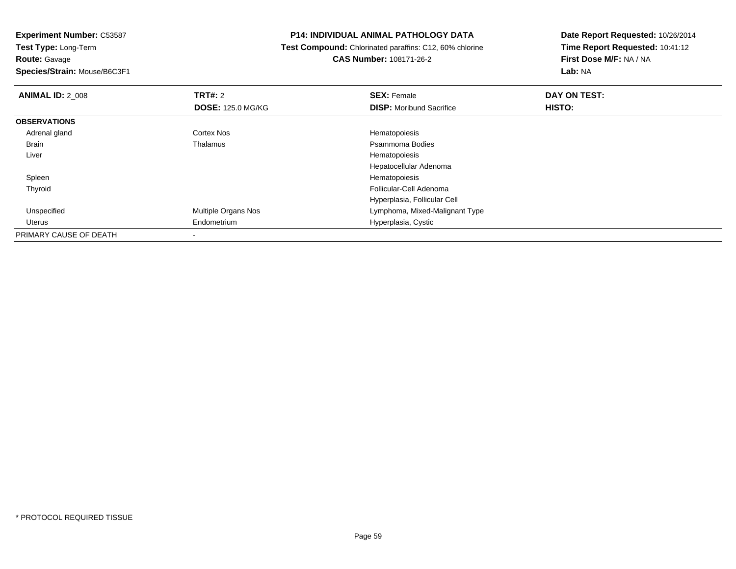**Route:** Gavage

**Species/Strain:** Mouse/B6C3F1

#### **P14: INDIVIDUAL ANIMAL PATHOLOGY DATA**

 **Test Compound:** Chlorinated paraffins: C12, 60% chlorine**CAS Number:** 108171-26-2

| <b>ANIMAL ID: 2 008</b> | TRT#: 2                    | <b>SEX: Female</b>              | DAY ON TEST: |  |
|-------------------------|----------------------------|---------------------------------|--------------|--|
|                         | <b>DOSE: 125.0 MG/KG</b>   | <b>DISP:</b> Moribund Sacrifice | HISTO:       |  |
| <b>OBSERVATIONS</b>     |                            |                                 |              |  |
| Adrenal gland           | <b>Cortex Nos</b>          | Hematopoiesis                   |              |  |
| Brain                   | Thalamus                   | Psammoma Bodies                 |              |  |
| Liver                   |                            | Hematopoiesis                   |              |  |
|                         |                            | Hepatocellular Adenoma          |              |  |
| Spleen                  |                            | Hematopoiesis                   |              |  |
| Thyroid                 |                            | Follicular-Cell Adenoma         |              |  |
|                         |                            | Hyperplasia, Follicular Cell    |              |  |
| Unspecified             | <b>Multiple Organs Nos</b> | Lymphoma, Mixed-Malignant Type  |              |  |
| Uterus                  | Endometrium                | Hyperplasia, Cystic             |              |  |
| PRIMARY CAUSE OF DEATH  |                            |                                 |              |  |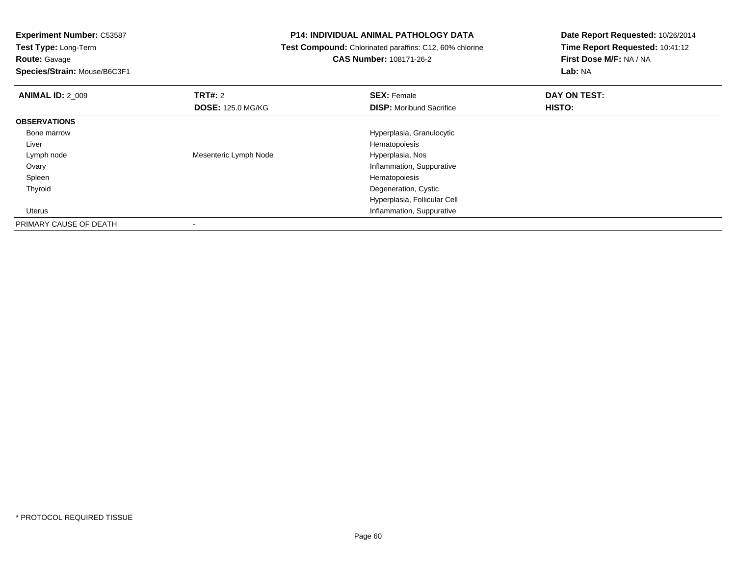**Route:** Gavage

**Species/Strain:** Mouse/B6C3F1

#### **P14: INDIVIDUAL ANIMAL PATHOLOGY DATA**

**Test Compound:** Chlorinated paraffins: C12, 60% chlorine

**CAS Number:** 108171-26-2

| <b>ANIMAL ID: 2 009</b> | TRT#: 2                  | <b>SEX: Female</b>              | DAY ON TEST: |  |
|-------------------------|--------------------------|---------------------------------|--------------|--|
|                         | <b>DOSE: 125.0 MG/KG</b> | <b>DISP:</b> Moribund Sacrifice | HISTO:       |  |
| <b>OBSERVATIONS</b>     |                          |                                 |              |  |
| Bone marrow             |                          | Hyperplasia, Granulocytic       |              |  |
| Liver                   |                          | Hematopoiesis                   |              |  |
| Lymph node              | Mesenteric Lymph Node    | Hyperplasia, Nos                |              |  |
| Ovary                   |                          | Inflammation, Suppurative       |              |  |
| Spleen                  |                          | Hematopoiesis                   |              |  |
| Thyroid                 |                          | Degeneration, Cystic            |              |  |
|                         |                          | Hyperplasia, Follicular Cell    |              |  |
| Uterus                  |                          | Inflammation, Suppurative       |              |  |
| PRIMARY CAUSE OF DEATH  |                          |                                 |              |  |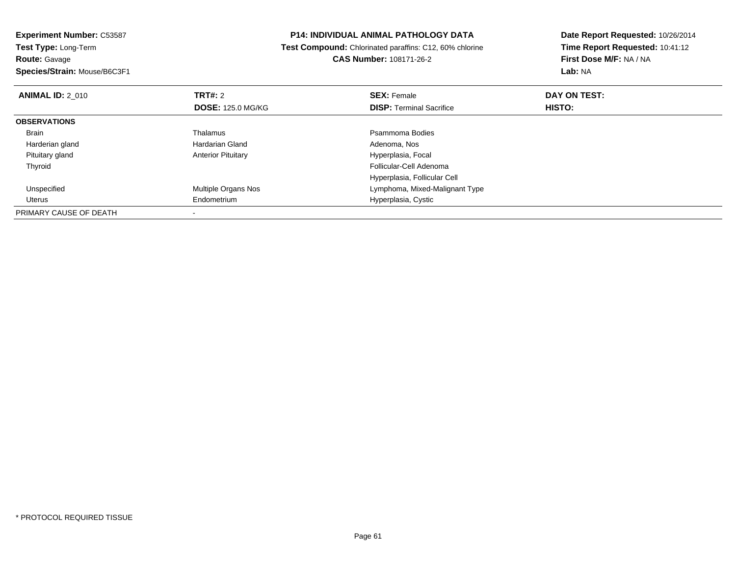| <b>Experiment Number: C53587</b>             | <b>P14: INDIVIDUAL ANIMAL PATHOLOGY DATA</b>            | Date Report Requested: 10/26/2014 |  |
|----------------------------------------------|---------------------------------------------------------|-----------------------------------|--|
| <b>Test Type: Long-Term</b>                  | Test Compound: Chlorinated paraffins: C12, 60% chlorine | Time Report Requested: 10:41:12   |  |
| Route: Gavage                                | <b>CAS Number: 108171-26-2</b>                          | First Dose M/F: NA / NA           |  |
| Species/Strain: Mouse/B6C3F1                 |                                                         | Lab: NA                           |  |
| <b>TRT#:</b> 2<br><b>ANIMAL ID: 2 010</b>    | <b>SEX: Female</b>                                      | DAY ON TEST:                      |  |
| <b>DOSE: 125.0 MG/KG</b>                     | <b>DISP: Terminal Sacrifice</b>                         | HISTO:                            |  |
| <b>OBSERVATIONS</b>                          |                                                         |                                   |  |
| <b>Thalamus</b><br>Brain                     | Psammoma Bodies                                         |                                   |  |
| Harderian gland<br>Hardarian Gland           | Adenoma, Nos                                            |                                   |  |
| Pituitary gland<br><b>Anterior Pituitary</b> | Hyperplasia, Focal                                      |                                   |  |
| Thyroid                                      | Follicular-Cell Adenoma                                 |                                   |  |
|                                              | Hyperplasia, Follicular Cell                            |                                   |  |
| Multiple Organs Nos<br>Unspecified           | Lymphoma, Mixed-Malignant Type                          |                                   |  |
| Endometrium<br>Uterus                        | Hyperplasia, Cystic                                     |                                   |  |
| PRIMARY CAUSE OF DEATH                       |                                                         |                                   |  |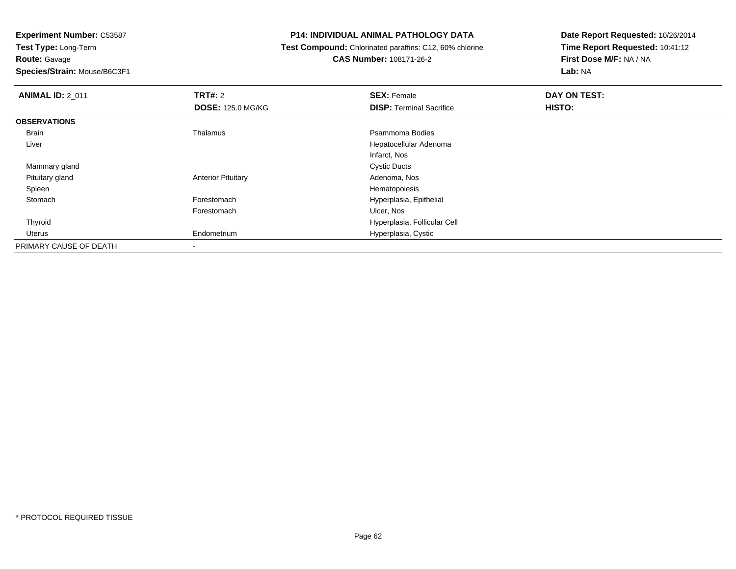**Route:** Gavage

**Species/Strain:** Mouse/B6C3F1

#### **P14: INDIVIDUAL ANIMAL PATHOLOGY DATA**

 **Test Compound:** Chlorinated paraffins: C12, 60% chlorine**CAS Number:** 108171-26-2

| <b>ANIMAL ID: 2 011</b> | <b>TRT#: 2</b>            | <b>SEX: Female</b>              | DAY ON TEST: |  |
|-------------------------|---------------------------|---------------------------------|--------------|--|
|                         | <b>DOSE: 125.0 MG/KG</b>  | <b>DISP: Terminal Sacrifice</b> | HISTO:       |  |
| <b>OBSERVATIONS</b>     |                           |                                 |              |  |
| Brain                   | Thalamus                  | Psammoma Bodies                 |              |  |
| Liver                   |                           | Hepatocellular Adenoma          |              |  |
|                         |                           | Infarct, Nos                    |              |  |
| Mammary gland           |                           | <b>Cystic Ducts</b>             |              |  |
| Pituitary gland         | <b>Anterior Pituitary</b> | Adenoma, Nos                    |              |  |
| Spleen                  |                           | Hematopoiesis                   |              |  |
| Stomach                 | Forestomach               | Hyperplasia, Epithelial         |              |  |
|                         | Forestomach               | Ulcer, Nos                      |              |  |
| Thyroid                 |                           | Hyperplasia, Follicular Cell    |              |  |
| Uterus                  | Endometrium               | Hyperplasia, Cystic             |              |  |
| PRIMARY CAUSE OF DEATH  |                           |                                 |              |  |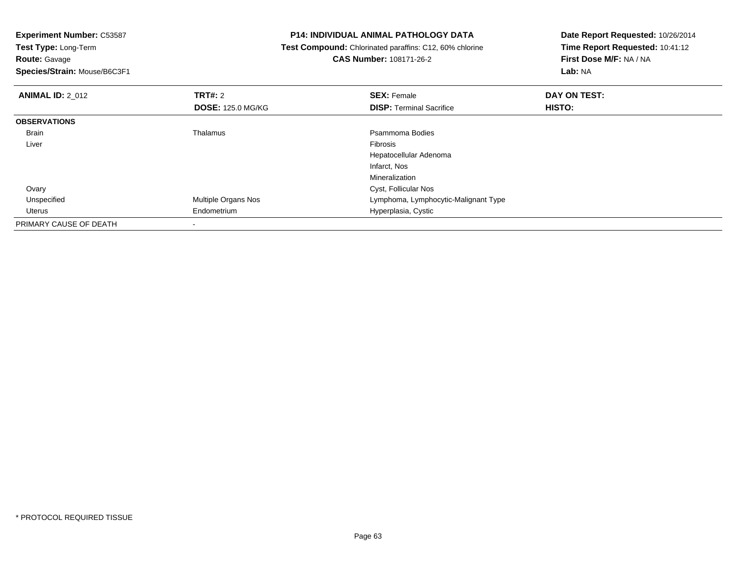| <b>Experiment Number: C53587</b> |                          | <b>P14: INDIVIDUAL ANIMAL PATHOLOGY DATA</b>            | Date Report Requested: 10/26/2014 |
|----------------------------------|--------------------------|---------------------------------------------------------|-----------------------------------|
| Test Type: Long-Term             |                          | Test Compound: Chlorinated paraffins: C12, 60% chlorine | Time Report Requested: 10:41:12   |
| <b>Route: Gavage</b>             |                          | <b>CAS Number: 108171-26-2</b>                          | First Dose M/F: NA / NA           |
| Species/Strain: Mouse/B6C3F1     |                          |                                                         | Lab: NA                           |
| <b>ANIMAL ID: 2 012</b>          | <b>TRT#: 2</b>           | <b>SEX: Female</b>                                      | DAY ON TEST:                      |
|                                  | <b>DOSE: 125.0 MG/KG</b> | <b>DISP:</b> Terminal Sacrifice                         | HISTO:                            |
| <b>OBSERVATIONS</b>              |                          |                                                         |                                   |
| Brain                            | <b>Thalamus</b>          | Psammoma Bodies                                         |                                   |
| Liver                            |                          | <b>Fibrosis</b>                                         |                                   |
|                                  |                          | Hepatocellular Adenoma                                  |                                   |
|                                  |                          | Infarct, Nos                                            |                                   |
|                                  |                          | Mineralization                                          |                                   |
| Ovary                            |                          | Cyst, Follicular Nos                                    |                                   |
| Unspecified                      | Multiple Organs Nos      | Lymphoma, Lymphocytic-Malignant Type                    |                                   |
| Uterus                           | Endometrium              | Hyperplasia, Cystic                                     |                                   |
| PRIMARY CAUSE OF DEATH           |                          |                                                         |                                   |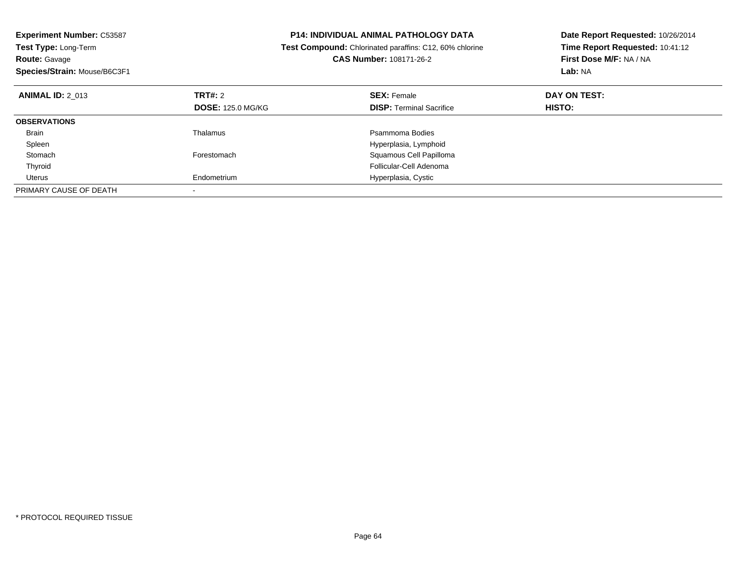| <b>Experiment Number: C53587</b><br><b>Test Type: Long-Term</b><br><b>Route: Gavage</b><br>Species/Strain: Mouse/B6C3F1 |                          | <b>P14: INDIVIDUAL ANIMAL PATHOLOGY DATA</b><br><b>Test Compound:</b> Chlorinated paraffins: C12, 60% chlorine<br>CAS Number: 108171-26-2 | Date Report Requested: 10/26/2014<br>Time Report Requested: 10:41:12<br>First Dose M/F: NA / NA<br>Lab: NA |
|-------------------------------------------------------------------------------------------------------------------------|--------------------------|-------------------------------------------------------------------------------------------------------------------------------------------|------------------------------------------------------------------------------------------------------------|
| <b>ANIMAL ID: 2 013</b>                                                                                                 | TRT#: 2                  | <b>SEX: Female</b>                                                                                                                        | DAY ON TEST:                                                                                               |
|                                                                                                                         | <b>DOSE: 125.0 MG/KG</b> | <b>DISP:</b> Terminal Sacrifice                                                                                                           | HISTO:                                                                                                     |
| <b>OBSERVATIONS</b>                                                                                                     |                          |                                                                                                                                           |                                                                                                            |
| Brain                                                                                                                   | Thalamus                 | Psammoma Bodies                                                                                                                           |                                                                                                            |
| Spleen                                                                                                                  |                          | Hyperplasia, Lymphoid                                                                                                                     |                                                                                                            |
| Stomach                                                                                                                 | Forestomach              | Squamous Cell Papilloma                                                                                                                   |                                                                                                            |
| Thyroid                                                                                                                 |                          | Follicular-Cell Adenoma                                                                                                                   |                                                                                                            |
| Uterus                                                                                                                  | Endometrium              | Hyperplasia, Cystic                                                                                                                       |                                                                                                            |
| PRIMARY CAUSE OF DEATH                                                                                                  |                          |                                                                                                                                           |                                                                                                            |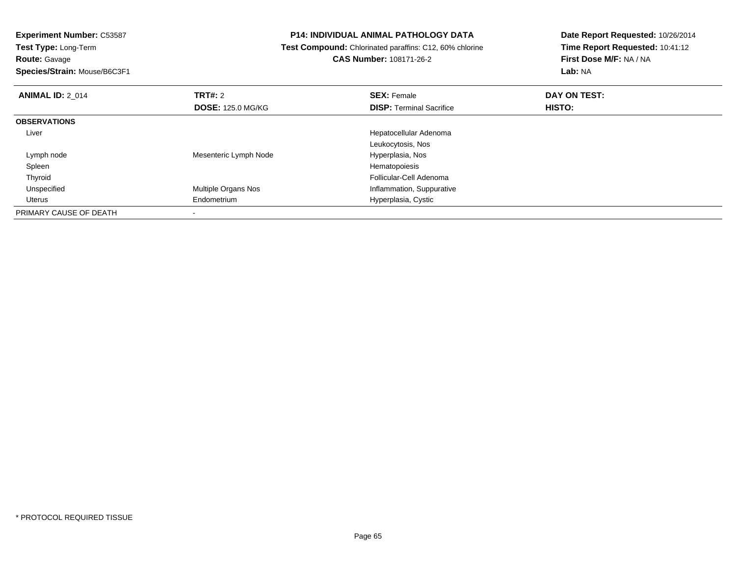## **Route:** Gavage

**Species/Strain:** Mouse/B6C3F1

#### **P14: INDIVIDUAL ANIMAL PATHOLOGY DATA**

### **Test Compound:** Chlorinated paraffins: C12, 60% chlorine**CAS Number:** 108171-26-2

| <b>ANIMAL ID: 2 014</b> | <b>TRT#: 2</b>           | <b>SEX: Female</b>              | DAY ON TEST: |  |
|-------------------------|--------------------------|---------------------------------|--------------|--|
|                         | <b>DOSE: 125.0 MG/KG</b> | <b>DISP: Terminal Sacrifice</b> | HISTO:       |  |
| <b>OBSERVATIONS</b>     |                          |                                 |              |  |
| Liver                   |                          | Hepatocellular Adenoma          |              |  |
|                         |                          | Leukocytosis, Nos               |              |  |
| Lymph node              | Mesenteric Lymph Node    | Hyperplasia, Nos                |              |  |
| Spleen                  |                          | Hematopoiesis                   |              |  |
| Thyroid                 |                          | Follicular-Cell Adenoma         |              |  |
| Unspecified             | Multiple Organs Nos      | Inflammation, Suppurative       |              |  |
| Uterus                  | Endometrium              | Hyperplasia, Cystic             |              |  |
| PRIMARY CAUSE OF DEATH  |                          |                                 |              |  |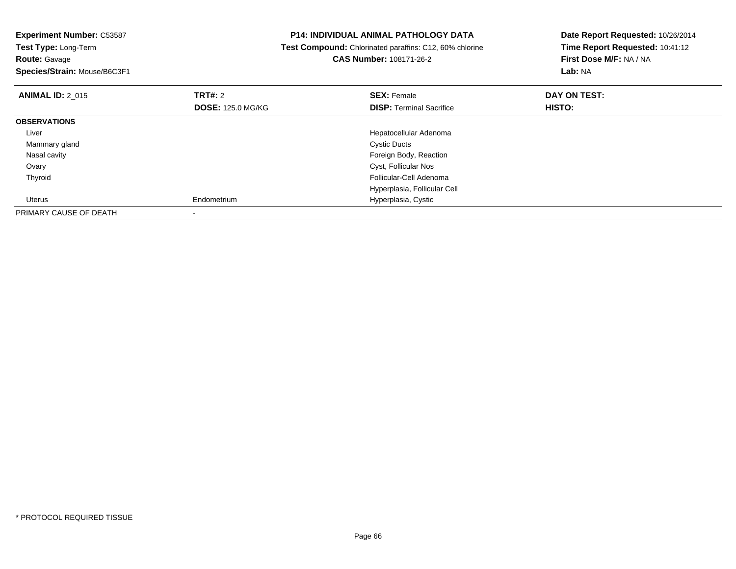| <b>Experiment Number: C53587</b><br>Test Type: Long-Term<br><b>Route: Gavage</b><br>Species/Strain: Mouse/B6C3F1 |                          | <b>P14: INDIVIDUAL ANIMAL PATHOLOGY DATA</b><br>Test Compound: Chlorinated paraffins: C12, 60% chlorine<br><b>CAS Number: 108171-26-2</b> | Date Report Requested: 10/26/2014<br>Time Report Requested: 10:41:12<br>First Dose M/F: NA / NA<br>Lab: NA |
|------------------------------------------------------------------------------------------------------------------|--------------------------|-------------------------------------------------------------------------------------------------------------------------------------------|------------------------------------------------------------------------------------------------------------|
| <b>ANIMAL ID: 2 015</b>                                                                                          | <b>TRT#:</b> 2           | <b>SEX: Female</b>                                                                                                                        | DAY ON TEST:                                                                                               |
|                                                                                                                  | <b>DOSE: 125.0 MG/KG</b> | <b>DISP:</b> Terminal Sacrifice                                                                                                           | HISTO:                                                                                                     |
| <b>OBSERVATIONS</b>                                                                                              |                          |                                                                                                                                           |                                                                                                            |
| Liver                                                                                                            |                          | Hepatocellular Adenoma                                                                                                                    |                                                                                                            |
| Mammary gland                                                                                                    |                          | <b>Cystic Ducts</b>                                                                                                                       |                                                                                                            |
| Nasal cavity                                                                                                     |                          | Foreign Body, Reaction                                                                                                                    |                                                                                                            |
| Ovary                                                                                                            |                          | Cyst, Follicular Nos                                                                                                                      |                                                                                                            |
| Thyroid                                                                                                          |                          | Follicular-Cell Adenoma                                                                                                                   |                                                                                                            |
|                                                                                                                  |                          | Hyperplasia, Follicular Cell                                                                                                              |                                                                                                            |
| Uterus                                                                                                           | Endometrium              | Hyperplasia, Cystic                                                                                                                       |                                                                                                            |
| PRIMARY CAUSE OF DEATH                                                                                           |                          |                                                                                                                                           |                                                                                                            |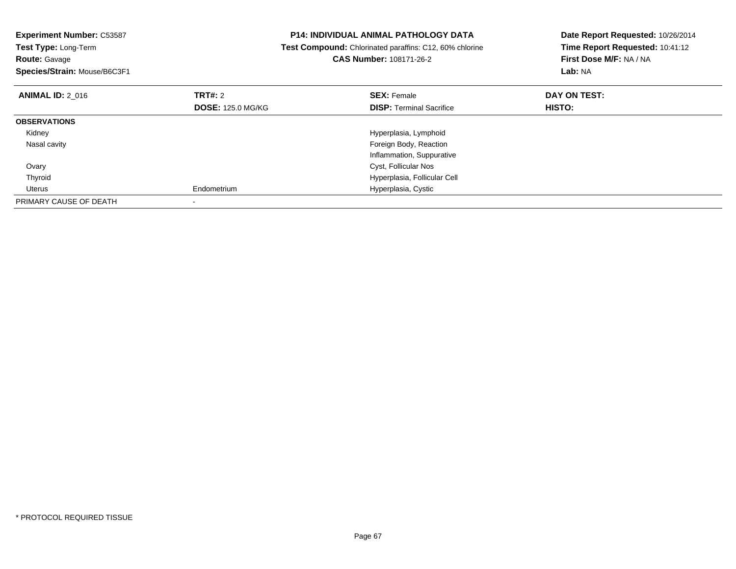| <b>Experiment Number: C53587</b><br>Test Type: Long-Term<br><b>Route: Gavage</b><br>Species/Strain: Mouse/B6C3F1 |                          | P14: INDIVIDUAL ANIMAL PATHOLOGY DATA<br>Test Compound: Chlorinated paraffins: C12, 60% chlorine<br><b>CAS Number: 108171-26-2</b> | Date Report Requested: 10/26/2014<br>Time Report Requested: 10:41:12<br>First Dose M/F: NA / NA<br>Lab: NA |
|------------------------------------------------------------------------------------------------------------------|--------------------------|------------------------------------------------------------------------------------------------------------------------------------|------------------------------------------------------------------------------------------------------------|
| <b>ANIMAL ID: 2_016</b>                                                                                          | TRT#: 2                  | <b>SEX: Female</b>                                                                                                                 | DAY ON TEST:                                                                                               |
|                                                                                                                  | <b>DOSE: 125.0 MG/KG</b> | <b>DISP:</b> Terminal Sacrifice                                                                                                    | HISTO:                                                                                                     |
| <b>OBSERVATIONS</b>                                                                                              |                          |                                                                                                                                    |                                                                                                            |
| Kidney                                                                                                           |                          | Hyperplasia, Lymphoid                                                                                                              |                                                                                                            |
| Nasal cavity                                                                                                     |                          | Foreign Body, Reaction                                                                                                             |                                                                                                            |
|                                                                                                                  |                          | Inflammation, Suppurative                                                                                                          |                                                                                                            |
| Ovary                                                                                                            |                          | Cyst, Follicular Nos                                                                                                               |                                                                                                            |
| Thyroid                                                                                                          |                          | Hyperplasia, Follicular Cell                                                                                                       |                                                                                                            |
| Uterus                                                                                                           | Endometrium              | Hyperplasia, Cystic                                                                                                                |                                                                                                            |
| PRIMARY CAUSE OF DEATH                                                                                           |                          |                                                                                                                                    |                                                                                                            |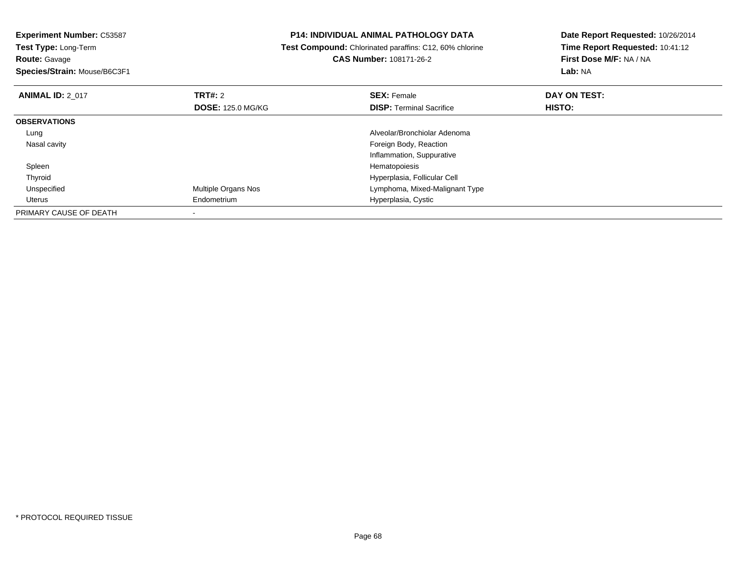| <b>Experiment Number: C53587</b><br>Test Type: Long-Term |                          | <b>P14: INDIVIDUAL ANIMAL PATHOLOGY DATA</b>            | Date Report Requested: 10/26/2014 |
|----------------------------------------------------------|--------------------------|---------------------------------------------------------|-----------------------------------|
|                                                          |                          | Test Compound: Chlorinated paraffins: C12, 60% chlorine | Time Report Requested: 10:41:12   |
| <b>Route: Gavage</b>                                     |                          | CAS Number: 108171-26-2                                 | First Dose M/F: NA / NA           |
| Species/Strain: Mouse/B6C3F1                             |                          |                                                         | Lab: NA                           |
| <b>ANIMAL ID: 2 017</b>                                  | <b>TRT#:</b> 2           | <b>SEX: Female</b>                                      | DAY ON TEST:                      |
|                                                          | <b>DOSE: 125.0 MG/KG</b> | <b>DISP:</b> Terminal Sacrifice                         | HISTO:                            |
| <b>OBSERVATIONS</b>                                      |                          |                                                         |                                   |
| Lung                                                     |                          | Alveolar/Bronchiolar Adenoma                            |                                   |
| Nasal cavity                                             |                          | Foreign Body, Reaction                                  |                                   |
|                                                          |                          | Inflammation, Suppurative                               |                                   |
| Spleen                                                   |                          | Hematopoiesis                                           |                                   |
| Thyroid                                                  |                          | Hyperplasia, Follicular Cell                            |                                   |
| Unspecified                                              | Multiple Organs Nos      | Lymphoma, Mixed-Malignant Type                          |                                   |
| Uterus                                                   | Endometrium              | Hyperplasia, Cystic                                     |                                   |
| PRIMARY CAUSE OF DEATH                                   |                          |                                                         |                                   |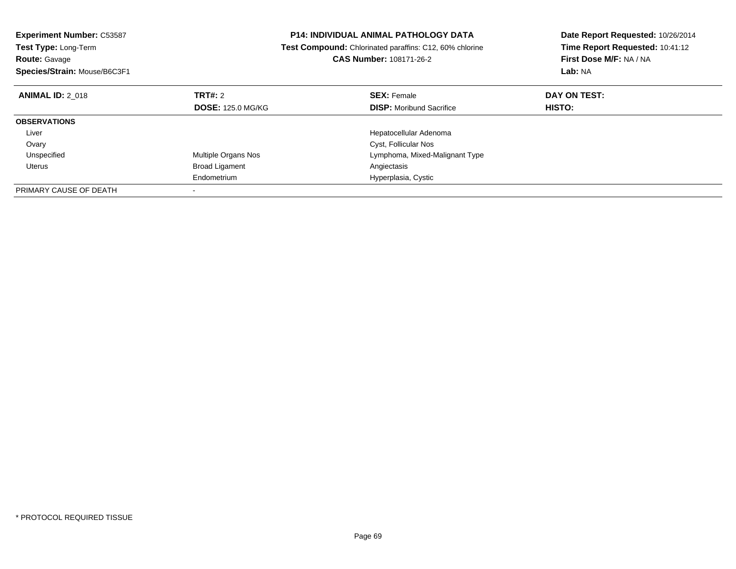| <b>Experiment Number: C53587</b><br>Test Type: Long-Term |                          | <b>P14: INDIVIDUAL ANIMAL PATHOLOGY DATA</b>            | Date Report Requested: 10/26/2014 |
|----------------------------------------------------------|--------------------------|---------------------------------------------------------|-----------------------------------|
|                                                          |                          | Test Compound: Chlorinated paraffins: C12, 60% chlorine | Time Report Requested: 10:41:12   |
| <b>Route: Gavage</b>                                     |                          | CAS Number: 108171-26-2                                 | First Dose M/F: NA / NA           |
| Species/Strain: Mouse/B6C3F1                             |                          |                                                         | Lab: NA                           |
| <b>ANIMAL ID: 2 018</b>                                  | TRT#: 2                  | <b>SEX: Female</b>                                      | DAY ON TEST:                      |
|                                                          | <b>DOSE: 125.0 MG/KG</b> | <b>DISP:</b> Moribund Sacrifice                         | HISTO:                            |
| <b>OBSERVATIONS</b>                                      |                          |                                                         |                                   |
| Liver                                                    |                          | Hepatocellular Adenoma                                  |                                   |
| Ovary                                                    |                          | Cyst, Follicular Nos                                    |                                   |
| Unspecified                                              | Multiple Organs Nos      | Lymphoma, Mixed-Malignant Type                          |                                   |
| Uterus                                                   | <b>Broad Ligament</b>    | Angiectasis                                             |                                   |
|                                                          | Endometrium              | Hyperplasia, Cystic                                     |                                   |
| PRIMARY CAUSE OF DEATH                                   |                          |                                                         |                                   |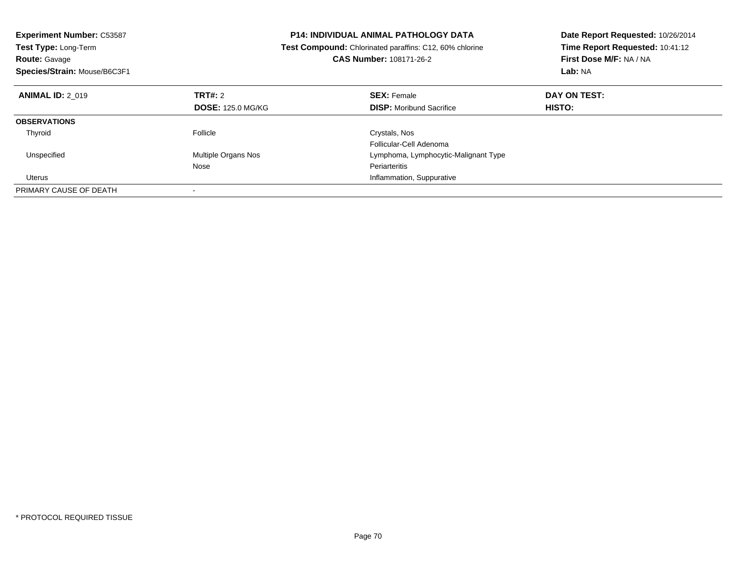| <b>Experiment Number: C53587</b><br>Test Type: Long-Term<br><b>Route: Gavage</b><br>Species/Strain: Mouse/B6C3F1 |                          | <b>P14: INDIVIDUAL ANIMAL PATHOLOGY DATA</b><br>Test Compound: Chlorinated paraffins: C12, 60% chlorine<br><b>CAS Number: 108171-26-2</b> | Date Report Requested: 10/26/2014<br>Time Report Requested: 10:41:12<br>First Dose M/F: NA / NA<br>Lab: NA |
|------------------------------------------------------------------------------------------------------------------|--------------------------|-------------------------------------------------------------------------------------------------------------------------------------------|------------------------------------------------------------------------------------------------------------|
| <b>ANIMAL ID: 2 019</b>                                                                                          | TRT#: 2                  | <b>SEX: Female</b>                                                                                                                        | DAY ON TEST:                                                                                               |
|                                                                                                                  | <b>DOSE: 125.0 MG/KG</b> | <b>DISP:</b> Moribund Sacrifice                                                                                                           | HISTO:                                                                                                     |
| <b>OBSERVATIONS</b>                                                                                              |                          |                                                                                                                                           |                                                                                                            |
| Thyroid                                                                                                          | Follicle                 | Crystals, Nos                                                                                                                             |                                                                                                            |
|                                                                                                                  |                          | Follicular-Cell Adenoma                                                                                                                   |                                                                                                            |
| Unspecified                                                                                                      | Multiple Organs Nos      | Lymphoma, Lymphocytic-Malignant Type                                                                                                      |                                                                                                            |
|                                                                                                                  | Nose                     | Periarteritis                                                                                                                             |                                                                                                            |
| Uterus                                                                                                           |                          | Inflammation, Suppurative                                                                                                                 |                                                                                                            |
| PRIMARY CAUSE OF DEATH                                                                                           |                          |                                                                                                                                           |                                                                                                            |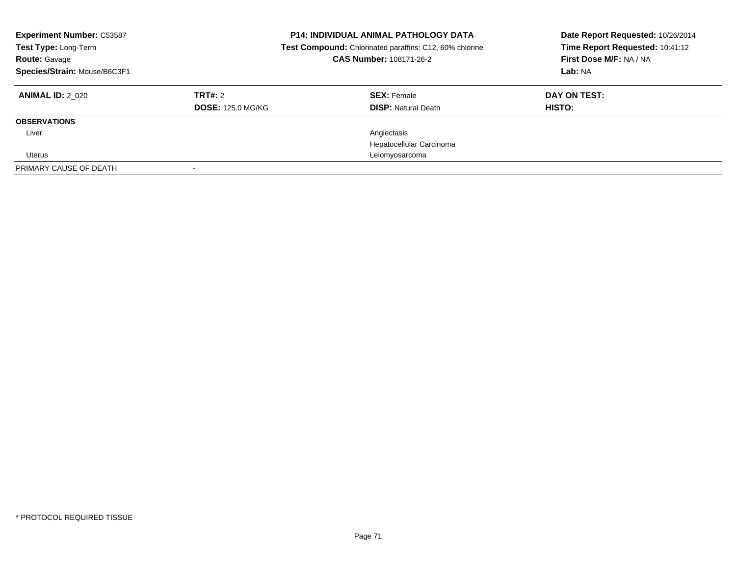| <b>Experiment Number: C53587</b><br>Test Type: Long-Term<br><b>Route: Gavage</b><br>Species/Strain: Mouse/B6C3F1 |                                     | <b>P14: INDIVIDUAL ANIMAL PATHOLOGY DATA</b><br>Test Compound: Chlorinated paraffins: C12, 60% chlorine<br>CAS Number: 108171-26-2 | Date Report Requested: 10/26/2014<br>Time Report Requested: 10:41:12<br>First Dose M/F: NA / NA<br>Lab: NA |
|------------------------------------------------------------------------------------------------------------------|-------------------------------------|------------------------------------------------------------------------------------------------------------------------------------|------------------------------------------------------------------------------------------------------------|
| <b>ANIMAL ID: 2 020</b>                                                                                          | TRT#: 2<br><b>DOSE: 125.0 MG/KG</b> | <b>SEX: Female</b><br><b>DISP: Natural Death</b>                                                                                   | DAY ON TEST:<br>HISTO:                                                                                     |
| <b>OBSERVATIONS</b>                                                                                              |                                     |                                                                                                                                    |                                                                                                            |
| Liver                                                                                                            |                                     | Angiectasis                                                                                                                        |                                                                                                            |
|                                                                                                                  |                                     | Hepatocellular Carcinoma                                                                                                           |                                                                                                            |
| Uterus                                                                                                           |                                     | Leiomyosarcoma                                                                                                                     |                                                                                                            |
| PRIMARY CAUSE OF DEATH                                                                                           |                                     |                                                                                                                                    |                                                                                                            |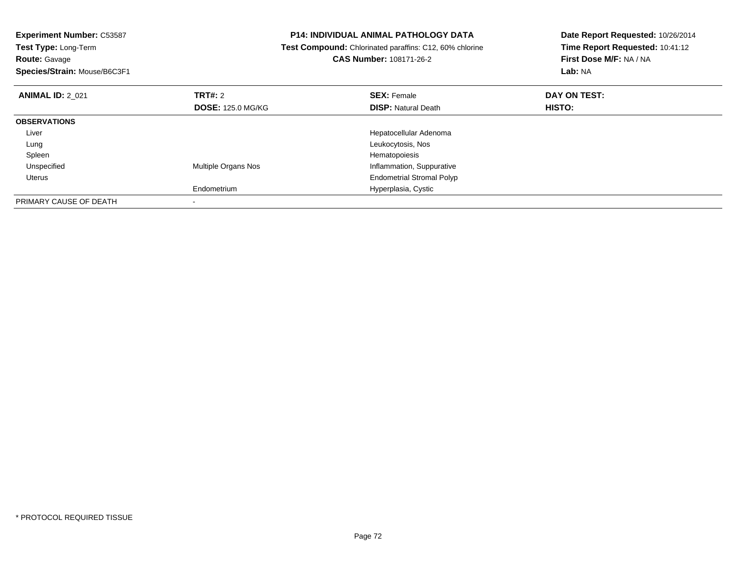| <b>P14: INDIVIDUAL ANIMAL PATHOLOGY DATA</b><br><b>Experiment Number: C53587</b><br>Test Type: Long-Term<br><b>Test Compound:</b> Chlorinated paraffins: C12, 60% chlorine<br><b>CAS Number: 108171-26-2</b><br><b>Route: Gavage</b> |                          |                                  | Date Report Requested: 10/26/2014 |
|--------------------------------------------------------------------------------------------------------------------------------------------------------------------------------------------------------------------------------------|--------------------------|----------------------------------|-----------------------------------|
|                                                                                                                                                                                                                                      |                          |                                  | Time Report Requested: 10:41:12   |
|                                                                                                                                                                                                                                      |                          |                                  | First Dose M/F: NA / NA           |
| Species/Strain: Mouse/B6C3F1                                                                                                                                                                                                         |                          |                                  | Lab: NA                           |
| <b>ANIMAL ID: 2 021</b>                                                                                                                                                                                                              | <b>TRT#: 2</b>           | <b>SEX: Female</b>               | DAY ON TEST:                      |
|                                                                                                                                                                                                                                      | <b>DOSE: 125.0 MG/KG</b> | <b>DISP: Natural Death</b>       | HISTO:                            |
| <b>OBSERVATIONS</b>                                                                                                                                                                                                                  |                          |                                  |                                   |
| Liver                                                                                                                                                                                                                                |                          | Hepatocellular Adenoma           |                                   |
| Lung                                                                                                                                                                                                                                 |                          | Leukocytosis, Nos                |                                   |
| Spleen                                                                                                                                                                                                                               |                          | Hematopoiesis                    |                                   |
| Unspecified                                                                                                                                                                                                                          | Multiple Organs Nos      | Inflammation, Suppurative        |                                   |
| Uterus                                                                                                                                                                                                                               |                          | <b>Endometrial Stromal Polyp</b> |                                   |
|                                                                                                                                                                                                                                      | Endometrium              | Hyperplasia, Cystic              |                                   |
| PRIMARY CAUSE OF DEATH                                                                                                                                                                                                               |                          |                                  |                                   |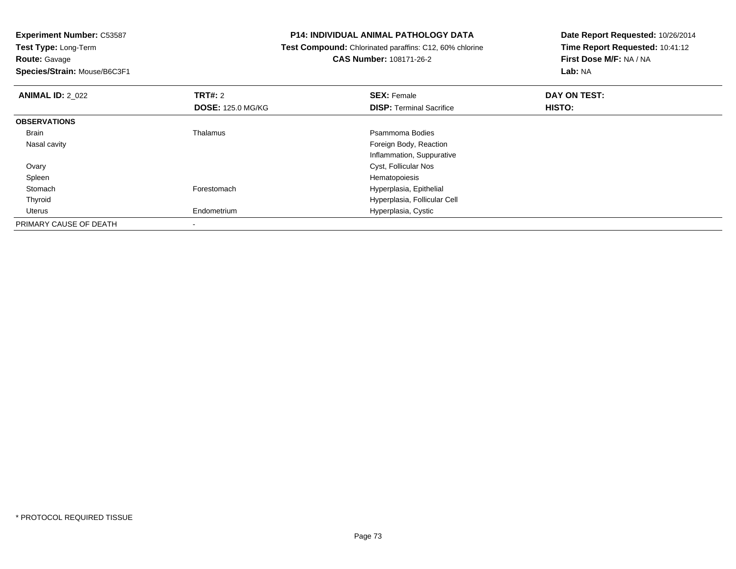**Route:** Gavage

**Species/Strain:** Mouse/B6C3F1

## **P14: INDIVIDUAL ANIMAL PATHOLOGY DATA**

 **Test Compound:** Chlorinated paraffins: C12, 60% chlorine**CAS Number:** 108171-26-2

| <b>ANIMAL ID: 2 022</b> | TRT#: 2                  | <b>SEX: Female</b>              | DAY ON TEST: |  |
|-------------------------|--------------------------|---------------------------------|--------------|--|
|                         | <b>DOSE: 125.0 MG/KG</b> | <b>DISP: Terminal Sacrifice</b> | HISTO:       |  |
| <b>OBSERVATIONS</b>     |                          |                                 |              |  |
| Brain                   | Thalamus                 | Psammoma Bodies                 |              |  |
| Nasal cavity            |                          | Foreign Body, Reaction          |              |  |
|                         |                          | Inflammation, Suppurative       |              |  |
| Ovary                   |                          | Cyst, Follicular Nos            |              |  |
| Spleen                  |                          | Hematopoiesis                   |              |  |
| Stomach                 | Forestomach              | Hyperplasia, Epithelial         |              |  |
| Thyroid                 |                          | Hyperplasia, Follicular Cell    |              |  |
| Uterus                  | Endometrium              | Hyperplasia, Cystic             |              |  |
| PRIMARY CAUSE OF DEATH  |                          |                                 |              |  |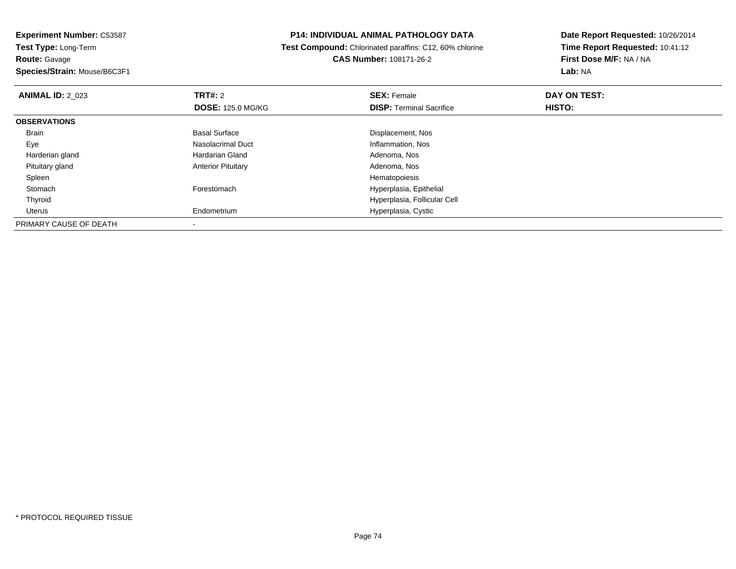**Experiment Number:** C53587**Test Type:** Long-Term**Route:** Gavage**Species/Strain:** Mouse/B6C3F1

## **P14: INDIVIDUAL ANIMAL PATHOLOGY DATA**

 **Test Compound:** Chlorinated paraffins: C12, 60% chlorine**CAS Number:** 108171-26-2

| <b>ANIMAL ID: 2 023</b> | TRT#: 2                   | <b>SEX: Female</b>              | DAY ON TEST: |  |
|-------------------------|---------------------------|---------------------------------|--------------|--|
|                         | <b>DOSE: 125.0 MG/KG</b>  | <b>DISP:</b> Terminal Sacrifice | HISTO:       |  |
| <b>OBSERVATIONS</b>     |                           |                                 |              |  |
| Brain                   | <b>Basal Surface</b>      | Displacement, Nos               |              |  |
| Eye                     | Nasolacrimal Duct         | Inflammation, Nos               |              |  |
| Harderian gland         | Hardarian Gland           | Adenoma, Nos                    |              |  |
| Pituitary gland         | <b>Anterior Pituitary</b> | Adenoma, Nos                    |              |  |
| Spleen                  |                           | Hematopoiesis                   |              |  |
| Stomach                 | Forestomach               | Hyperplasia, Epithelial         |              |  |
| Thyroid                 |                           | Hyperplasia, Follicular Cell    |              |  |
| Uterus                  | Endometrium               | Hyperplasia, Cystic             |              |  |
| PRIMARY CAUSE OF DEATH  |                           |                                 |              |  |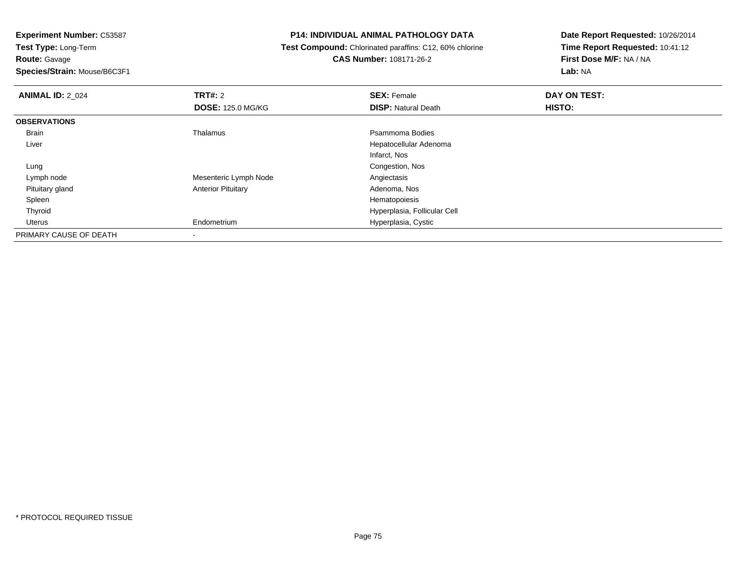**Route:** Gavage

**Species/Strain:** Mouse/B6C3F1

## **P14: INDIVIDUAL ANIMAL PATHOLOGY DATA**

 **Test Compound:** Chlorinated paraffins: C12, 60% chlorine**CAS Number:** 108171-26-2

| <b>ANIMAL ID: 2_024</b> | <b>TRT#: 2</b>            | <b>SEX: Female</b>           | DAY ON TEST: |
|-------------------------|---------------------------|------------------------------|--------------|
|                         | <b>DOSE: 125.0 MG/KG</b>  | <b>DISP: Natural Death</b>   | HISTO:       |
| <b>OBSERVATIONS</b>     |                           |                              |              |
| <b>Brain</b>            | Thalamus                  | Psammoma Bodies              |              |
| Liver                   |                           | Hepatocellular Adenoma       |              |
|                         |                           | Infarct, Nos                 |              |
| Lung                    |                           | Congestion, Nos              |              |
| Lymph node              | Mesenteric Lymph Node     | Angiectasis                  |              |
| Pituitary gland         | <b>Anterior Pituitary</b> | Adenoma, Nos                 |              |
| Spleen                  |                           | Hematopoiesis                |              |
| Thyroid                 |                           | Hyperplasia, Follicular Cell |              |
| Uterus                  | Endometrium               | Hyperplasia, Cystic          |              |
| PRIMARY CAUSE OF DEATH  |                           |                              |              |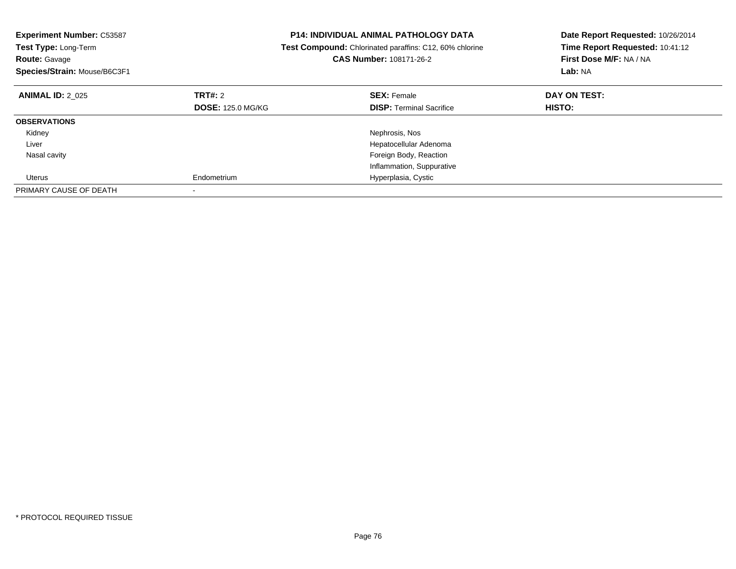| <b>Experiment Number: C53587</b><br>Test Type: Long-Term<br><b>Route: Gavage</b><br>Species/Strain: Mouse/B6C3F1 |                          | <b>P14: INDIVIDUAL ANIMAL PATHOLOGY DATA</b><br>Test Compound: Chlorinated paraffins: C12, 60% chlorine<br><b>CAS Number: 108171-26-2</b> | Date Report Requested: 10/26/2014<br>Time Report Requested: 10:41:12<br>First Dose M/F: NA / NA<br>Lab: NA |
|------------------------------------------------------------------------------------------------------------------|--------------------------|-------------------------------------------------------------------------------------------------------------------------------------------|------------------------------------------------------------------------------------------------------------|
| <b>ANIMAL ID: 2 025</b>                                                                                          | TRT#: 2                  | <b>SEX: Female</b>                                                                                                                        | DAY ON TEST:                                                                                               |
|                                                                                                                  | <b>DOSE: 125.0 MG/KG</b> | <b>DISP:</b> Terminal Sacrifice                                                                                                           | HISTO:                                                                                                     |
| <b>OBSERVATIONS</b>                                                                                              |                          |                                                                                                                                           |                                                                                                            |
| Kidney                                                                                                           |                          | Nephrosis, Nos                                                                                                                            |                                                                                                            |
| Liver                                                                                                            |                          | Hepatocellular Adenoma                                                                                                                    |                                                                                                            |
| Nasal cavity                                                                                                     |                          | Foreign Body, Reaction                                                                                                                    |                                                                                                            |
|                                                                                                                  |                          | Inflammation, Suppurative                                                                                                                 |                                                                                                            |
| Uterus                                                                                                           | Endometrium              | Hyperplasia, Cystic                                                                                                                       |                                                                                                            |
| PRIMARY CAUSE OF DEATH                                                                                           |                          |                                                                                                                                           |                                                                                                            |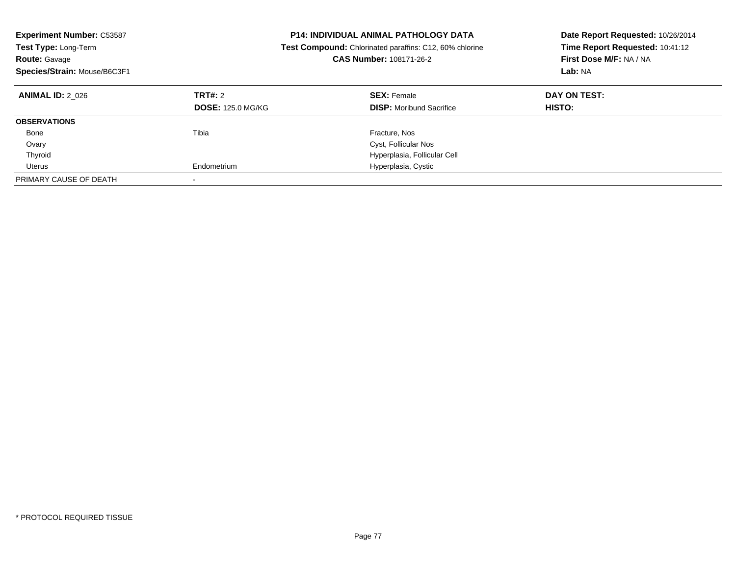| <b>Experiment Number: C53587</b><br><b>Test Type: Long-Term</b><br><b>Route: Gavage</b><br>Species/Strain: Mouse/B6C3F1 |                                     | <b>P14: INDIVIDUAL ANIMAL PATHOLOGY DATA</b><br><b>Test Compound:</b> Chlorinated paraffins: C12, 60% chlorine<br><b>CAS Number: 108171-26-2</b> | Date Report Requested: 10/26/2014<br>Time Report Requested: 10:41:12<br>First Dose M/F: NA / NA<br>Lab: NA |
|-------------------------------------------------------------------------------------------------------------------------|-------------------------------------|--------------------------------------------------------------------------------------------------------------------------------------------------|------------------------------------------------------------------------------------------------------------|
| <b>ANIMAL ID: 2 026</b>                                                                                                 | TRT#: 2<br><b>DOSE: 125.0 MG/KG</b> | <b>SEX: Female</b><br><b>DISP:</b> Moribund Sacrifice                                                                                            | DAY ON TEST:<br><b>HISTO:</b>                                                                              |
| <b>OBSERVATIONS</b>                                                                                                     |                                     |                                                                                                                                                  |                                                                                                            |
| Bone                                                                                                                    | Tibia                               | Fracture, Nos                                                                                                                                    |                                                                                                            |
| Ovary                                                                                                                   |                                     | Cyst, Follicular Nos                                                                                                                             |                                                                                                            |
| Thyroid                                                                                                                 |                                     | Hyperplasia, Follicular Cell                                                                                                                     |                                                                                                            |
| Uterus                                                                                                                  | Endometrium                         | Hyperplasia, Cystic                                                                                                                              |                                                                                                            |
| PRIMARY CAUSE OF DEATH                                                                                                  |                                     |                                                                                                                                                  |                                                                                                            |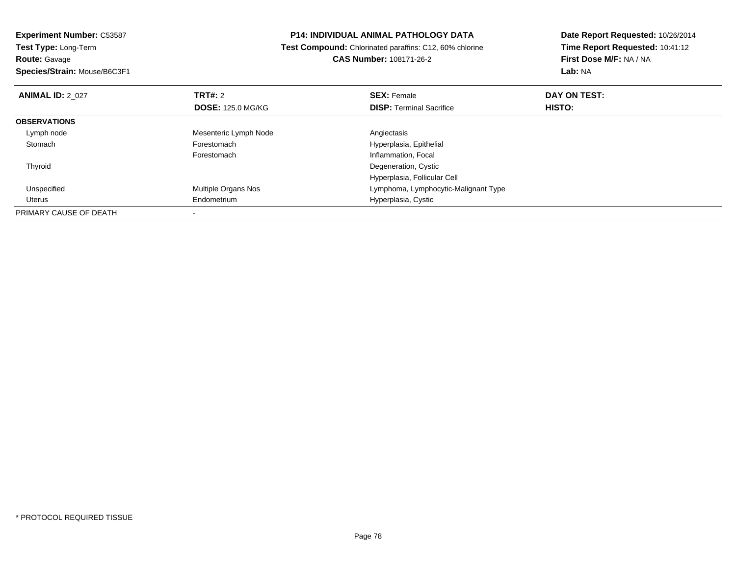| <b>Experiment Number: C53587</b> | <b>P14: INDIVIDUAL ANIMAL PATHOLOGY DATA</b><br><b>Test Compound:</b> Chlorinated paraffins: C12, 60% chlorine |                                      | Date Report Requested: 10/26/2014 |
|----------------------------------|----------------------------------------------------------------------------------------------------------------|--------------------------------------|-----------------------------------|
| Test Type: Long-Term             |                                                                                                                |                                      | Time Report Requested: 10:41:12   |
| <b>Route: Gavage</b>             |                                                                                                                | <b>CAS Number: 108171-26-2</b>       | First Dose M/F: NA / NA           |
| Species/Strain: Mouse/B6C3F1     |                                                                                                                |                                      | <b>Lab: NA</b>                    |
| <b>ANIMAL ID: 2 027</b>          | <b>TRT#: 2</b>                                                                                                 | <b>SEX: Female</b>                   | DAY ON TEST:                      |
|                                  | <b>DOSE: 125.0 MG/KG</b>                                                                                       | <b>DISP:</b> Terminal Sacrifice      | HISTO:                            |
| <b>OBSERVATIONS</b>              |                                                                                                                |                                      |                                   |
| Lymph node                       | Mesenteric Lymph Node                                                                                          | Angiectasis                          |                                   |
| Stomach                          | Forestomach                                                                                                    | Hyperplasia, Epithelial              |                                   |
|                                  | Forestomach                                                                                                    | Inflammation, Focal                  |                                   |
| Thyroid                          |                                                                                                                | Degeneration, Cystic                 |                                   |
|                                  |                                                                                                                | Hyperplasia, Follicular Cell         |                                   |
| Unspecified                      | Multiple Organs Nos                                                                                            | Lymphoma, Lymphocytic-Malignant Type |                                   |
| Uterus                           | Endometrium                                                                                                    | Hyperplasia, Cystic                  |                                   |
| PRIMARY CAUSE OF DEATH           |                                                                                                                |                                      |                                   |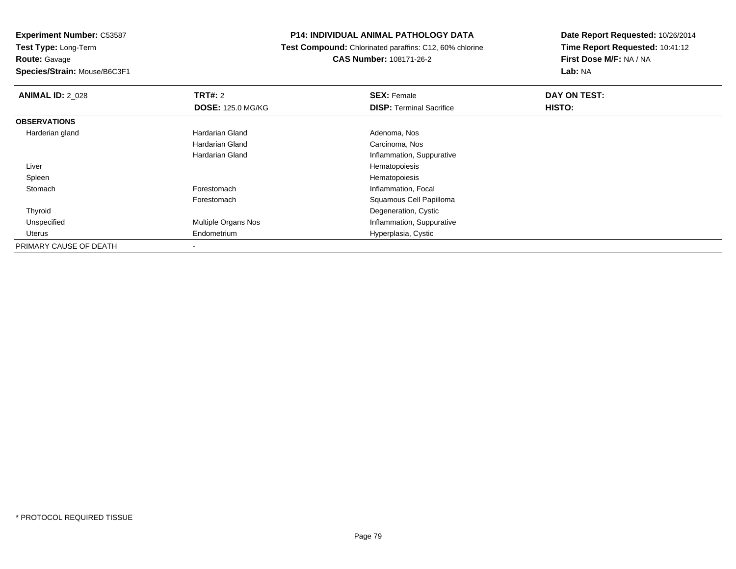**Experiment Number:** C53587**Test Type:** Long-Term**Route:** Gavage**Species/Strain:** Mouse/B6C3F1

## **P14: INDIVIDUAL ANIMAL PATHOLOGY DATA**

#### **Test Compound:** Chlorinated paraffins: C12, 60% chlorine**CAS Number:** 108171-26-2

| <b>ANIMAL ID: 2 028</b> | <b>TRT#: 2</b>           | <b>SEX: Female</b>              | DAY ON TEST:  |  |
|-------------------------|--------------------------|---------------------------------|---------------|--|
|                         | <b>DOSE: 125.0 MG/KG</b> | <b>DISP: Terminal Sacrifice</b> | <b>HISTO:</b> |  |
| <b>OBSERVATIONS</b>     |                          |                                 |               |  |
| Harderian gland         | Hardarian Gland          | Adenoma, Nos                    |               |  |
|                         | Hardarian Gland          | Carcinoma, Nos                  |               |  |
|                         | Hardarian Gland          | Inflammation, Suppurative       |               |  |
| Liver                   |                          | Hematopoiesis                   |               |  |
| Spleen                  |                          | Hematopoiesis                   |               |  |
| Stomach                 | Forestomach              | Inflammation, Focal             |               |  |
|                         | Forestomach              | Squamous Cell Papilloma         |               |  |
| Thyroid                 |                          | Degeneration, Cystic            |               |  |
| Unspecified             | Multiple Organs Nos      | Inflammation, Suppurative       |               |  |
| Uterus                  | Endometrium              | Hyperplasia, Cystic             |               |  |
| PRIMARY CAUSE OF DEATH  | ۰                        |                                 |               |  |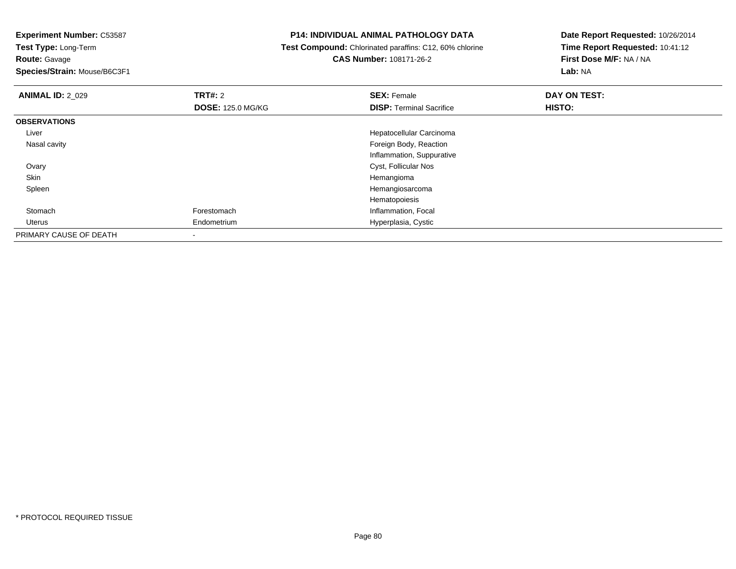**Experiment Number:** C53587

**Test Type:** Long-Term**Route:** Gavage

**Species/Strain:** Mouse/B6C3F1

## **P14: INDIVIDUAL ANIMAL PATHOLOGY DATA**

**Test Compound:** Chlorinated paraffins: C12, 60% chlorine

**CAS Number:** 108171-26-2

| <b>ANIMAL ID: 2 029</b> | TRT#: 2                  | <b>SEX: Female</b>              | DAY ON TEST: |  |
|-------------------------|--------------------------|---------------------------------|--------------|--|
|                         | <b>DOSE: 125.0 MG/KG</b> | <b>DISP: Terminal Sacrifice</b> | HISTO:       |  |
| <b>OBSERVATIONS</b>     |                          |                                 |              |  |
| Liver                   |                          | Hepatocellular Carcinoma        |              |  |
| Nasal cavity            |                          | Foreign Body, Reaction          |              |  |
|                         |                          | Inflammation, Suppurative       |              |  |
| Ovary                   |                          | Cyst, Follicular Nos            |              |  |
| Skin                    |                          | Hemangioma                      |              |  |
| Spleen                  |                          | Hemangiosarcoma                 |              |  |
|                         |                          | Hematopoiesis                   |              |  |
| Stomach                 | Forestomach              | Inflammation, Focal             |              |  |
| Uterus                  | Endometrium              | Hyperplasia, Cystic             |              |  |
| PRIMARY CAUSE OF DEATH  |                          |                                 |              |  |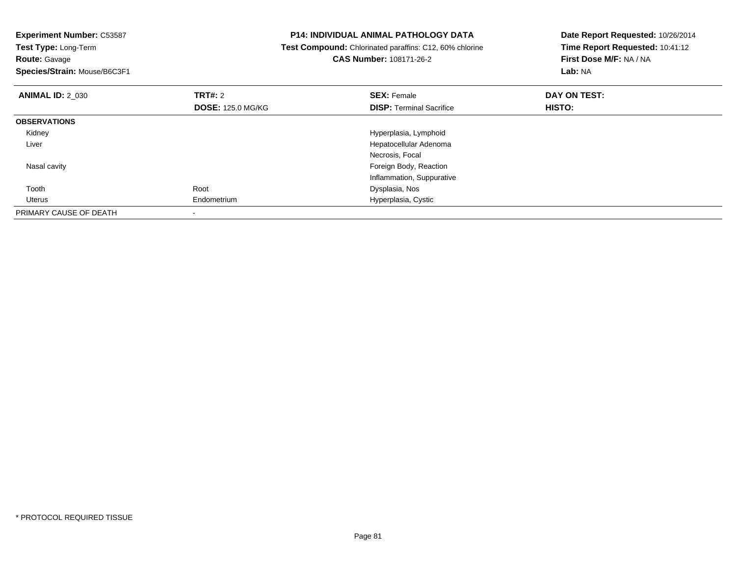| <b>Experiment Number: C53587</b><br>Test Type: Long-Term<br><b>Route: Gavage</b><br>Species/Strain: Mouse/B6C3F1 |                          | <b>P14: INDIVIDUAL ANIMAL PATHOLOGY DATA</b><br>Test Compound: Chlorinated paraffins: C12, 60% chlorine<br><b>CAS Number: 108171-26-2</b> | Date Report Requested: 10/26/2014<br>Time Report Requested: 10:41:12<br>First Dose M/F: NA / NA<br>Lab: NA |
|------------------------------------------------------------------------------------------------------------------|--------------------------|-------------------------------------------------------------------------------------------------------------------------------------------|------------------------------------------------------------------------------------------------------------|
| <b>ANIMAL ID: 2_030</b>                                                                                          | <b>TRT#: 2</b>           | <b>SEX: Female</b>                                                                                                                        | DAY ON TEST:                                                                                               |
|                                                                                                                  | <b>DOSE: 125.0 MG/KG</b> | <b>DISP:</b> Terminal Sacrifice                                                                                                           | HISTO:                                                                                                     |
| <b>OBSERVATIONS</b>                                                                                              |                          |                                                                                                                                           |                                                                                                            |
| Kidney                                                                                                           |                          | Hyperplasia, Lymphoid                                                                                                                     |                                                                                                            |
| Liver                                                                                                            |                          | Hepatocellular Adenoma                                                                                                                    |                                                                                                            |
|                                                                                                                  |                          | Necrosis, Focal                                                                                                                           |                                                                                                            |
| Nasal cavity                                                                                                     |                          | Foreign Body, Reaction                                                                                                                    |                                                                                                            |
|                                                                                                                  |                          | Inflammation, Suppurative                                                                                                                 |                                                                                                            |
| Tooth                                                                                                            | Root                     | Dysplasia, Nos                                                                                                                            |                                                                                                            |
| Uterus                                                                                                           | Endometrium              | Hyperplasia, Cystic                                                                                                                       |                                                                                                            |
| PRIMARY CAUSE OF DEATH                                                                                           |                          |                                                                                                                                           |                                                                                                            |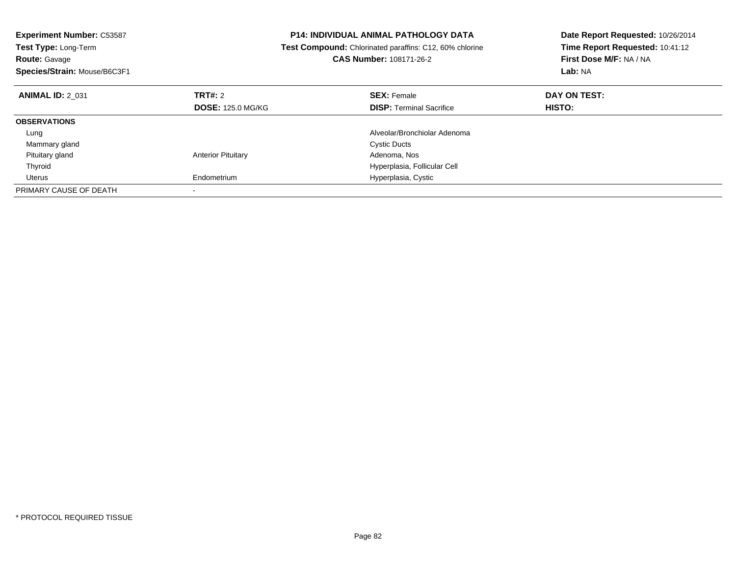| <b>Experiment Number: C53587</b><br>Test Type: Long-Term<br><b>Route: Gavage</b><br>Species/Strain: Mouse/B6C3F1 |                           | <b>P14: INDIVIDUAL ANIMAL PATHOLOGY DATA</b><br>Test Compound: Chlorinated paraffins: C12, 60% chlorine<br><b>CAS Number: 108171-26-2</b> | Date Report Requested: 10/26/2014<br>Time Report Requested: 10:41:12<br>First Dose M/F: NA / NA<br>Lab: NA |
|------------------------------------------------------------------------------------------------------------------|---------------------------|-------------------------------------------------------------------------------------------------------------------------------------------|------------------------------------------------------------------------------------------------------------|
| <b>ANIMAL ID: 2 031</b>                                                                                          | <b>TRT#: 2</b>            | <b>SEX: Female</b>                                                                                                                        | DAY ON TEST:                                                                                               |
|                                                                                                                  | <b>DOSE: 125.0 MG/KG</b>  | <b>DISP: Terminal Sacrifice</b>                                                                                                           | HISTO:                                                                                                     |
| <b>OBSERVATIONS</b>                                                                                              |                           |                                                                                                                                           |                                                                                                            |
| Lung                                                                                                             |                           | Alveolar/Bronchiolar Adenoma                                                                                                              |                                                                                                            |
| Mammary gland                                                                                                    |                           | <b>Cystic Ducts</b>                                                                                                                       |                                                                                                            |
| Pituitary gland                                                                                                  | <b>Anterior Pituitary</b> | Adenoma, Nos                                                                                                                              |                                                                                                            |
| Thyroid                                                                                                          |                           | Hyperplasia, Follicular Cell                                                                                                              |                                                                                                            |
| Uterus                                                                                                           | Endometrium               | Hyperplasia, Cystic                                                                                                                       |                                                                                                            |
| PRIMARY CAUSE OF DEATH                                                                                           |                           |                                                                                                                                           |                                                                                                            |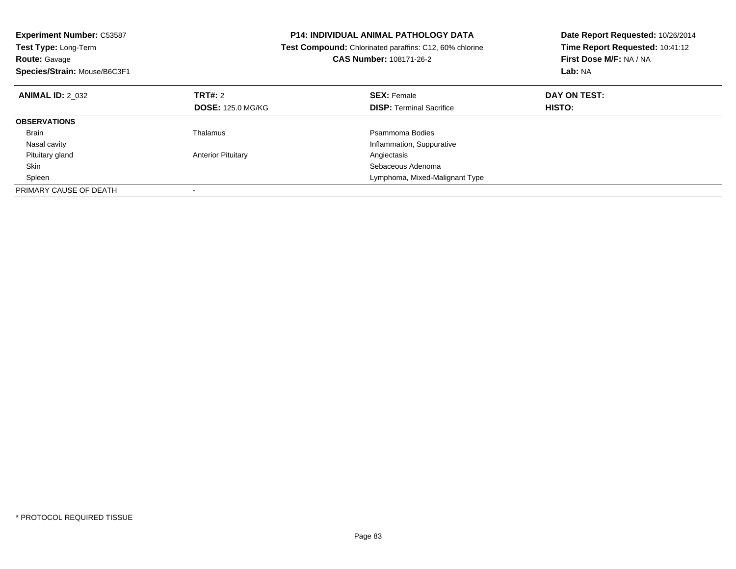| <b>Experiment Number: C53587</b><br>Test Type: Long-Term<br><b>Route: Gavage</b><br>Species/Strain: Mouse/B6C3F1 |                           | <b>P14: INDIVIDUAL ANIMAL PATHOLOGY DATA</b><br>Test Compound: Chlorinated paraffins: C12, 60% chlorine<br><b>CAS Number: 108171-26-2</b> | Date Report Requested: 10/26/2014<br>Time Report Requested: 10:41:12<br>First Dose M/F: NA / NA<br>Lab: NA |
|------------------------------------------------------------------------------------------------------------------|---------------------------|-------------------------------------------------------------------------------------------------------------------------------------------|------------------------------------------------------------------------------------------------------------|
| <b>ANIMAL ID: 2 032</b>                                                                                          | <b>TRT#: 2</b>            | <b>SEX: Female</b>                                                                                                                        | DAY ON TEST:                                                                                               |
|                                                                                                                  | <b>DOSE: 125.0 MG/KG</b>  | <b>DISP: Terminal Sacrifice</b>                                                                                                           | HISTO:                                                                                                     |
| <b>OBSERVATIONS</b>                                                                                              |                           |                                                                                                                                           |                                                                                                            |
| <b>Brain</b>                                                                                                     | Thalamus                  | Psammoma Bodies                                                                                                                           |                                                                                                            |
| Nasal cavity                                                                                                     |                           | Inflammation, Suppurative                                                                                                                 |                                                                                                            |
| Pituitary gland                                                                                                  | <b>Anterior Pituitary</b> | Angiectasis                                                                                                                               |                                                                                                            |
| Skin                                                                                                             |                           | Sebaceous Adenoma                                                                                                                         |                                                                                                            |
| Spleen                                                                                                           |                           | Lymphoma, Mixed-Malignant Type                                                                                                            |                                                                                                            |
| PRIMARY CAUSE OF DEATH                                                                                           |                           |                                                                                                                                           |                                                                                                            |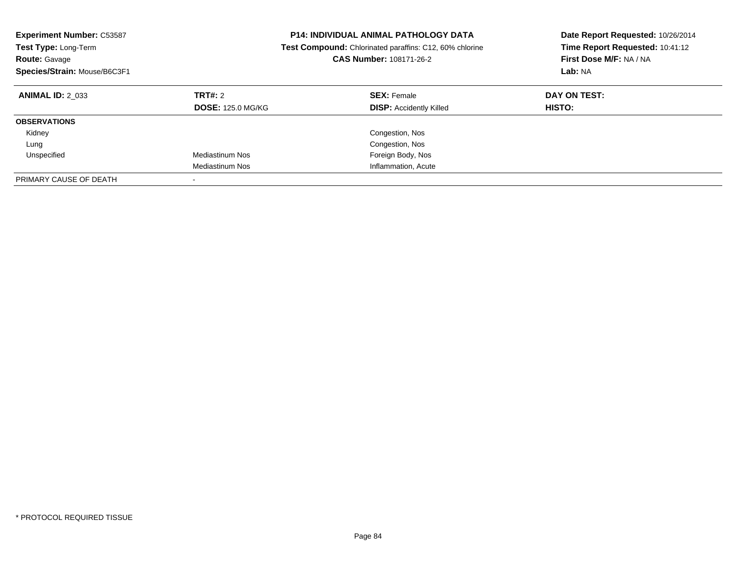| <b>Experiment Number: C53587</b><br><b>Test Type: Long-Term</b><br><b>Route: Gavage</b><br>Species/Strain: Mouse/B6C3F1 |                                     | <b>P14: INDIVIDUAL ANIMAL PATHOLOGY DATA</b><br><b>Test Compound:</b> Chlorinated paraffins: C12, 60% chlorine<br>CAS Number: 108171-26-2 | Date Report Requested: 10/26/2014<br>Time Report Requested: 10:41:12<br>First Dose M/F: NA / NA<br>Lab: NA |
|-------------------------------------------------------------------------------------------------------------------------|-------------------------------------|-------------------------------------------------------------------------------------------------------------------------------------------|------------------------------------------------------------------------------------------------------------|
| <b>ANIMAL ID: 2 033</b>                                                                                                 | TRT#: 2<br><b>DOSE: 125.0 MG/KG</b> | <b>SEX: Female</b><br><b>DISP: Accidently Killed</b>                                                                                      | DAY ON TEST:<br><b>HISTO:</b>                                                                              |
| <b>OBSERVATIONS</b>                                                                                                     |                                     |                                                                                                                                           |                                                                                                            |
| Kidney                                                                                                                  |                                     | Congestion, Nos                                                                                                                           |                                                                                                            |
| Lung                                                                                                                    |                                     | Congestion, Nos                                                                                                                           |                                                                                                            |
| Unspecified                                                                                                             | Mediastinum Nos                     | Foreign Body, Nos                                                                                                                         |                                                                                                            |
|                                                                                                                         | Mediastinum Nos                     | Inflammation, Acute                                                                                                                       |                                                                                                            |
| PRIMARY CAUSE OF DEATH                                                                                                  |                                     |                                                                                                                                           |                                                                                                            |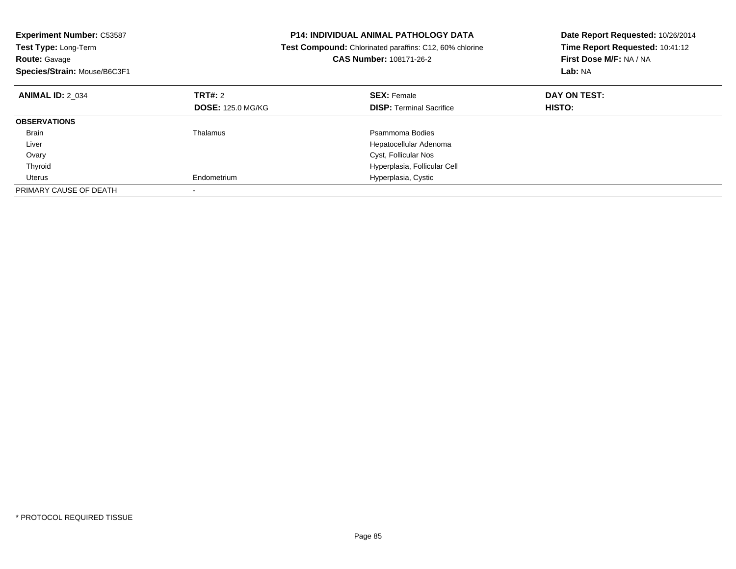| <b>Experiment Number: C53587</b><br>Test Type: Long-Term<br><b>Route: Gavage</b><br>Species/Strain: Mouse/B6C3F1 |                          | <b>P14: INDIVIDUAL ANIMAL PATHOLOGY DATA</b><br>Test Compound: Chlorinated paraffins: C12, 60% chlorine<br><b>CAS Number: 108171-26-2</b> | Date Report Requested: 10/26/2014<br>Time Report Requested: 10:41:12<br>First Dose M/F: NA / NA<br>Lab: NA |
|------------------------------------------------------------------------------------------------------------------|--------------------------|-------------------------------------------------------------------------------------------------------------------------------------------|------------------------------------------------------------------------------------------------------------|
| <b>ANIMAL ID: 2 034</b>                                                                                          | <b>TRT#: 2</b>           | <b>SEX: Female</b>                                                                                                                        | DAY ON TEST:                                                                                               |
|                                                                                                                  | <b>DOSE: 125.0 MG/KG</b> | <b>DISP: Terminal Sacrifice</b>                                                                                                           | HISTO:                                                                                                     |
| <b>OBSERVATIONS</b>                                                                                              |                          |                                                                                                                                           |                                                                                                            |
| <b>Brain</b>                                                                                                     | Thalamus                 | Psammoma Bodies                                                                                                                           |                                                                                                            |
| Liver                                                                                                            |                          | Hepatocellular Adenoma                                                                                                                    |                                                                                                            |
| Ovary                                                                                                            |                          | Cyst, Follicular Nos                                                                                                                      |                                                                                                            |
| Thyroid                                                                                                          |                          | Hyperplasia, Follicular Cell                                                                                                              |                                                                                                            |
| Uterus                                                                                                           | Endometrium              | Hyperplasia, Cystic                                                                                                                       |                                                                                                            |
| PRIMARY CAUSE OF DEATH                                                                                           |                          |                                                                                                                                           |                                                                                                            |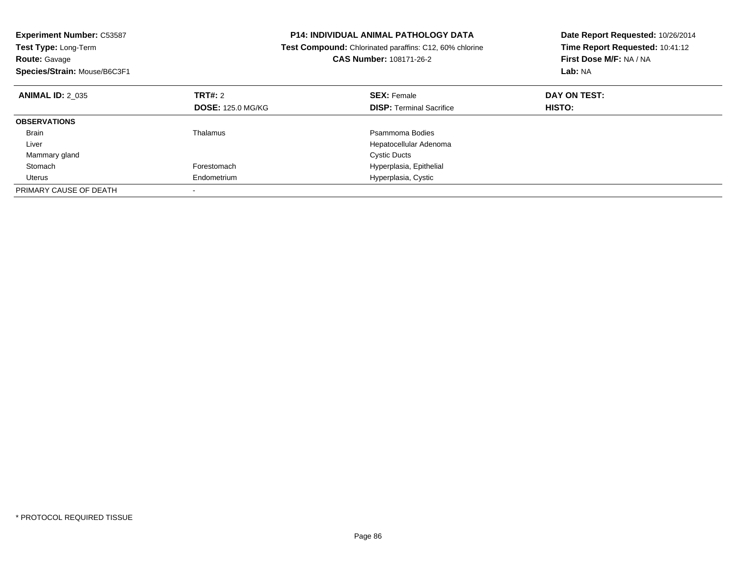| <b>Experiment Number: C53587</b><br>Test Type: Long-Term<br><b>Route: Gavage</b><br>Species/Strain: Mouse/B6C3F1 |                          | <b>P14: INDIVIDUAL ANIMAL PATHOLOGY DATA</b><br>Test Compound: Chlorinated paraffins: C12, 60% chlorine<br><b>CAS Number: 108171-26-2</b> | Date Report Requested: 10/26/2014<br>Time Report Requested: 10:41:12<br>First Dose M/F: NA / NA<br>Lab: NA |
|------------------------------------------------------------------------------------------------------------------|--------------------------|-------------------------------------------------------------------------------------------------------------------------------------------|------------------------------------------------------------------------------------------------------------|
| <b>ANIMAL ID: 2 035</b>                                                                                          | <b>TRT#: 2</b>           | <b>SEX: Female</b>                                                                                                                        | DAY ON TEST:                                                                                               |
|                                                                                                                  | <b>DOSE: 125.0 MG/KG</b> | <b>DISP: Terminal Sacrifice</b>                                                                                                           | <b>HISTO:</b>                                                                                              |
| <b>OBSERVATIONS</b>                                                                                              |                          |                                                                                                                                           |                                                                                                            |
| <b>Brain</b>                                                                                                     | Thalamus                 | Psammoma Bodies                                                                                                                           |                                                                                                            |
| Liver                                                                                                            |                          | Hepatocellular Adenoma                                                                                                                    |                                                                                                            |
| Mammary gland                                                                                                    |                          | <b>Cystic Ducts</b>                                                                                                                       |                                                                                                            |
| Stomach                                                                                                          | Forestomach              | Hyperplasia, Epithelial                                                                                                                   |                                                                                                            |
| Uterus                                                                                                           | Endometrium              | Hyperplasia, Cystic                                                                                                                       |                                                                                                            |
| PRIMARY CAUSE OF DEATH                                                                                           |                          |                                                                                                                                           |                                                                                                            |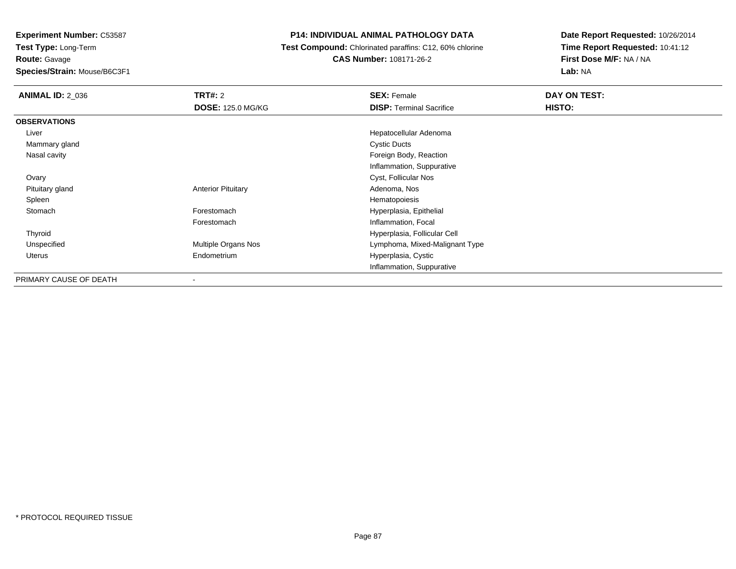**Route:** Gavage

**Species/Strain:** Mouse/B6C3F1

# **P14: INDIVIDUAL ANIMAL PATHOLOGY DATA**

**Test Compound:** Chlorinated paraffins: C12, 60% chlorine

**CAS Number:** 108171-26-2

| <b>ANIMAL ID: 2 036</b> | <b>TRT#: 2</b>            | <b>SEX: Female</b>              | DAY ON TEST: |
|-------------------------|---------------------------|---------------------------------|--------------|
|                         | <b>DOSE: 125.0 MG/KG</b>  | <b>DISP: Terminal Sacrifice</b> | HISTO:       |
| <b>OBSERVATIONS</b>     |                           |                                 |              |
| Liver                   |                           | Hepatocellular Adenoma          |              |
| Mammary gland           |                           | <b>Cystic Ducts</b>             |              |
| Nasal cavity            |                           | Foreign Body, Reaction          |              |
|                         |                           | Inflammation, Suppurative       |              |
| Ovary                   |                           | Cyst, Follicular Nos            |              |
| Pituitary gland         | <b>Anterior Pituitary</b> | Adenoma, Nos                    |              |
| Spleen                  |                           | Hematopoiesis                   |              |
| Stomach                 | Forestomach               | Hyperplasia, Epithelial         |              |
|                         | Forestomach               | Inflammation, Focal             |              |
| Thyroid                 |                           | Hyperplasia, Follicular Cell    |              |
| Unspecified             | Multiple Organs Nos       | Lymphoma, Mixed-Malignant Type  |              |
| Uterus                  | Endometrium               | Hyperplasia, Cystic             |              |
|                         |                           | Inflammation, Suppurative       |              |
| PRIMARY CAUSE OF DEATH  |                           |                                 |              |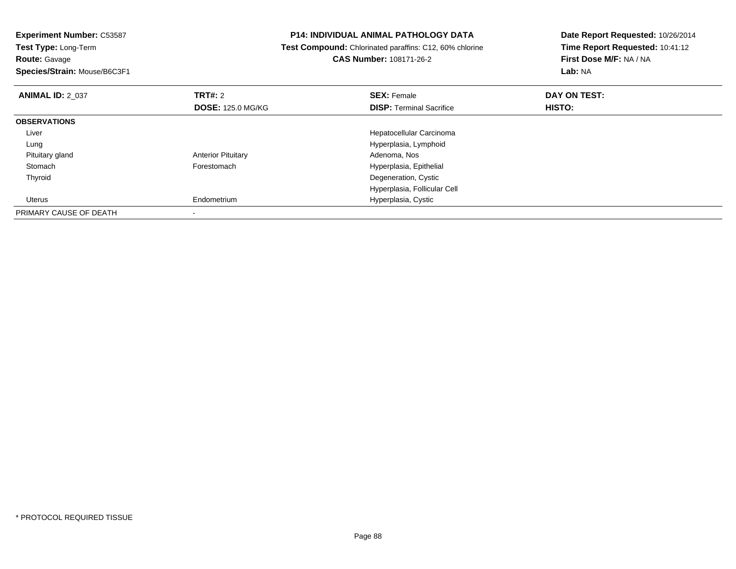| <b>Experiment Number: C53587</b><br>Test Type: Long-Term<br><b>Route: Gavage</b><br>Species/Strain: Mouse/B6C3F1 |                           | <b>P14: INDIVIDUAL ANIMAL PATHOLOGY DATA</b><br>Test Compound: Chlorinated paraffins: C12, 60% chlorine<br><b>CAS Number: 108171-26-2</b> | Date Report Requested: 10/26/2014<br>Time Report Requested: 10:41:12<br>First Dose M/F: NA / NA<br><b>Lab: NA</b> |
|------------------------------------------------------------------------------------------------------------------|---------------------------|-------------------------------------------------------------------------------------------------------------------------------------------|-------------------------------------------------------------------------------------------------------------------|
|                                                                                                                  |                           |                                                                                                                                           |                                                                                                                   |
| <b>ANIMAL ID: 2_037</b>                                                                                          | TRT#: 2                   | <b>SEX: Female</b>                                                                                                                        | DAY ON TEST:                                                                                                      |
|                                                                                                                  | <b>DOSE: 125.0 MG/KG</b>  | <b>DISP:</b> Terminal Sacrifice                                                                                                           | HISTO:                                                                                                            |
| <b>OBSERVATIONS</b>                                                                                              |                           |                                                                                                                                           |                                                                                                                   |
| Liver                                                                                                            |                           | Hepatocellular Carcinoma                                                                                                                  |                                                                                                                   |
| Lung                                                                                                             |                           | Hyperplasia, Lymphoid                                                                                                                     |                                                                                                                   |
| Pituitary gland                                                                                                  | <b>Anterior Pituitary</b> | Adenoma, Nos                                                                                                                              |                                                                                                                   |
| Stomach                                                                                                          | Forestomach               | Hyperplasia, Epithelial                                                                                                                   |                                                                                                                   |
| Thyroid                                                                                                          |                           | Degeneration, Cystic                                                                                                                      |                                                                                                                   |
|                                                                                                                  |                           | Hyperplasia, Follicular Cell                                                                                                              |                                                                                                                   |
| Uterus                                                                                                           | Endometrium               | Hyperplasia, Cystic                                                                                                                       |                                                                                                                   |
| PRIMARY CAUSE OF DEATH                                                                                           |                           |                                                                                                                                           |                                                                                                                   |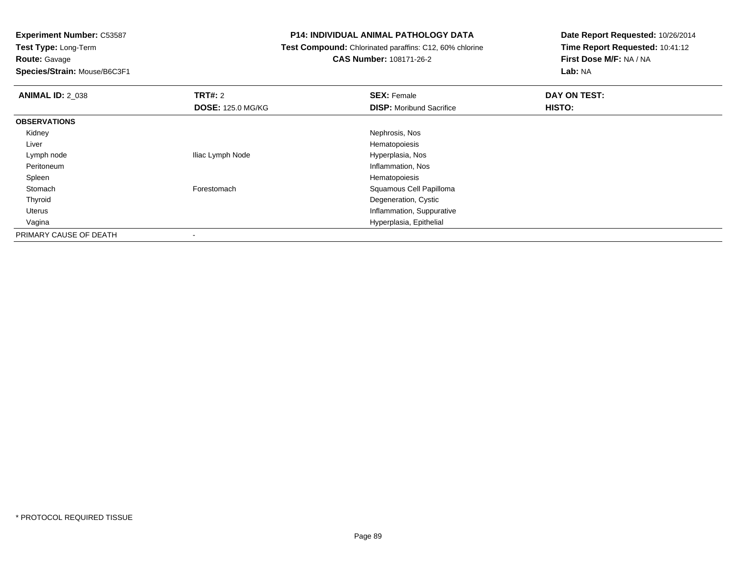**Route:** Gavage

**Species/Strain:** Mouse/B6C3F1

# **P14: INDIVIDUAL ANIMAL PATHOLOGY DATA**

# **Test Compound:** Chlorinated paraffins: C12, 60% chlorine**CAS Number:** 108171-26-2

| <b>ANIMAL ID: 2 038</b> | TRT#: 2                  | <b>SEX: Female</b>              | DAY ON TEST: |  |
|-------------------------|--------------------------|---------------------------------|--------------|--|
|                         | <b>DOSE: 125.0 MG/KG</b> | <b>DISP:</b> Moribund Sacrifice | HISTO:       |  |
| <b>OBSERVATIONS</b>     |                          |                                 |              |  |
| Kidney                  |                          | Nephrosis, Nos                  |              |  |
| Liver                   |                          | Hematopoiesis                   |              |  |
| Lymph node              | Iliac Lymph Node         | Hyperplasia, Nos                |              |  |
| Peritoneum              |                          | Inflammation, Nos               |              |  |
| Spleen                  |                          | Hematopoiesis                   |              |  |
| Stomach                 | Forestomach              | Squamous Cell Papilloma         |              |  |
| Thyroid                 |                          | Degeneration, Cystic            |              |  |
| Uterus                  |                          | Inflammation, Suppurative       |              |  |
| Vagina                  |                          | Hyperplasia, Epithelial         |              |  |
| PRIMARY CAUSE OF DEATH  |                          |                                 |              |  |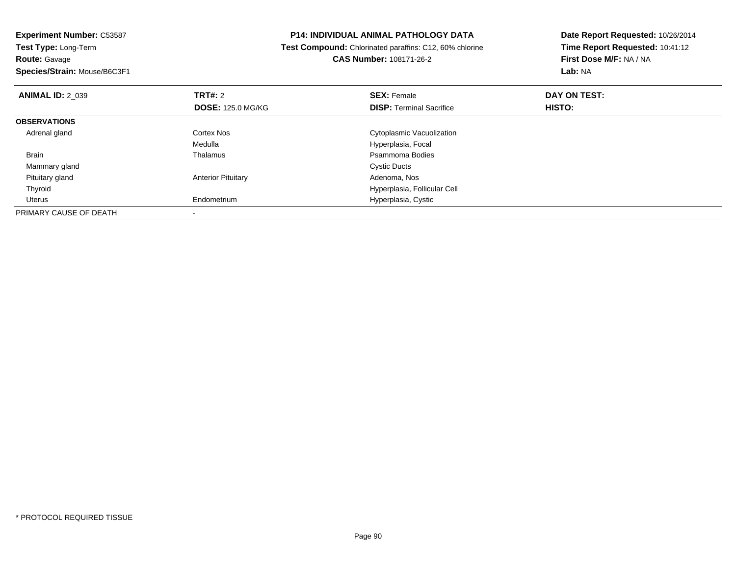**Experiment Number:** C53587**Test Type:** Long-Term**Route:** Gavage **Species/Strain:** Mouse/B6C3F1**P14: INDIVIDUAL ANIMAL PATHOLOGY DATA Test Compound:** Chlorinated paraffins: C12, 60% chlorine**CAS Number:** 108171-26-2**Date Report Requested:** 10/26/2014**Time Report Requested:** 10:41:12**First Dose M/F:** NA / NA**Lab:** NA**ANIMAL ID: 2 039 TRT#:** 2 **SEX:** Female **DAY ON TEST: DOSE:** 125.0 MG/KG**DISP:** Terminal Sacrifice **HISTO: OBSERVATIONS** Adrenal glandCortex Nos **Cytoplasmic Vacuolization** Medulla Hyperplasia, Focal Brainn and the control of the Thalamus and the control of the Psammoma Bodies and the Psammoma Bodies of the Psammoma Bodies and the Psammoma Bodies of the Psammoma Bodies of the Psammoma Bodies of the Psammoma Bodies of the Ps Mammary glandd Cystic Ducts Pituitary glandAnterior Pituitary **Adenoma, Nos** Adenoma, Nos Thyroid Hyperplasia, Follicular Cell Uterus Endometrium Hyperplasia, Cystic PRIMARY CAUSE OF DEATH-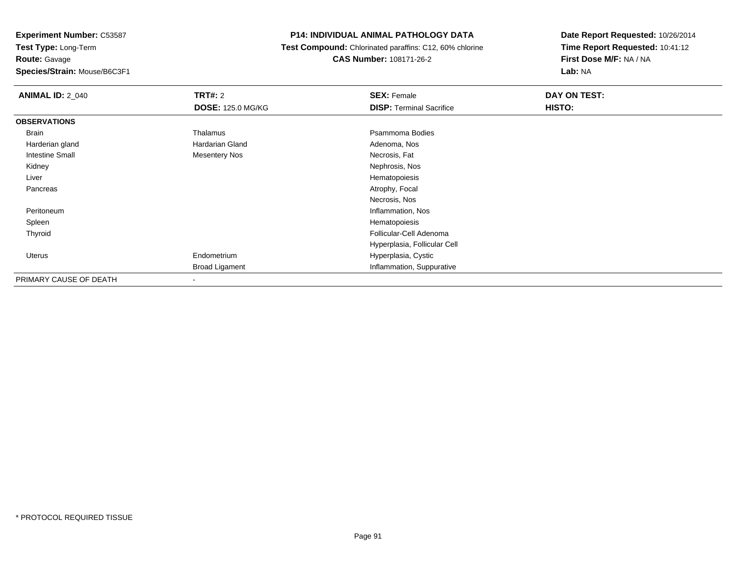**Route:** Gavage

**Species/Strain:** Mouse/B6C3F1

# **P14: INDIVIDUAL ANIMAL PATHOLOGY DATA**

 **Test Compound:** Chlorinated paraffins: C12, 60% chlorine**CAS Number:** 108171-26-2

| <b>ANIMAL ID: 2_040</b> | <b>TRT#: 2</b>           | <b>SEX: Female</b>              | DAY ON TEST: |  |
|-------------------------|--------------------------|---------------------------------|--------------|--|
|                         | <b>DOSE: 125.0 MG/KG</b> | <b>DISP: Terminal Sacrifice</b> | HISTO:       |  |
| <b>OBSERVATIONS</b>     |                          |                                 |              |  |
| Brain                   | Thalamus                 | Psammoma Bodies                 |              |  |
| Harderian gland         | <b>Hardarian Gland</b>   | Adenoma, Nos                    |              |  |
| <b>Intestine Small</b>  | <b>Mesentery Nos</b>     | Necrosis, Fat                   |              |  |
| Kidney                  |                          | Nephrosis, Nos                  |              |  |
| Liver                   |                          | Hematopoiesis                   |              |  |
| Pancreas                |                          | Atrophy, Focal                  |              |  |
|                         |                          | Necrosis, Nos                   |              |  |
| Peritoneum              |                          | Inflammation, Nos               |              |  |
| Spleen                  |                          | Hematopoiesis                   |              |  |
| Thyroid                 |                          | Follicular-Cell Adenoma         |              |  |
|                         |                          | Hyperplasia, Follicular Cell    |              |  |
| Uterus                  | Endometrium              | Hyperplasia, Cystic             |              |  |
|                         | <b>Broad Ligament</b>    | Inflammation, Suppurative       |              |  |
| PRIMARY CAUSE OF DEATH  | $\blacksquare$           |                                 |              |  |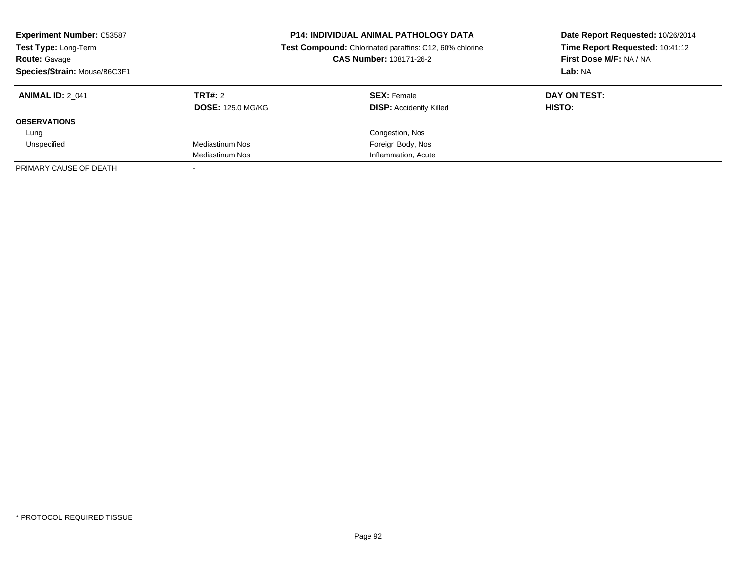| <b>Experiment Number: C53587</b><br>Test Type: Long-Term<br><b>Route: Gavage</b><br>Species/Strain: Mouse/B6C3F1 |                          | <b>P14: INDIVIDUAL ANIMAL PATHOLOGY DATA</b><br>Test Compound: Chlorinated paraffins: C12, 60% chlorine<br>CAS Number: 108171-26-2 | Date Report Requested: 10/26/2014<br>Time Report Requested: 10:41:12<br>First Dose M/F: NA / NA<br>Lab: NA |
|------------------------------------------------------------------------------------------------------------------|--------------------------|------------------------------------------------------------------------------------------------------------------------------------|------------------------------------------------------------------------------------------------------------|
| <b>ANIMAL ID: 2 041</b>                                                                                          | TRT#: 2                  | <b>SEX: Female</b>                                                                                                                 | DAY ON TEST:                                                                                               |
|                                                                                                                  | <b>DOSE: 125.0 MG/KG</b> | <b>DISP:</b> Accidently Killed                                                                                                     | HISTO:                                                                                                     |
| <b>OBSERVATIONS</b>                                                                                              |                          |                                                                                                                                    |                                                                                                            |
| Lung                                                                                                             |                          | Congestion, Nos                                                                                                                    |                                                                                                            |
| Unspecified                                                                                                      | Mediastinum Nos          | Foreign Body, Nos                                                                                                                  |                                                                                                            |
|                                                                                                                  | Mediastinum Nos          | Inflammation, Acute                                                                                                                |                                                                                                            |
| PRIMARY CAUSE OF DEATH                                                                                           |                          |                                                                                                                                    |                                                                                                            |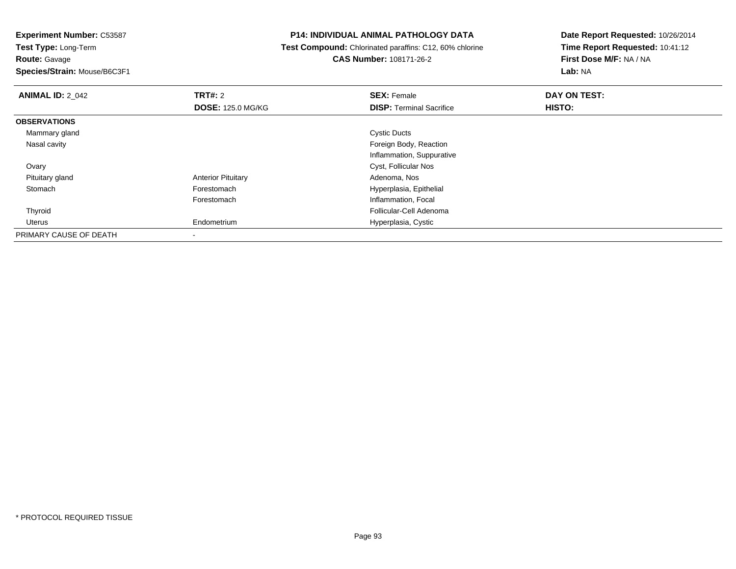**Experiment Number:** C53587

**Test Type:** Long-Term**Route:** Gavage

**Species/Strain:** Mouse/B6C3F1

## **P14: INDIVIDUAL ANIMAL PATHOLOGY DATA**

 **Test Compound:** Chlorinated paraffins: C12, 60% chlorine**CAS Number:** 108171-26-2

| <b>ANIMAL ID: 2_042</b> | TRT#: 2                   | <b>SEX: Female</b>              | DAY ON TEST: |  |
|-------------------------|---------------------------|---------------------------------|--------------|--|
|                         | <b>DOSE: 125.0 MG/KG</b>  | <b>DISP: Terminal Sacrifice</b> | HISTO:       |  |
| <b>OBSERVATIONS</b>     |                           |                                 |              |  |
| Mammary gland           |                           | <b>Cystic Ducts</b>             |              |  |
| Nasal cavity            |                           | Foreign Body, Reaction          |              |  |
|                         |                           | Inflammation, Suppurative       |              |  |
| Ovary                   |                           | Cyst, Follicular Nos            |              |  |
| Pituitary gland         | <b>Anterior Pituitary</b> | Adenoma, Nos                    |              |  |
| Stomach                 | Forestomach               | Hyperplasia, Epithelial         |              |  |
|                         | Forestomach               | Inflammation, Focal             |              |  |
| Thyroid                 |                           | Follicular-Cell Adenoma         |              |  |
| Uterus                  | Endometrium               | Hyperplasia, Cystic             |              |  |
| PRIMARY CAUSE OF DEATH  | $\overline{\phantom{a}}$  |                                 |              |  |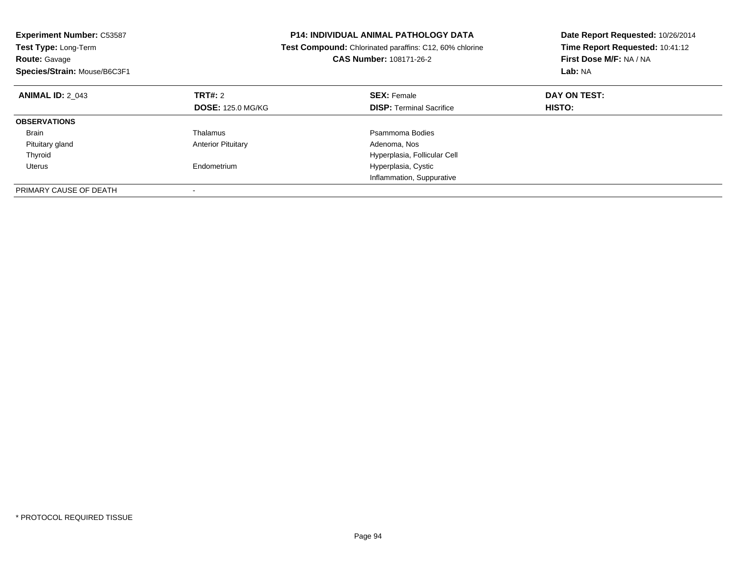| <b>Experiment Number: C53587</b><br>Test Type: Long-Term<br><b>Route: Gavage</b><br>Species/Strain: Mouse/B6C3F1 |                           | <b>P14: INDIVIDUAL ANIMAL PATHOLOGY DATA</b><br>Test Compound: Chlorinated paraffins: C12, 60% chlorine<br>CAS Number: 108171-26-2 | Date Report Requested: 10/26/2014<br>Time Report Requested: 10:41:12<br>First Dose M/F: NA / NA<br>Lab: NA |
|------------------------------------------------------------------------------------------------------------------|---------------------------|------------------------------------------------------------------------------------------------------------------------------------|------------------------------------------------------------------------------------------------------------|
| <b>ANIMAL ID: 2 043</b>                                                                                          | TRT#: 2                   | <b>SEX: Female</b>                                                                                                                 | DAY ON TEST:                                                                                               |
|                                                                                                                  | <b>DOSE: 125.0 MG/KG</b>  | <b>DISP:</b> Terminal Sacrifice                                                                                                    | HISTO:                                                                                                     |
| <b>OBSERVATIONS</b>                                                                                              |                           |                                                                                                                                    |                                                                                                            |
| Brain                                                                                                            | Thalamus                  | Psammoma Bodies                                                                                                                    |                                                                                                            |
| Pituitary gland                                                                                                  | <b>Anterior Pituitary</b> | Adenoma, Nos                                                                                                                       |                                                                                                            |
| Thyroid                                                                                                          |                           | Hyperplasia, Follicular Cell                                                                                                       |                                                                                                            |
| Uterus                                                                                                           | Endometrium               | Hyperplasia, Cystic                                                                                                                |                                                                                                            |
|                                                                                                                  |                           | Inflammation, Suppurative                                                                                                          |                                                                                                            |
| PRIMARY CAUSE OF DEATH                                                                                           |                           |                                                                                                                                    |                                                                                                            |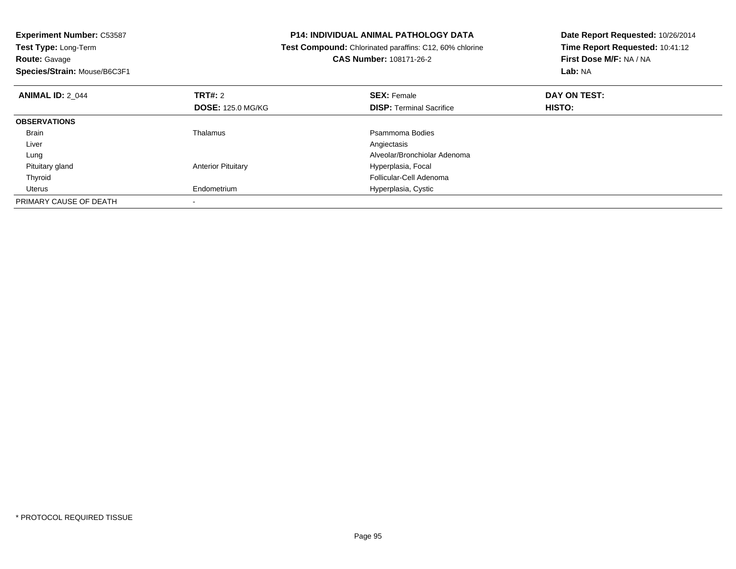| <b>Experiment Number: C53587</b><br>Test Type: Long-Term |                           | <b>P14: INDIVIDUAL ANIMAL PATHOLOGY DATA</b>            | Date Report Requested: 10/26/2014 |
|----------------------------------------------------------|---------------------------|---------------------------------------------------------|-----------------------------------|
|                                                          |                           | Test Compound: Chlorinated paraffins: C12, 60% chlorine | Time Report Requested: 10:41:12   |
| <b>Route: Gavage</b>                                     |                           | CAS Number: 108171-26-2                                 | First Dose M/F: NA / NA           |
| Species/Strain: Mouse/B6C3F1                             |                           |                                                         | Lab: NA                           |
| <b>ANIMAL ID: 2 044</b>                                  | <b>TRT#: 2</b>            | <b>SEX: Female</b>                                      | DAY ON TEST:                      |
|                                                          | <b>DOSE: 125.0 MG/KG</b>  | <b>DISP: Terminal Sacrifice</b>                         | <b>HISTO:</b>                     |
| <b>OBSERVATIONS</b>                                      |                           |                                                         |                                   |
| Brain                                                    | Thalamus                  | Psammoma Bodies                                         |                                   |
| Liver                                                    |                           | Angiectasis                                             |                                   |
| Lung                                                     |                           | Alveolar/Bronchiolar Adenoma                            |                                   |
| Pituitary gland                                          | <b>Anterior Pituitary</b> | Hyperplasia, Focal                                      |                                   |
| Thyroid                                                  |                           | Follicular-Cell Adenoma                                 |                                   |
| Uterus                                                   | Endometrium               | Hyperplasia, Cystic                                     |                                   |
| PRIMARY CAUSE OF DEATH                                   |                           |                                                         |                                   |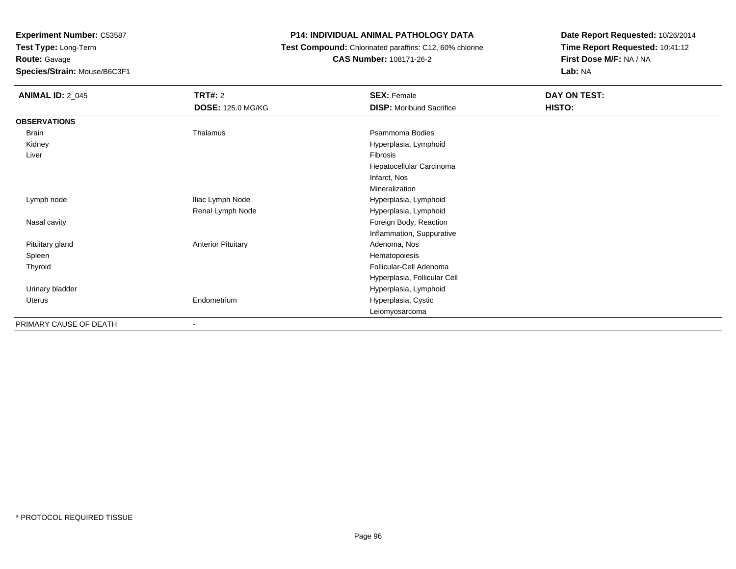**Route:** Gavage

**Species/Strain:** Mouse/B6C3F1

# **P14: INDIVIDUAL ANIMAL PATHOLOGY DATA**

 **Test Compound:** Chlorinated paraffins: C12, 60% chlorine**CAS Number:** 108171-26-2

| <b>ANIMAL ID: 2_045</b> | <b>TRT#: 2</b>            | <b>SEX: Female</b>              | DAY ON TEST: |
|-------------------------|---------------------------|---------------------------------|--------------|
|                         | <b>DOSE: 125.0 MG/KG</b>  | <b>DISP: Moribund Sacrifice</b> | HISTO:       |
| <b>OBSERVATIONS</b>     |                           |                                 |              |
| Brain                   | Thalamus                  | Psammoma Bodies                 |              |
| Kidney                  |                           | Hyperplasia, Lymphoid           |              |
| Liver                   |                           | Fibrosis                        |              |
|                         |                           | Hepatocellular Carcinoma        |              |
|                         |                           | Infarct, Nos                    |              |
|                         |                           | Mineralization                  |              |
| Lymph node              | Iliac Lymph Node          | Hyperplasia, Lymphoid           |              |
|                         | Renal Lymph Node          | Hyperplasia, Lymphoid           |              |
| Nasal cavity            |                           | Foreign Body, Reaction          |              |
|                         |                           | Inflammation, Suppurative       |              |
| Pituitary gland         | <b>Anterior Pituitary</b> | Adenoma, Nos                    |              |
| Spleen                  |                           | Hematopoiesis                   |              |
| Thyroid                 |                           | Follicular-Cell Adenoma         |              |
|                         |                           | Hyperplasia, Follicular Cell    |              |
| Urinary bladder         |                           | Hyperplasia, Lymphoid           |              |
| Uterus                  | Endometrium               | Hyperplasia, Cystic             |              |
|                         |                           | Leiomyosarcoma                  |              |
| PRIMARY CAUSE OF DEATH  |                           |                                 |              |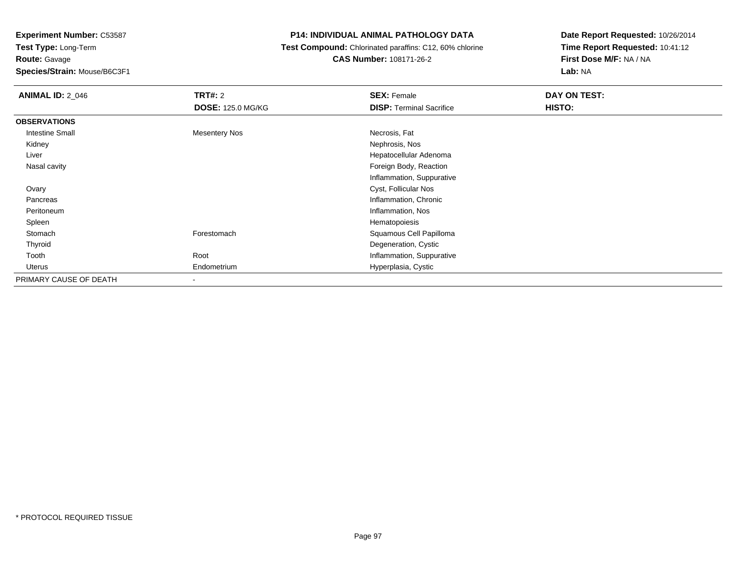**Route:** Gavage

**Species/Strain:** Mouse/B6C3F1

# **P14: INDIVIDUAL ANIMAL PATHOLOGY DATA**

 **Test Compound:** Chlorinated paraffins: C12, 60% chlorine**CAS Number:** 108171-26-2

| <b>ANIMAL ID: 2_046</b> | <b>TRT#:</b> 2           | <b>SEX: Female</b>              | DAY ON TEST: |
|-------------------------|--------------------------|---------------------------------|--------------|
|                         | <b>DOSE: 125.0 MG/KG</b> | <b>DISP:</b> Terminal Sacrifice | HISTO:       |
| <b>OBSERVATIONS</b>     |                          |                                 |              |
| <b>Intestine Small</b>  | <b>Mesentery Nos</b>     | Necrosis, Fat                   |              |
| Kidney                  |                          | Nephrosis, Nos                  |              |
| Liver                   |                          | Hepatocellular Adenoma          |              |
| Nasal cavity            |                          | Foreign Body, Reaction          |              |
|                         |                          | Inflammation, Suppurative       |              |
| Ovary                   |                          | Cyst, Follicular Nos            |              |
| Pancreas                |                          | Inflammation, Chronic           |              |
| Peritoneum              |                          | Inflammation, Nos               |              |
| Spleen                  |                          | Hematopoiesis                   |              |
| Stomach                 | Forestomach              | Squamous Cell Papilloma         |              |
| Thyroid                 |                          | Degeneration, Cystic            |              |
| Tooth                   | Root                     | Inflammation, Suppurative       |              |
| Uterus                  | Endometrium              | Hyperplasia, Cystic             |              |
| PRIMARY CAUSE OF DEATH  | $\blacksquare$           |                                 |              |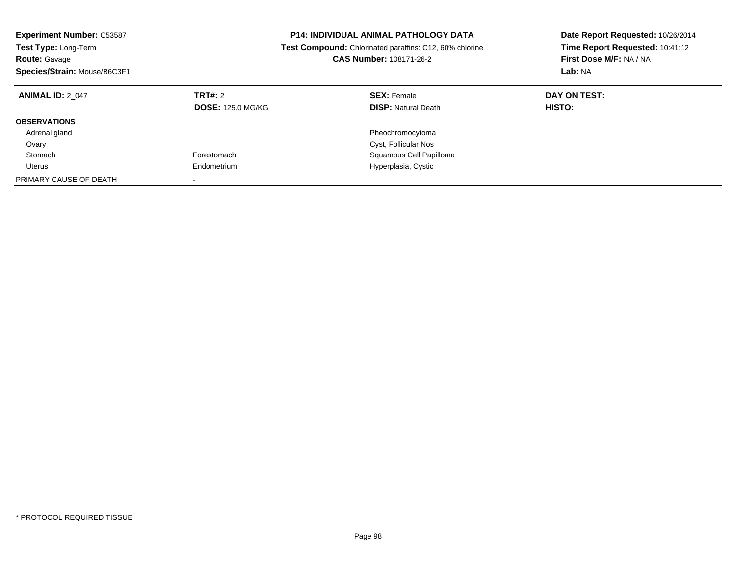| <b>Experiment Number: C53587</b><br><b>Test Type: Long-Term</b><br><b>Route: Gavage</b><br>Species/Strain: Mouse/B6C3F1 | <b>P14: INDIVIDUAL ANIMAL PATHOLOGY DATA</b><br><b>Test Compound:</b> Chlorinated paraffins: C12, 60% chlorine<br>CAS Number: 108171-26-2 |                                                  | Date Report Requested: 10/26/2014<br>Time Report Requested: 10:41:12<br>First Dose M/F: NA / NA<br>Lab: NA |
|-------------------------------------------------------------------------------------------------------------------------|-------------------------------------------------------------------------------------------------------------------------------------------|--------------------------------------------------|------------------------------------------------------------------------------------------------------------|
| <b>ANIMAL ID: 2 047</b>                                                                                                 | TRT#: 2<br><b>DOSE: 125.0 MG/KG</b>                                                                                                       | <b>SEX: Female</b><br><b>DISP:</b> Natural Death | DAY ON TEST:<br>HISTO:                                                                                     |
| <b>OBSERVATIONS</b>                                                                                                     |                                                                                                                                           |                                                  |                                                                                                            |
| Adrenal gland                                                                                                           |                                                                                                                                           | Pheochromocytoma                                 |                                                                                                            |
| Ovary                                                                                                                   |                                                                                                                                           | Cyst, Follicular Nos                             |                                                                                                            |
| Stomach                                                                                                                 | Forestomach                                                                                                                               | Squamous Cell Papilloma                          |                                                                                                            |
| Uterus                                                                                                                  | Endometrium                                                                                                                               | Hyperplasia, Cystic                              |                                                                                                            |
| PRIMARY CAUSE OF DEATH                                                                                                  |                                                                                                                                           |                                                  |                                                                                                            |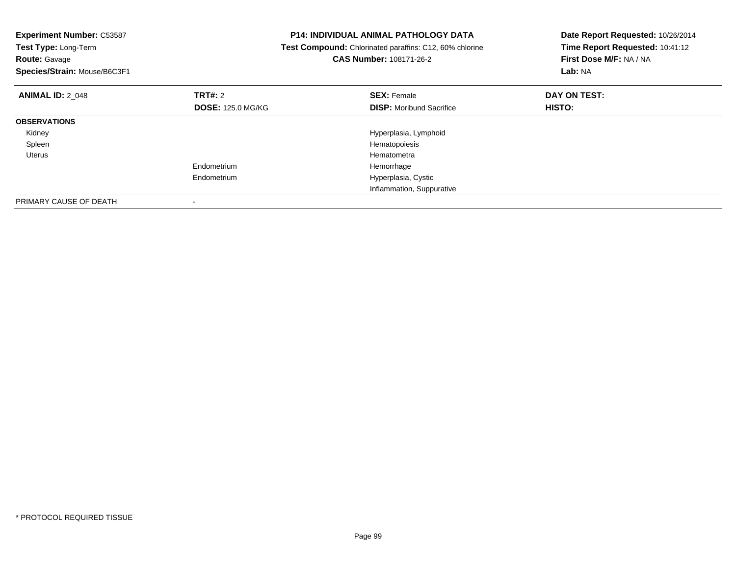| <b>Experiment Number: C53587</b><br>Test Type: Long-Term<br><b>Route: Gavage</b><br>Species/Strain: Mouse/B6C3F1 |                          | <b>P14: INDIVIDUAL ANIMAL PATHOLOGY DATA</b><br>Test Compound: Chlorinated paraffins: C12, 60% chlorine<br><b>CAS Number: 108171-26-2</b> | Date Report Requested: 10/26/2014<br>Time Report Requested: 10:41:12<br>First Dose M/F: NA / NA<br>Lab: NA |  |
|------------------------------------------------------------------------------------------------------------------|--------------------------|-------------------------------------------------------------------------------------------------------------------------------------------|------------------------------------------------------------------------------------------------------------|--|
| <b>ANIMAL ID: 2 048</b>                                                                                          | <b>TRT#: 2</b>           | <b>SEX: Female</b>                                                                                                                        | DAY ON TEST:                                                                                               |  |
|                                                                                                                  | <b>DOSE: 125.0 MG/KG</b> | <b>DISP:</b> Moribund Sacrifice                                                                                                           | <b>HISTO:</b>                                                                                              |  |
| <b>OBSERVATIONS</b>                                                                                              |                          |                                                                                                                                           |                                                                                                            |  |
| Kidney                                                                                                           |                          | Hyperplasia, Lymphoid                                                                                                                     |                                                                                                            |  |
| Spleen                                                                                                           |                          | Hematopoiesis                                                                                                                             |                                                                                                            |  |
| Uterus                                                                                                           |                          | Hematometra                                                                                                                               |                                                                                                            |  |
|                                                                                                                  | Endometrium              | Hemorrhage                                                                                                                                |                                                                                                            |  |
|                                                                                                                  | Endometrium              | Hyperplasia, Cystic                                                                                                                       |                                                                                                            |  |
|                                                                                                                  |                          | Inflammation, Suppurative                                                                                                                 |                                                                                                            |  |
| PRIMARY CAUSE OF DEATH                                                                                           |                          |                                                                                                                                           |                                                                                                            |  |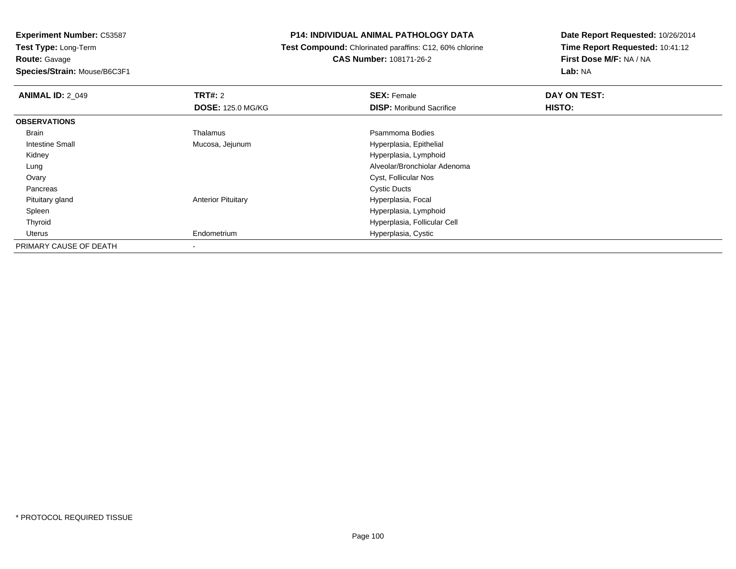**Experiment Number:** C53587**Test Type:** Long-Term**Route:** Gavage

# **Species/Strain:** Mouse/B6C3F1

## **P14: INDIVIDUAL ANIMAL PATHOLOGY DATA**

 **Test Compound:** Chlorinated paraffins: C12, 60% chlorine**CAS Number:** 108171-26-2

| <b>ANIMAL ID: 2 049</b> | TRT#: 2                   | <b>SEX: Female</b>              | DAY ON TEST: |  |
|-------------------------|---------------------------|---------------------------------|--------------|--|
|                         | <b>DOSE: 125.0 MG/KG</b>  | <b>DISP:</b> Moribund Sacrifice | HISTO:       |  |
| <b>OBSERVATIONS</b>     |                           |                                 |              |  |
| <b>Brain</b>            | Thalamus                  | Psammoma Bodies                 |              |  |
| Intestine Small         | Mucosa, Jejunum           | Hyperplasia, Epithelial         |              |  |
| Kidney                  |                           | Hyperplasia, Lymphoid           |              |  |
| Lung                    |                           | Alveolar/Bronchiolar Adenoma    |              |  |
| Ovary                   |                           | Cyst, Follicular Nos            |              |  |
| Pancreas                |                           | <b>Cystic Ducts</b>             |              |  |
| Pituitary gland         | <b>Anterior Pituitary</b> | Hyperplasia, Focal              |              |  |
| Spleen                  |                           | Hyperplasia, Lymphoid           |              |  |
| Thyroid                 |                           | Hyperplasia, Follicular Cell    |              |  |
| Uterus                  | Endometrium               | Hyperplasia, Cystic             |              |  |
| PRIMARY CAUSE OF DEATH  | ۰                         |                                 |              |  |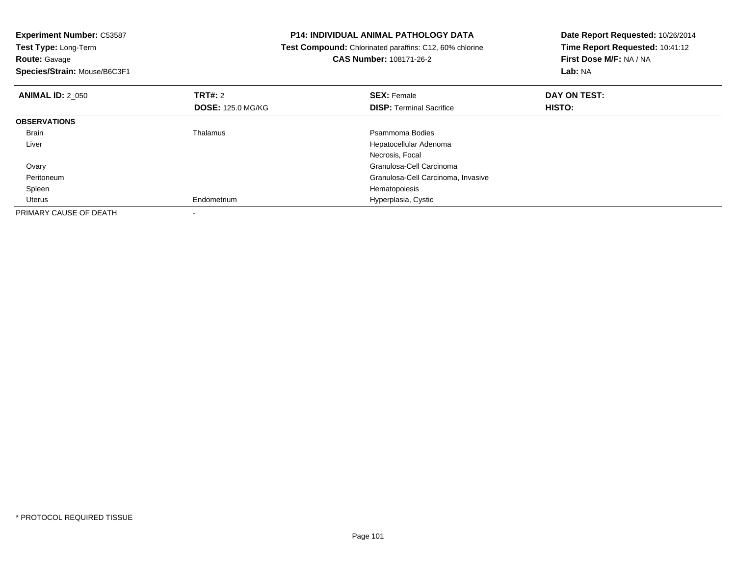| <b>Experiment Number: C53587</b>          | <b>P14: INDIVIDUAL ANIMAL PATHOLOGY DATA</b>                   | Date Report Requested: 10/26/2014 |  |
|-------------------------------------------|----------------------------------------------------------------|-----------------------------------|--|
| Test Type: Long-Term                      | <b>Test Compound:</b> Chlorinated paraffins: C12, 60% chlorine | Time Report Requested: 10:41:12   |  |
| <b>Route: Gavage</b>                      | <b>CAS Number: 108171-26-2</b>                                 | First Dose M/F: NA / NA           |  |
| Species/Strain: Mouse/B6C3F1              |                                                                | Lab: NA                           |  |
| <b>TRT#:</b> 2<br><b>ANIMAL ID: 2 050</b> | <b>SEX: Female</b>                                             | DAY ON TEST:                      |  |
| <b>DOSE: 125.0 MG/KG</b>                  | <b>DISP: Terminal Sacrifice</b>                                | HISTO:                            |  |
| <b>OBSERVATIONS</b>                       |                                                                |                                   |  |
| Thalamus<br>Brain                         | Psammoma Bodies                                                |                                   |  |
| Liver                                     | Hepatocellular Adenoma                                         |                                   |  |
|                                           | Necrosis, Focal                                                |                                   |  |
| Ovary                                     | Granulosa-Cell Carcinoma                                       |                                   |  |
| Peritoneum                                | Granulosa-Cell Carcinoma, Invasive                             |                                   |  |
| Spleen                                    | Hematopoiesis                                                  |                                   |  |
| Endometrium<br>Uterus                     | Hyperplasia, Cystic                                            |                                   |  |
| PRIMARY CAUSE OF DEATH                    |                                                                |                                   |  |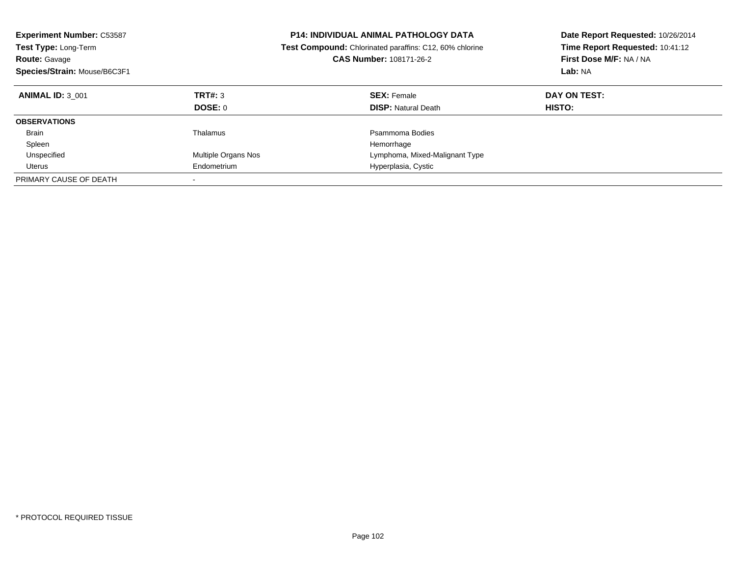| <b>Experiment Number: C53587</b><br>Test Type: Long-Term<br><b>Route: Gavage</b><br>Species/Strain: Mouse/B6C3F1 |                     | <b>P14: INDIVIDUAL ANIMAL PATHOLOGY DATA</b><br><b>Test Compound:</b> Chlorinated paraffins: C12, 60% chlorine<br><b>CAS Number: 108171-26-2</b> | Date Report Requested: 10/26/2014<br>Time Report Requested: 10:41:12<br>First Dose M/F: NA / NA<br>Lab: NA |
|------------------------------------------------------------------------------------------------------------------|---------------------|--------------------------------------------------------------------------------------------------------------------------------------------------|------------------------------------------------------------------------------------------------------------|
| <b>ANIMAL ID: 3 001</b>                                                                                          | TRT#: 3             | <b>SEX: Female</b>                                                                                                                               | DAY ON TEST:                                                                                               |
|                                                                                                                  | DOSE: 0             | <b>DISP: Natural Death</b>                                                                                                                       | HISTO:                                                                                                     |
| <b>OBSERVATIONS</b>                                                                                              |                     |                                                                                                                                                  |                                                                                                            |
| <b>Brain</b>                                                                                                     | Thalamus            | Psammoma Bodies                                                                                                                                  |                                                                                                            |
| Spleen                                                                                                           |                     | Hemorrhage                                                                                                                                       |                                                                                                            |
| Unspecified                                                                                                      | Multiple Organs Nos | Lymphoma, Mixed-Malignant Type                                                                                                                   |                                                                                                            |
| Uterus                                                                                                           | Endometrium         | Hyperplasia, Cystic                                                                                                                              |                                                                                                            |
| PRIMARY CAUSE OF DEATH                                                                                           |                     |                                                                                                                                                  |                                                                                                            |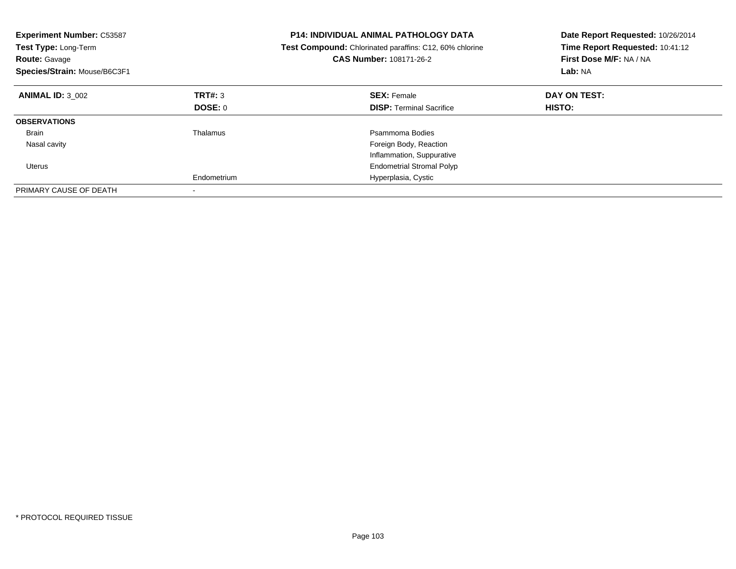| <b>Experiment Number: C53587</b><br>Test Type: Long-Term<br><b>Route: Gavage</b><br>Species/Strain: Mouse/B6C3F1 |             | <b>P14: INDIVIDUAL ANIMAL PATHOLOGY DATA</b><br>Test Compound: Chlorinated paraffins: C12, 60% chlorine<br><b>CAS Number: 108171-26-2</b> | Date Report Requested: 10/26/2014<br>Time Report Requested: 10:41:12<br>First Dose M/F: NA / NA<br>Lab: NA |
|------------------------------------------------------------------------------------------------------------------|-------------|-------------------------------------------------------------------------------------------------------------------------------------------|------------------------------------------------------------------------------------------------------------|
| <b>ANIMAL ID: 3 002</b>                                                                                          | TRT#: 3     | <b>SEX: Female</b>                                                                                                                        | DAY ON TEST:                                                                                               |
|                                                                                                                  | DOSE: 0     | <b>DISP:</b> Terminal Sacrifice                                                                                                           | HISTO:                                                                                                     |
| <b>OBSERVATIONS</b>                                                                                              |             |                                                                                                                                           |                                                                                                            |
| Brain                                                                                                            | Thalamus    | Psammoma Bodies                                                                                                                           |                                                                                                            |
| Nasal cavity                                                                                                     |             | Foreign Body, Reaction                                                                                                                    |                                                                                                            |
|                                                                                                                  |             | Inflammation, Suppurative                                                                                                                 |                                                                                                            |
| Uterus                                                                                                           |             | <b>Endometrial Stromal Polyp</b>                                                                                                          |                                                                                                            |
|                                                                                                                  | Endometrium | Hyperplasia, Cystic                                                                                                                       |                                                                                                            |
| PRIMARY CAUSE OF DEATH                                                                                           |             |                                                                                                                                           |                                                                                                            |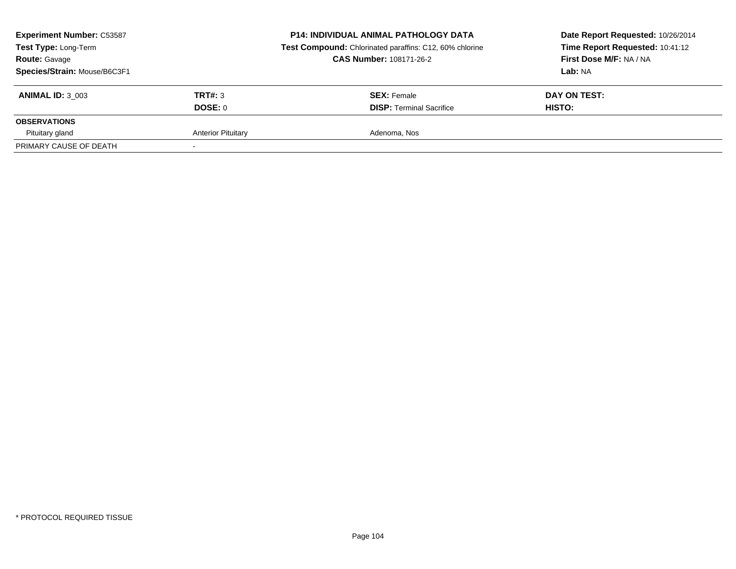| <b>Experiment Number: C53587</b><br>Test Type: Long-Term<br><b>Route: Gavage</b><br>Species/Strain: Mouse/B6C3F1 |                           | <b>P14: INDIVIDUAL ANIMAL PATHOLOGY DATA</b><br>Test Compound: Chlorinated paraffins: C12, 60% chlorine<br><b>CAS Number: 108171-26-2</b> | Date Report Requested: 10/26/2014<br>Time Report Requested: 10:41:12<br>First Dose M/F: NA / NA<br><b>Lab:</b> NA |  |
|------------------------------------------------------------------------------------------------------------------|---------------------------|-------------------------------------------------------------------------------------------------------------------------------------------|-------------------------------------------------------------------------------------------------------------------|--|
| <b>ANIMAL ID: 3 003</b>                                                                                          | TRT#: 3<br>DOSE: 0        | <b>SEX: Female</b><br><b>DISP: Terminal Sacrifice</b>                                                                                     | DAY ON TEST:<br><b>HISTO:</b>                                                                                     |  |
| <b>OBSERVATIONS</b>                                                                                              |                           |                                                                                                                                           |                                                                                                                   |  |
| Pituitary gland                                                                                                  | <b>Anterior Pituitary</b> | Adenoma, Nos                                                                                                                              |                                                                                                                   |  |
| PRIMARY CAUSE OF DEATH                                                                                           |                           |                                                                                                                                           |                                                                                                                   |  |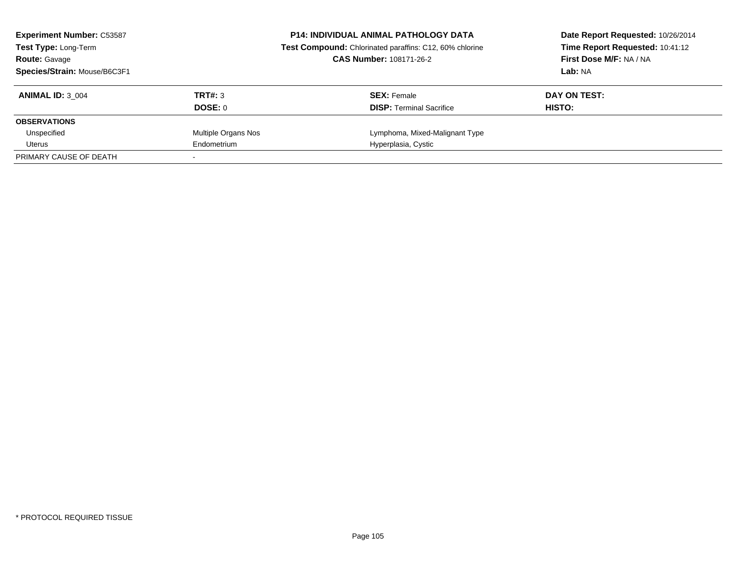| <b>Experiment Number: C53587</b><br><b>Test Type: Long-Term</b> |                     | <b>P14: INDIVIDUAL ANIMAL PATHOLOGY DATA</b><br>Test Compound: Chlorinated paraffins: C12, 60% chlorine | Date Report Requested: 10/26/2014<br>Time Report Requested: 10:41:12 |  |
|-----------------------------------------------------------------|---------------------|---------------------------------------------------------------------------------------------------------|----------------------------------------------------------------------|--|
| <b>Route: Gavage</b>                                            |                     | <b>CAS Number: 108171-26-2</b>                                                                          | First Dose M/F: NA / NA                                              |  |
| Species/Strain: Mouse/B6C3F1                                    |                     |                                                                                                         | Lab: NA                                                              |  |
| <b>ANIMAL ID: 3 004</b>                                         | TRT#: 3             | <b>SEX: Female</b>                                                                                      | DAY ON TEST:                                                         |  |
|                                                                 | DOSE: 0             | <b>DISP:</b> Terminal Sacrifice                                                                         | HISTO:                                                               |  |
| <b>OBSERVATIONS</b>                                             |                     |                                                                                                         |                                                                      |  |
| Unspecified                                                     | Multiple Organs Nos | Lymphoma, Mixed-Malignant Type                                                                          |                                                                      |  |
| Uterus                                                          | Endometrium         | Hyperplasia, Cystic                                                                                     |                                                                      |  |
| PRIMARY CAUSE OF DEATH                                          |                     |                                                                                                         |                                                                      |  |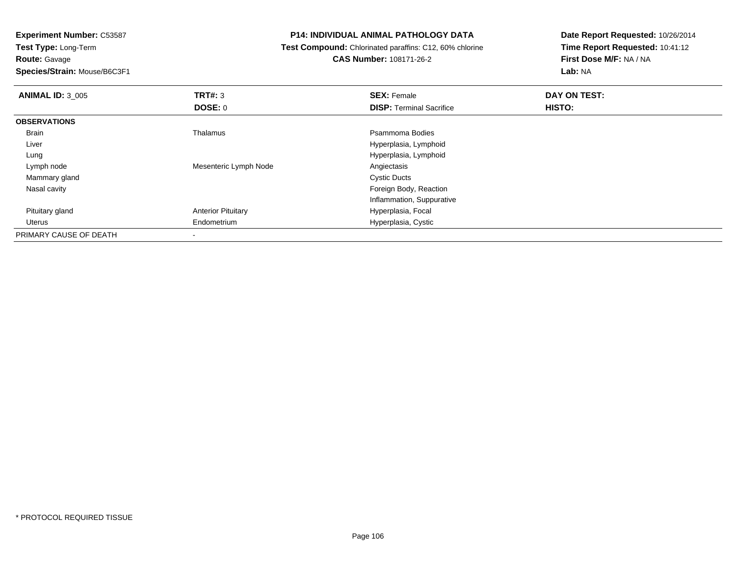**Route:** Gavage

**Species/Strain:** Mouse/B6C3F1

# **P14: INDIVIDUAL ANIMAL PATHOLOGY DATA**

 **Test Compound:** Chlorinated paraffins: C12, 60% chlorine**CAS Number:** 108171-26-2

| <b>ANIMAL ID: 3 005</b> | <b>TRT#: 3</b>            | <b>SEX: Female</b>              | DAY ON TEST: |  |
|-------------------------|---------------------------|---------------------------------|--------------|--|
|                         | <b>DOSE: 0</b>            | <b>DISP: Terminal Sacrifice</b> | HISTO:       |  |
| <b>OBSERVATIONS</b>     |                           |                                 |              |  |
| <b>Brain</b>            | Thalamus                  | Psammoma Bodies                 |              |  |
| Liver                   |                           | Hyperplasia, Lymphoid           |              |  |
| Lung                    |                           | Hyperplasia, Lymphoid           |              |  |
| Lymph node              | Mesenteric Lymph Node     | Angiectasis                     |              |  |
| Mammary gland           |                           | <b>Cystic Ducts</b>             |              |  |
| Nasal cavity            |                           | Foreign Body, Reaction          |              |  |
|                         |                           | Inflammation, Suppurative       |              |  |
| Pituitary gland         | <b>Anterior Pituitary</b> | Hyperplasia, Focal              |              |  |
| Uterus                  | Endometrium               | Hyperplasia, Cystic             |              |  |
| PRIMARY CAUSE OF DEATH  |                           |                                 |              |  |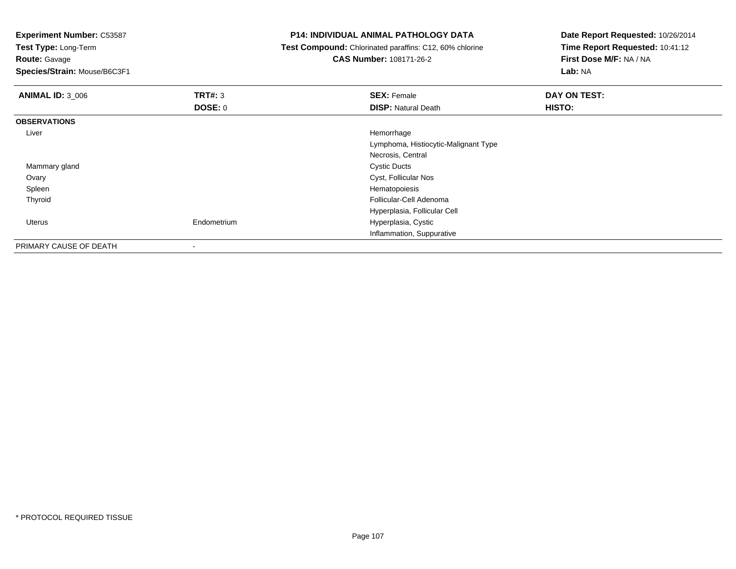**Experiment Number:** C53587**Test Type:** Long-Term**Route:** Gavage **Species/Strain:** Mouse/B6C3F1**P14: INDIVIDUAL ANIMAL PATHOLOGY DATA Test Compound:** Chlorinated paraffins: C12, 60% chlorine**CAS Number:** 108171-26-2**Date Report Requested:** 10/26/2014**Time Report Requested:** 10:41:12**First Dose M/F:** NA / NA**Lab:** NA**ANIMAL ID:** 3\_006**6 DAY ON TEST: TRT#:** 3 **SEX: Female SEX: Female DAY ON TEST: DOSE:** 0**DISP:** Natural Death **HISTO: OBSERVATIONS** Liver Hemorrhage Lymphoma, Histiocytic-Malignant TypeNecrosis, Central Mammary glandd Cystic Ducts Ovary Cyst, Follicular Nos Spleenn and the state of the state of the state of the state of the state of the state of the state of the state of the state of the state of the state of the state of the state of the state of the state of the state of the stat Thyroid Follicular-Cell Adenoma Hyperplasia, Follicular Cell Uterus Endometrium Hyperplasia, Cystic Inflammation, SuppurativePRIMARY CAUSE OF DEATH

-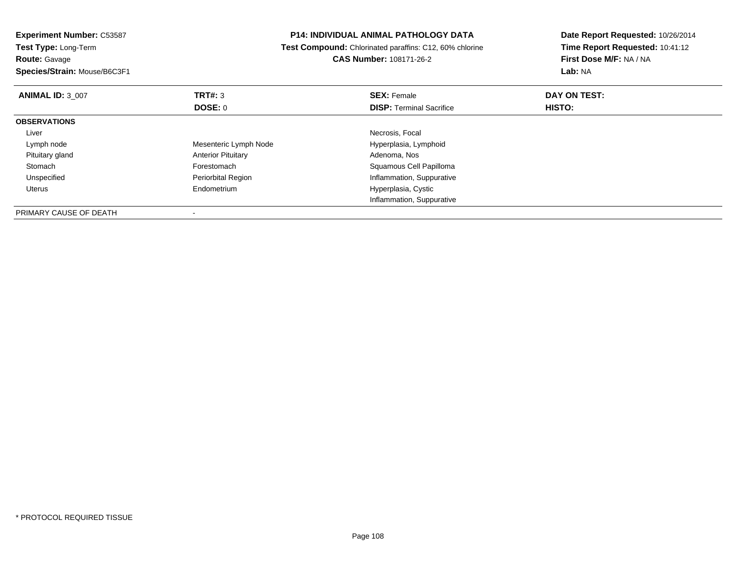| <b>Experiment Number: C53587</b> | <b>P14: INDIVIDUAL ANIMAL PATHOLOGY DATA</b> |                                                                | Date Report Requested: 10/26/2014 |  |
|----------------------------------|----------------------------------------------|----------------------------------------------------------------|-----------------------------------|--|
| Test Type: Long-Term             |                                              | <b>Test Compound:</b> Chlorinated paraffins: C12, 60% chlorine | Time Report Requested: 10:41:12   |  |
| <b>Route: Gavage</b>             |                                              | <b>CAS Number: 108171-26-2</b>                                 | First Dose M/F: NA / NA           |  |
| Species/Strain: Mouse/B6C3F1     |                                              |                                                                | Lab: NA                           |  |
| <b>ANIMAL ID: 3 007</b>          | TRT#: 3                                      | <b>SEX: Female</b>                                             | DAY ON TEST:                      |  |
|                                  | DOSE: 0                                      | <b>DISP:</b> Terminal Sacrifice                                | HISTO:                            |  |
| <b>OBSERVATIONS</b>              |                                              |                                                                |                                   |  |
| Liver                            |                                              | Necrosis, Focal                                                |                                   |  |
| Lymph node                       | Mesenteric Lymph Node                        | Hyperplasia, Lymphoid                                          |                                   |  |
| Pituitary gland                  | <b>Anterior Pituitary</b>                    | Adenoma, Nos                                                   |                                   |  |
| Stomach                          | Forestomach                                  | Squamous Cell Papilloma                                        |                                   |  |
| Unspecified                      | Periorbital Region                           | Inflammation, Suppurative                                      |                                   |  |
| Uterus                           | Endometrium                                  | Hyperplasia, Cystic                                            |                                   |  |
|                                  |                                              | Inflammation, Suppurative                                      |                                   |  |
| PRIMARY CAUSE OF DEATH           |                                              |                                                                |                                   |  |

-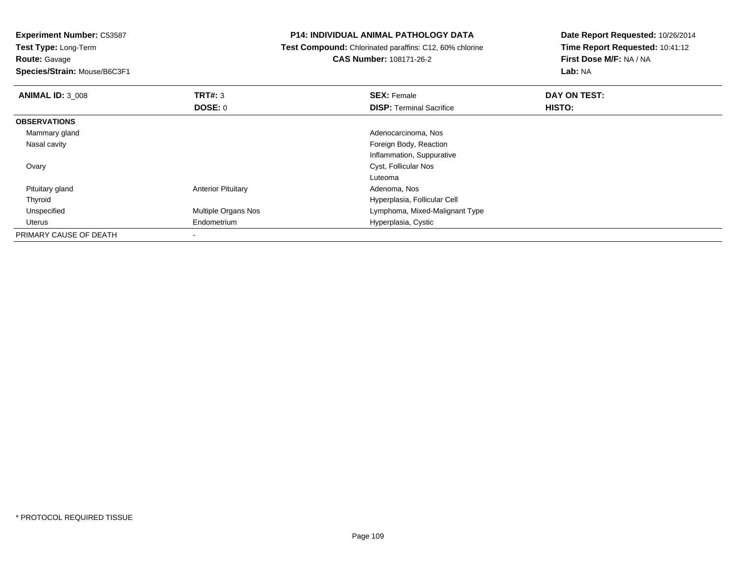**Test Type:** Long-Term

**Route:** Gavage

**Species/Strain:** Mouse/B6C3F1

# **P14: INDIVIDUAL ANIMAL PATHOLOGY DATA**

 **Test Compound:** Chlorinated paraffins: C12, 60% chlorine**CAS Number:** 108171-26-2

| <b>ANIMAL ID: 3 008</b> | TRT#: 3                   | <b>SEX: Female</b>              | DAY ON TEST: |  |
|-------------------------|---------------------------|---------------------------------|--------------|--|
|                         | <b>DOSE: 0</b>            | <b>DISP: Terminal Sacrifice</b> | HISTO:       |  |
| <b>OBSERVATIONS</b>     |                           |                                 |              |  |
| Mammary gland           |                           | Adenocarcinoma, Nos             |              |  |
| Nasal cavity            |                           | Foreign Body, Reaction          |              |  |
|                         |                           | Inflammation, Suppurative       |              |  |
| Ovary                   |                           | Cyst, Follicular Nos            |              |  |
|                         |                           | Luteoma                         |              |  |
| Pituitary gland         | <b>Anterior Pituitary</b> | Adenoma, Nos                    |              |  |
| Thyroid                 |                           | Hyperplasia, Follicular Cell    |              |  |
| Unspecified             | Multiple Organs Nos       | Lymphoma, Mixed-Malignant Type  |              |  |
| Uterus                  | Endometrium               | Hyperplasia, Cystic             |              |  |
| PRIMARY CAUSE OF DEATH  |                           |                                 |              |  |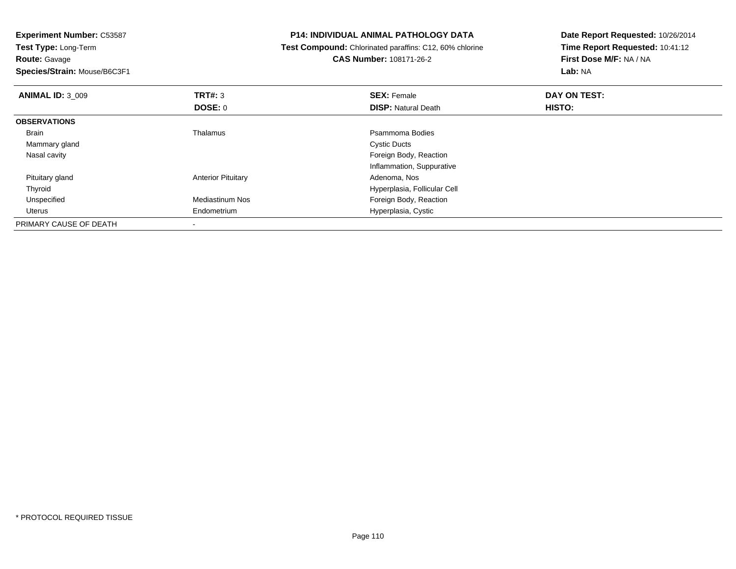**Route:** Gavage

**Species/Strain:** Mouse/B6C3F1

#### **P14: INDIVIDUAL ANIMAL PATHOLOGY DATA**

 **Test Compound:** Chlorinated paraffins: C12, 60% chlorine**CAS Number:** 108171-26-2

| <b>ANIMAL ID: 3 009</b> | TRT#: 3                   | <b>SEX: Female</b>           | DAY ON TEST: |  |
|-------------------------|---------------------------|------------------------------|--------------|--|
|                         | <b>DOSE: 0</b>            | <b>DISP: Natural Death</b>   | HISTO:       |  |
| <b>OBSERVATIONS</b>     |                           |                              |              |  |
| <b>Brain</b>            | Thalamus                  | Psammoma Bodies              |              |  |
| Mammary gland           |                           | <b>Cystic Ducts</b>          |              |  |
| Nasal cavity            |                           | Foreign Body, Reaction       |              |  |
|                         |                           | Inflammation, Suppurative    |              |  |
| Pituitary gland         | <b>Anterior Pituitary</b> | Adenoma, Nos                 |              |  |
| Thyroid                 |                           | Hyperplasia, Follicular Cell |              |  |
| Unspecified             | <b>Mediastinum Nos</b>    | Foreign Body, Reaction       |              |  |
| Uterus                  | Endometrium               | Hyperplasia, Cystic          |              |  |
| PRIMARY CAUSE OF DEATH  |                           |                              |              |  |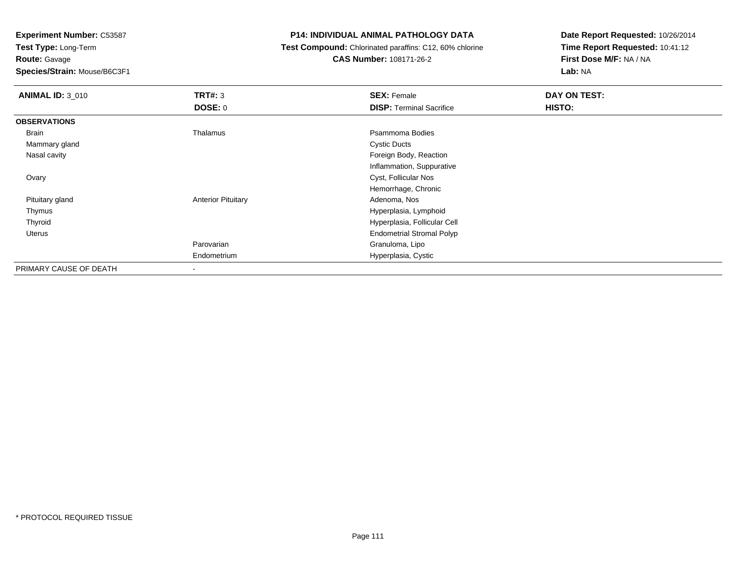**Test Type:** Long-Term

**Route:** Gavage

**Species/Strain:** Mouse/B6C3F1

### **P14: INDIVIDUAL ANIMAL PATHOLOGY DATA**

 **Test Compound:** Chlorinated paraffins: C12, 60% chlorine**CAS Number:** 108171-26-2

| <b>ANIMAL ID: 3 010</b> | <b>TRT#: 3</b><br><b>DOSE: 0</b> | <b>SEX: Female</b><br><b>DISP: Terminal Sacrifice</b> | DAY ON TEST:<br>HISTO: |
|-------------------------|----------------------------------|-------------------------------------------------------|------------------------|
| <b>OBSERVATIONS</b>     |                                  |                                                       |                        |
| Brain                   | Thalamus                         | Psammoma Bodies                                       |                        |
| Mammary gland           |                                  | <b>Cystic Ducts</b>                                   |                        |
| Nasal cavity            |                                  | Foreign Body, Reaction                                |                        |
|                         |                                  | Inflammation, Suppurative                             |                        |
| Ovary                   |                                  | Cyst, Follicular Nos                                  |                        |
|                         |                                  | Hemorrhage, Chronic                                   |                        |
| Pituitary gland         | <b>Anterior Pituitary</b>        | Adenoma, Nos                                          |                        |
| Thymus                  |                                  | Hyperplasia, Lymphoid                                 |                        |
| Thyroid                 |                                  | Hyperplasia, Follicular Cell                          |                        |
| Uterus                  |                                  | <b>Endometrial Stromal Polyp</b>                      |                        |
|                         | Parovarian                       | Granuloma, Lipo                                       |                        |
|                         | Endometrium                      | Hyperplasia, Cystic                                   |                        |
| PRIMARY CAUSE OF DEATH  | -                                |                                                       |                        |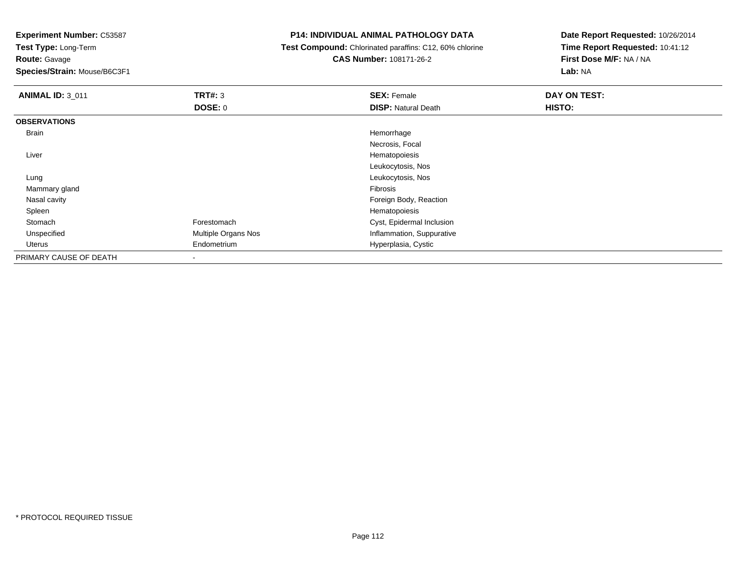**Test Type:** Long-Term

**Route:** Gavage

**Species/Strain:** Mouse/B6C3F1

# **P14: INDIVIDUAL ANIMAL PATHOLOGY DATA**

 **Test Compound:** Chlorinated paraffins: C12, 60% chlorine**CAS Number:** 108171-26-2

| <b>ANIMAL ID: 3_011</b> | <b>TRT#: 3</b>      | <b>SEX: Female</b>         | DAY ON TEST: |  |
|-------------------------|---------------------|----------------------------|--------------|--|
|                         | DOSE: 0             | <b>DISP: Natural Death</b> | HISTO:       |  |
| <b>OBSERVATIONS</b>     |                     |                            |              |  |
| <b>Brain</b>            |                     | Hemorrhage                 |              |  |
|                         |                     | Necrosis, Focal            |              |  |
| Liver                   |                     | Hematopoiesis              |              |  |
|                         |                     | Leukocytosis, Nos          |              |  |
| Lung                    |                     | Leukocytosis, Nos          |              |  |
| Mammary gland           |                     | Fibrosis                   |              |  |
| Nasal cavity            |                     | Foreign Body, Reaction     |              |  |
| Spleen                  |                     | Hematopoiesis              |              |  |
| Stomach                 | Forestomach         | Cyst, Epidermal Inclusion  |              |  |
| Unspecified             | Multiple Organs Nos | Inflammation, Suppurative  |              |  |
| Uterus                  | Endometrium         | Hyperplasia, Cystic        |              |  |
| PRIMARY CAUSE OF DEATH  | ٠                   |                            |              |  |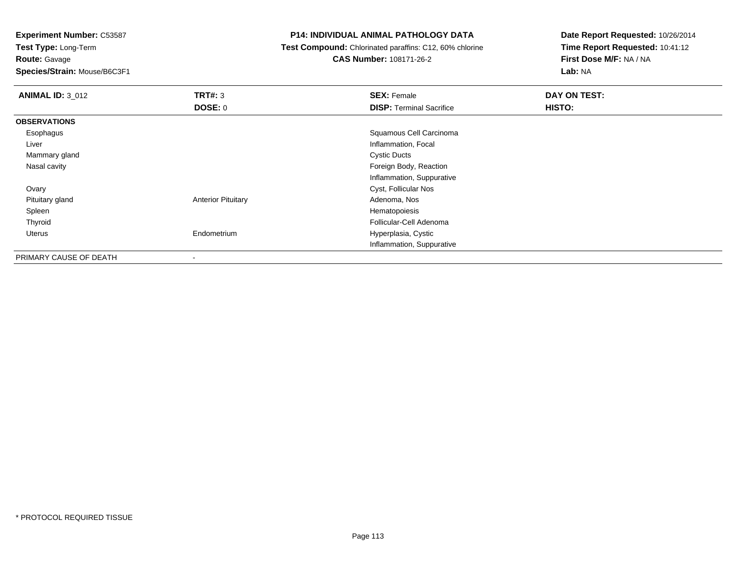**Test Type:** Long-Term**Route:** Gavage

**Species/Strain:** Mouse/B6C3F1

### **P14: INDIVIDUAL ANIMAL PATHOLOGY DATA**

**Test Compound:** Chlorinated paraffins: C12, 60% chlorine

**CAS Number:** 108171-26-2

| <b>ANIMAL ID: 3_012</b> | TRT#: 3                   | <b>SEX: Female</b>              | DAY ON TEST: |
|-------------------------|---------------------------|---------------------------------|--------------|
|                         | <b>DOSE: 0</b>            | <b>DISP: Terminal Sacrifice</b> | HISTO:       |
| <b>OBSERVATIONS</b>     |                           |                                 |              |
| Esophagus               |                           | Squamous Cell Carcinoma         |              |
| Liver                   |                           | Inflammation, Focal             |              |
| Mammary gland           |                           | <b>Cystic Ducts</b>             |              |
| Nasal cavity            |                           | Foreign Body, Reaction          |              |
|                         |                           | Inflammation, Suppurative       |              |
| Ovary                   |                           | Cyst, Follicular Nos            |              |
| Pituitary gland         | <b>Anterior Pituitary</b> | Adenoma, Nos                    |              |
| Spleen                  |                           | Hematopoiesis                   |              |
| Thyroid                 |                           | Follicular-Cell Adenoma         |              |
| <b>Uterus</b>           | Endometrium               | Hyperplasia, Cystic             |              |
|                         |                           | Inflammation, Suppurative       |              |
| PRIMARY CAUSE OF DEATH  | ۰                         |                                 |              |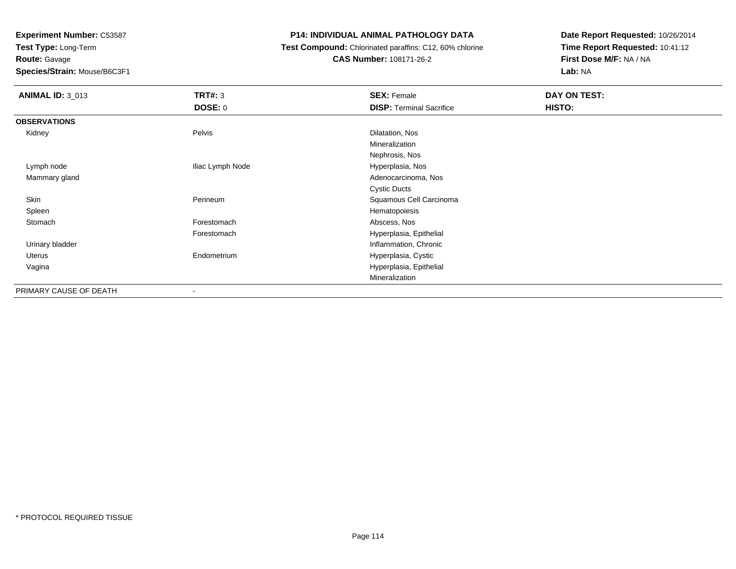**Test Type:** Long-Term

**Route:** Gavage

**Species/Strain:** Mouse/B6C3F1

# **P14: INDIVIDUAL ANIMAL PATHOLOGY DATA**

 **Test Compound:** Chlorinated paraffins: C12, 60% chlorine**CAS Number:** 108171-26-2

| <b>ANIMAL ID: 3_013</b> | TRT#: 3          | <b>SEX: Female</b>              | DAY ON TEST: |
|-------------------------|------------------|---------------------------------|--------------|
|                         | <b>DOSE: 0</b>   | <b>DISP: Terminal Sacrifice</b> | HISTO:       |
| <b>OBSERVATIONS</b>     |                  |                                 |              |
| Kidney                  | Pelvis           | Dilatation, Nos                 |              |
|                         |                  | Mineralization                  |              |
|                         |                  | Nephrosis, Nos                  |              |
| Lymph node              | Iliac Lymph Node | Hyperplasia, Nos                |              |
| Mammary gland           |                  | Adenocarcinoma, Nos             |              |
|                         |                  | <b>Cystic Ducts</b>             |              |
| Skin                    | Perineum         | Squamous Cell Carcinoma         |              |
| Spleen                  |                  | Hematopoiesis                   |              |
| Stomach                 | Forestomach      | Abscess, Nos                    |              |
|                         | Forestomach      | Hyperplasia, Epithelial         |              |
| Urinary bladder         |                  | Inflammation, Chronic           |              |
| Uterus                  | Endometrium      | Hyperplasia, Cystic             |              |
| Vagina                  |                  | Hyperplasia, Epithelial         |              |
|                         |                  | Mineralization                  |              |
| PRIMARY CAUSE OF DEATH  | $\blacksquare$   |                                 |              |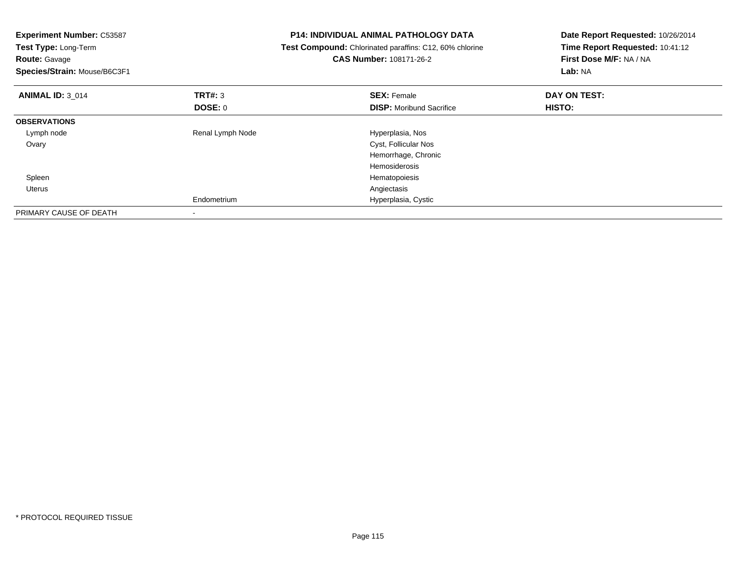| <b>Experiment Number: C53587</b><br><b>Test Type: Long-Term</b><br><b>Route: Gavage</b><br>Species/Strain: Mouse/B6C3F1 |                  | <b>P14: INDIVIDUAL ANIMAL PATHOLOGY DATA</b><br>Test Compound: Chlorinated paraffins: C12, 60% chlorine<br>CAS Number: 108171-26-2 | Date Report Requested: 10/26/2014<br>Time Report Requested: 10:41:12<br>First Dose M/F: NA / NA<br>Lab: NA |
|-------------------------------------------------------------------------------------------------------------------------|------------------|------------------------------------------------------------------------------------------------------------------------------------|------------------------------------------------------------------------------------------------------------|
| <b>ANIMAL ID: 3 014</b>                                                                                                 | <b>TRT#: 3</b>   | <b>SEX: Female</b>                                                                                                                 | DAY ON TEST:                                                                                               |
|                                                                                                                         | DOSE: 0          | <b>DISP:</b> Moribund Sacrifice                                                                                                    | HISTO:                                                                                                     |
| <b>OBSERVATIONS</b>                                                                                                     |                  |                                                                                                                                    |                                                                                                            |
| Lymph node                                                                                                              | Renal Lymph Node | Hyperplasia, Nos                                                                                                                   |                                                                                                            |
| Ovary                                                                                                                   |                  | Cyst, Follicular Nos                                                                                                               |                                                                                                            |
|                                                                                                                         |                  | Hemorrhage, Chronic                                                                                                                |                                                                                                            |
|                                                                                                                         |                  | <b>Hemosiderosis</b>                                                                                                               |                                                                                                            |
| Spleen                                                                                                                  |                  | Hematopoiesis                                                                                                                      |                                                                                                            |
| Uterus                                                                                                                  |                  | Angiectasis                                                                                                                        |                                                                                                            |
|                                                                                                                         | Endometrium      | Hyperplasia, Cystic                                                                                                                |                                                                                                            |
| PRIMARY CAUSE OF DEATH                                                                                                  |                  |                                                                                                                                    |                                                                                                            |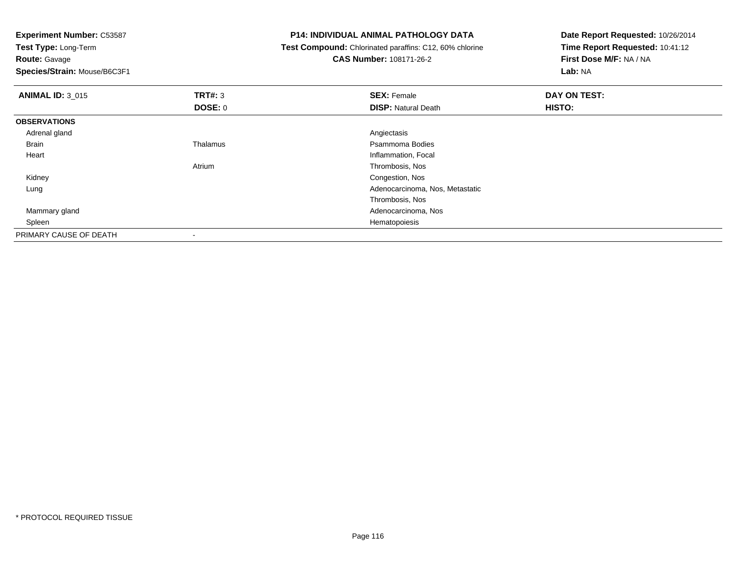**Test Type:** Long-Term

**Route:** Gavage

**Species/Strain:** Mouse/B6C3F1

#### **P14: INDIVIDUAL ANIMAL PATHOLOGY DATA**

**Test Compound:** Chlorinated paraffins: C12, 60% chlorine

**CAS Number:** 108171-26-2

| <b>ANIMAL ID: 3 015</b> | TRT#: 3        | <b>SEX: Female</b>              | DAY ON TEST: |  |
|-------------------------|----------------|---------------------------------|--------------|--|
|                         | <b>DOSE: 0</b> | <b>DISP: Natural Death</b>      | HISTO:       |  |
| <b>OBSERVATIONS</b>     |                |                                 |              |  |
| Adrenal gland           |                | Angiectasis                     |              |  |
| <b>Brain</b>            | Thalamus       | Psammoma Bodies                 |              |  |
| Heart                   |                | Inflammation, Focal             |              |  |
|                         | Atrium         | Thrombosis, Nos                 |              |  |
| Kidney                  |                | Congestion, Nos                 |              |  |
| Lung                    |                | Adenocarcinoma, Nos, Metastatic |              |  |
|                         |                | Thrombosis, Nos                 |              |  |
| Mammary gland           |                | Adenocarcinoma, Nos             |              |  |
| Spleen                  |                | Hematopoiesis                   |              |  |
| PRIMARY CAUSE OF DEATH  |                |                                 |              |  |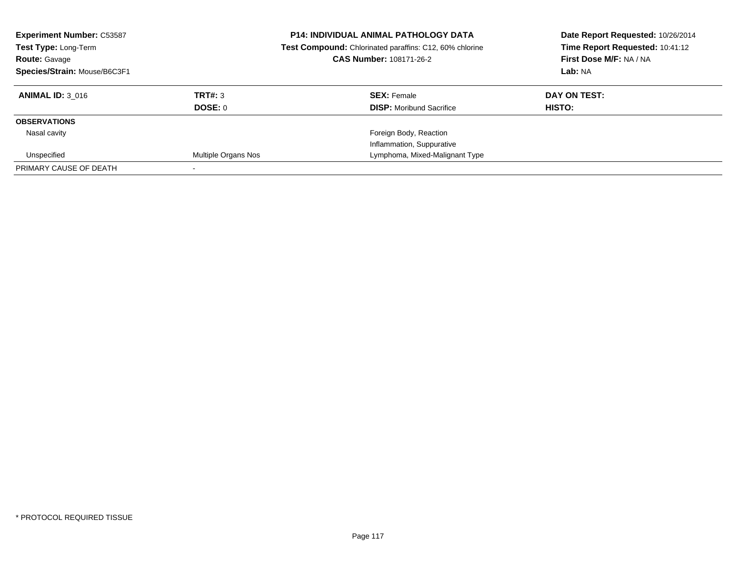| <b>Experiment Number: C53587</b><br>Test Type: Long-Term<br><b>Route: Gavage</b><br>Species/Strain: Mouse/B6C3F1 |                            | <b>P14: INDIVIDUAL ANIMAL PATHOLOGY DATA</b><br>Date Report Requested: 10/26/2014<br>Time Report Requested: 10:41:12<br>Test Compound: Chlorinated paraffins: C12, 60% chlorine<br>First Dose M/F: NA / NA<br>CAS Number: 108171-26-2<br>Lab: NA |              |
|------------------------------------------------------------------------------------------------------------------|----------------------------|--------------------------------------------------------------------------------------------------------------------------------------------------------------------------------------------------------------------------------------------------|--------------|
| <b>ANIMAL ID: 3 016</b>                                                                                          | TRT#: 3                    | <b>SEX: Female</b>                                                                                                                                                                                                                               | DAY ON TEST: |
|                                                                                                                  | <b>DOSE: 0</b>             | <b>DISP:</b> Moribund Sacrifice                                                                                                                                                                                                                  | HISTO:       |
| <b>OBSERVATIONS</b>                                                                                              |                            |                                                                                                                                                                                                                                                  |              |
| Nasal cavity                                                                                                     |                            | Foreign Body, Reaction                                                                                                                                                                                                                           |              |
|                                                                                                                  |                            | Inflammation, Suppurative                                                                                                                                                                                                                        |              |
| Unspecified                                                                                                      | <b>Multiple Organs Nos</b> | Lymphoma, Mixed-Malignant Type                                                                                                                                                                                                                   |              |
| PRIMARY CAUSE OF DEATH                                                                                           |                            |                                                                                                                                                                                                                                                  |              |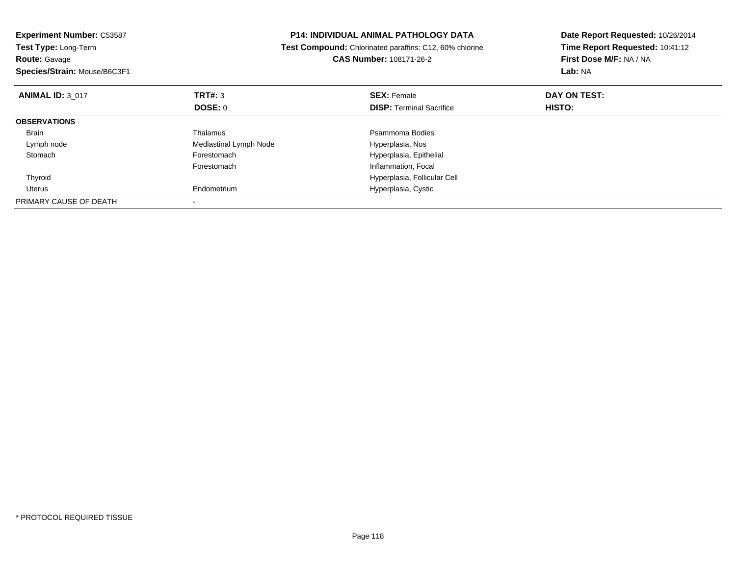| <b>Experiment Number: C53587</b><br>Test Type: Long-Term<br><b>Route: Gavage</b><br>Species/Strain: Mouse/B6C3F1 |                        | P14: INDIVIDUAL ANIMAL PATHOLOGY DATA<br>Test Compound: Chlorinated paraffins: C12, 60% chlorine<br><b>CAS Number: 108171-26-2</b> | Date Report Requested: 10/26/2014<br>Time Report Requested: 10:41:12<br>First Dose M/F: NA / NA<br>Lab: NA |
|------------------------------------------------------------------------------------------------------------------|------------------------|------------------------------------------------------------------------------------------------------------------------------------|------------------------------------------------------------------------------------------------------------|
| <b>ANIMAL ID: 3 017</b>                                                                                          | <b>TRT#: 3</b>         | <b>SEX: Female</b>                                                                                                                 | DAY ON TEST:                                                                                               |
|                                                                                                                  | <b>DOSE: 0</b>         | <b>DISP:</b> Terminal Sacrifice                                                                                                    | <b>HISTO:</b>                                                                                              |
| <b>OBSERVATIONS</b>                                                                                              |                        |                                                                                                                                    |                                                                                                            |
| <b>Brain</b>                                                                                                     | Thalamus               | Psammoma Bodies                                                                                                                    |                                                                                                            |
| Lymph node                                                                                                       | Mediastinal Lymph Node | Hyperplasia, Nos                                                                                                                   |                                                                                                            |
| Stomach                                                                                                          | Forestomach            | Hyperplasia, Epithelial                                                                                                            |                                                                                                            |
|                                                                                                                  | Forestomach            | Inflammation, Focal                                                                                                                |                                                                                                            |
| Thyroid                                                                                                          |                        | Hyperplasia, Follicular Cell                                                                                                       |                                                                                                            |
| Uterus                                                                                                           | Endometrium            | Hyperplasia, Cystic                                                                                                                |                                                                                                            |
| PRIMARY CAUSE OF DEATH                                                                                           |                        |                                                                                                                                    |                                                                                                            |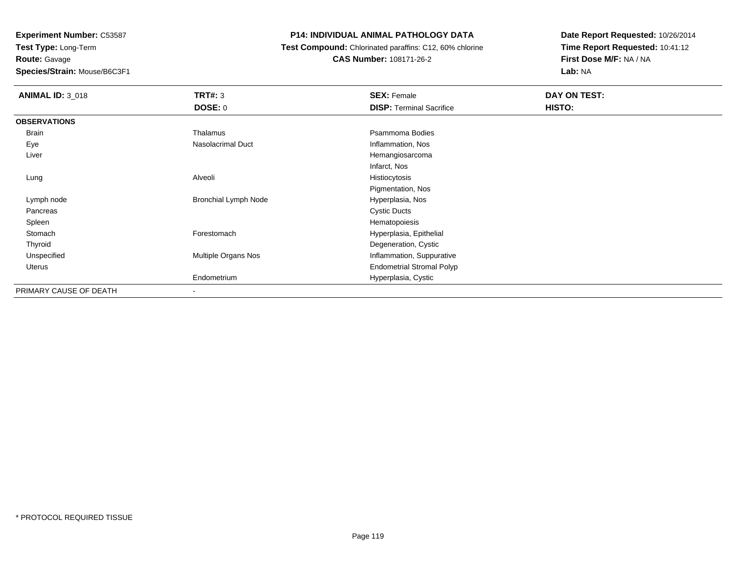**Route:** Gavage

**Species/Strain:** Mouse/B6C3F1

# **P14: INDIVIDUAL ANIMAL PATHOLOGY DATA**

**Test Compound:** Chlorinated paraffins: C12, 60% chlorine

**CAS Number:** 108171-26-2

| <b>ANIMAL ID: 3_018</b> | <b>TRT#: 3</b>              | <b>SEX: Female</b>               | DAY ON TEST: |  |
|-------------------------|-----------------------------|----------------------------------|--------------|--|
|                         | DOSE: 0                     | <b>DISP: Terminal Sacrifice</b>  | HISTO:       |  |
| <b>OBSERVATIONS</b>     |                             |                                  |              |  |
| <b>Brain</b>            | Thalamus                    | Psammoma Bodies                  |              |  |
| Eye                     | <b>Nasolacrimal Duct</b>    | Inflammation, Nos                |              |  |
| Liver                   |                             | Hemangiosarcoma                  |              |  |
|                         |                             | Infarct, Nos                     |              |  |
| Lung                    | Alveoli                     | Histiocytosis                    |              |  |
|                         |                             | Pigmentation, Nos                |              |  |
| Lymph node              | <b>Bronchial Lymph Node</b> | Hyperplasia, Nos                 |              |  |
| Pancreas                |                             | <b>Cystic Ducts</b>              |              |  |
| Spleen                  |                             | Hematopoiesis                    |              |  |
| Stomach                 | Forestomach                 | Hyperplasia, Epithelial          |              |  |
| Thyroid                 |                             | Degeneration, Cystic             |              |  |
| Unspecified             | Multiple Organs Nos         | Inflammation, Suppurative        |              |  |
| Uterus                  |                             | <b>Endometrial Stromal Polyp</b> |              |  |
|                         | Endometrium                 | Hyperplasia, Cystic              |              |  |
| PRIMARY CAUSE OF DEATH  | ٠                           |                                  |              |  |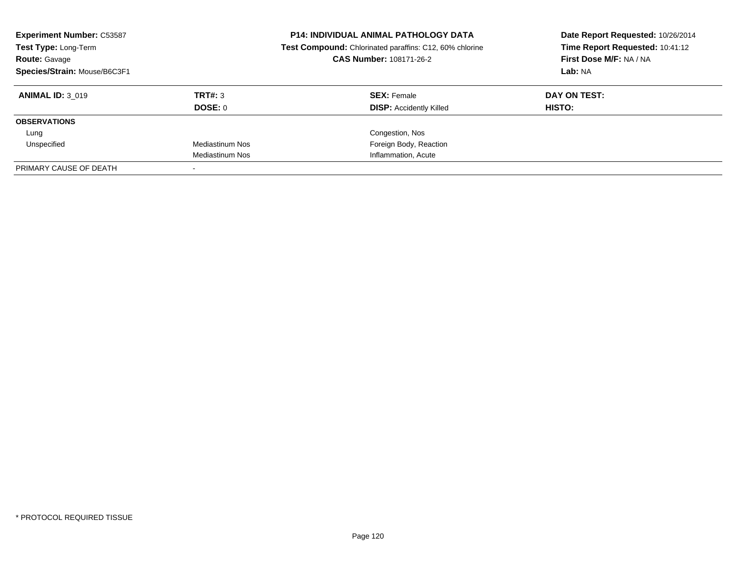| <b>Experiment Number: C53587</b><br>Test Type: Long-Term<br><b>Route: Gavage</b><br>Species/Strain: Mouse/B6C3F1 |                 | <b>P14: INDIVIDUAL ANIMAL PATHOLOGY DATA</b><br>Date Report Requested: 10/26/2014<br>Time Report Requested: 10:41:12<br>Test Compound: Chlorinated paraffins: C12, 60% chlorine<br>First Dose M/F: NA / NA<br>CAS Number: 108171-26-2<br>Lab: NA |              |
|------------------------------------------------------------------------------------------------------------------|-----------------|--------------------------------------------------------------------------------------------------------------------------------------------------------------------------------------------------------------------------------------------------|--------------|
| <b>ANIMAL ID: 3 019</b>                                                                                          | TRT#: 3         | <b>SEX: Female</b>                                                                                                                                                                                                                               | DAY ON TEST: |
|                                                                                                                  | DOSE: 0         | <b>DISP:</b> Accidently Killed                                                                                                                                                                                                                   | HISTO:       |
| <b>OBSERVATIONS</b>                                                                                              |                 |                                                                                                                                                                                                                                                  |              |
| Lung                                                                                                             |                 | Congestion, Nos                                                                                                                                                                                                                                  |              |
| Unspecified                                                                                                      | Mediastinum Nos | Foreign Body, Reaction                                                                                                                                                                                                                           |              |
|                                                                                                                  | Mediastinum Nos | Inflammation, Acute                                                                                                                                                                                                                              |              |
| PRIMARY CAUSE OF DEATH                                                                                           |                 |                                                                                                                                                                                                                                                  |              |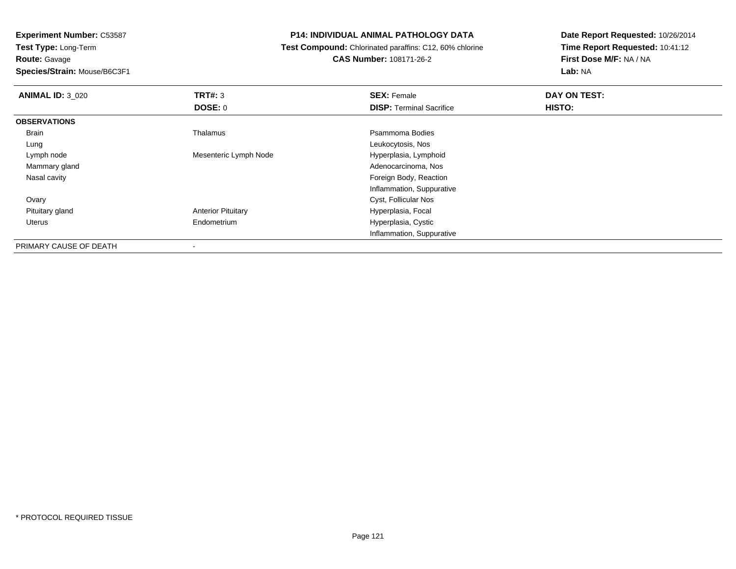**Test Type:** Long-Term**Route:** Gavage

**Species/Strain:** Mouse/B6C3F1

# **P14: INDIVIDUAL ANIMAL PATHOLOGY DATA**

 **Test Compound:** Chlorinated paraffins: C12, 60% chlorine**CAS Number:** 108171-26-2

| <b>ANIMAL ID: 3 020</b> | <b>TRT#: 3</b>            | <b>SEX: Female</b>              | DAY ON TEST: |  |
|-------------------------|---------------------------|---------------------------------|--------------|--|
|                         | <b>DOSE: 0</b>            | <b>DISP: Terminal Sacrifice</b> | HISTO:       |  |
| <b>OBSERVATIONS</b>     |                           |                                 |              |  |
| Brain                   | Thalamus                  | Psammoma Bodies                 |              |  |
| Lung                    |                           | Leukocytosis, Nos               |              |  |
| Lymph node              | Mesenteric Lymph Node     | Hyperplasia, Lymphoid           |              |  |
| Mammary gland           |                           | Adenocarcinoma, Nos             |              |  |
| Nasal cavity            |                           | Foreign Body, Reaction          |              |  |
|                         |                           | Inflammation, Suppurative       |              |  |
| Ovary                   |                           | Cyst, Follicular Nos            |              |  |
| Pituitary gland         | <b>Anterior Pituitary</b> | Hyperplasia, Focal              |              |  |
| Uterus                  | Endometrium               | Hyperplasia, Cystic             |              |  |
|                         |                           | Inflammation, Suppurative       |              |  |
| PRIMARY CAUSE OF DEATH  | ۰                         |                                 |              |  |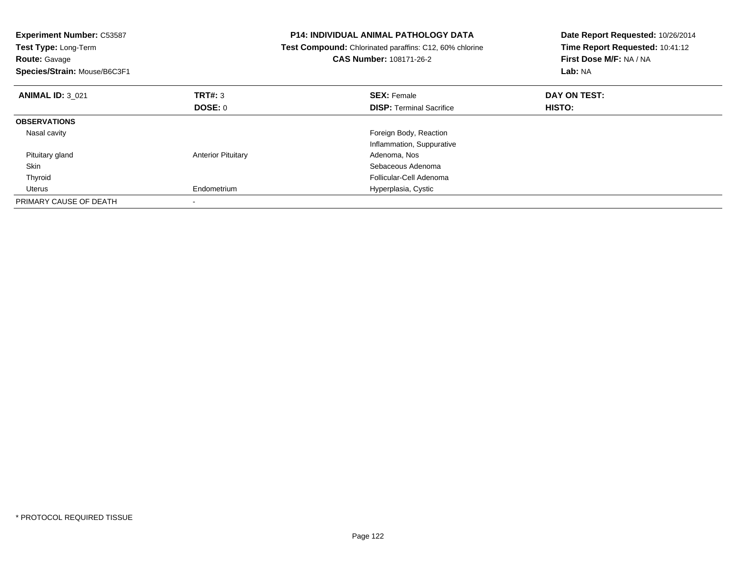| <b>Experiment Number: C53587</b><br>Test Type: Long-Term<br><b>Route: Gavage</b><br>Species/Strain: Mouse/B6C3F1 |                           | <b>P14: INDIVIDUAL ANIMAL PATHOLOGY DATA</b><br>Test Compound: Chlorinated paraffins: C12, 60% chlorine<br><b>CAS Number: 108171-26-2</b> | Date Report Requested: 10/26/2014<br>Time Report Requested: 10:41:12<br>First Dose M/F: NA / NA<br>Lab: NA |
|------------------------------------------------------------------------------------------------------------------|---------------------------|-------------------------------------------------------------------------------------------------------------------------------------------|------------------------------------------------------------------------------------------------------------|
| <b>ANIMAL ID: 3 021</b>                                                                                          | TRT#: 3                   | <b>SEX: Female</b>                                                                                                                        | DAY ON TEST:                                                                                               |
|                                                                                                                  | DOSE: 0                   | <b>DISP:</b> Terminal Sacrifice                                                                                                           | <b>HISTO:</b>                                                                                              |
| <b>OBSERVATIONS</b>                                                                                              |                           |                                                                                                                                           |                                                                                                            |
| Nasal cavity                                                                                                     |                           | Foreign Body, Reaction                                                                                                                    |                                                                                                            |
|                                                                                                                  |                           | Inflammation, Suppurative                                                                                                                 |                                                                                                            |
| Pituitary gland                                                                                                  | <b>Anterior Pituitary</b> | Adenoma, Nos                                                                                                                              |                                                                                                            |
| Skin                                                                                                             |                           | Sebaceous Adenoma                                                                                                                         |                                                                                                            |
| Thyroid                                                                                                          |                           | Follicular-Cell Adenoma                                                                                                                   |                                                                                                            |
| Uterus                                                                                                           | Endometrium               | Hyperplasia, Cystic                                                                                                                       |                                                                                                            |
| PRIMARY CAUSE OF DEATH                                                                                           |                           |                                                                                                                                           |                                                                                                            |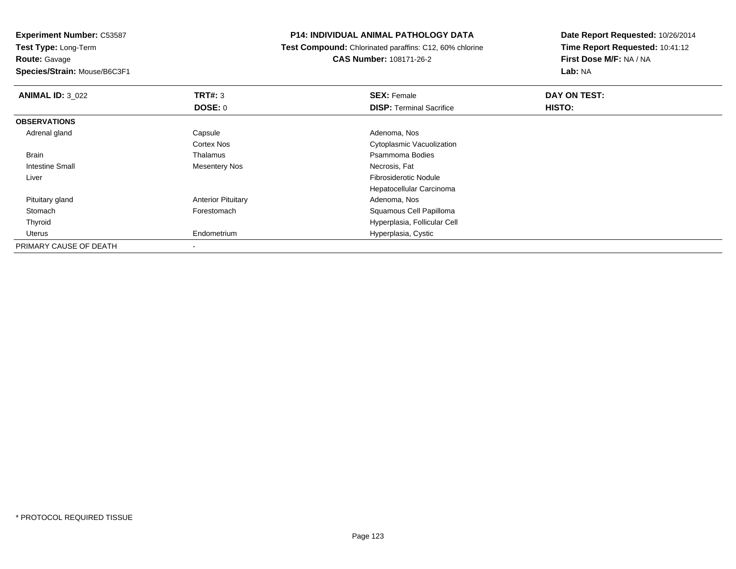**Route:** Gavage

**Species/Strain:** Mouse/B6C3F1

#### **P14: INDIVIDUAL ANIMAL PATHOLOGY DATA**

 **Test Compound:** Chlorinated paraffins: C12, 60% chlorine**CAS Number:** 108171-26-2

| <b>ANIMAL ID: 3 022</b> | TRT#: 3                   | <b>SEX: Female</b>              | DAY ON TEST: |  |
|-------------------------|---------------------------|---------------------------------|--------------|--|
|                         | <b>DOSE: 0</b>            | <b>DISP: Terminal Sacrifice</b> | HISTO:       |  |
| <b>OBSERVATIONS</b>     |                           |                                 |              |  |
| Adrenal gland           | Capsule                   | Adenoma, Nos                    |              |  |
|                         | <b>Cortex Nos</b>         | Cytoplasmic Vacuolization       |              |  |
| <b>Brain</b>            | Thalamus                  | Psammoma Bodies                 |              |  |
| <b>Intestine Small</b>  | <b>Mesentery Nos</b>      | Necrosis, Fat                   |              |  |
| Liver                   |                           | Fibrosiderotic Nodule           |              |  |
|                         |                           | Hepatocellular Carcinoma        |              |  |
| Pituitary gland         | <b>Anterior Pituitary</b> | Adenoma, Nos                    |              |  |
| Stomach                 | Forestomach               | Squamous Cell Papilloma         |              |  |
| Thyroid                 |                           | Hyperplasia, Follicular Cell    |              |  |
| Uterus                  | Endometrium               | Hyperplasia, Cystic             |              |  |
| PRIMARY CAUSE OF DEATH  |                           |                                 |              |  |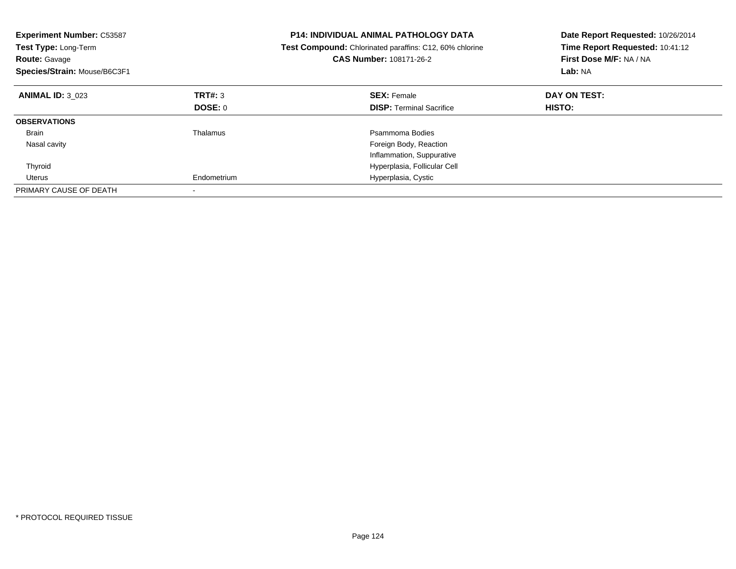| <b>Experiment Number: C53587</b><br>Test Type: Long-Term<br><b>Route: Gavage</b><br>Species/Strain: Mouse/B6C3F1 |                | <b>P14: INDIVIDUAL ANIMAL PATHOLOGY DATA</b><br>Test Compound: Chlorinated paraffins: C12, 60% chlorine<br><b>CAS Number: 108171-26-2</b> | Date Report Requested: 10/26/2014<br>Time Report Requested: 10:41:12<br>First Dose M/F: NA / NA<br>Lab: NA |
|------------------------------------------------------------------------------------------------------------------|----------------|-------------------------------------------------------------------------------------------------------------------------------------------|------------------------------------------------------------------------------------------------------------|
| <b>ANIMAL ID: 3 023</b>                                                                                          | TRT#: 3        | <b>SEX: Female</b>                                                                                                                        | DAY ON TEST:                                                                                               |
|                                                                                                                  | <b>DOSE: 0</b> | <b>DISP:</b> Terminal Sacrifice                                                                                                           | HISTO:                                                                                                     |
| <b>OBSERVATIONS</b>                                                                                              |                |                                                                                                                                           |                                                                                                            |
| Brain                                                                                                            | Thalamus       | Psammoma Bodies                                                                                                                           |                                                                                                            |
| Nasal cavity                                                                                                     |                | Foreign Body, Reaction                                                                                                                    |                                                                                                            |
|                                                                                                                  |                | Inflammation, Suppurative                                                                                                                 |                                                                                                            |
| Thyroid                                                                                                          |                | Hyperplasia, Follicular Cell                                                                                                              |                                                                                                            |
| Uterus                                                                                                           | Endometrium    | Hyperplasia, Cystic                                                                                                                       |                                                                                                            |
| PRIMARY CAUSE OF DEATH                                                                                           |                |                                                                                                                                           |                                                                                                            |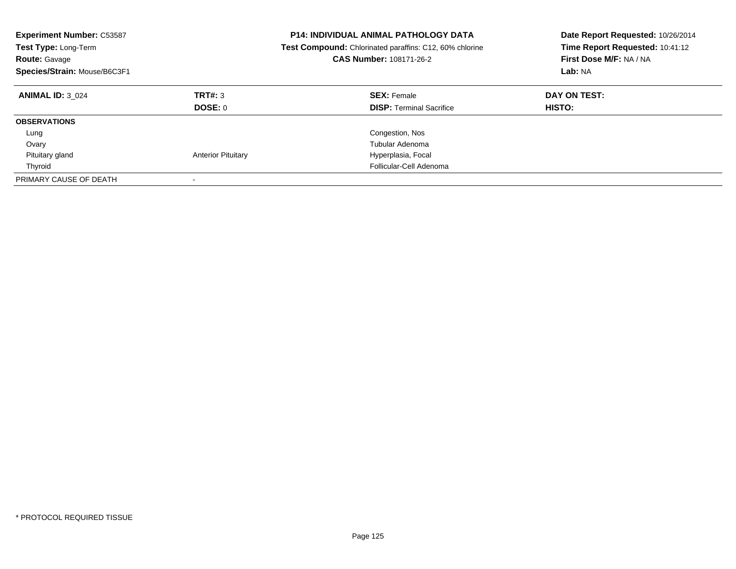| <b>Experiment Number: C53587</b><br>Test Type: Long-Term<br><b>Route: Gavage</b><br>Species/Strain: Mouse/B6C3F1 |                           | <b>P14: INDIVIDUAL ANIMAL PATHOLOGY DATA</b><br>Date Report Requested: 10/26/2014<br>Time Report Requested: 10:41:12<br><b>Test Compound:</b> Chlorinated paraffins: C12, 60% chlorine<br>First Dose M/F: NA / NA<br>CAS Number: 108171-26-2<br>Lab: NA |                        |
|------------------------------------------------------------------------------------------------------------------|---------------------------|---------------------------------------------------------------------------------------------------------------------------------------------------------------------------------------------------------------------------------------------------------|------------------------|
| <b>ANIMAL ID: 3 024</b>                                                                                          | TRT#: 3<br>DOSE: 0        | <b>SEX: Female</b><br><b>DISP:</b> Terminal Sacrifice                                                                                                                                                                                                   | DAY ON TEST:<br>HISTO: |
| <b>OBSERVATIONS</b>                                                                                              |                           |                                                                                                                                                                                                                                                         |                        |
| Lung                                                                                                             |                           | Congestion, Nos                                                                                                                                                                                                                                         |                        |
| Ovary                                                                                                            |                           | Tubular Adenoma                                                                                                                                                                                                                                         |                        |
| Pituitary gland                                                                                                  | <b>Anterior Pituitary</b> | Hyperplasia, Focal                                                                                                                                                                                                                                      |                        |
| Thyroid                                                                                                          |                           | Follicular-Cell Adenoma                                                                                                                                                                                                                                 |                        |
| PRIMARY CAUSE OF DEATH                                                                                           |                           |                                                                                                                                                                                                                                                         |                        |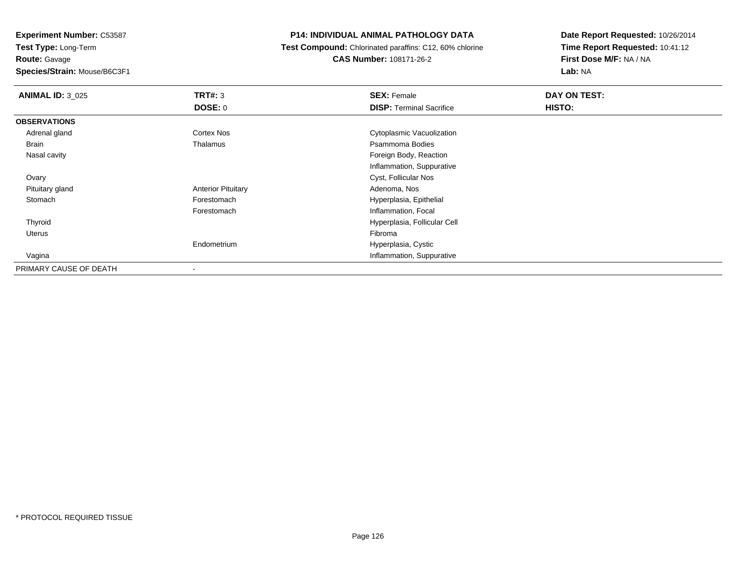**Route:** Gavage

**Species/Strain:** Mouse/B6C3F1

### **P14: INDIVIDUAL ANIMAL PATHOLOGY DATA**

 **Test Compound:** Chlorinated paraffins: C12, 60% chlorine**CAS Number:** 108171-26-2

| <b>ANIMAL ID: 3_025</b> | TRT#: 3                   | <b>SEX: Female</b>              | DAY ON TEST: |  |
|-------------------------|---------------------------|---------------------------------|--------------|--|
|                         | <b>DOSE: 0</b>            | <b>DISP: Terminal Sacrifice</b> | HISTO:       |  |
| <b>OBSERVATIONS</b>     |                           |                                 |              |  |
| Adrenal gland           | <b>Cortex Nos</b>         | Cytoplasmic Vacuolization       |              |  |
| Brain                   | Thalamus                  | Psammoma Bodies                 |              |  |
| Nasal cavity            |                           | Foreign Body, Reaction          |              |  |
|                         |                           | Inflammation, Suppurative       |              |  |
| Ovary                   |                           | Cyst, Follicular Nos            |              |  |
| Pituitary gland         | <b>Anterior Pituitary</b> | Adenoma, Nos                    |              |  |
| Stomach                 | Forestomach               | Hyperplasia, Epithelial         |              |  |
|                         | Forestomach               | Inflammation, Focal             |              |  |
| Thyroid                 |                           | Hyperplasia, Follicular Cell    |              |  |
| Uterus                  |                           | Fibroma                         |              |  |
|                         | Endometrium               | Hyperplasia, Cystic             |              |  |
| Vagina                  |                           | Inflammation, Suppurative       |              |  |
| PRIMARY CAUSE OF DEATH  |                           |                                 |              |  |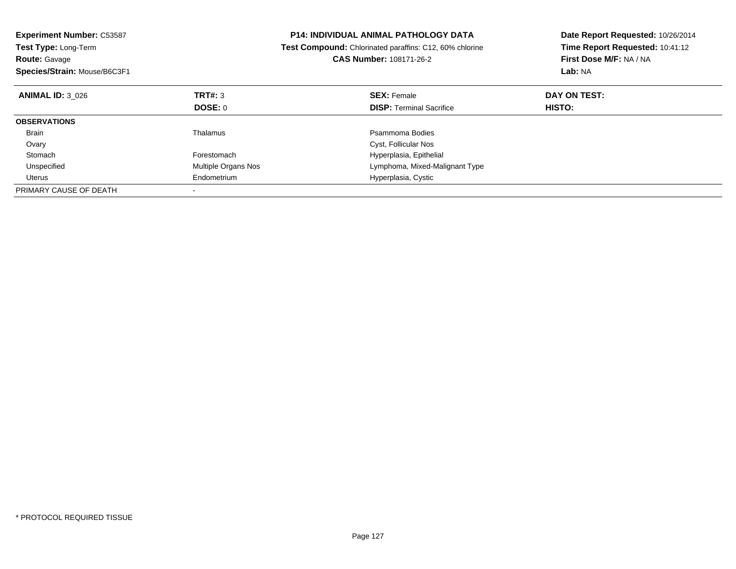| <b>Experiment Number: C53587</b><br>Test Type: Long-Term<br><b>Route: Gavage</b><br>Species/Strain: Mouse/B6C3F1 |                     | <b>P14: INDIVIDUAL ANIMAL PATHOLOGY DATA</b><br>Test Compound: Chlorinated paraffins: C12, 60% chlorine<br><b>CAS Number: 108171-26-2</b> | Date Report Requested: 10/26/2014<br>Time Report Requested: 10:41:12<br>First Dose M/F: NA / NA<br>Lab: NA |
|------------------------------------------------------------------------------------------------------------------|---------------------|-------------------------------------------------------------------------------------------------------------------------------------------|------------------------------------------------------------------------------------------------------------|
| <b>ANIMAL ID: 3 026</b>                                                                                          | TRT#: 3             | <b>SEX: Female</b>                                                                                                                        | DAY ON TEST:                                                                                               |
|                                                                                                                  | DOSE: 0             | <b>DISP: Terminal Sacrifice</b>                                                                                                           | <b>HISTO:</b>                                                                                              |
| <b>OBSERVATIONS</b>                                                                                              |                     |                                                                                                                                           |                                                                                                            |
| <b>Brain</b>                                                                                                     | Thalamus            | Psammoma Bodies                                                                                                                           |                                                                                                            |
| Ovary                                                                                                            |                     | Cyst, Follicular Nos                                                                                                                      |                                                                                                            |
| Stomach                                                                                                          | Forestomach         | Hyperplasia, Epithelial                                                                                                                   |                                                                                                            |
| Unspecified                                                                                                      | Multiple Organs Nos | Lymphoma, Mixed-Malignant Type                                                                                                            |                                                                                                            |
| Uterus                                                                                                           | Endometrium         | Hyperplasia, Cystic                                                                                                                       |                                                                                                            |
| PRIMARY CAUSE OF DEATH                                                                                           |                     |                                                                                                                                           |                                                                                                            |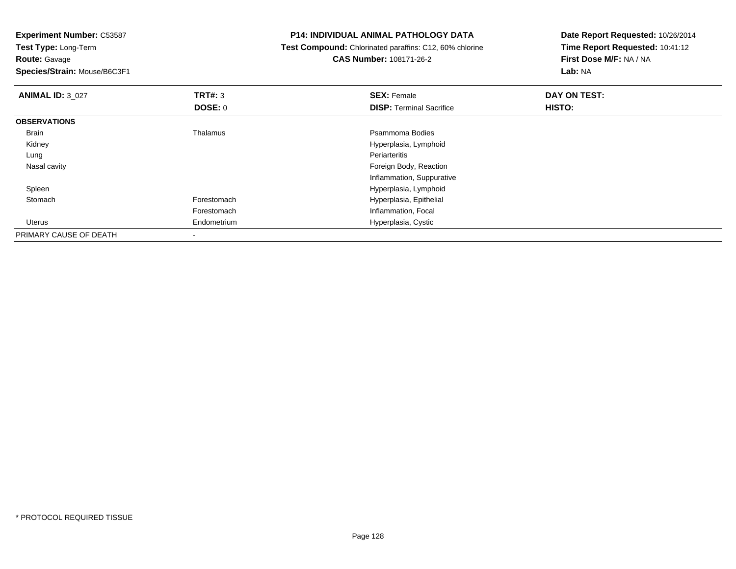| <b>Experiment Number: C53587</b> |                          | <b>P14: INDIVIDUAL ANIMAL PATHOLOGY DATA</b>            | Date Report Requested: 10/26/2014 |
|----------------------------------|--------------------------|---------------------------------------------------------|-----------------------------------|
| <b>Test Type: Long-Term</b>      |                          | Test Compound: Chlorinated paraffins: C12, 60% chlorine | Time Report Requested: 10:41:12   |
| <b>Route: Gavage</b>             |                          | CAS Number: 108171-26-2                                 | First Dose M/F: NA / NA           |
| Species/Strain: Mouse/B6C3F1     |                          |                                                         | Lab: NA                           |
| <b>ANIMAL ID: 3 027</b>          | <b>TRT#: 3</b>           | <b>SEX: Female</b>                                      | DAY ON TEST:                      |
|                                  | <b>DOSE: 0</b>           | <b>DISP:</b> Terminal Sacrifice                         | <b>HISTO:</b>                     |
| <b>OBSERVATIONS</b>              |                          |                                                         |                                   |
| Brain                            | Thalamus                 | Psammoma Bodies                                         |                                   |
| Kidney                           |                          | Hyperplasia, Lymphoid                                   |                                   |
| Lung                             |                          | Periarteritis                                           |                                   |
| Nasal cavity                     |                          | Foreign Body, Reaction                                  |                                   |
|                                  |                          | Inflammation, Suppurative                               |                                   |
| Spleen                           |                          | Hyperplasia, Lymphoid                                   |                                   |
| Stomach                          | Forestomach              | Hyperplasia, Epithelial                                 |                                   |
|                                  | Forestomach              | Inflammation, Focal                                     |                                   |
| Uterus                           | Endometrium              | Hyperplasia, Cystic                                     |                                   |
| PRIMARY CAUSE OF DEATH           | $\overline{\phantom{a}}$ |                                                         |                                   |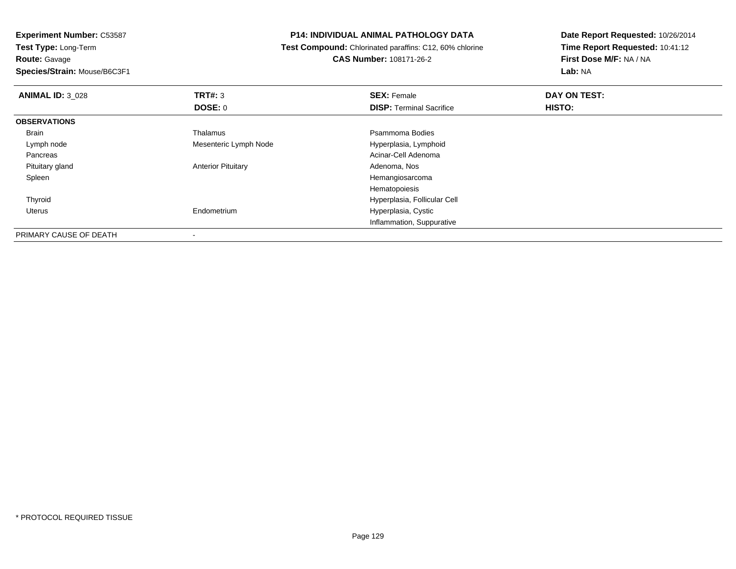**Route:** Gavage

**Species/Strain:** Mouse/B6C3F1

# **P14: INDIVIDUAL ANIMAL PATHOLOGY DATA**

 **Test Compound:** Chlorinated paraffins: C12, 60% chlorine**CAS Number:** 108171-26-2

| <b>ANIMAL ID: 3_028</b> | TRT#: 3                   | <b>SEX: Female</b>              | DAY ON TEST: |  |
|-------------------------|---------------------------|---------------------------------|--------------|--|
|                         | DOSE: 0                   | <b>DISP: Terminal Sacrifice</b> | HISTO:       |  |
| <b>OBSERVATIONS</b>     |                           |                                 |              |  |
| Brain                   | Thalamus                  | Psammoma Bodies                 |              |  |
| Lymph node              | Mesenteric Lymph Node     | Hyperplasia, Lymphoid           |              |  |
| Pancreas                |                           | Acinar-Cell Adenoma             |              |  |
| Pituitary gland         | <b>Anterior Pituitary</b> | Adenoma, Nos                    |              |  |
| Spleen                  |                           | Hemangiosarcoma                 |              |  |
|                         |                           | Hematopoiesis                   |              |  |
| Thyroid                 |                           | Hyperplasia, Follicular Cell    |              |  |
| Uterus                  | Endometrium               | Hyperplasia, Cystic             |              |  |
|                         |                           | Inflammation, Suppurative       |              |  |
| PRIMARY CAUSE OF DEATH  |                           |                                 |              |  |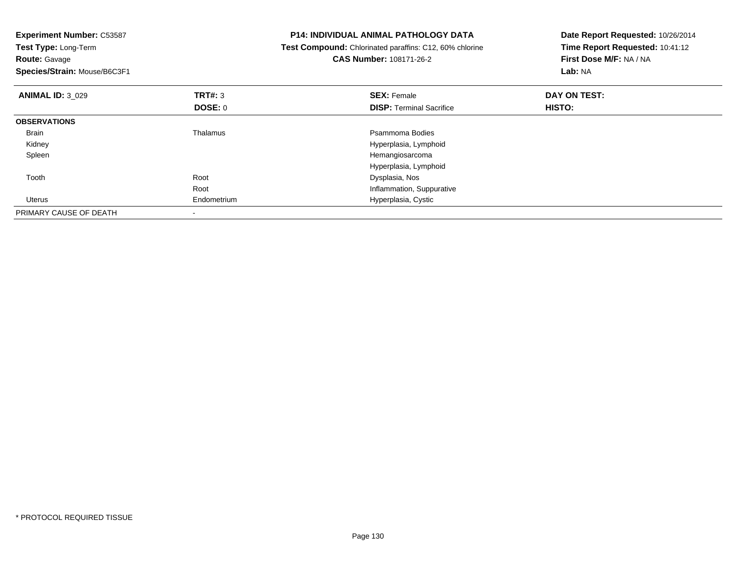| <b>Experiment Number: C53587</b><br>Test Type: Long-Term<br><b>Route: Gavage</b><br>Species/Strain: Mouse/B6C3F1 |                | P14: INDIVIDUAL ANIMAL PATHOLOGY DATA<br>Test Compound: Chlorinated paraffins: C12, 60% chlorine<br>CAS Number: 108171-26-2 | Date Report Requested: 10/26/2014<br>Time Report Requested: 10:41:12<br>First Dose M/F: NA / NA<br>Lab: NA |
|------------------------------------------------------------------------------------------------------------------|----------------|-----------------------------------------------------------------------------------------------------------------------------|------------------------------------------------------------------------------------------------------------|
| <b>ANIMAL ID: 3_029</b>                                                                                          | <b>TRT#: 3</b> | <b>SEX: Female</b>                                                                                                          | DAY ON TEST:                                                                                               |
|                                                                                                                  | <b>DOSE: 0</b> | <b>DISP:</b> Terminal Sacrifice                                                                                             | <b>HISTO:</b>                                                                                              |
| <b>OBSERVATIONS</b>                                                                                              |                |                                                                                                                             |                                                                                                            |
| Brain                                                                                                            | Thalamus       | Psammoma Bodies                                                                                                             |                                                                                                            |
| Kidney                                                                                                           |                | Hyperplasia, Lymphoid                                                                                                       |                                                                                                            |
| Spleen                                                                                                           |                | Hemangiosarcoma                                                                                                             |                                                                                                            |
|                                                                                                                  |                | Hyperplasia, Lymphoid                                                                                                       |                                                                                                            |
| Tooth                                                                                                            | Root           | Dysplasia, Nos                                                                                                              |                                                                                                            |
|                                                                                                                  | Root           | Inflammation, Suppurative                                                                                                   |                                                                                                            |
| Uterus                                                                                                           | Endometrium    | Hyperplasia, Cystic                                                                                                         |                                                                                                            |
| PRIMARY CAUSE OF DEATH                                                                                           |                |                                                                                                                             |                                                                                                            |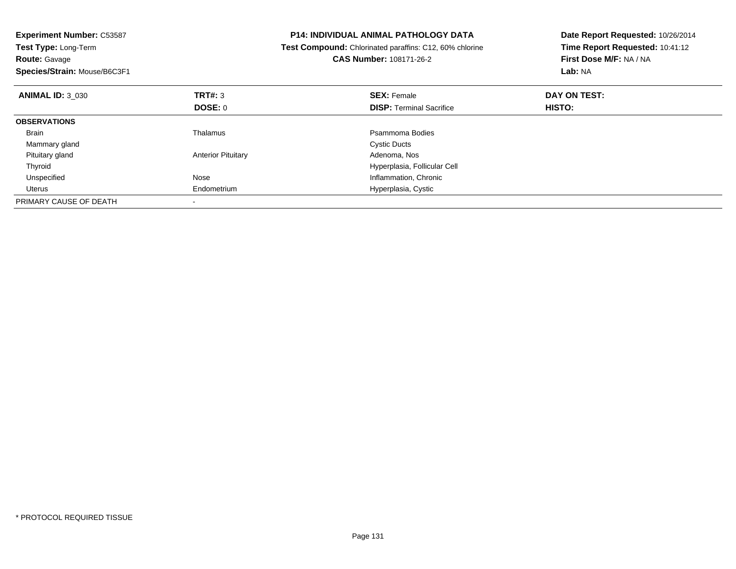| <b>Experiment Number: C53587</b><br>Test Type: Long-Term<br><b>Route: Gavage</b><br>Species/Strain: Mouse/B6C3F1 |                           | P14: INDIVIDUAL ANIMAL PATHOLOGY DATA<br>Test Compound: Chlorinated paraffins: C12, 60% chlorine<br><b>CAS Number: 108171-26-2</b> | Date Report Requested: 10/26/2014<br>Time Report Requested: 10:41:12<br>First Dose M/F: NA / NA<br>Lab: NA |
|------------------------------------------------------------------------------------------------------------------|---------------------------|------------------------------------------------------------------------------------------------------------------------------------|------------------------------------------------------------------------------------------------------------|
| <b>ANIMAL ID: 3 030</b>                                                                                          | <b>TRT#: 3</b>            | <b>SEX: Female</b>                                                                                                                 | DAY ON TEST:                                                                                               |
|                                                                                                                  | <b>DOSE: 0</b>            | <b>DISP:</b> Terminal Sacrifice                                                                                                    | HISTO:                                                                                                     |
| <b>OBSERVATIONS</b>                                                                                              |                           |                                                                                                                                    |                                                                                                            |
| <b>Brain</b>                                                                                                     | Thalamus                  | Psammoma Bodies                                                                                                                    |                                                                                                            |
| Mammary gland                                                                                                    |                           | <b>Cystic Ducts</b>                                                                                                                |                                                                                                            |
| Pituitary gland                                                                                                  | <b>Anterior Pituitary</b> | Adenoma, Nos                                                                                                                       |                                                                                                            |
| Thyroid                                                                                                          |                           | Hyperplasia, Follicular Cell                                                                                                       |                                                                                                            |
| Unspecified                                                                                                      | Nose                      | Inflammation, Chronic                                                                                                              |                                                                                                            |
| Uterus                                                                                                           | Endometrium               | Hyperplasia, Cystic                                                                                                                |                                                                                                            |
| PRIMARY CAUSE OF DEATH                                                                                           |                           |                                                                                                                                    |                                                                                                            |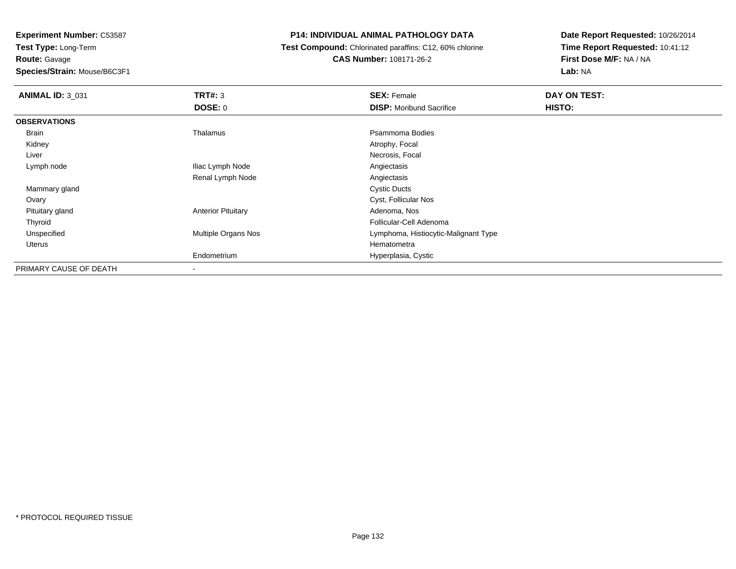**Route:** Gavage

**Species/Strain:** Mouse/B6C3F1

# **P14: INDIVIDUAL ANIMAL PATHOLOGY DATA**

 **Test Compound:** Chlorinated paraffins: C12, 60% chlorine**CAS Number:** 108171-26-2

| <b>ANIMAL ID: 3_031</b> | TRT#: 3                   | <b>SEX: Female</b>                   | DAY ON TEST: |  |
|-------------------------|---------------------------|--------------------------------------|--------------|--|
|                         | <b>DOSE: 0</b>            | <b>DISP:</b> Moribund Sacrifice      | HISTO:       |  |
| <b>OBSERVATIONS</b>     |                           |                                      |              |  |
| Brain                   | Thalamus                  | Psammoma Bodies                      |              |  |
| Kidney                  |                           | Atrophy, Focal                       |              |  |
| Liver                   |                           | Necrosis, Focal                      |              |  |
| Lymph node              | Iliac Lymph Node          | Angiectasis                          |              |  |
|                         | Renal Lymph Node          | Angiectasis                          |              |  |
| Mammary gland           |                           | <b>Cystic Ducts</b>                  |              |  |
| Ovary                   |                           | Cyst, Follicular Nos                 |              |  |
| Pituitary gland         | <b>Anterior Pituitary</b> | Adenoma, Nos                         |              |  |
| Thyroid                 |                           | Follicular-Cell Adenoma              |              |  |
| Unspecified             | Multiple Organs Nos       | Lymphoma, Histiocytic-Malignant Type |              |  |
| Uterus                  |                           | Hematometra                          |              |  |
|                         | Endometrium               | Hyperplasia, Cystic                  |              |  |
| PRIMARY CAUSE OF DEATH  |                           |                                      |              |  |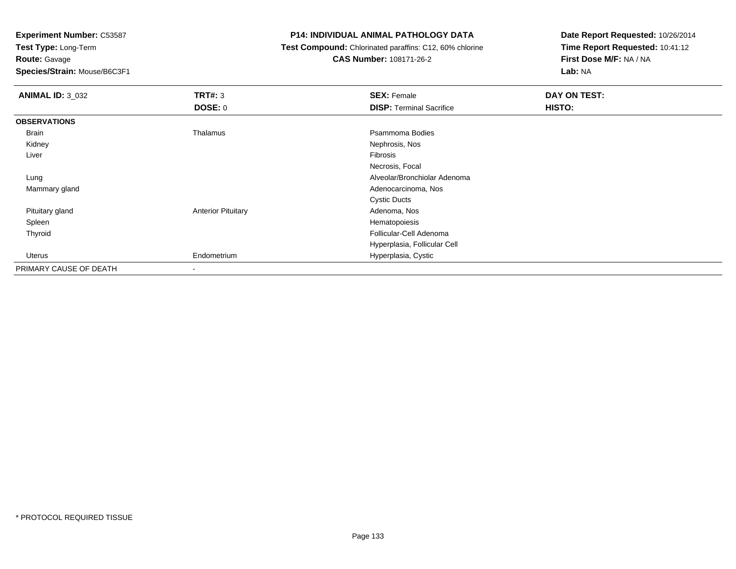**Test Type:** Long-Term

**Route:** Gavage

**Species/Strain:** Mouse/B6C3F1

### **P14: INDIVIDUAL ANIMAL PATHOLOGY DATA**

 **Test Compound:** Chlorinated paraffins: C12, 60% chlorine**CAS Number:** 108171-26-2

| <b>ANIMAL ID: 3_032</b> | <b>TRT#: 3</b>            | <b>SEX: Female</b>              | DAY ON TEST: |  |
|-------------------------|---------------------------|---------------------------------|--------------|--|
|                         | <b>DOSE: 0</b>            | <b>DISP: Terminal Sacrifice</b> | HISTO:       |  |
| <b>OBSERVATIONS</b>     |                           |                                 |              |  |
| Brain                   | Thalamus                  | Psammoma Bodies                 |              |  |
| Kidney                  |                           | Nephrosis, Nos                  |              |  |
| Liver                   |                           | Fibrosis                        |              |  |
|                         |                           | Necrosis, Focal                 |              |  |
| Lung                    |                           | Alveolar/Bronchiolar Adenoma    |              |  |
| Mammary gland           |                           | Adenocarcinoma, Nos             |              |  |
|                         |                           | <b>Cystic Ducts</b>             |              |  |
| Pituitary gland         | <b>Anterior Pituitary</b> | Adenoma, Nos                    |              |  |
| Spleen                  |                           | Hematopoiesis                   |              |  |
| Thyroid                 |                           | Follicular-Cell Adenoma         |              |  |
|                         |                           | Hyperplasia, Follicular Cell    |              |  |
| Uterus                  | Endometrium               | Hyperplasia, Cystic             |              |  |
| PRIMARY CAUSE OF DEATH  | $\overline{\phantom{a}}$  |                                 |              |  |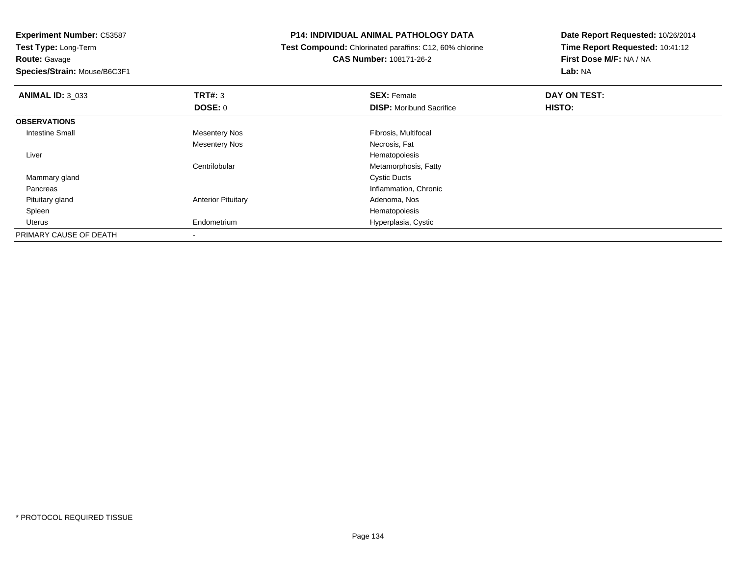**Route:** Gavage

**Species/Strain:** Mouse/B6C3F1

# **P14: INDIVIDUAL ANIMAL PATHOLOGY DATA**

 **Test Compound:** Chlorinated paraffins: C12, 60% chlorine**CAS Number:** 108171-26-2

| <b>ANIMAL ID: 3_033</b> | TRT#: 3                   | <b>SEX: Female</b>              | DAY ON TEST: |  |
|-------------------------|---------------------------|---------------------------------|--------------|--|
|                         | <b>DOSE: 0</b>            | <b>DISP:</b> Moribund Sacrifice | HISTO:       |  |
| <b>OBSERVATIONS</b>     |                           |                                 |              |  |
| <b>Intestine Small</b>  | <b>Mesentery Nos</b>      | Fibrosis, Multifocal            |              |  |
|                         | <b>Mesentery Nos</b>      | Necrosis, Fat                   |              |  |
| Liver                   |                           | Hematopoiesis                   |              |  |
|                         | Centrilobular             | Metamorphosis, Fatty            |              |  |
| Mammary gland           |                           | <b>Cystic Ducts</b>             |              |  |
| Pancreas                |                           | Inflammation, Chronic           |              |  |
| Pituitary gland         | <b>Anterior Pituitary</b> | Adenoma, Nos                    |              |  |
| Spleen                  |                           | Hematopoiesis                   |              |  |
| Uterus                  | Endometrium               | Hyperplasia, Cystic             |              |  |
| PRIMARY CAUSE OF DEATH  |                           |                                 |              |  |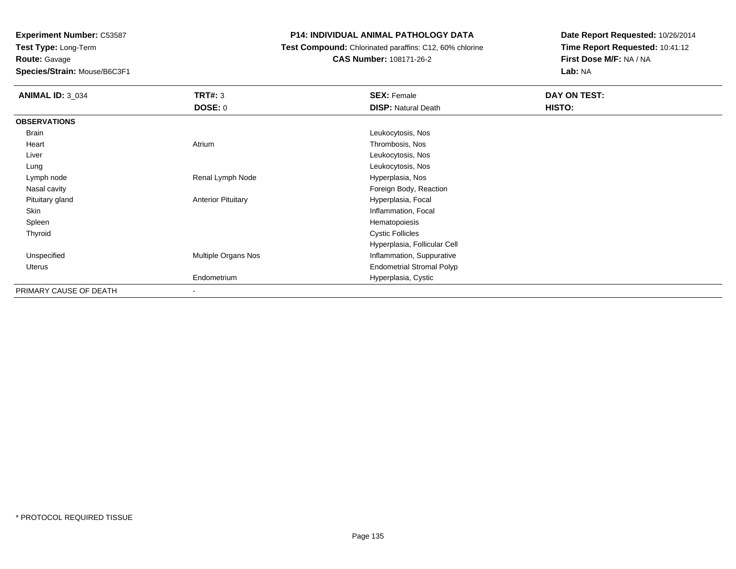**Route:** Gavage

**Species/Strain:** Mouse/B6C3F1

# **P14: INDIVIDUAL ANIMAL PATHOLOGY DATA**

**Test Compound:** Chlorinated paraffins: C12, 60% chlorine

**CAS Number:** 108171-26-2

| <b>ANIMAL ID: 3_034</b> | <b>TRT#: 3</b>            | <b>SEX: Female</b>               | DAY ON TEST: |  |
|-------------------------|---------------------------|----------------------------------|--------------|--|
|                         | <b>DOSE: 0</b>            | <b>DISP: Natural Death</b>       | HISTO:       |  |
| <b>OBSERVATIONS</b>     |                           |                                  |              |  |
| Brain                   |                           | Leukocytosis, Nos                |              |  |
| Heart                   | Atrium                    | Thrombosis, Nos                  |              |  |
| Liver                   |                           | Leukocytosis, Nos                |              |  |
| Lung                    |                           | Leukocytosis, Nos                |              |  |
| Lymph node              | Renal Lymph Node          | Hyperplasia, Nos                 |              |  |
| Nasal cavity            |                           | Foreign Body, Reaction           |              |  |
| Pituitary gland         | <b>Anterior Pituitary</b> | Hyperplasia, Focal               |              |  |
| Skin                    |                           | Inflammation, Focal              |              |  |
| Spleen                  |                           | Hematopoiesis                    |              |  |
| Thyroid                 |                           | <b>Cystic Follicles</b>          |              |  |
|                         |                           | Hyperplasia, Follicular Cell     |              |  |
| Unspecified             | Multiple Organs Nos       | Inflammation, Suppurative        |              |  |
| Uterus                  |                           | <b>Endometrial Stromal Polyp</b> |              |  |
|                         | Endometrium               | Hyperplasia, Cystic              |              |  |
| PRIMARY CAUSE OF DEATH  | $\overline{\phantom{a}}$  |                                  |              |  |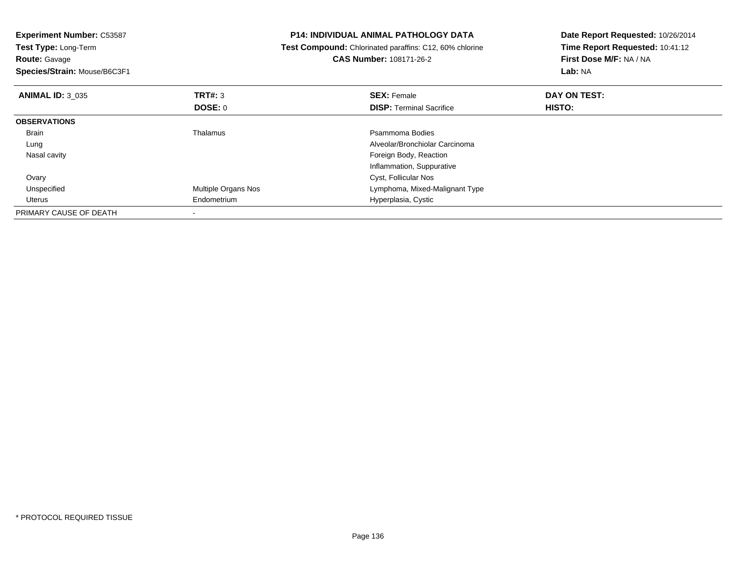| <b>Experiment Number: C53587</b><br><b>Test Type: Long-Term</b><br><b>Route: Gavage</b><br>Species/Strain: Mouse/B6C3F1 |                     | <b>P14: INDIVIDUAL ANIMAL PATHOLOGY DATA</b><br>Test Compound: Chlorinated paraffins: C12, 60% chlorine<br><b>CAS Number: 108171-26-2</b> | Date Report Requested: 10/26/2014<br>Time Report Requested: 10:41:12<br>First Dose M/F: NA / NA<br>Lab: NA |
|-------------------------------------------------------------------------------------------------------------------------|---------------------|-------------------------------------------------------------------------------------------------------------------------------------------|------------------------------------------------------------------------------------------------------------|
| <b>ANIMAL ID: 3 035</b>                                                                                                 | <b>TRT#: 3</b>      | <b>SEX: Female</b>                                                                                                                        | DAY ON TEST:                                                                                               |
|                                                                                                                         | DOSE: 0             | <b>DISP:</b> Terminal Sacrifice                                                                                                           | HISTO:                                                                                                     |
| <b>OBSERVATIONS</b>                                                                                                     |                     |                                                                                                                                           |                                                                                                            |
| <b>Brain</b>                                                                                                            | Thalamus            | Psammoma Bodies                                                                                                                           |                                                                                                            |
| Lung                                                                                                                    |                     | Alveolar/Bronchiolar Carcinoma                                                                                                            |                                                                                                            |
| Nasal cavity                                                                                                            |                     | Foreign Body, Reaction                                                                                                                    |                                                                                                            |
|                                                                                                                         |                     | Inflammation, Suppurative                                                                                                                 |                                                                                                            |
| Ovary                                                                                                                   |                     | Cyst, Follicular Nos                                                                                                                      |                                                                                                            |
| Unspecified                                                                                                             | Multiple Organs Nos | Lymphoma, Mixed-Malignant Type                                                                                                            |                                                                                                            |
| Uterus                                                                                                                  | Endometrium         | Hyperplasia, Cystic                                                                                                                       |                                                                                                            |
| PRIMARY CAUSE OF DEATH                                                                                                  |                     |                                                                                                                                           |                                                                                                            |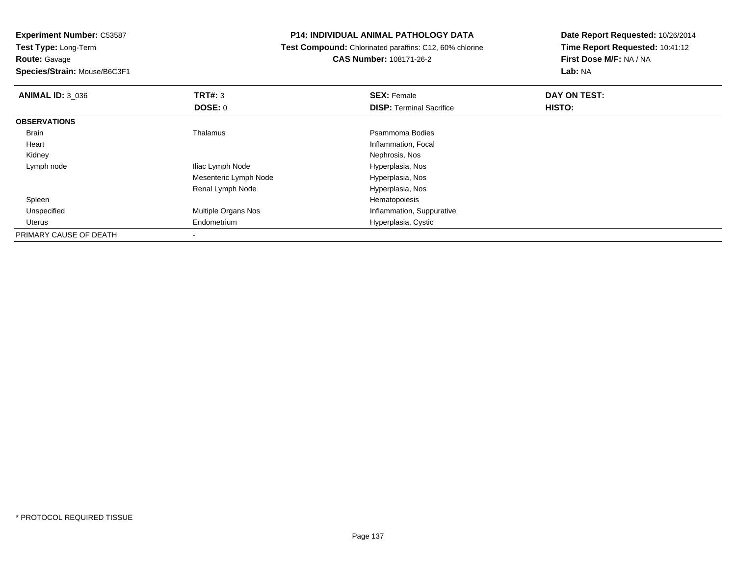**Test Type:** Long-Term**Route:** Gavage

**Species/Strain:** Mouse/B6C3F1

# **P14: INDIVIDUAL ANIMAL PATHOLOGY DATA**

 **Test Compound:** Chlorinated paraffins: C12, 60% chlorine**CAS Number:** 108171-26-2

| <b>ANIMAL ID: 3_036</b> | TRT#: 3               | <b>SEX: Female</b>              | DAY ON TEST: |  |
|-------------------------|-----------------------|---------------------------------|--------------|--|
|                         | DOSE: 0               | <b>DISP: Terminal Sacrifice</b> | HISTO:       |  |
| <b>OBSERVATIONS</b>     |                       |                                 |              |  |
| <b>Brain</b>            | Thalamus              | Psammoma Bodies                 |              |  |
| Heart                   |                       | Inflammation, Focal             |              |  |
| Kidney                  |                       | Nephrosis, Nos                  |              |  |
| Lymph node              | Iliac Lymph Node      | Hyperplasia, Nos                |              |  |
|                         | Mesenteric Lymph Node | Hyperplasia, Nos                |              |  |
|                         | Renal Lymph Node      | Hyperplasia, Nos                |              |  |
| Spleen                  |                       | Hematopoiesis                   |              |  |
| Unspecified             | Multiple Organs Nos   | Inflammation, Suppurative       |              |  |
| Uterus                  | Endometrium           | Hyperplasia, Cystic             |              |  |
| PRIMARY CAUSE OF DEATH  |                       |                                 |              |  |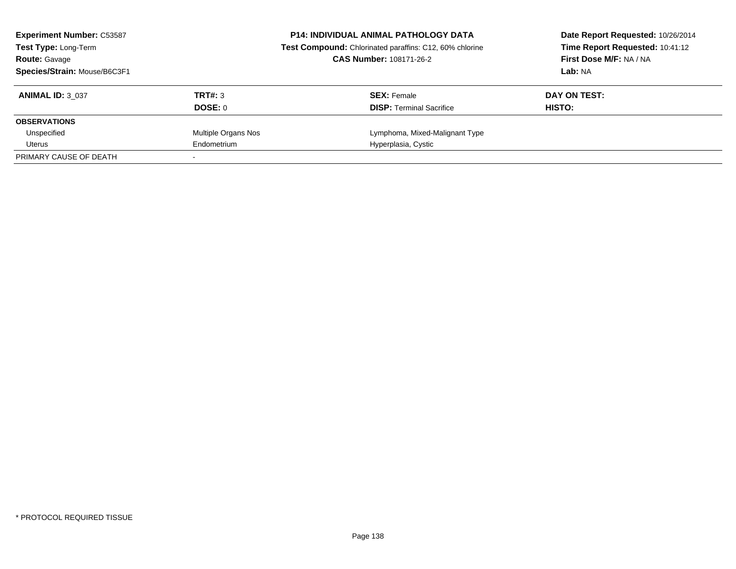| <b>Experiment Number: C53587</b><br><b>Test Type: Long-Term</b> |                     | <b>P14: INDIVIDUAL ANIMAL PATHOLOGY DATA</b><br>Test Compound: Chlorinated paraffins: C12, 60% chlorine | Date Report Requested: 10/26/2014<br>Time Report Requested: 10:41:12 |
|-----------------------------------------------------------------|---------------------|---------------------------------------------------------------------------------------------------------|----------------------------------------------------------------------|
| <b>Route: Gavage</b>                                            |                     | <b>CAS Number: 108171-26-2</b>                                                                          | First Dose M/F: NA / NA                                              |
| Species/Strain: Mouse/B6C3F1                                    |                     |                                                                                                         | Lab: NA                                                              |
| <b>ANIMAL ID: 3 037</b>                                         | TRT#: 3             | <b>SEX: Female</b>                                                                                      | DAY ON TEST:                                                         |
|                                                                 | DOSE: 0             | <b>DISP:</b> Terminal Sacrifice                                                                         | HISTO:                                                               |
| <b>OBSERVATIONS</b>                                             |                     |                                                                                                         |                                                                      |
| Unspecified                                                     | Multiple Organs Nos | Lymphoma, Mixed-Malignant Type                                                                          |                                                                      |
| Uterus                                                          | Endometrium         | Hyperplasia, Cystic                                                                                     |                                                                      |
| PRIMARY CAUSE OF DEATH                                          |                     |                                                                                                         |                                                                      |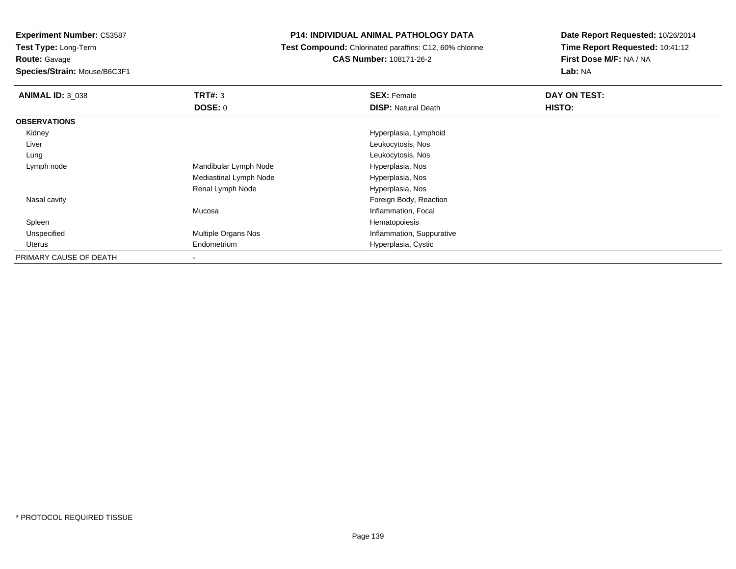**Test Type:** Long-Term

**Route:** Gavage

**Species/Strain:** Mouse/B6C3F1

# **P14: INDIVIDUAL ANIMAL PATHOLOGY DATA**

 **Test Compound:** Chlorinated paraffins: C12, 60% chlorine**CAS Number:** 108171-26-2

| <b>ANIMAL ID: 3 038</b> | TRT#: 3                | <b>SEX: Female</b>         | DAY ON TEST: |
|-------------------------|------------------------|----------------------------|--------------|
|                         | <b>DOSE: 0</b>         | <b>DISP: Natural Death</b> | HISTO:       |
| <b>OBSERVATIONS</b>     |                        |                            |              |
| Kidney                  |                        | Hyperplasia, Lymphoid      |              |
| Liver                   |                        | Leukocytosis, Nos          |              |
| Lung                    |                        | Leukocytosis, Nos          |              |
| Lymph node              | Mandibular Lymph Node  | Hyperplasia, Nos           |              |
|                         | Mediastinal Lymph Node | Hyperplasia, Nos           |              |
|                         | Renal Lymph Node       | Hyperplasia, Nos           |              |
| Nasal cavity            |                        | Foreign Body, Reaction     |              |
|                         | Mucosa                 | Inflammation, Focal        |              |
| Spleen                  |                        | Hematopoiesis              |              |
| Unspecified             | Multiple Organs Nos    | Inflammation, Suppurative  |              |
| <b>Uterus</b>           | Endometrium            | Hyperplasia, Cystic        |              |
| PRIMARY CAUSE OF DEATH  | ۰                      |                            |              |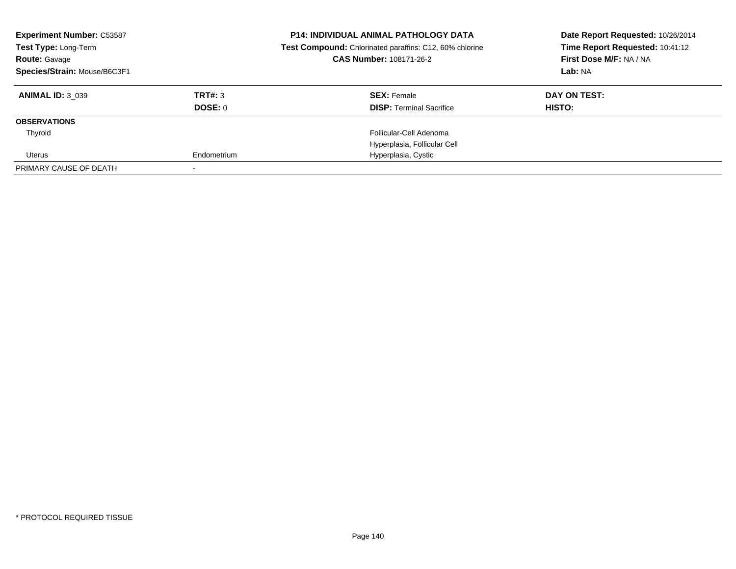| <b>Experiment Number: C53587</b><br>Test Type: Long-Term<br><b>Route: Gavage</b><br>Species/Strain: Mouse/B6C3F1 |             | <b>P14: INDIVIDUAL ANIMAL PATHOLOGY DATA</b><br><b>Test Compound:</b> Chlorinated paraffins: C12, 60% chlorine<br><b>CAS Number: 108171-26-2</b> | Date Report Requested: 10/26/2014<br>Time Report Requested: 10:41:12<br>First Dose M/F: NA / NA<br>Lab: NA |
|------------------------------------------------------------------------------------------------------------------|-------------|--------------------------------------------------------------------------------------------------------------------------------------------------|------------------------------------------------------------------------------------------------------------|
|                                                                                                                  |             |                                                                                                                                                  |                                                                                                            |
| <b>ANIMAL ID: 3 039</b>                                                                                          | TRT#: 3     | <b>SEX: Female</b>                                                                                                                               | DAY ON TEST:                                                                                               |
|                                                                                                                  | DOSE: 0     | <b>DISP:</b> Terminal Sacrifice                                                                                                                  | HISTO:                                                                                                     |
| <b>OBSERVATIONS</b>                                                                                              |             |                                                                                                                                                  |                                                                                                            |
| Thyroid                                                                                                          |             | Follicular-Cell Adenoma                                                                                                                          |                                                                                                            |
|                                                                                                                  |             | Hyperplasia, Follicular Cell                                                                                                                     |                                                                                                            |
| Uterus                                                                                                           | Endometrium | Hyperplasia, Cystic                                                                                                                              |                                                                                                            |
| PRIMARY CAUSE OF DEATH                                                                                           |             |                                                                                                                                                  |                                                                                                            |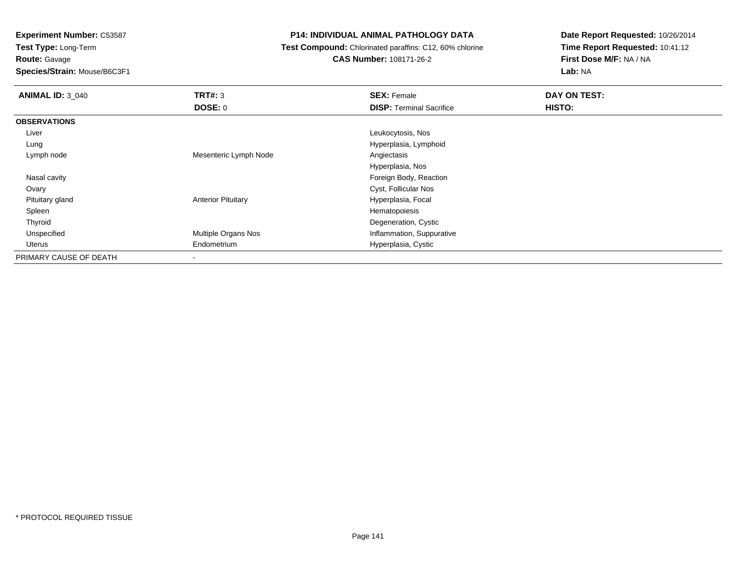**Test Type:** Long-Term

**Route:** Gavage

**Species/Strain:** Mouse/B6C3F1

# **P14: INDIVIDUAL ANIMAL PATHOLOGY DATA**

**Test Compound:** Chlorinated paraffins: C12, 60% chlorine

**CAS Number:** 108171-26-2

| <b>ANIMAL ID: 3 040</b> | TRT#: 3                   | <b>SEX: Female</b>              | DAY ON TEST: |
|-------------------------|---------------------------|---------------------------------|--------------|
|                         | DOSE: 0                   | <b>DISP: Terminal Sacrifice</b> | HISTO:       |
| <b>OBSERVATIONS</b>     |                           |                                 |              |
| Liver                   |                           | Leukocytosis, Nos               |              |
| Lung                    |                           | Hyperplasia, Lymphoid           |              |
| Lymph node              | Mesenteric Lymph Node     | Angiectasis                     |              |
|                         |                           | Hyperplasia, Nos                |              |
| Nasal cavity            |                           | Foreign Body, Reaction          |              |
| Ovary                   |                           | Cyst, Follicular Nos            |              |
| Pituitary gland         | <b>Anterior Pituitary</b> | Hyperplasia, Focal              |              |
| Spleen                  |                           | Hematopoiesis                   |              |
| Thyroid                 |                           | Degeneration, Cystic            |              |
| Unspecified             | Multiple Organs Nos       | Inflammation, Suppurative       |              |
| Uterus                  | Endometrium               | Hyperplasia, Cystic             |              |
| PRIMARY CAUSE OF DEATH  | $\,$                      |                                 |              |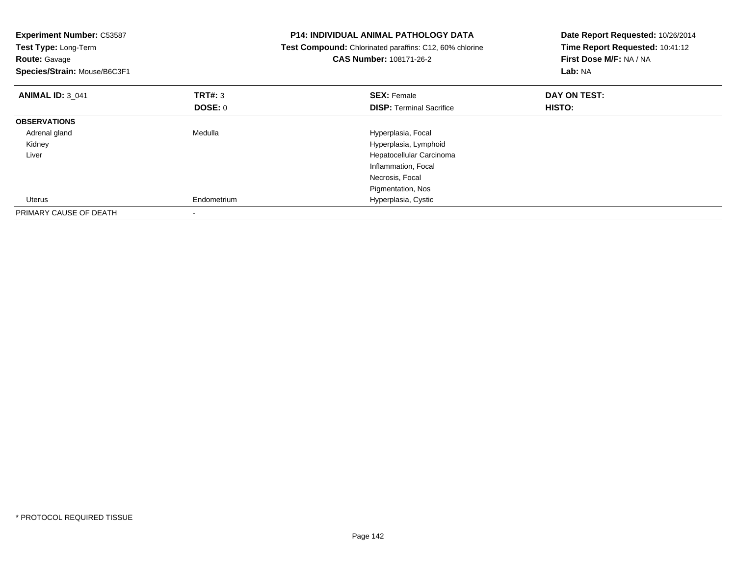| Experiment Number: C53587<br>Test Type: Long-Term<br><b>Route: Gavage</b><br>Species/Strain: Mouse/B6C3F1 |                           | <b>P14: INDIVIDUAL ANIMAL PATHOLOGY DATA</b><br>Test Compound: Chlorinated paraffins: C12, 60% chlorine<br>CAS Number: 108171-26-2 | Date Report Requested: 10/26/2014<br>Time Report Requested: 10:41:12<br>First Dose M/F: NA / NA<br>Lab: NA |
|-----------------------------------------------------------------------------------------------------------|---------------------------|------------------------------------------------------------------------------------------------------------------------------------|------------------------------------------------------------------------------------------------------------|
| <b>ANIMAL ID: 3 041</b>                                                                                   | TRT#: 3<br><b>DOSE: 0</b> | <b>SEX: Female</b><br><b>DISP:</b> Terminal Sacrifice                                                                              | DAY ON TEST:<br>HISTO:                                                                                     |
| <b>OBSERVATIONS</b>                                                                                       |                           |                                                                                                                                    |                                                                                                            |
| Adrenal gland                                                                                             | Medulla                   | Hyperplasia, Focal                                                                                                                 |                                                                                                            |
| Kidney                                                                                                    |                           | Hyperplasia, Lymphoid                                                                                                              |                                                                                                            |
| Liver                                                                                                     |                           | Hepatocellular Carcinoma                                                                                                           |                                                                                                            |
|                                                                                                           |                           | Inflammation, Focal                                                                                                                |                                                                                                            |
|                                                                                                           |                           | Necrosis, Focal                                                                                                                    |                                                                                                            |
|                                                                                                           |                           | Pigmentation, Nos                                                                                                                  |                                                                                                            |
| Uterus                                                                                                    | Endometrium               | Hyperplasia, Cystic                                                                                                                |                                                                                                            |
| PRIMARY CAUSE OF DEATH                                                                                    |                           |                                                                                                                                    |                                                                                                            |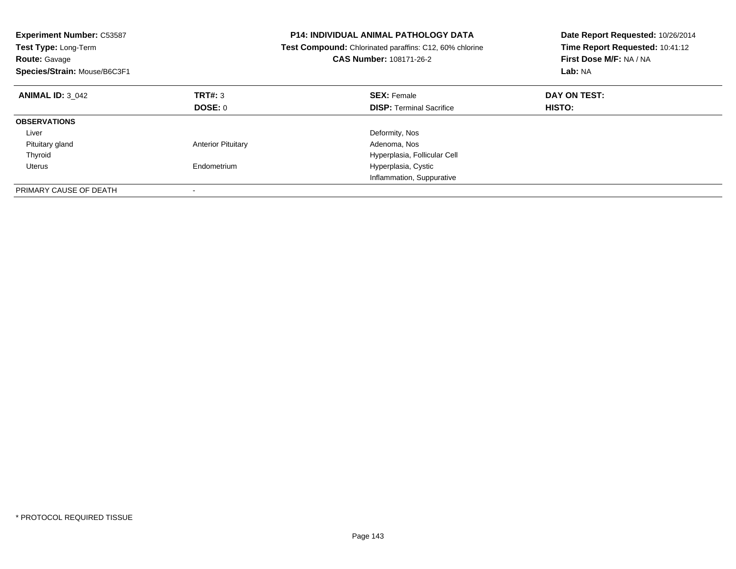| <b>Experiment Number: C53587</b><br>Test Type: Long-Term<br><b>Route: Gavage</b><br>Species/Strain: Mouse/B6C3F1 |                           | <b>P14: INDIVIDUAL ANIMAL PATHOLOGY DATA</b><br>Test Compound: Chlorinated paraffins: C12, 60% chlorine<br><b>CAS Number: 108171-26-2</b> | Date Report Requested: 10/26/2014<br>Time Report Requested: 10:41:12<br>First Dose M/F: NA / NA<br>Lab: NA |
|------------------------------------------------------------------------------------------------------------------|---------------------------|-------------------------------------------------------------------------------------------------------------------------------------------|------------------------------------------------------------------------------------------------------------|
| <b>ANIMAL ID: 3 042</b>                                                                                          | TRT#: 3                   | <b>SEX: Female</b>                                                                                                                        | DAY ON TEST:                                                                                               |
|                                                                                                                  | DOSE: 0                   | <b>DISP:</b> Terminal Sacrifice                                                                                                           | HISTO:                                                                                                     |
| <b>OBSERVATIONS</b>                                                                                              |                           |                                                                                                                                           |                                                                                                            |
| Liver                                                                                                            |                           | Deformity, Nos                                                                                                                            |                                                                                                            |
| Pituitary gland                                                                                                  | <b>Anterior Pituitary</b> | Adenoma, Nos                                                                                                                              |                                                                                                            |
| Thyroid                                                                                                          |                           | Hyperplasia, Follicular Cell                                                                                                              |                                                                                                            |
| Uterus                                                                                                           | Endometrium               | Hyperplasia, Cystic                                                                                                                       |                                                                                                            |
|                                                                                                                  |                           | Inflammation, Suppurative                                                                                                                 |                                                                                                            |
| PRIMARY CAUSE OF DEATH                                                                                           |                           |                                                                                                                                           |                                                                                                            |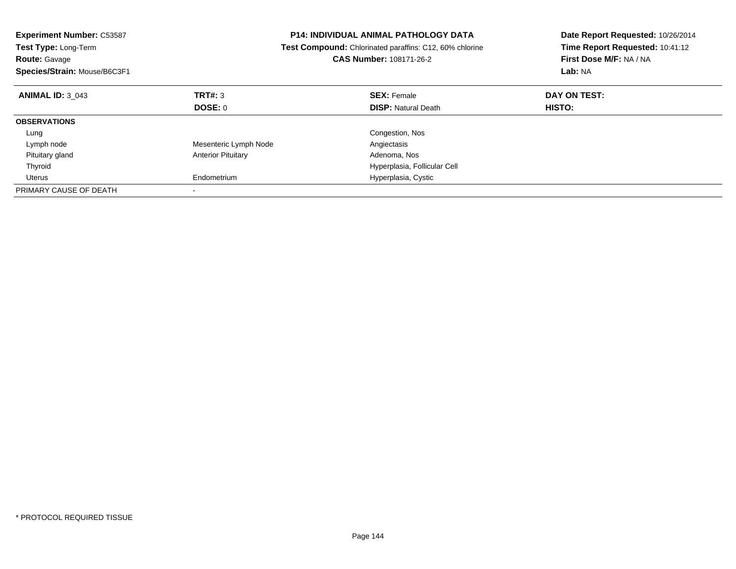| <b>Experiment Number: C53587</b><br><b>Test Type: Long-Term</b><br><b>Route: Gavage</b><br>Species/Strain: Mouse/B6C3F1 |                           | <b>P14: INDIVIDUAL ANIMAL PATHOLOGY DATA</b><br>Test Compound: Chlorinated paraffins: C12, 60% chlorine<br><b>CAS Number: 108171-26-2</b> | Date Report Requested: 10/26/2014<br>Time Report Requested: 10:41:12<br>First Dose M/F: NA / NA<br>Lab: NA |
|-------------------------------------------------------------------------------------------------------------------------|---------------------------|-------------------------------------------------------------------------------------------------------------------------------------------|------------------------------------------------------------------------------------------------------------|
| <b>ANIMAL ID: 3 043</b>                                                                                                 | <b>TRT#: 3</b>            | <b>SEX: Female</b>                                                                                                                        | DAY ON TEST:                                                                                               |
|                                                                                                                         | <b>DOSE: 0</b>            | <b>DISP:</b> Natural Death                                                                                                                | HISTO:                                                                                                     |
| <b>OBSERVATIONS</b>                                                                                                     |                           |                                                                                                                                           |                                                                                                            |
| Lung                                                                                                                    |                           | Congestion, Nos                                                                                                                           |                                                                                                            |
| Lymph node                                                                                                              | Mesenteric Lymph Node     | Angiectasis                                                                                                                               |                                                                                                            |
| Pituitary gland                                                                                                         | <b>Anterior Pituitary</b> | Adenoma, Nos                                                                                                                              |                                                                                                            |
| Thyroid                                                                                                                 |                           | Hyperplasia, Follicular Cell                                                                                                              |                                                                                                            |
| Uterus                                                                                                                  | Endometrium               | Hyperplasia, Cystic                                                                                                                       |                                                                                                            |
| PRIMARY CAUSE OF DEATH                                                                                                  |                           |                                                                                                                                           |                                                                                                            |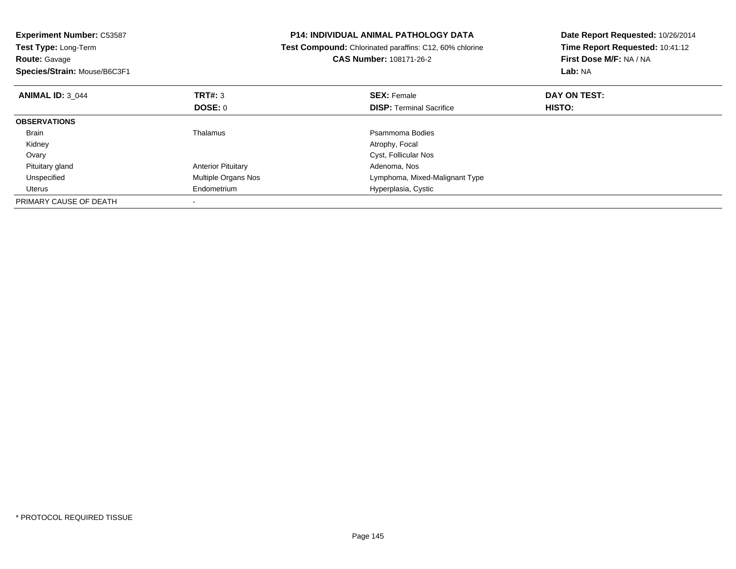| <b>Experiment Number: C53587</b><br>Test Type: Long-Term<br><b>Route: Gavage</b><br>Species/Strain: Mouse/B6C3F1 | <b>P14: INDIVIDUAL ANIMAL PATHOLOGY DATA</b><br>Test Compound: Chlorinated paraffins: C12, 60% chlorine<br>CAS Number: 108171-26-2 |                                                       | Date Report Requested: 10/26/2014<br>Time Report Requested: 10:41:12<br>First Dose M/F: NA / NA<br>Lab: NA |
|------------------------------------------------------------------------------------------------------------------|------------------------------------------------------------------------------------------------------------------------------------|-------------------------------------------------------|------------------------------------------------------------------------------------------------------------|
| <b>ANIMAL ID: 3 044</b>                                                                                          | TRT#: 3<br><b>DOSE: 0</b>                                                                                                          | <b>SEX: Female</b><br><b>DISP:</b> Terminal Sacrifice | DAY ON TEST:<br><b>HISTO:</b>                                                                              |
| <b>OBSERVATIONS</b>                                                                                              |                                                                                                                                    |                                                       |                                                                                                            |
| Brain                                                                                                            | Thalamus                                                                                                                           | Psammoma Bodies                                       |                                                                                                            |
| Kidney                                                                                                           |                                                                                                                                    | Atrophy, Focal                                        |                                                                                                            |
| Ovary                                                                                                            |                                                                                                                                    | Cyst, Follicular Nos                                  |                                                                                                            |
| Pituitary gland                                                                                                  | <b>Anterior Pituitary</b>                                                                                                          | Adenoma, Nos                                          |                                                                                                            |
| Unspecified                                                                                                      | Multiple Organs Nos                                                                                                                | Lymphoma, Mixed-Malignant Type                        |                                                                                                            |
| Uterus                                                                                                           | Endometrium                                                                                                                        | Hyperplasia, Cystic                                   |                                                                                                            |
| PRIMARY CAUSE OF DEATH                                                                                           |                                                                                                                                    |                                                       |                                                                                                            |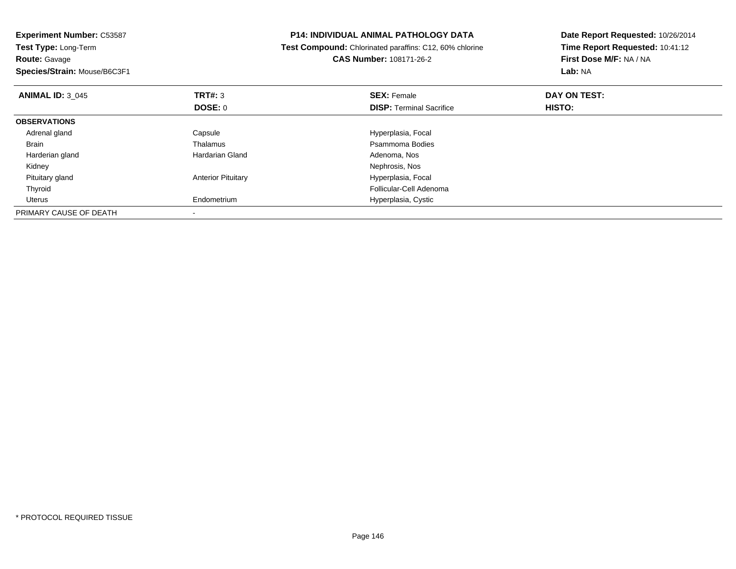| <b>Experiment Number: C53587</b>                     |                                                         | <b>P14: INDIVIDUAL ANIMAL PATHOLOGY DATA</b> | Date Report Requested: 10/26/2014                          |  |
|------------------------------------------------------|---------------------------------------------------------|----------------------------------------------|------------------------------------------------------------|--|
| Test Type: Long-Term                                 | Test Compound: Chlorinated paraffins: C12, 60% chlorine |                                              | Time Report Requested: 10:41:12<br>First Dose M/F: NA / NA |  |
| <b>Route:</b> Gavage<br>Species/Strain: Mouse/B6C3F1 |                                                         | <b>CAS Number: 108171-26-2</b>               |                                                            |  |
|                                                      |                                                         |                                              | Lab: NA                                                    |  |
| <b>ANIMAL ID: 3 045</b>                              | <b>TRT#: 3</b>                                          | <b>SEX: Female</b>                           | DAY ON TEST:                                               |  |
|                                                      | DOSE: 0                                                 | <b>DISP:</b> Terminal Sacrifice              | <b>HISTO:</b>                                              |  |
| <b>OBSERVATIONS</b>                                  |                                                         |                                              |                                                            |  |
| Adrenal gland                                        | Capsule                                                 | Hyperplasia, Focal                           |                                                            |  |
| Brain                                                | Thalamus                                                | Psammoma Bodies                              |                                                            |  |
| Harderian gland                                      | Hardarian Gland                                         | Adenoma, Nos                                 |                                                            |  |
| Kidney                                               |                                                         | Nephrosis, Nos                               |                                                            |  |
| Pituitary gland                                      | <b>Anterior Pituitary</b>                               | Hyperplasia, Focal                           |                                                            |  |
| Thyroid                                              |                                                         | Follicular-Cell Adenoma                      |                                                            |  |
| Uterus                                               | Endometrium                                             | Hyperplasia, Cystic                          |                                                            |  |
| PRIMARY CAUSE OF DEATH                               |                                                         |                                              |                                                            |  |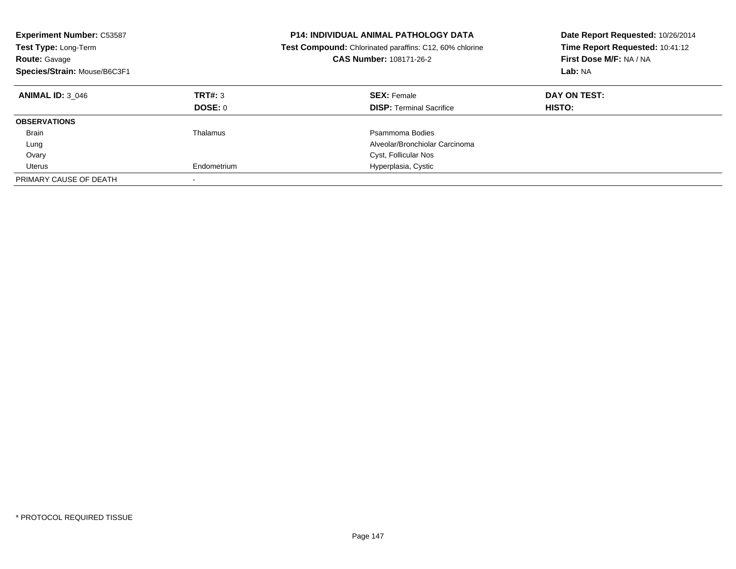| <b>Experiment Number: C53587</b><br>Test Type: Long-Term<br><b>Route: Gavage</b><br>Species/Strain: Mouse/B6C3F1 |                    | <b>P14: INDIVIDUAL ANIMAL PATHOLOGY DATA</b><br><b>Test Compound:</b> Chlorinated paraffins: C12, 60% chlorine<br>CAS Number: 108171-26-2 | Date Report Requested: 10/26/2014<br>Time Report Requested: 10:41:12<br>First Dose M/F: NA / NA<br>Lab: NA |
|------------------------------------------------------------------------------------------------------------------|--------------------|-------------------------------------------------------------------------------------------------------------------------------------------|------------------------------------------------------------------------------------------------------------|
| <b>ANIMAL ID: 3 046</b>                                                                                          | TRT#: 3<br>DOSE: 0 | <b>SEX: Female</b><br><b>DISP:</b> Terminal Sacrifice                                                                                     | DAY ON TEST:<br>HISTO:                                                                                     |
| <b>OBSERVATIONS</b>                                                                                              |                    |                                                                                                                                           |                                                                                                            |
| Brain                                                                                                            | Thalamus           | Psammoma Bodies                                                                                                                           |                                                                                                            |
| Lung                                                                                                             |                    | Alveolar/Bronchiolar Carcinoma                                                                                                            |                                                                                                            |
| Ovary                                                                                                            |                    | Cyst, Follicular Nos                                                                                                                      |                                                                                                            |
| Uterus                                                                                                           | Endometrium        | Hyperplasia, Cystic                                                                                                                       |                                                                                                            |
| PRIMARY CAUSE OF DEATH                                                                                           |                    |                                                                                                                                           |                                                                                                            |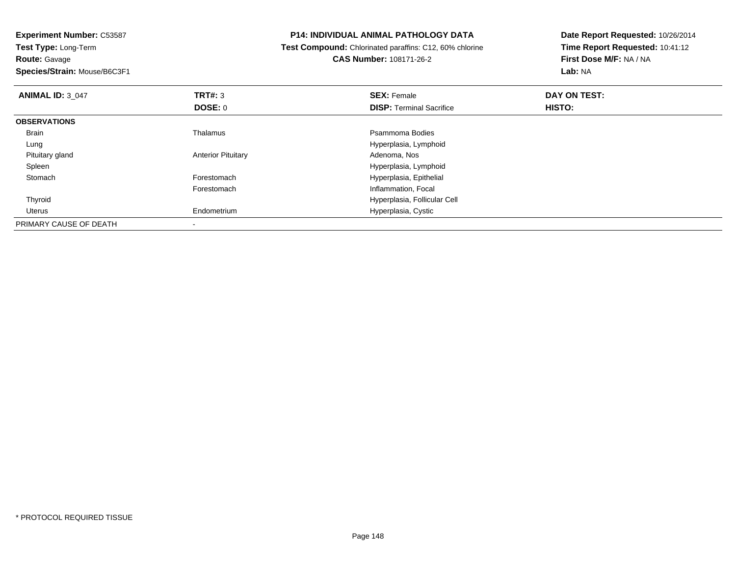**Experiment Number:** C53587**Test Type:** Long-Term**Route:** Gavage **Species/Strain:** Mouse/B6C3F1**P14: INDIVIDUAL ANIMAL PATHOLOGY DATA Test Compound:** Chlorinated paraffins: C12, 60% chlorine**CAS Number:** 108171-26-2**Date Report Requested:** 10/26/2014**Time Report Requested:** 10:41:12**First Dose M/F:** NA / NA**Lab:** NA**ANIMAL ID:** 3\_047 **TRT#:** <sup>3</sup> **SEX:** Female **DAY ON TEST: DOSE:** 0**DISP:** Terminal Sacrifice **HISTO: OBSERVATIONS** BrainThalamus **Properties** Psammoma Bodies Lung Hyperplasia, Lymphoid Pituitary glandAnterior Pituitary Spleen Hyperplasia, Lymphoid **Stomach** Forestomach **Hyperplasia**, Epithelial Forestomach Inflammation, Focal Thyroid Hyperplasia, Follicular Cell Uterus Endometrium Hyperplasia, Cystic PRIMARY CAUSE OF DEATH-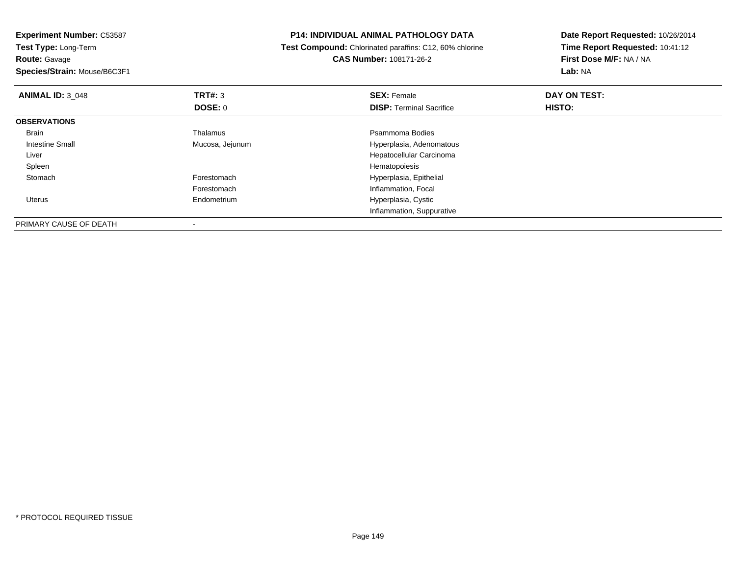| <b>Experiment Number: C53587</b>                    | <b>P14: INDIVIDUAL ANIMAL PATHOLOGY DATA</b> |                                                         | Date Report Requested: 10/26/2014                          |  |
|-----------------------------------------------------|----------------------------------------------|---------------------------------------------------------|------------------------------------------------------------|--|
| <b>Test Type: Long-Term</b><br><b>Route: Gavage</b> |                                              | Test Compound: Chlorinated paraffins: C12, 60% chlorine | Time Report Requested: 10:41:12<br>First Dose M/F: NA / NA |  |
|                                                     |                                              | <b>CAS Number: 108171-26-2</b>                          |                                                            |  |
| Species/Strain: Mouse/B6C3F1                        |                                              |                                                         | Lab: NA                                                    |  |
| <b>ANIMAL ID: 3 048</b>                             | TRT#: 3                                      | <b>SEX: Female</b>                                      | DAY ON TEST:                                               |  |
|                                                     | <b>DOSE: 0</b>                               | <b>DISP:</b> Terminal Sacrifice                         | HISTO:                                                     |  |
| <b>OBSERVATIONS</b>                                 |                                              |                                                         |                                                            |  |
| Brain                                               | Thalamus                                     | Psammoma Bodies                                         |                                                            |  |
| Intestine Small                                     | Mucosa, Jejunum                              | Hyperplasia, Adenomatous                                |                                                            |  |
| Liver                                               |                                              | Hepatocellular Carcinoma                                |                                                            |  |
| Spleen                                              |                                              | Hematopoiesis                                           |                                                            |  |
| Stomach                                             | Forestomach                                  | Hyperplasia, Epithelial                                 |                                                            |  |
|                                                     | Forestomach                                  | Inflammation, Focal                                     |                                                            |  |
| Uterus                                              | Endometrium                                  | Hyperplasia, Cystic                                     |                                                            |  |
|                                                     |                                              | Inflammation, Suppurative                               |                                                            |  |
| PRIMARY CAUSE OF DEATH                              |                                              |                                                         |                                                            |  |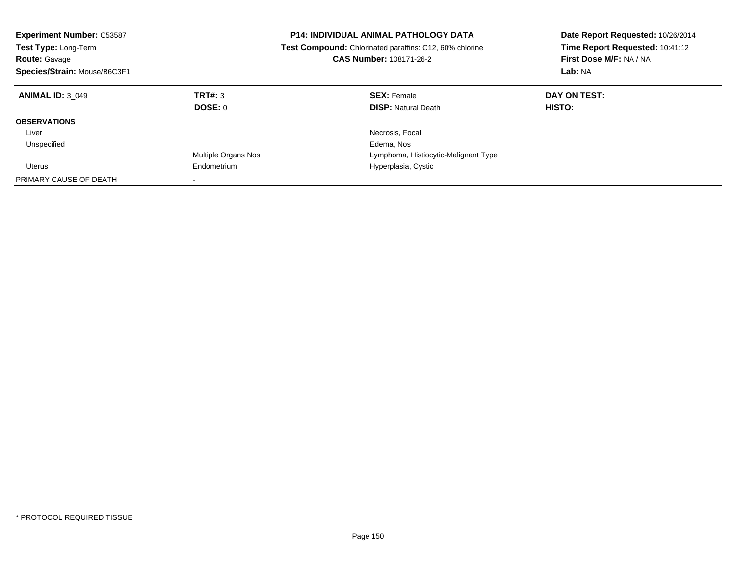| <b>Experiment Number: C53587</b><br>Test Type: Long-Term<br>Route: Gavage<br>Species/Strain: Mouse/B6C3F1 |                            | <b>P14: INDIVIDUAL ANIMAL PATHOLOGY DATA</b><br><b>Test Compound:</b> Chlorinated paraffins: C12, 60% chlorine<br><b>CAS Number: 108171-26-2</b> | Date Report Requested: 10/26/2014<br>Time Report Requested: 10:41:12<br>First Dose M/F: NA / NA<br>Lab: NA |
|-----------------------------------------------------------------------------------------------------------|----------------------------|--------------------------------------------------------------------------------------------------------------------------------------------------|------------------------------------------------------------------------------------------------------------|
| <b>ANIMAL ID: 3 049</b>                                                                                   | TRT#: 3                    | <b>SEX: Female</b>                                                                                                                               | DAY ON TEST:                                                                                               |
|                                                                                                           | DOSE: 0                    | <b>DISP:</b> Natural Death                                                                                                                       | HISTO:                                                                                                     |
| <b>OBSERVATIONS</b>                                                                                       |                            |                                                                                                                                                  |                                                                                                            |
| Liver                                                                                                     |                            | Necrosis, Focal                                                                                                                                  |                                                                                                            |
| Unspecified                                                                                               |                            | Edema, Nos                                                                                                                                       |                                                                                                            |
|                                                                                                           | <b>Multiple Organs Nos</b> | Lymphoma, Histiocytic-Malignant Type                                                                                                             |                                                                                                            |
| Uterus                                                                                                    | Endometrium                | Hyperplasia, Cystic                                                                                                                              |                                                                                                            |
| PRIMARY CAUSE OF DEATH                                                                                    |                            |                                                                                                                                                  |                                                                                                            |